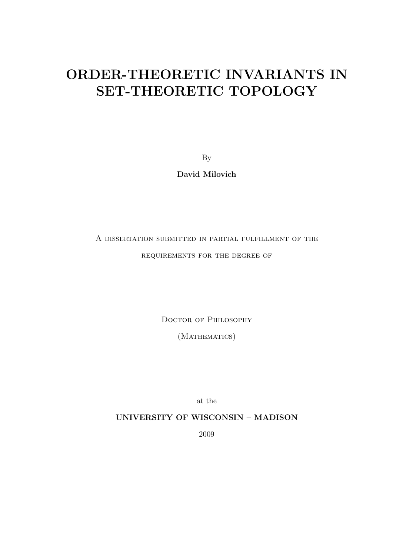### ORDER-THEORETIC INVARIANTS IN SET-THEORETIC TOPOLOGY

By

David Milovich

### A dissertation submitted in partial fulfillment of the requirements for the degree of

Doctor of Philosophy

(MATHEMATICS)

at the

UNIVERSITY OF WISCONSIN – MADISON

2009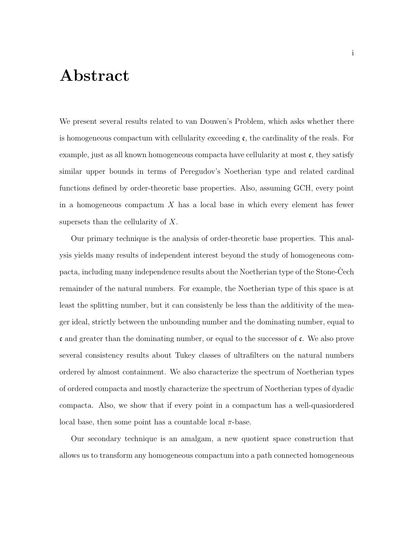### Abstract

We present several results related to van Douwen's Problem, which asks whether there is homogeneous compactum with cellularity exceeding  $\mathfrak{c}$ , the cardinality of the reals. For example, just as all known homogeneous compacta have cellularity at most c, they satisfy similar upper bounds in terms of Peregudov's Noetherian type and related cardinal functions defined by order-theoretic base properties. Also, assuming GCH, every point in a homogeneous compactum  $X$  has a local base in which every element has fewer supersets than the cellularity of X.

Our primary technique is the analysis of order-theoretic base properties. This analysis yields many results of independent interest beyond the study of homogeneous compacta, including many independence results about the Noetherian type of the Stone-Cech remainder of the natural numbers. For example, the Noetherian type of this space is at least the splitting number, but it can consistenly be less than the additivity of the meager ideal, strictly between the unbounding number and the dominating number, equal to  $\mathfrak c$  and greater than the dominating number, or equal to the successor of  $\mathfrak c$ . We also prove several consistency results about Tukey classes of ultrafilters on the natural numbers ordered by almost containment. We also characterize the spectrum of Noetherian types of ordered compacta and mostly characterize the spectrum of Noetherian types of dyadic compacta. Also, we show that if every point in a compactum has a well-quasiordered local base, then some point has a countable local  $\pi$ -base.

Our secondary technique is an amalgam, a new quotient space construction that allows us to transform any homogeneous compactum into a path connected homogeneous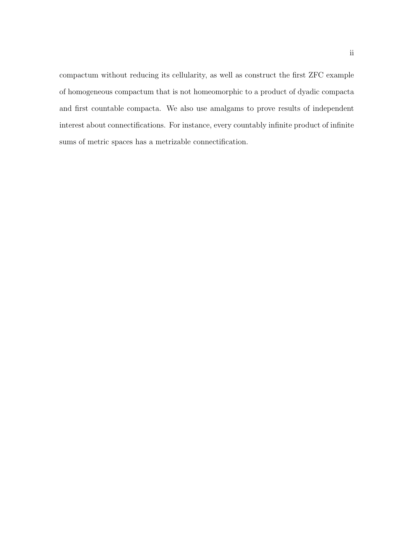compactum without reducing its cellularity, as well as construct the first ZFC example of homogeneous compactum that is not homeomorphic to a product of dyadic compacta and first countable compacta. We also use amalgams to prove results of independent interest about connectifications. For instance, every countably infinite product of infinite sums of metric spaces has a metrizable connectification.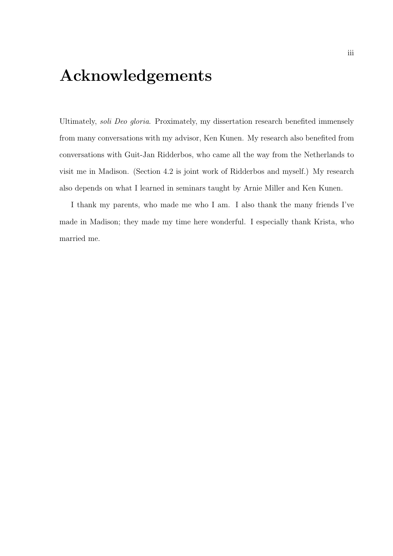## Acknowledgements

Ultimately, soli Deo gloria. Proximately, my dissertation research benefited immensely from many conversations with my advisor, Ken Kunen. My research also benefited from conversations with Guit-Jan Ridderbos, who came all the way from the Netherlands to visit me in Madison. (Section 4.2 is joint work of Ridderbos and myself.) My research also depends on what I learned in seminars taught by Arnie Miller and Ken Kunen.

I thank my parents, who made me who I am. I also thank the many friends I've made in Madison; they made my time here wonderful. I especially thank Krista, who married me.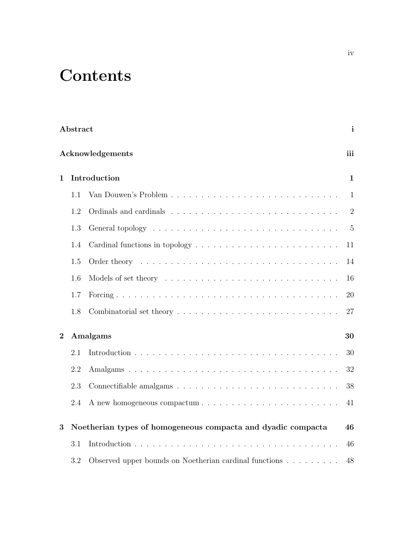# **Contents**

| Abstract       |                                                              |                                                                                              |                |  |  |
|----------------|--------------------------------------------------------------|----------------------------------------------------------------------------------------------|----------------|--|--|
|                | Acknowledgements                                             |                                                                                              |                |  |  |
| $\mathbf 1$    | Introduction                                                 |                                                                                              |                |  |  |
|                | 1.1                                                          |                                                                                              | $\mathbf{1}$   |  |  |
|                | 1.2                                                          |                                                                                              | $\overline{2}$ |  |  |
|                | 1.3                                                          |                                                                                              | $\overline{5}$ |  |  |
|                | 1.4                                                          |                                                                                              | 11             |  |  |
|                | 1.5                                                          |                                                                                              | 14             |  |  |
|                | 1.6                                                          |                                                                                              | 16             |  |  |
|                | 1.7                                                          |                                                                                              | 20             |  |  |
|                | 1.8                                                          | Combinatorial set theory $\dots \dots \dots \dots \dots \dots \dots \dots \dots \dots \dots$ | 27             |  |  |
| $\overline{2}$ |                                                              | Amalgams                                                                                     | 30             |  |  |
|                | 2.1                                                          |                                                                                              | 30             |  |  |
|                | 2.2                                                          |                                                                                              | 32             |  |  |
|                | 2.3                                                          |                                                                                              | 38             |  |  |
|                | 2.4                                                          |                                                                                              | 41             |  |  |
| 3              | Noetherian types of homogeneous compacta and dyadic compacta |                                                                                              |                |  |  |
|                | 3.1                                                          |                                                                                              | 46             |  |  |
|                | 3.2                                                          | Observed upper bounds on Noetherian cardinal functions                                       | 48             |  |  |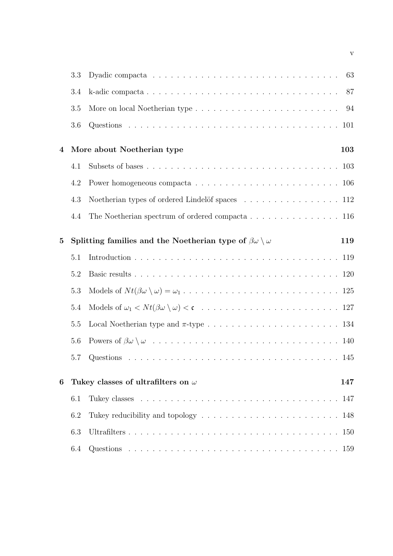|              | 3.3 | 63                                                                                              |  |
|--------------|-----|-------------------------------------------------------------------------------------------------|--|
|              | 3.4 | 87                                                                                              |  |
|              | 3.5 | 94                                                                                              |  |
|              | 3.6 |                                                                                                 |  |
| 4            |     | More about Noetherian type<br>103                                                               |  |
|              | 4.1 |                                                                                                 |  |
|              | 4.2 | Power homogeneous compacta $\ldots \ldots \ldots \ldots \ldots \ldots \ldots \ldots \ldots 106$ |  |
|              | 4.3 | Noetherian types of ordered Lindelöf spaces 112                                                 |  |
|              | 4.4 | The Noetherian spectrum of ordered compacta $\dots \dots \dots \dots \dots \dots \dots$ 116     |  |
| $\mathbf{5}$ |     | Splitting families and the Noetherian type of $\beta\omega \setminus \omega$<br>119             |  |
|              | 5.1 |                                                                                                 |  |
|              | 5.2 |                                                                                                 |  |
|              | 5.3 |                                                                                                 |  |
|              | 5.4 |                                                                                                 |  |
|              | 5.5 |                                                                                                 |  |
|              | 5.6 |                                                                                                 |  |
|              | 5.7 |                                                                                                 |  |
| 6            |     | Tukey classes of ultrafilters on $\omega$<br>147                                                |  |
|              | 6.1 |                                                                                                 |  |
|              | 6.2 | Tukey reducibility and topology $\dots \dots \dots \dots \dots \dots \dots \dots \dots$<br>148  |  |
|              | 6.3 | 150                                                                                             |  |
|              | 6.4 |                                                                                                 |  |

v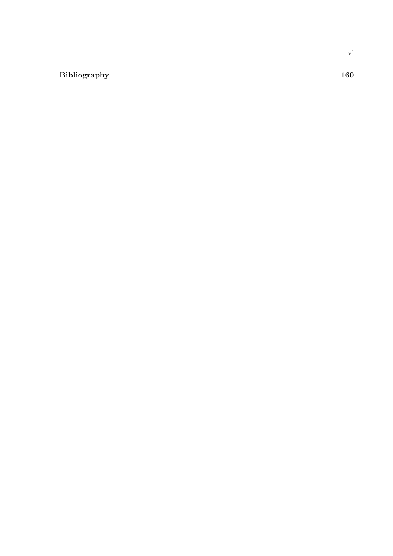#### Bibliography 160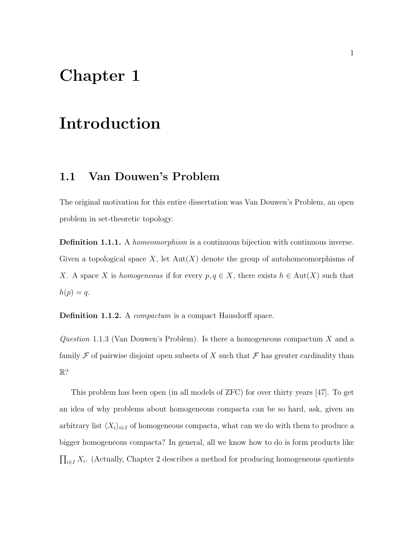### Chapter 1

### Introduction

#### 1.1 Van Douwen's Problem

The original motivation for this entire dissertation was Van Douwen's Problem, an open problem in set-theoretic topology.

Definition 1.1.1. A *homeomorphism* is a continuous bijection with continuous inverse. Given a topological space X, let  $Aut(X)$  denote the group of autohomeomorphisms of X. A space X is homogeneous if for every  $p, q \in X$ , there exists  $h \in Aut(X)$  such that  $h(p) = q$ .

Definition 1.1.2. A *compactum* is a compact Hausdorff space.

Question 1.1.3 (Van Douwen's Problem). Is there a homogeneous compactum  $X$  and a family F of pairwise disjoint open subsets of X such that  $\mathcal F$  has greater cardinality than R?

This problem has been open (in all models of ZFC) for over thirty years [47]. To get an idea of why problems about homogeneous compacta can be so hard, ask, given an arbitrary list  $\langle X_i \rangle_{i \in I}$  of homogeneous compacta, what can we do with them to produce a bigger homogeneous compacta? In general, all we know how to do is form products like  $\prod_{i\in I} X_i$ . (Actually, Chapter 2 describes a method for producing homogeneous quotients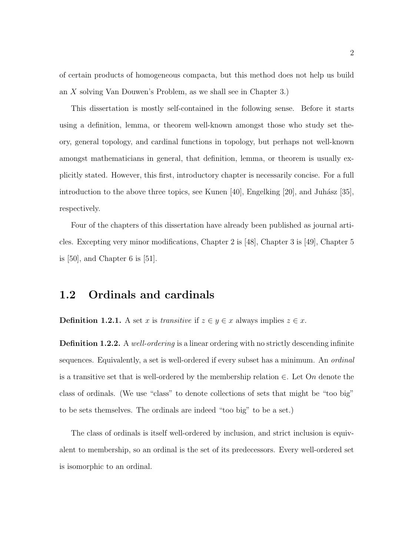of certain products of homogeneous compacta, but this method does not help us build an X solving Van Douwen's Problem, as we shall see in Chapter 3.)

This dissertation is mostly self-contained in the following sense. Before it starts using a definition, lemma, or theorem well-known amongst those who study set theory, general topology, and cardinal functions in topology, but perhaps not well-known amongst mathematicians in general, that definition, lemma, or theorem is usually explicitly stated. However, this first, introductory chapter is necessarily concise. For a full introduction to the above three topics, see Kunen  $[40]$ , Engelking  $[20]$ , and Juhász  $[35]$ , respectively.

Four of the chapters of this dissertation have already been published as journal articles. Excepting very minor modifications, Chapter 2 is [48], Chapter 3 is [49], Chapter 5 is [50], and Chapter 6 is [51].

#### 1.2 Ordinals and cardinals

**Definition 1.2.1.** A set x is transitive if  $z \in y \in x$  always implies  $z \in x$ .

Definition 1.2.2. A well-ordering is a linear ordering with no strictly descending infinite sequences. Equivalently, a set is well-ordered if every subset has a minimum. An *ordinal* is a transitive set that is well-ordered by the membership relation  $\in$ . Let On denote the class of ordinals. (We use "class" to denote collections of sets that might be "too big" to be sets themselves. The ordinals are indeed "too big" to be a set.)

The class of ordinals is itself well-ordered by inclusion, and strict inclusion is equivalent to membership, so an ordinal is the set of its predecessors. Every well-ordered set is isomorphic to an ordinal.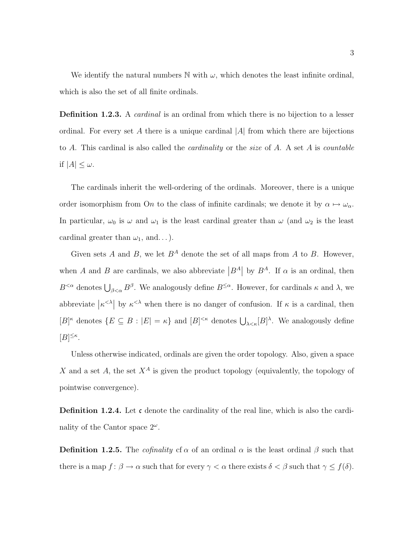We identify the natural numbers  $\mathbb N$  with  $\omega$ , which denotes the least infinite ordinal, which is also the set of all finite ordinals.

**Definition 1.2.3.** A *cardinal* is an ordinal from which there is no bijection to a lesser ordinal. For every set A there is a unique cardinal  $|A|$  from which there are bijections to A. This cardinal is also called the *cardinality* or the size of A. A set A is *countable* if  $|A| \leq \omega$ .

The cardinals inherit the well-ordering of the ordinals. Moreover, there is a unique order isomorphism from On to the class of infinite cardinals; we denote it by  $\alpha \mapsto \omega_{\alpha}$ . In particular,  $\omega_0$  is  $\omega$  and  $\omega_1$  is the least cardinal greater than  $\omega$  (and  $\omega_2$  is the least cardinal greater than  $\omega_1$ , and...).

Given sets A and B, we let  $B^A$  denote the set of all maps from A to B. However, when A and B are cardinals, we also abbreviate  $|B^A|$  by  $B^A$ . If  $\alpha$  is an ordinal, then  $B^{<\alpha}$  denotes  $\bigcup_{\beta<\alpha} B^{\beta}$ . We analogously define  $B^{\leq\alpha}$ . However, for cardinals  $\kappa$  and  $\lambda$ , we abbreviate  $|\kappa^{\langle \lambda}|\$  by  $\kappa^{\langle \lambda\rangle}\$  when there is no danger of confusion. If  $\kappa$  is a cardinal, then  $[B]^{\kappa}$  denotes  $\{E \subseteq B : |E| = \kappa\}$  and  $[B]^{<\kappa}$  denotes  $\bigcup_{\lambda \leq \kappa} [B]^{\lambda}$ . We analogously define  $[B]^{\leq\kappa}.$ 

Unless otherwise indicated, ordinals are given the order topology. Also, given a space X and a set A, the set  $X^A$  is given the product topology (equivalently, the topology of pointwise convergence).

**Definition 1.2.4.** Let c denote the cardinality of the real line, which is also the cardinality of the Cantor space  $2^{\omega}$ .

**Definition 1.2.5.** The *cofinality* cf  $\alpha$  of an ordinal  $\alpha$  is the least ordinal  $\beta$  such that there is a map  $f: \beta \to \alpha$  such that for every  $\gamma < \alpha$  there exists  $\delta < \beta$  such that  $\gamma \leq f(\delta)$ .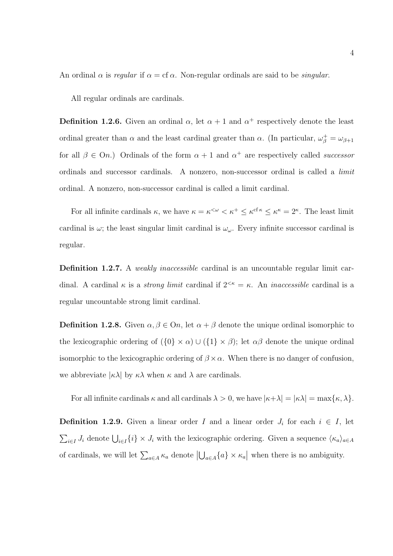An ordinal  $\alpha$  is regular if  $\alpha = cf \alpha$ . Non-regular ordinals are said to be *singular*.

All regular ordinals are cardinals.

**Definition 1.2.6.** Given an ordinal  $\alpha$ , let  $\alpha + 1$  and  $\alpha^+$  respectively denote the least ordinal greater than  $\alpha$  and the least cardinal greater than  $\alpha$ . (In particular,  $\omega_{\beta}^{+} = \omega_{\beta+1}$ for all  $\beta \in On$ .) Ordinals of the form  $\alpha + 1$  and  $\alpha^+$  are respectively called *successor* ordinals and successor cardinals. A nonzero, non-successor ordinal is called a limit ordinal. A nonzero, non-successor cardinal is called a limit cardinal.

For all infinite cardinals  $\kappa$ , we have  $\kappa = \kappa^{\lt \omega} < \kappa^+ \leq \kappa^{\text{cf } \kappa} \leq \kappa^{\kappa} = 2^{\kappa}$ . The least limit cardinal is  $\omega$ ; the least singular limit cardinal is  $\omega_{\omega}$ . Every infinite successor cardinal is regular.

Definition 1.2.7. A *weakly inaccessible* cardinal is an uncountable regular limit cardinal. A cardinal  $\kappa$  is a *strong limit* cardinal if  $2^{<\kappa} = \kappa$ . An *inaccessible* cardinal is a regular uncountable strong limit cardinal.

**Definition 1.2.8.** Given  $\alpha, \beta \in \Omega$ , let  $\alpha + \beta$  denote the unique ordinal isomorphic to the lexicographic ordering of  $({0} \times \alpha) \cup ({1} \times \beta)$ ; let  $\alpha\beta$  denote the unique ordinal isomorphic to the lexicographic ordering of  $\beta \times \alpha$ . When there is no danger of confusion, we abbreviate  $|\kappa\lambda|$  by  $\kappa\lambda$  when  $\kappa$  and  $\lambda$  are cardinals.

For all infinite cardinals  $\kappa$  and all cardinals  $\lambda > 0$ , we have  $|\kappa + \lambda| = |\kappa \lambda| = \max{\kappa, \lambda}.$ 

**Definition 1.2.9.** Given a linear order I and a linear order  $J_i$  for each  $i \in I$ , let  $\sum_{i\in I} J_i$  denote  $\bigcup_{i\in I} \{i\} \times J_i$  with the lexicographic ordering. Given a sequence  $\langle \kappa_a \rangle_{a \in A}$ of cardinals, we will let  $\sum_{a\in A} \kappa_a$  denote  $|\bigcup_{a\in A} \{a\} \times \kappa_a|$  when there is no ambiguity.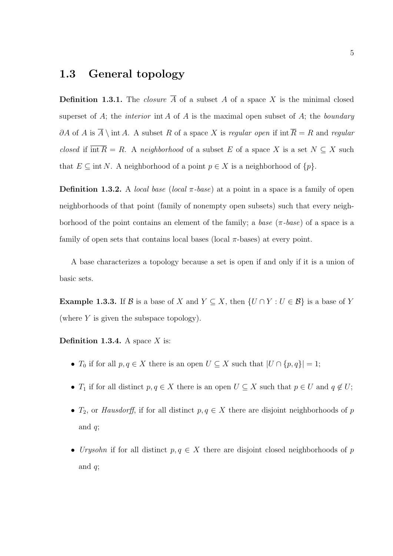#### 1.3 General topology

**Definition 1.3.1.** The *closure*  $\overline{A}$  of a subset A of a space X is the minimal closed superset of A; the *interior* int A of A is the maximal open subset of A; the *boundary* ∂A of A is  $\overline{A} \setminus \text{int } A$ . A subset R of a space X is regular open if int  $\overline{R} = R$  and regular closed if  $\overline{\text{int }R} = R$ . A neighborhood of a subset E of a space X is a set  $N \subseteq X$  such that  $E \subseteq \text{int } N$ . A neighborhood of a point  $p \in X$  is a neighborhood of  $\{p\}$ .

**Definition 1.3.2.** A *local base (local*  $\pi$ -base) at a point in a space is a family of open neighborhoods of that point (family of nonempty open subsets) such that every neighborhood of the point contains an element of the family; a base  $(\pi$ -base) of a space is a family of open sets that contains local bases (local  $\pi$ -bases) at every point.

A base characterizes a topology because a set is open if and only if it is a union of basic sets.

**Example 1.3.3.** If B is a base of X and  $Y \subseteq X$ , then  $\{U \cap Y : U \in B\}$  is a base of Y (where  $Y$  is given the subspace topology).

**Definition 1.3.4.** A space  $X$  is:

- $T_0$  if for all  $p, q \in X$  there is an open  $U \subseteq X$  such that  $|U \cap \{p, q\}| = 1$ ;
- $T_1$  if for all distinct  $p, q \in X$  there is an open  $U \subseteq X$  such that  $p \in U$  and  $q \notin U$ ;
- $T_2$ , or Hausdorff, if for all distinct  $p, q \in X$  there are disjoint neighborhoods of p and  $q$ ;
- Urysohn if for all distinct  $p, q \in X$  there are disjoint closed neighborhoods of p and  $q$ ;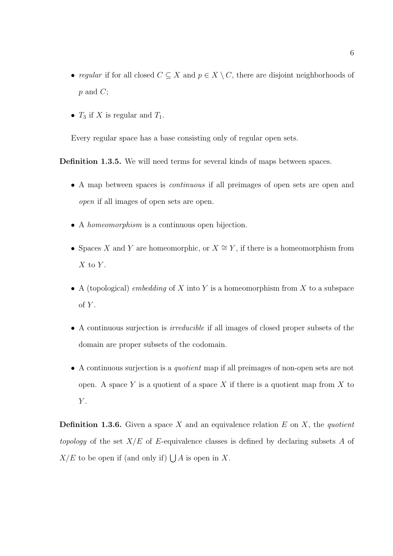- regular if for all closed  $C \subseteq X$  and  $p \in X \setminus C$ , there are disjoint neighborhoods of  $p$  and  $C$ ;
- $T_3$  if X is regular and  $T_1$ .

Every regular space has a base consisting only of regular open sets.

Definition 1.3.5. We will need terms for several kinds of maps between spaces.

- A map between spaces is continuous if all preimages of open sets are open and open if all images of open sets are open.
- A *homeomorphism* is a continuous open bijection.
- Spaces X and Y are homeomorphic, or  $X \cong Y$ , if there is a homeomorphism from  $X$  to  $Y$ .
- A (topological) *embedding* of X into Y is a homeomorphism from X to a subspace of  $Y$ .
- A continuous surjection is irreducible if all images of closed proper subsets of the domain are proper subsets of the codomain.
- A continuous surjection is a quotient map if all preimages of non-open sets are not open. A space Y is a quotient of a space X if there is a quotient map from X to  $Y$ .

**Definition 1.3.6.** Given a space X and an equivalence relation E on X, the quotient topology of the set  $X/E$  of E-equivalence classes is defined by declaring subsets A of  $X/E$  to be open if (and only if)  $\bigcup A$  is open in X.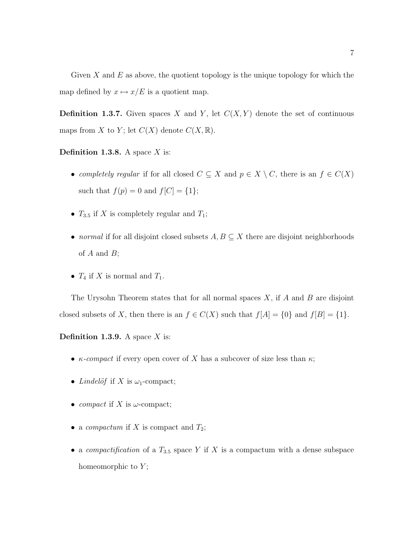Given  $X$  and  $E$  as above, the quotient topology is the unique topology for which the map defined by  $x \mapsto x/E$  is a quotient map.

**Definition 1.3.7.** Given spaces X and Y, let  $C(X, Y)$  denote the set of continuous maps from X to Y; let  $C(X)$  denote  $C(X, \mathbb{R})$ .

**Definition 1.3.8.** A space  $X$  is:

- completely regular if for all closed  $C \subseteq X$  and  $p \in X \setminus C$ , there is an  $f \in C(X)$ such that  $f(p) = 0$  and  $f[C] = \{1\};$
- $T_{3.5}$  if X is completely regular and  $T_1$ ;
- normal if for all disjoint closed subsets  $A, B \subseteq X$  there are disjoint neighborhoods of  $A$  and  $B$ ;
- $T_4$  if X is normal and  $T_1$ .

The Urysohn Theorem states that for all normal spaces  $X$ , if  $A$  and  $B$  are disjoint closed subsets of X, then there is an  $f \in C(X)$  such that  $f[A] = \{0\}$  and  $f[B] = \{1\}$ .

**Definition 1.3.9.** A space  $X$  is:

- $\kappa$ -compact if every open cover of X has a subcover of size less than  $\kappa$ ;
- Lindelöf if X is  $\omega_1$ -compact;
- compact if X is  $\omega$ -compact;
- a *compactum* if X is compact and  $T_2$ ;
- a *compactification* of a  $T_{3.5}$  space Y if X is a compactum with a dense subspace homeomorphic to  $Y$ ;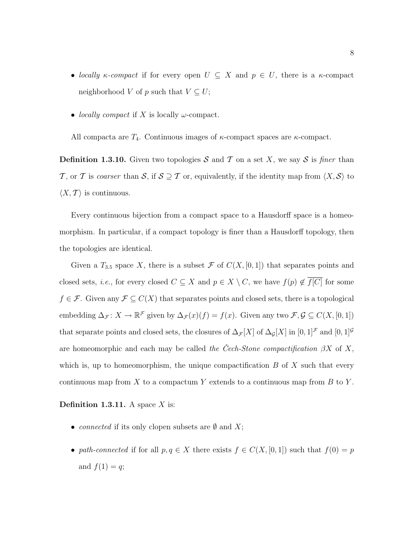- locally  $\kappa$ -compact if for every open  $U \subseteq X$  and  $p \in U$ , there is a  $\kappa$ -compact neighborhood V of p such that  $V \subseteq U$ ;
- *locally compact* if X is locally  $\omega$ -compact.

All compacta are  $T_4$ . Continuous images of  $\kappa$ -compact spaces are  $\kappa$ -compact.

**Definition 1.3.10.** Given two topologies S and T on a set X, we say S is finer than T, or T is coarser than S, if  $S \supseteq T$  or, equivalently, if the identity map from  $\langle X, \mathcal{S} \rangle$  to  $\langle X, \mathcal{T} \rangle$  is continuous.

Every continuous bijection from a compact space to a Hausdorff space is a homeomorphism. In particular, if a compact topology is finer than a Hausdorff topology, then the topologies are identical.

Given a  $T_{3,5}$  space X, there is a subset F of  $C(X,[0,1])$  that separates points and closed sets, *i.e.*, for every closed  $C \subseteq X$  and  $p \in X \setminus C$ , we have  $f(p) \notin \overline{f[C]}$  for some  $f \in \mathcal{F}$ . Given any  $\mathcal{F} \subseteq C(X)$  that separates points and closed sets, there is a topological embedding  $\Delta_{\mathcal{F}}: X \to \mathbb{R}^{\mathcal{F}}$  given by  $\Delta_{\mathcal{F}}(x)(f) = f(x)$ . Given any two  $\mathcal{F}, \mathcal{G} \subseteq C(X, [0, 1])$ that separate points and closed sets, the closures of  $\Delta_{\mathcal{F}}[X]$  of  $\Delta_{\mathcal{G}}[X]$  in  $[0,1]^{\mathcal{F}}$  and  $[0,1]^{\mathcal{G}}$ are homeomorphic and each may be called the Cech-Stone compactification  $\beta X$  of X, which is, up to homeomorphism, the unique compactification  $B$  of  $X$  such that every continuous map from  $X$  to a compactum Y extends to a continuous map from  $B$  to Y.

#### **Definition 1.3.11.** A space  $X$  is:

- *connected* if its only clopen subsets are  $\emptyset$  and X;
- path-connected if for all  $p, q \in X$  there exists  $f \in C(X, [0, 1])$  such that  $f(0) = p$ and  $f(1) = q$ ;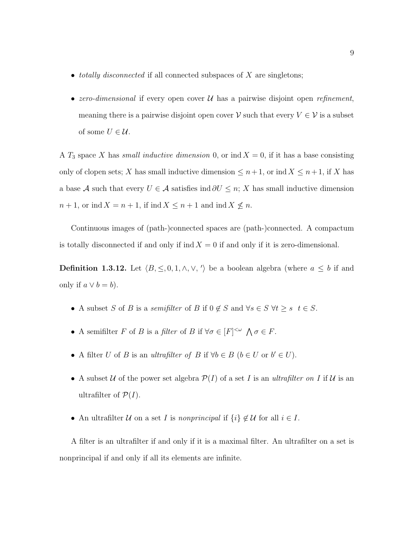- totally disconnected if all connected subspaces of  $X$  are singletons;
- zero-dimensional if every open cover  $\mathcal U$  has a pairwise disjoint open *refinement*, meaning there is a pairwise disjoint open cover  $\mathcal V$  such that every  $V \in \mathcal V$  is a subset of some  $U \in \mathcal{U}$ .

A  $T_3$  space X has small inductive dimension 0, or ind  $X = 0$ , if it has a base consisting only of clopen sets; X has small inductive dimension  $\leq n+1$ , or ind  $X \leq n+1$ , if X has a base A such that every  $U \in \mathcal{A}$  satisfies ind  $\partial U \leq n$ ; X has small inductive dimension  $n+1$ , or ind  $X = n+1$ , if ind  $X \leq n+1$  and ind  $X \nleq n$ .

Continuous images of (path-)connected spaces are (path-)connected. A compactum is totally disconnected if and only if ind  $X = 0$  if and only if it is zero-dimensional.

**Definition 1.3.12.** Let  $\langle B, \leq, 0, 1, \wedge, \vee, \cdot \rangle$  be a boolean algebra (where  $a \leq b$  if and only if  $a \vee b = b$ .

- A subset S of B is a semifilter of B if  $0 \notin S$  and  $\forall s \in S$   $\forall t \geq s$   $t \in S$ .
- A semifilter F of B is a filter of B if  $\forall \sigma \in [F]^{<\omega} \land \sigma \in F$ .
- A filter U of B is an ultrafilter of B if  $\forall b \in B$   $(b \in U \text{ or } b' \in U)$ .
- A subset U of the power set algebra  $\mathcal{P}(I)$  of a set I is an ultrafilter on I if U is an ultrafilter of  $\mathcal{P}(I)$ .
- An ultrafilter U on a set I is nonprincipal if  $\{i\} \notin U$  for all  $i \in I$ .

A filter is an ultrafilter if and only if it is a maximal filter. An ultrafilter on a set is nonprincipal if and only if all its elements are infinite.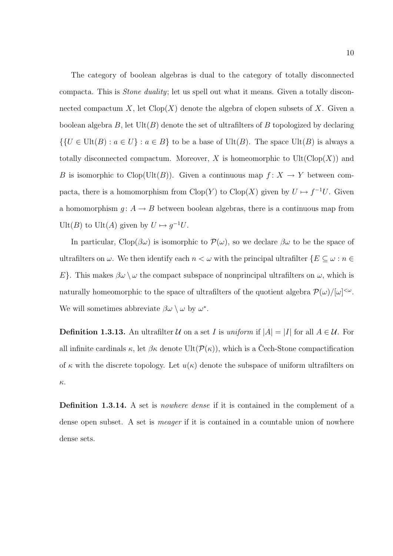The category of boolean algebras is dual to the category of totally disconnected compacta. This is Stone duality; let us spell out what it means. Given a totally disconnected compactum X, let  $Clop(X)$  denote the algebra of clopen subsets of X. Given a boolean algebra  $B$ , let  $Ult(B)$  denote the set of ultrafilters of  $B$  topologized by declaring  $\{U \in \text{Ult}(B) : a \in U\} : a \in B\}$  to be a base of  $\text{Ult}(B)$ . The space  $\text{Ult}(B)$  is always a totally disconnected compactum. Moreover, X is homeomorphic to  $Ult(Clop(X))$  and B is isomorphic to Clop(Ult(B)). Given a continuous map  $f: X \to Y$  between compacta, there is a homomorphism from Clop(Y) to Clop(X) given by  $U \mapsto f^{-1}U$ . Given a homomorphism  $g: A \to B$  between boolean algebras, there is a continuous map from Ult(B) to Ult(A) given by  $U \mapsto g^{-1}U$ .

In particular, Clop( $\beta\omega$ ) is isomorphic to  $\mathcal{P}(\omega)$ , so we declare  $\beta\omega$  to be the space of ultrafilters on  $\omega.$  We then identify each  $n<\omega$  with the principal ultrafilter  $\{E\subseteq\omega:n\in$ E}. This makes  $\beta\omega \setminus \omega$  the compact subspace of nonprincipal ultrafilters on  $\omega$ , which is naturally homeomorphic to the space of ultrafilters of the quotient algebra  $\mathcal{P}(\omega)/[\omega]^{<\omega}$ . We will sometimes abbreviate  $\beta\omega \setminus \omega$  by  $\omega^*$ .

**Definition 1.3.13.** An ultrafilter  $U$  on a set I is uniform if  $|A| = |I|$  for all  $A \in U$ . For all infinite cardinals  $\kappa$ , let  $\beta \kappa$  denote Ult $(\mathcal{P}(\kappa))$ , which is a Cech-Stone compactification of  $\kappa$  with the discrete topology. Let  $u(\kappa)$  denote the subspace of uniform ultrafilters on κ.

**Definition 1.3.14.** A set is *nowhere dense* if it is contained in the complement of a dense open subset. A set is *meager* if it is contained in a countable union of nowhere dense sets.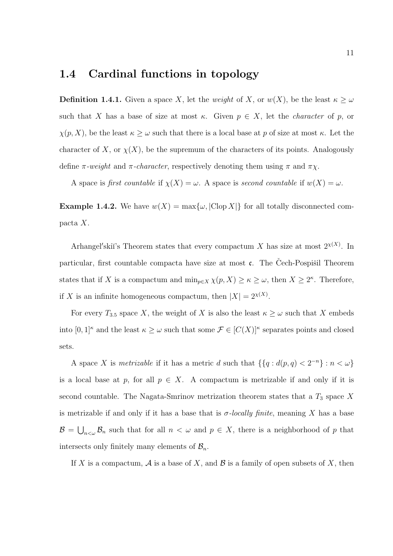#### 1.4 Cardinal functions in topology

**Definition 1.4.1.** Given a space X, let the weight of X, or  $w(X)$ , be the least  $\kappa \geq \omega$ such that X has a base of size at most  $\kappa$ . Given  $p \in X$ , let the *character* of p, or  $\chi(p, X)$ , be the least  $\kappa \geq \omega$  such that there is a local base at p of size at most  $\kappa$ . Let the character of X, or  $\chi(X)$ , be the supremum of the characters of its points. Analogously define  $\pi$ -weight and  $\pi$ -character, respectively denoting them using  $\pi$  and  $\pi \chi$ .

A space is first countable if  $\chi(X) = \omega$ . A space is second countable if  $w(X) = \omega$ .

**Example 1.4.2.** We have  $w(X) = \max\{\omega, |\text{Clop } X|\}$  for all totally disconnected compacta X.

Arhangel'skiï's Theorem states that every compactum X has size at most  $2^{x(X)}$ . In particular, first countable compacta have size at most  $\mathfrak{c}$ . The Cech-Pospišil Theorem states that if X is a compactum and  $\min_{p \in X} \chi(p, X) \geq \kappa \geq \omega$ , then  $X \geq 2^{\kappa}$ . Therefore, if X is an infinite homogeneous compactum, then  $|X| = 2^{\chi(X)}$ .

For every  $T_{3.5}$  space X, the weight of X is also the least  $\kappa \geq \omega$  such that X embeds into  $[0,1]^{\kappa}$  and the least  $\kappa \geq \omega$  such that some  $\mathcal{F} \in [C(X)]^{\kappa}$  separates points and closed sets.

A space X is *metrizable* if it has a metric d such that  $\{\{q : d(p,q) < 2^{-n}\} : n < \omega\}$ is a local base at p, for all  $p \in X$ . A compactum is metrizable if and only if it is second countable. The Nagata-Smrinov metrization theorem states that a  $T_3$  space X is metrizable if and only if it has a base that is  $\sigma$ -locally finite, meaning X has a base  $\mathcal{B} = \bigcup_{n<\omega} \mathcal{B}_n$  such that for all  $n < \omega$  and  $p \in X$ , there is a neighborhood of p that intersects only finitely many elements of  $\mathcal{B}_n$ .

If X is a compactum,  $\mathcal A$  is a base of X, and  $\mathcal B$  is a family of open subsets of X, then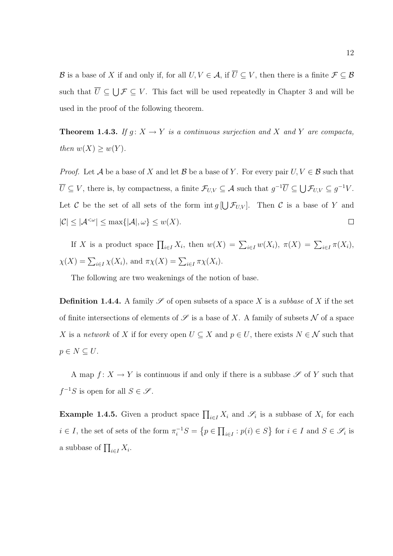B is a base of X if and only if, for all  $U, V \in \mathcal{A}$ , if  $\overline{U} \subseteq V$ , then there is a finite  $\mathcal{F} \subseteq \mathcal{B}$ such that  $\overline{U} \subseteq \bigcup \mathcal{F} \subseteq V$ . This fact will be used repeatedly in Chapter 3 and will be used in the proof of the following theorem.

**Theorem 1.4.3.** If  $g: X \to Y$  is a continuous surjection and X and Y are compacta, then  $w(X) \geq w(Y)$ .

*Proof.* Let A be a base of X and let B be a base of Y. For every pair  $U, V \in \mathcal{B}$  such that  $\overline{U} \subseteq V$ , there is, by compactness, a finite  $\mathcal{F}_{U,V} \subseteq \mathcal{A}$  such that  $g^{-1}\overline{U} \subseteq \bigcup \mathcal{F}_{U,V} \subseteq g^{-1}V$ . Let C be the set of all sets of the form  $\text{int } g \left[ \bigcup \mathcal{F}_{U,V} \right]$ . Then C is a base of Y and  $|\mathcal{C}| \leq |\mathcal{A}^{<\omega}| \leq \max\{|\mathcal{A}|,\omega\} \leq w(X).$  $\Box$ 

If X is a product space  $\prod_{i\in I} X_i$ , then  $w(X) = \sum_{i\in I} w(X_i)$ ,  $\pi(X) = \sum_{i\in I} \pi(X_i)$ ,  $\chi(X) = \sum_{i \in I} \chi(X_i)$ , and  $\pi \chi(X) = \sum_{i \in I} \pi \chi(X_i)$ .

The following are two weakenings of the notion of base.

**Definition 1.4.4.** A family  $\mathscr S$  of open subsets of a space X is a *subbase* of X if the set of finite intersections of elements of  $\mathscr S$  is a base of X. A family of subsets N of a space X is a *network* of X if for every open  $U \subseteq X$  and  $p \in U$ , there exists  $N \in \mathcal{N}$  such that  $p \in N \subseteq U$ .

A map  $f: X \to Y$  is continuous if and only if there is a subbase  $\mathscr S$  of Y such that  $f^{-1}S$  is open for all  $S \in \mathscr{S}$ .

**Example 1.4.5.** Given a product space  $\prod_{i\in I} X_i$  and  $\mathscr{S}_i$  is a subbase of  $X_i$  for each  $i \in I$ , the set of sets of the form  $\pi_i^{-1}S = \{p \in \prod_{i \in I} : p(i) \in S\}$  for  $i \in I$  and  $S \in \mathscr{S}_i$  is a subbase of  $\prod_{i \in I} X_i$ .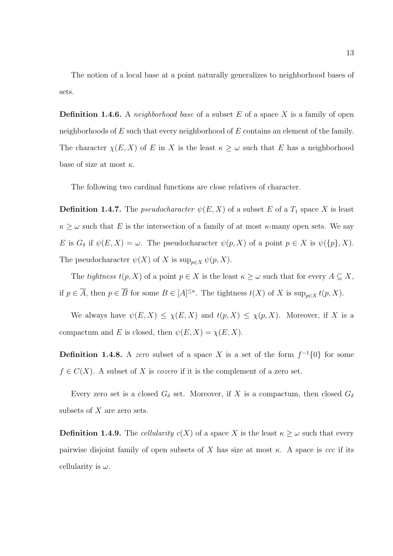The notion of a local base at a point naturally generalizes to neighborhood bases of sets.

**Definition 1.4.6.** A *neighborhood base* of a subset E of a space X is a family of open neighborhoods of  $E$  such that every neighborhood of  $E$  contains an element of the family. The character  $\chi(E, X)$  of E in X is the least  $\kappa \geq \omega$  such that E has a neighborhood base of size at most  $\kappa$ .

The following two cardinal functions are close relatives of character.

**Definition 1.4.7.** The *pseudocharacter*  $\psi(E, X)$  of a subset E of a  $T_1$  space X is least  $\kappa \geq \omega$  such that E is the intersection of a family of at most  $\kappa$ -many open sets. We say E is  $G_{\delta}$  if  $\psi(E, X) = \omega$ . The pseudocharacter  $\psi(p, X)$  of a point  $p \in X$  is  $\psi({p}, X)$ . The pseudocharacter  $\psi(X)$  of X is  $\sup_{p\in X}\psi(p,X)$ .

The *tightness*  $t(p, X)$  of a point  $p \in X$  is the least  $\kappa \geq \omega$  such that for every  $A \subseteq X$ , if  $p \in \overline{A}$ , then  $p \in \overline{B}$  for some  $B \in [A]^{\leq \kappa}$ . The tightness  $t(X)$  of X is  $\sup_{p \in X} t(p, X)$ .

We always have  $\psi(E, X) \leq \chi(E, X)$  and  $t(p, X) \leq \chi(p, X)$ . Moreover, if X is a compactum and E is closed, then  $\psi(E, X) = \chi(E, X)$ .

**Definition 1.4.8.** A zero subset of a space X is a set of the form  $f^{-1}\{0\}$  for some  $f \in C(X)$ . A subset of X is *cozero* if it is the complement of a zero set.

Every zero set is a closed  $G_{\delta}$  set. Moreover, if X is a compactum, then closed  $G_{\delta}$ subsets of  $X$  are zero sets.

**Definition 1.4.9.** The *cellularity*  $c(X)$  of a space X is the least  $\kappa \geq \omega$  such that every pairwise disjoint family of open subsets of X has size at most  $\kappa$ . A space is ccc if its cellularity is  $\omega$ .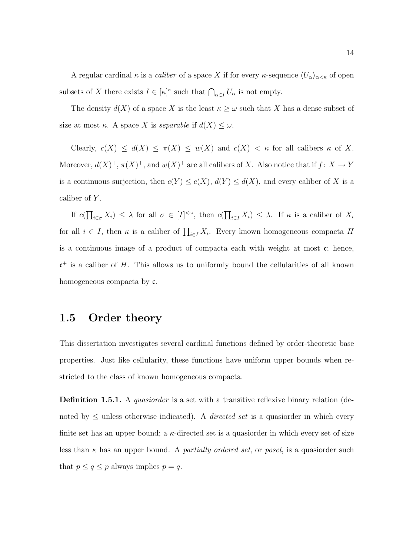A regular cardinal  $\kappa$  is a *caliber* of a space X if for every  $\kappa$ -sequence  $\langle U_{\alpha}\rangle_{\alpha<\kappa}$  of open subsets of X there exists  $I \in [\kappa]^{\kappa}$  such that  $\bigcap_{\alpha \in I} U_{\alpha}$  is not empty.

The density  $d(X)$  of a space X is the least  $\kappa \geq \omega$  such that X has a dense subset of size at most  $\kappa$ . A space X is separable if  $d(X) \leq \omega$ .

Clearly,  $c(X) \leq d(X) \leq \pi(X) \leq w(X)$  and  $c(X) < \kappa$  for all calibers  $\kappa$  of X. Moreover,  $d(X)^+$ ,  $\pi(X)^+$ , and  $w(X)^+$  are all calibers of X. Also notice that if  $f: X \to Y$ is a continuous surjection, then  $c(Y) \leq c(X)$ ,  $d(Y) \leq d(X)$ , and every caliber of X is a caliber of Y.

If  $c(\prod_{i\in\sigma}X_i)\leq\lambda$  for all  $\sigma\in[I]^{<\omega}$ , then  $c(\prod_{i\in I}X_i)\leq\lambda$ . If  $\kappa$  is a caliber of  $X_i$ for all  $i \in I$ , then  $\kappa$  is a caliber of  $\prod_{i \in I} X_i$ . Every known homogeneous compacta H is a continuous image of a product of compacta each with weight at most  $\mathfrak{c}$ ; hence,  $c^+$  is a caliber of H. This allows us to uniformly bound the cellularities of all known homogeneous compacta by c.

#### 1.5 Order theory

This dissertation investigates several cardinal functions defined by order-theoretic base properties. Just like cellularity, these functions have uniform upper bounds when restricted to the class of known homogeneous compacta.

**Definition 1.5.1.** A *quasiorder* is a set with a transitive reflexive binary relation (denoted by  $\leq$  unless otherwise indicated). A *directed set* is a quasionaler in which every finite set has an upper bound; a  $\kappa$ -directed set is a quasionedr in which every set of size less than  $\kappa$  has an upper bound. A *partially ordered set*, or *poset*, is a quasiorder such that  $p \le q \le p$  always implies  $p = q$ .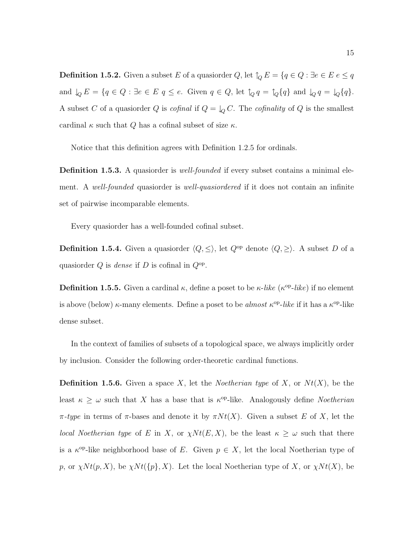**Definition 1.5.2.** Given a subset E of a quasiorder  $Q$ , let  $\uparrow_Q E = \{q \in Q : \exists e \in E \, e \leq q\}$ and  $\downarrow_Q E = \{q \in Q : \exists e \in E \mid q \leq e$ . Given  $q \in Q$ , let  $\uparrow_Q q = \uparrow_Q \{q\}$  and  $\downarrow_Q q = \downarrow_Q \{q\}$ . A subset C of a quasion der Q is cofinal if  $Q = \downarrow_Q C$ . The cofinality of Q is the smallest cardinal  $\kappa$  such that Q has a cofinal subset of size  $\kappa$ .

Notice that this definition agrees with Definition 1.2.5 for ordinals.

Definition 1.5.3. A quasionder is *well-founded* if every subset contains a minimal element. A well-founded quasiorder is well-quasiordered if it does not contain an infinite set of pairwise incomparable elements.

Every quasiorder has a well-founded cofinal subset.

**Definition 1.5.4.** Given a quasionder  $\langle Q, \leq \rangle$ , let  $Q^{\text{op}}$  denote  $\langle Q, \geq \rangle$ . A subset D of a quasional  $Q$  is *dense* if  $D$  is cofinal in  $Q^{\text{op}}$ .

**Definition 1.5.5.** Given a cardinal  $\kappa$ , define a poset to be  $\kappa$ -like ( $\kappa$ <sup>op</sup>-like) if no element is above (below)  $\kappa$ -many elements. Define a poset to be *almost*  $\kappa^{\rm op}\text{-}like$  if it has a  $\kappa^{\rm op}\text{-}like$ dense subset.

In the context of families of subsets of a topological space, we always implicitly order by inclusion. Consider the following order-theoretic cardinal functions.

**Definition 1.5.6.** Given a space X, let the *Noetherian type* of X, or  $Nt(X)$ , be the least  $\kappa \geq \omega$  such that X has a base that is  $\kappa^{\rm op}$ -like. Analogously define Noetherian  $\pi$ -type in terms of  $\pi$ -bases and denote it by  $\pi N t(X)$ . Given a subset E of X, let the *local Noetherian type* of E in X, or  $\chi N t(E, X)$ , be the least  $\kappa \geq \omega$  such that there is a  $\kappa^{op}$ -like neighborhood base of E. Given  $p \in X$ , let the local Noetherian type of p, or  $\chi N t(p, X)$ , be  $\chi N t(\{p\}, X)$ . Let the local Noetherian type of X, or  $\chi N t(X)$ , be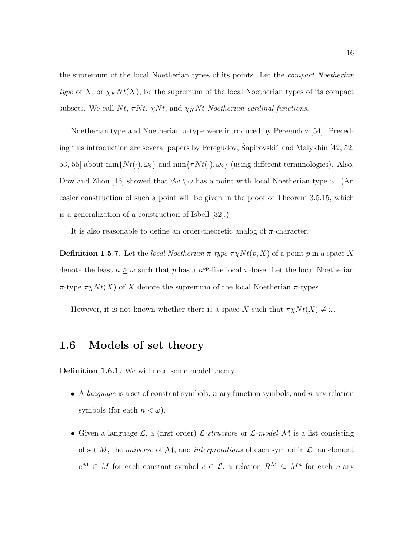the supremum of the local Noetherian types of its points. Let the compact Noetherian type of X, or  $\chi_K N t(X)$ , be the supremum of the local Noetherian types of its compact subsets. We call Nt,  $\pi N t$ ,  $\chi N t$ , and  $\chi_K N t$  Noetherian cardinal functions.

Noetherian type and Noetherian  $\pi$ -type were introduced by Peregudov [54]. Preceding this introduction are several papers by Peregudov, Šapirovski $\check{\mathrm{u}}$  and Malykhin [42, 52, 53, 55] about  $\min\{N t(\cdot), \omega_2\}$  and  $\min\{\pi N t(\cdot), \omega_2\}$  (using different terminologies). Also, Dow and Zhou [16] showed that  $\beta\omega \setminus \omega$  has a point with local Noetherian type  $\omega$ . (An easier construction of such a point will be given in the proof of Theorem 3.5.15, which is a generalization of a construction of Isbell [32].)

It is also reasonable to define an order-theoretic analog of  $\pi$ -character.

**Definition 1.5.7.** Let the *local Noetherian*  $\pi$ -type  $\pi \chi N t(p, X)$  of a point p in a space X denote the least  $\kappa \geq \omega$  such that p has a  $\kappa^{\text{op}}$ -like local  $\pi$ -base. Let the local Noetherian  $\pi$ -type  $\pi \chi N t(X)$  of X denote the supremum of the local Noetherian  $\pi$ -types.

However, it is not known whether there is a space X such that  $\pi \chi N t(X) \neq \omega$ .

#### 1.6 Models of set theory

Definition 1.6.1. We will need some model theory.

- A *language* is a set of constant symbols, *n*-ary function symbols, and *n*-ary relation symbols (for each  $n < \omega$ ).
- Given a language  $\mathcal{L}$ , a (first order)  $\mathcal{L}\text{-}structure$  or  $\mathcal{L}\text{-}model$   $\mathcal{M}$  is a list consisting of set M, the universe of M, and interpretations of each symbol in  $\mathcal{L}$ : an element  $c^{\mathcal{M}} \in M$  for each constant symbol  $c \in \mathcal{L}$ , a relation  $R^{\mathcal{M}} \subseteq M^n$  for each *n*-ary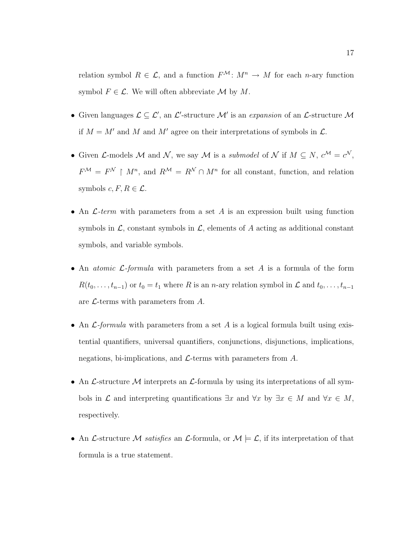relation symbol  $R \in \mathcal{L}$ , and a function  $F^{\mathcal{M}}: M^n \to M$  for each *n*-ary function symbol  $F \in \mathcal{L}$ . We will often abbreviate  $\mathcal M$  by  $M$ .

- Given languages  $\mathcal{L} \subseteq \mathcal{L}'$ , an  $\mathcal{L}'$ -structure M' is an expansion of an  $\mathcal{L}$ -structure M if  $M = M'$  and M and M' agree on their interpretations of symbols in  $\mathcal{L}$ .
- Given *L*-models M and N, we say M is a *submodel* of N if  $M \subseteq N$ ,  $c^{\mathcal{M}} = c^{\mathcal{N}}$ ,  $F^{\mathcal{M}} = F^{\mathcal{N}} \restriction M^n$ , and  $R^{\mathcal{M}} = R^{\mathcal{N}} \cap M^n$  for all constant, function, and relation symbols  $c, F, R \in \mathcal{L}$ .
- An  $\mathcal{L}$ -term with parameters from a set A is an expression built using function symbols in  $\mathcal{L}$ , constant symbols in  $\mathcal{L}$ , elements of A acting as additional constant symbols, and variable symbols.
- An *atomic L-formula* with parameters from a set A is a formula of the form  $R(t_0, \ldots, t_{n-1})$  or  $t_0 = t_1$  where R is an n-ary relation symbol in  $\mathcal L$  and  $t_0, \ldots, t_{n-1}$ are  $\mathcal{L}$ -terms with parameters from A.
- An  $\mathcal{L}$ -formula with parameters from a set A is a logical formula built using existential quantifiers, universal quantifiers, conjunctions, disjunctions, implications, negations, bi-implications, and  $\mathcal{L}$ -terms with parameters from A.
- An  $\mathcal{L}\text{-structure }\mathcal{M}$  interprets an  $\mathcal{L}\text{-formula by using its interpretations of all sym$ bols in  $\mathcal L$  and interpreting quantifications  $\exists x$  and  $\forall x \in M$  and  $\forall x \in M$ , respectively.
- An L-structure M satisfies an L-formula, or  $\mathcal{M} \models \mathcal{L}$ , if its interpretation of that formula is a true statement.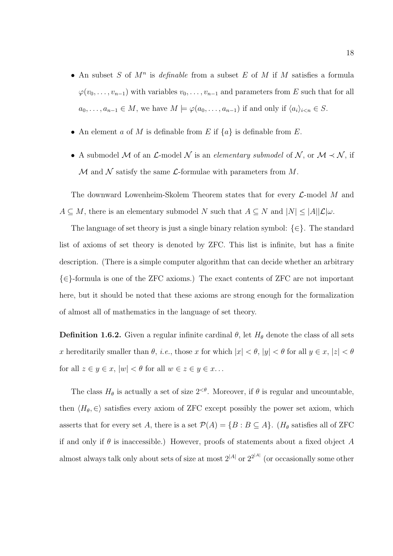- An subset S of  $M^n$  is *definable* from a subset E of M if M satisfies a formula  $\varphi(v_0, \ldots, v_{n-1})$  with variables  $v_0, \ldots, v_{n-1}$  and parameters from E such that for all  $a_0, \ldots, a_{n-1} \in M$ , we have  $M \models \varphi(a_0, \ldots, a_{n-1})$  if and only if  $\langle a_i \rangle_{i \le n} \in S$ .
- An element a of M is definable from E if  $\{a\}$  is definable from E.
- A submodel M of an  $\mathcal{L}$ -model N is an *elementary submodel* of N, or  $\mathcal{M} \prec \mathcal{N}$ , if  $\mathcal M$  and  $\mathcal N$  satisfy the same  $\mathcal L$ -formulae with parameters from  $M$ .

The downward Lowenheim-Skolem Theorem states that for every  $\mathcal{L}$ -model M and  $A \subseteq M$ , there is an elementary submodel N such that  $A \subseteq N$  and  $|N| \leq |A||\mathcal{L}|\omega$ .

The language of set theory is just a single binary relation symbol:  $\{\in\}$ . The standard list of axioms of set theory is denoted by ZFC. This list is infinite, but has a finite description. (There is a simple computer algorithm that can decide whether an arbitrary {∈}-formula is one of the ZFC axioms.) The exact contents of ZFC are not important here, but it should be noted that these axioms are strong enough for the formalization of almost all of mathematics in the language of set theory.

**Definition 1.6.2.** Given a regular infinite cardinal  $\theta$ , let  $H_{\theta}$  denote the class of all sets x hereditarily smaller than  $\theta$ , *i.e.*, those x for which  $|x| < \theta$ ,  $|y| < \theta$  for all  $y \in x$ ,  $|z| < \theta$ for all  $z \in y \in x$ ,  $|w| < \theta$  for all  $w \in z \in y \in x$ ...

The class  $H_{\theta}$  is actually a set of size  $2^{<\theta}$ . Moreover, if  $\theta$  is regular and uncountable, then  $\langle H_\theta, \in \rangle$  satisfies every axiom of ZFC except possibly the power set axiom, which asserts that for every set A, there is a set  $\mathcal{P}(A) = \{B : B \subseteq A\}$ . ( $H_{\theta}$  satisfies all of ZFC if and only if  $\theta$  is inaccessible.) However, proofs of statements about a fixed object A almost always talk only about sets of size at most  $2^{|A|}$  or  $2^{2^{|A|}}$  (or occasionally some other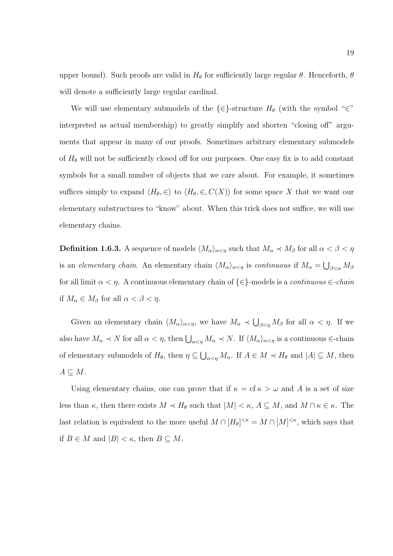upper bound). Such proofs are valid in  $H_{\theta}$  for sufficiently large regular  $\theta$ . Henceforth,  $\theta$ will denote a sufficiently large regular cardinal.

We will use elementary submodels of the  $\{\in\}$ -structure  $H_{\theta}$  (with the symbol "∈" interpreted as actual membership) to greatly simplify and shorten "closing off" arguments that appear in many of our proofs. Sometimes arbitrary elementary submodels of  $H_{\theta}$  will not be sufficiently closed off for our purposes. One easy fix is to add constant symbols for a small number of objects that we care about. For example, it sometimes suffices simply to expand  $\langle H_\theta, \in \rangle$  to  $\langle H_\theta, \in, C(X) \rangle$  for some space X that we want our elementary substructures to "know" about. When this trick does not suffice, we will use elementary chains.

**Definition 1.6.3.** A sequence of models  $\langle M_{\alpha}\rangle_{\alpha<\eta}$  such that  $M_{\alpha}\prec M_{\beta}$  for all  $\alpha<\beta<\eta$ is an *elementary chain*. An elementary chain  $\langle M_\alpha\rangle_{\alpha<\eta}$  is *continuous* if  $M_\alpha=\bigcup_{\beta<\alpha}M_\beta$ for all limit  $\alpha < \eta$ . A continuous elementary chain of  $\{\in\}$ -models is a *continuous*  $\in$ -*chain* if  $M_{\alpha} \in M_{\beta}$  for all  $\alpha < \beta < \eta$ .

Given an elementary chain  $\langle M_{\alpha}\rangle_{\alpha<\eta}$ , we have  $M_{\alpha} \prec \bigcup_{\beta<\eta} M_{\beta}$  for all  $\alpha<\eta$ . If we also have  $M_{\alpha} \prec N$  for all  $\alpha < \eta$ , then  $\bigcup_{\alpha < \eta} M_{\alpha} \prec N$ . If  $\langle M_{\alpha} \rangle_{\alpha < \eta}$  is a continuous  $\in$ -chain of elementary submodels of  $H_{\theta}$ , then  $\eta \subseteq \bigcup_{\alpha<\eta} M_{\alpha}$ . If  $A \in M \prec H_{\theta}$  and  $|A| \subseteq M$ , then  $A \subseteq M$ .

Using elementary chains, one can prove that if  $\kappa = \text{cf } \kappa > \omega$  and A is a set of size less than  $\kappa$ , then there exists  $M \prec H_{\theta}$  such that  $|M| \leq \kappa$ ,  $A \subseteq M$ , and  $M \cap \kappa \in \kappa$ . The last relation is equivalent to the more useful  $M \cap [H_\theta]^{<\kappa} = M \cap [M]^{<\kappa}$ , which says that if  $B \in M$  and  $|B| < \kappa$ , then  $B \subseteq M$ .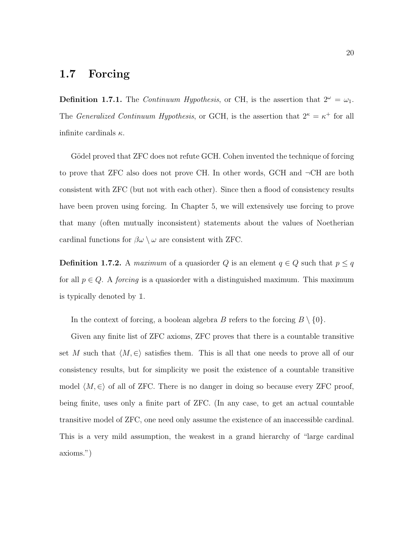#### 1.7 Forcing

**Definition 1.7.1.** The *Continuum Hypothesis*, or CH, is the assertion that  $2^{\omega} = \omega_1$ . The *Generalized Continuum Hypothesis*, or GCH, is the assertion that  $2^{\kappa} = \kappa^+$  for all infinite cardinals  $\kappa$ .

Gödel proved that ZFC does not refute GCH. Cohen invented the technique of forcing to prove that ZFC also does not prove CH. In other words, GCH and ¬CH are both consistent with ZFC (but not with each other). Since then a flood of consistency results have been proven using forcing. In Chapter 5, we will extensively use forcing to prove that many (often mutually inconsistent) statements about the values of Noetherian cardinal functions for  $\beta\omega \setminus \omega$  are consistent with ZFC.

**Definition 1.7.2.** A maximum of a quasionder Q is an element  $q \in Q$  such that  $p \leq q$ for all  $p \in Q$ . A *forcing* is a quasionder with a distinguished maximum. This maximum is typically denoted by 1.

In the context of forcing, a boolean algebra B refers to the forcing  $B \setminus \{0\}.$ 

Given any finite list of ZFC axioms, ZFC proves that there is a countable transitive set M such that  $\langle M, \in \rangle$  satisfies them. This is all that one needs to prove all of our consistency results, but for simplicity we posit the existence of a countable transitive model  $\langle M, \in \rangle$  of all of ZFC. There is no danger in doing so because every ZFC proof, being finite, uses only a finite part of ZFC. (In any case, to get an actual countable transitive model of ZFC, one need only assume the existence of an inaccessible cardinal. This is a very mild assumption, the weakest in a grand hierarchy of "large cardinal axioms.")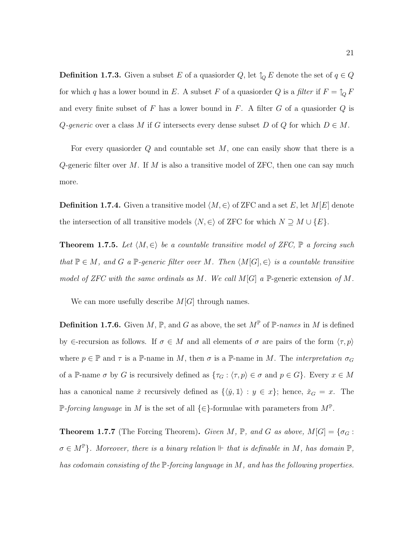**Definition 1.7.3.** Given a subset E of a quasion der  $Q$ , let  $\uparrow_Q E$  denote the set of  $q \in Q$ for which q has a lower bound in E. A subset F of a quasiorder Q is a filter if  $F = \uparrow_Q F$ and every finite subset of  $F$  has a lower bound in  $F$ . A filter  $G$  of a quasiorder  $Q$  is Q-generic over a class M if G intersects every dense subset D of Q for which  $D \in M$ .

For every quasiorder  $Q$  and countable set  $M$ , one can easily show that there is a Q-generic filter over M. If M is also a transitive model of ZFC, then one can say much more.

**Definition 1.7.4.** Given a transitive model  $\langle M, \in \rangle$  of ZFC and a set E, let M[E] denote the intersection of all transitive models  $\langle N, \in \rangle$  of ZFC for which  $N \supseteq M \cup \{E\}.$ 

**Theorem 1.7.5.** Let  $\langle M, \in \rangle$  be a countable transitive model of ZFC,  $\mathbb{P}$  a forcing such that  $\mathbb{P} \in M$ , and G a  $\mathbb{P}$ -generic filter over M. Then  $\langle M[G], \in \rangle$  is a countable transitive model of ZFC with the same ordinals as M. We call  $M[G]$  a P-generic extension of M.

We can more usefully describe  $M[G]$  through names.

**Definition 1.7.6.** Given  $M$ ,  $\mathbb{P}$ , and  $G$  as above, the set  $M^{\mathbb{P}}$  of  $\mathbb{P}$ -names in  $M$  is defined by  $\epsilon$ -recursion as follows. If  $\sigma \in M$  and all elements of  $\sigma$  are pairs of the form  $\langle \tau, p \rangle$ where  $p \in \mathbb{P}$  and  $\tau$  is a  $\mathbb{P}$ -name in M, then  $\sigma$  is a  $\mathbb{P}$ -name in M. The *interpretation*  $\sigma_G$ of a P-name  $\sigma$  by G is recursively defined as  $\{\tau_G : \langle \tau, p \rangle \in \sigma \text{ and } p \in G\}$ . Every  $x \in M$ has a canonical name  $\check{x}$  recursively defined as  $\{\langle \check{y}, \mathbb{I} \rangle : y \in x\}$ ; hence,  $\check{x}_G = x$ . The P-forcing language in M is the set of all  $\{\in\}$ -formulae with parameters from  $M^{\mathbb{P}}$ .

**Theorem 1.7.7** (The Forcing Theorem). Given M, P, and G as above,  $M[G] = {\sigma_G : S}$  $\sigma \in M^{\mathbb{P}}$ . Moreover, there is a binary relation  $\mathbb{P}$  that is definable in M, has domain  $\mathbb{P}$ , has codomain consisting of the  $\mathbb P$ -forcing language in M, and has the following properties.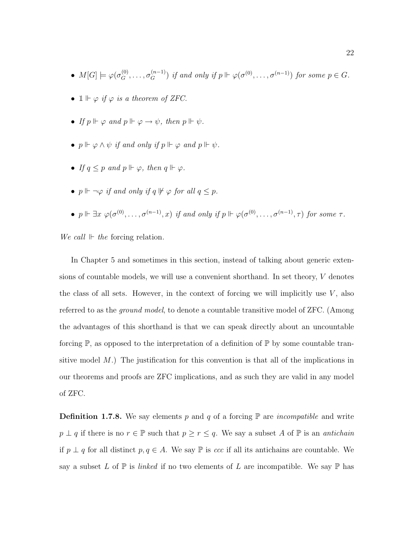- $M[G] \models \varphi(\sigma_G^{(0)}, \ldots, \sigma_G^{(n-1)})$  if and only if  $p \Vdash \varphi(\sigma^{(0)}, \ldots, \sigma^{(n-1)})$  for some  $p \in G$ .
- $\mathbb{1} \Vdash \varphi$  if  $\varphi$  is a theorem of ZFC.
- If  $p \Vdash \varphi$  and  $p \Vdash \varphi \rightarrow \psi$ , then  $p \Vdash \psi$ .
- $p \Vdash \varphi \wedge \psi$  if and only if  $p \Vdash \varphi$  and  $p \Vdash \psi$ .
- If  $q \leq p$  and  $p \Vdash \varphi$ , then  $q \Vdash \varphi$ .
- $p \Vdash \neg \varphi$  if and only if  $q \Vdash \varphi$  for all  $q \leq p$ .
- $p \Vdash \exists x \; \varphi(\sigma^{(0)}, \ldots, \sigma^{(n-1)}, x) \; \text{if and only if } p \Vdash \varphi(\sigma^{(0)}, \ldots, \sigma^{(n-1)}, \tau) \text{ for some } \tau.$

We call  $\Vdash$  the forcing relation.

In Chapter 5 and sometimes in this section, instead of talking about generic extensions of countable models, we will use a convenient shorthand. In set theory, V denotes the class of all sets. However, in the context of forcing we will implicitly use  $V$ , also referred to as the ground model, to denote a countable transitive model of ZFC. (Among the advantages of this shorthand is that we can speak directly about an uncountable forcing  $\mathbb{P}$ , as opposed to the interpretation of a definition of  $\mathbb{P}$  by some countable transitive model  $M$ .) The justification for this convention is that all of the implications in our theorems and proofs are ZFC implications, and as such they are valid in any model of ZFC.

**Definition 1.7.8.** We say elements p and q of a forcing  $\mathbb{P}$  are *incompatible* and write  $p \perp q$  if there is no  $r \in \mathbb{P}$  such that  $p \geq r \leq q$ . We say a subset A of  $\mathbb{P}$  is an *antichain* if  $p \perp q$  for all distinct  $p, q \in A$ . We say  $\mathbb P$  is *ccc* if all its antichains are countable. We say a subset L of  $\mathbb P$  is linked if no two elements of L are incompatible. We say  $\mathbb P$  has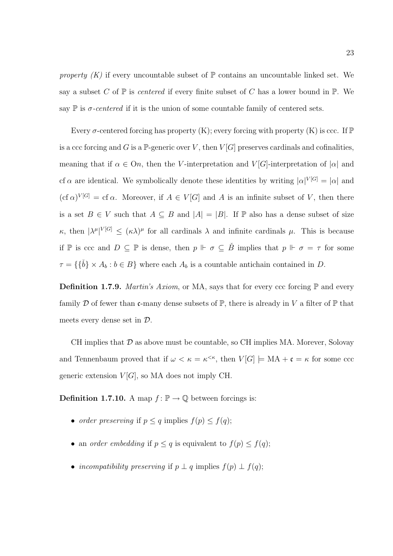property  $(K)$  if every uncountable subset of  $\mathbb P$  contains an uncountable linked set. We say a subset C of  $\mathbb P$  is *centered* if every finite subset of C has a lower bound in  $\mathbb P$ . We say  $\mathbb P$  is  $\sigma$ -centered if it is the union of some countable family of centered sets.

Every  $\sigma$ -centered forcing has property (K); every forcing with property (K) is ccc. If P is a ccc forcing and G is a P-generic over V, then  $V[G]$  preserves cardinals and cofinalities, meaning that if  $\alpha \in On$ , then the V-interpretation and  $V[G]$ -interpretation of  $|\alpha|$  and cf  $\alpha$  are identical. We symbolically denote these identities by writing  $|\alpha|^{V[G]} = |\alpha|$  and  $(\text{cf }\alpha)^{V[G]} = \text{cf }\alpha$ . Moreover, if  $A \in V[G]$  and A is an infinite subset of V, then there is a set  $B \in V$  such that  $A \subseteq B$  and  $|A| = |B|$ . If  $\mathbb P$  also has a dense subset of size  $\kappa$ , then  $|\lambda^{\mu}|^{V[G]} \leq (\kappa \lambda)^{\mu}$  for all cardinals  $\lambda$  and infinite cardinals  $\mu$ . This is because if  $\mathbb P$  is ccc and  $D \subseteq \mathbb P$  is dense, then  $p \Vdash \sigma \subseteq \check{B}$  implies that  $p \Vdash \sigma = \tau$  for some  $\tau = \{\{\check{b}\}\times A_b : b \in B\}$  where each  $A_b$  is a countable antichain contained in D.

**Definition 1.7.9.** *Martin's Axiom*, or MA, says that for every ccc forcing  $\mathbb{P}$  and every family D of fewer than c-many dense subsets of  $\mathbb{P}$ , there is already in V a filter of  $\mathbb{P}$  that meets every dense set in D.

CH implies that  $\mathcal D$  as above must be countable, so CH implies MA. Morever, Solovay and Tennenbaum proved that if  $\omega < \kappa = \kappa^{\leq \kappa}$ , then  $V[G] \models MA + \mathfrak{c} = \kappa$  for some ccc generic extension  $V[G]$ , so MA does not imply CH.

**Definition 1.7.10.** A map  $f : \mathbb{P} \to \mathbb{Q}$  between forcings is:

- order preserving if  $p \leq q$  implies  $f(p) \leq f(q)$ ;
- an order embedding if  $p \leq q$  is equivalent to  $f(p) \leq f(q)$ ;
- incompatibility preserving if  $p \perp q$  implies  $f(p) \perp f(q)$ ;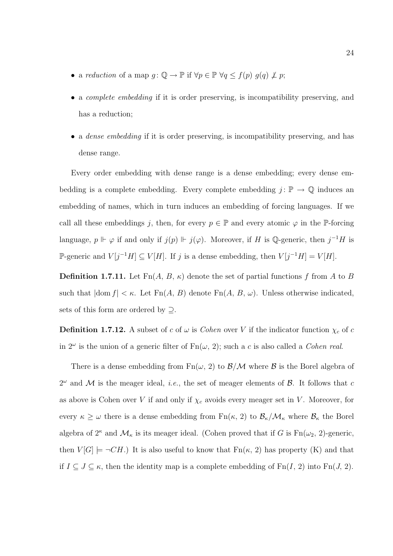- a reduction of a map  $g: \mathbb{Q} \to \mathbb{P}$  if  $\forall p \in \mathbb{P} \ \forall q \leq f(p) \ g(q) \not\perp p$ ;
- a complete embedding if it is order preserving, is incompatibility preserving, and has a reduction;
- a *dense embedding* if it is order preserving, is incompatibility preserving, and has dense range.

Every order embedding with dense range is a dense embedding; every dense embedding is a complete embedding. Every complete embedding  $j: \mathbb{P} \to \mathbb{Q}$  induces an embedding of names, which in turn induces an embedding of forcing languages. If we call all these embeddings j, then, for every  $p \in \mathbb{P}$  and every atomic  $\varphi$  in the  $\mathbb{P}$ -forcing language,  $p \Vdash \varphi$  if and only if  $j(p) \Vdash j(\varphi)$ . Moreover, if H is Q-generic, then  $j^{-1}H$  is P-generic and  $V[j^{-1}H] \subseteq V[H]$ . If j is a dense embedding, then  $V[j^{-1}H] = V[H]$ .

**Definition 1.7.11.** Let  $\text{Fn}(A, B, \kappa)$  denote the set of partial functions f from A to B such that  $|\text{dom } f| < \kappa$ . Let  $\text{Fn}(A, B)$  denote  $\text{Fn}(A, B, \omega)$ . Unless otherwise indicated, sets of this form are ordered by  $\supseteq$ .

**Definition 1.7.12.** A subset of c of  $\omega$  is Cohen over V if the indicator function  $\chi_c$  of c in  $2^{\omega}$  is the union of a generic filter of  $Fn(\omega, 2)$ ; such a c is also called a *Cohen real*.

There is a dense embedding from  $Fn(\omega, 2)$  to  $\mathcal{B}/\mathcal{M}$  where  $\mathcal{B}$  is the Borel algebra of  $2^{\omega}$  and M is the meager ideal, *i.e.*, the set of meager elements of B. It follows that c as above is Cohen over V if and only if  $\chi_c$  avoids every meager set in V. Moreover, for every  $\kappa \geq \omega$  there is a dense embedding from  $\text{Fn}(\kappa, 2)$  to  $\mathcal{B}_{\kappa}/\mathcal{M}_{\kappa}$  where  $\mathcal{B}_{\kappa}$  the Borel algebra of  $2^{\kappa}$  and  $\mathcal{M}_{\kappa}$  is its meager ideal. (Cohen proved that if G is  $Fn(\omega_2, 2)$ -generic, then  $V[G] \models \neg CH$ .) It is also useful to know that  $Fn(\kappa, 2)$  has property (K) and that if  $I \subseteq J \subseteq \kappa$ , then the identity map is a complete embedding of  $Fn(I, 2)$  into  $Fn(J, 2)$ .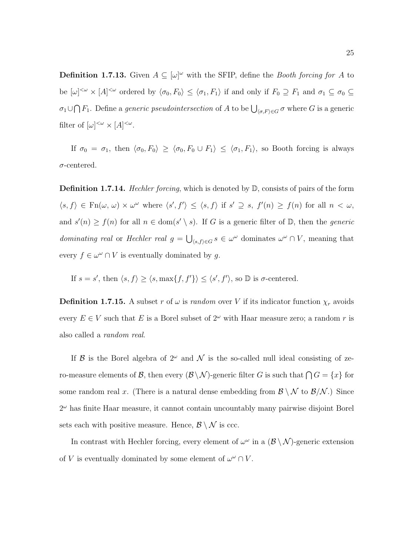**Definition 1.7.13.** Given  $A \subseteq [\omega]^\omega$  with the SFIP, define the *Booth forcing for* A to be  $[\omega]^{<\omega} \times [A]^{<\omega}$  ordered by  $\langle \sigma_0, F_0 \rangle \leq \langle \sigma_1, F_1 \rangle$  if and only if  $F_0 \supseteq F_1$  and  $\sigma_1 \subseteq \sigma_0 \subseteq$  $\sigma_1 \cup \bigcap F_1$ . Define a *generic pseudointersection* of A to be  $\bigcup_{\langle \sigma, F \rangle \in G} \sigma$  where G is a generic filter of  $[\omega]^{<\omega} \times [A]^{<\omega}$ .

If  $\sigma_0 = \sigma_1$ , then  $\langle \sigma_0, F_0 \rangle \ge \langle \sigma_0, F_0 \cup F_1 \rangle \le \langle \sigma_1, F_1 \rangle$ , so Booth forcing is always  $\sigma$ -centered.

Definition 1.7.14. Hechler forcing, which is denoted by  $\mathbb{D}$ , consists of pairs of the form  $\langle s, f \rangle \in \text{Fn}(\omega, \omega) \times \omega^{\omega}$  where  $\langle s', f' \rangle \leq \langle s, f \rangle$  if  $s' \supseteq s$ ,  $f'(n) \geq f(n)$  for all  $n < \omega$ , and  $s'(n) \ge f(n)$  for all  $n \in \text{dom}(s' \setminus s)$ . If G is a generic filter of  $\mathbb{D}$ , then the *generic* dominating real or Hechler real  $g = \bigcup_{\langle s,f\rangle \in G} s \in \omega^\omega$  dominates  $\omega^\omega \cap V$ , meaning that every  $f \in \omega^{\omega} \cap V$  is eventually dominated by g.

If  $s = s'$ , then  $\langle s, f \rangle \ge \langle s, \max\{f, f'\}\rangle \le \langle s', f'\rangle$ , so  $\mathbb D$  is  $\sigma$ -centered.

**Definition 1.7.15.** A subset r of  $\omega$  is random over V if its indicator function  $\chi_r$  avoids every  $E \in V$  such that E is a Borel subset of  $2^{\omega}$  with Haar measure zero; a random r is also called a random real.

If B is the Borel algebra of  $2^{\omega}$  and N is the so-called null ideal consisting of zero-measure elements of B, then every  $(\mathcal{B} \setminus \mathcal{N})$ -generic filter G is such that  $\bigcap G = \{x\}$  for some random real x. (There is a natural dense embedding from  $\mathcal{B} \setminus \mathcal{N}$  to  $\mathcal{B} \setminus \mathcal{N}$ .) Since  $2^{\omega}$  has finite Haar measure, it cannot contain uncountably many pairwise disjoint Borel sets each with positive measure. Hence,  $\mathcal{B} \setminus \mathcal{N}$  is ccc.

In contrast with Hechler forcing, every element of  $\omega^{\omega}$  in a  $(\mathcal{B} \setminus \mathcal{N})$ -generic extension of V is eventually dominated by some element of  $\omega^{\omega} \cap V$ .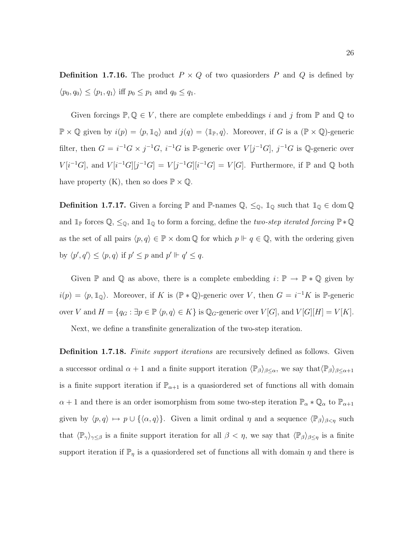**Definition 1.7.16.** The product  $P \times Q$  of two quasionders P and Q is defined by  $\langle p_0, q_0 \rangle \le \langle p_1, q_1 \rangle$  iff  $p_0 \le p_1$  and  $q_0 \le q_1$ .

Given forcings  $\mathbb{P}, \mathbb{Q} \in V$ , there are complete embeddings i and j from  $\mathbb{P}$  and  $\mathbb{Q}$  to  $\mathbb{P} \times \mathbb{Q}$  given by  $i(p) = \langle p, \mathbb{1}_{\mathbb{Q}} \rangle$  and  $j(q) = \langle \mathbb{1}_{\mathbb{P}}, q \rangle$ . Moreover, if G is a  $(\mathbb{P} \times \mathbb{Q})$ -generic filter, then  $G = i^{-1}G \times j^{-1}G$ ,  $i^{-1}G$  is P-generic over  $V[j^{-1}G]$ ,  $j^{-1}G$  is Q-generic over  $V[i^{-1}G],$  and  $V[i^{-1}G][j^{-1}G] = V[j^{-1}G][i^{-1}G] = V[G].$  Furthermore, if  $\mathbb P$  and  $\mathbb Q$  both have property (K), then so does  $\mathbb{P} \times \mathbb{Q}$ .

**Definition 1.7.17.** Given a forcing  $\mathbb P$  and  $\mathbb P$ -names  $\mathbb Q$ ,  $\leq_{\mathbb Q}$ ,  $\mathbb 1_{\mathbb Q}$  such that  $\mathbb 1_{\mathbb Q} \in \text{dom } \mathbb Q$ and  $\mathbb{1}_{\mathbb{P}}$  forces  $\mathbb{Q}, \leq_{\mathbb{Q}}$ , and  $\mathbb{1}_{\mathbb{Q}}$  to form a forcing, define the *two-step iterated forcing*  $\mathbb{P} * \mathbb{Q}$ as the set of all pairs  $\langle p, q \rangle \in \mathbb{P} \times$  dom  $\mathbb{Q}$  for which  $p \Vdash q \in \mathbb{Q}$ , with the ordering given by  $\langle p', q' \rangle \leq \langle p, q \rangle$  if  $p' \leq p$  and  $p' \Vdash q' \leq q$ .

Given  $\mathbb P$  and  $\mathbb Q$  as above, there is a complete embedding  $i: \mathbb P \to \mathbb P * \mathbb Q$  given by  $i(p) = \langle p, 1_{\mathbb{Q}} \rangle$ . Moreover, if K is (P  $* \mathbb{Q}$ )-generic over V, then  $G = i^{-1}K$  is P-generic over V and  $H = \{q_G : \exists p \in \mathbb{P} \langle p, q \rangle \in K\}$  is  $\mathbb{Q}_G$ -generic over  $V[G],$  and  $V[G][H] = V[K].$ 

Next, we define a transfinite generalization of the two-step iteration.

**Definition 1.7.18.** Finite support iterations are recursively defined as follows. Given a successor ordinal  $\alpha + 1$  and a finite support iteration  $\langle \mathbb{P}_{\beta} \rangle_{\beta \leq \alpha}$ , we say that $\langle \mathbb{P}_{\beta} \rangle_{\beta \leq \alpha+1}$ is a finite support iteration if  $\mathbb{P}_{\alpha+1}$  is a quasiondered set of functions all with domain  $\alpha + 1$  and there is an order isomorphism from some two-step iteration  $\mathbb{P}_{\alpha} * \mathbb{Q}_{\alpha}$  to  $\mathbb{P}_{\alpha+1}$ given by  $\langle p, q \rangle \mapsto p \cup \{\langle \alpha, q \rangle\}$ . Given a limit ordinal  $\eta$  and a sequence  $\langle \mathbb{P}_{\beta} \rangle_{\beta < \eta}$  such that  $\langle \mathbb{P}_{\gamma} \rangle_{\gamma \leq \beta}$  is a finite support iteration for all  $\beta < \eta$ , we say that  $\langle \mathbb{P}_{\beta} \rangle_{\beta \leq \eta}$  is a finite support iteration if  $\mathbb{P}_\eta$  is a quasiondered set of functions all with domain  $\eta$  and there is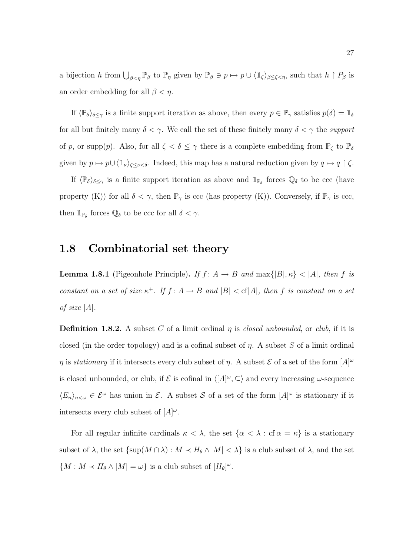a bijection h from  $\bigcup_{\beta<\eta} \mathbb{P}_{\beta}$  to  $\mathbb{P}_{\eta}$  given by  $\mathbb{P}_{\beta} \ni p \mapsto p \cup \langle \mathbb{1}_{\zeta} \rangle_{\beta \leq \zeta \leq \eta}$ , such that  $h \upharpoonright P_{\beta}$  is an order embedding for all  $\beta < \eta$ .

If  $\langle \mathbb{P}_{\delta} \rangle_{\delta \leq \gamma}$  is a finite support iteration as above, then every  $p \in \mathbb{P}_{\gamma}$  satisfies  $p(\delta) = \mathbb{1}_{\delta}$ for all but finitely many  $\delta < \gamma$ . We call the set of these finitely many  $\delta < \gamma$  the support of p, or supp(p). Also, for all  $\zeta < \delta \leq \gamma$  there is a complete embedding from  $\mathbb{P}_{\zeta}$  to  $\mathbb{P}_{\delta}$ given by  $p \mapsto p \cup \langle \mathbb{1}_{\nu} \rangle_{\zeta \leq \nu < \delta}$ . Indeed, this map has a natural reduction given by  $q \mapsto q \upharpoonright \zeta$ .

If  $\langle \mathbb{P}_{\delta} \rangle_{\delta \leq \gamma}$  is a finite support iteration as above and  $\mathbb{1}_{\mathbb{P}_{\delta}}$  forces  $\mathbb{Q}_{\delta}$  to be ccc (have property (K)) for all  $\delta < \gamma$ , then  $\mathbb{P}_{\gamma}$  is ccc (has property (K)). Conversely, if  $\mathbb{P}_{\gamma}$  is ccc, then  $\mathbb{1}_{\mathbb{P}_{\delta}}$  forces  $\mathbb{Q}_{\delta}$  to be ccc for all  $\delta < \gamma$ .

#### 1.8 Combinatorial set theory

**Lemma 1.8.1** (Pigeonhole Principle). If  $f: A \rightarrow B$  and  $\max\{|B|, \kappa\}$  < |A|, then f is constant on a set of size  $\kappa^+$ . If  $f: A \to B$  and  $|B| < c f |A|$ , then f is constant on a set of size  $|A|$ .

**Definition 1.8.2.** A subset C of a limit ordinal  $\eta$  is closed unbounded, or club, if it is closed (in the order topology) and is a cofinal subset of  $\eta$ . A subset S of a limit ordinal  $\eta$  is stationary if it intersects every club subset of  $\eta$ . A subset  $\mathcal E$  of a set of the form  $[A]^\omega$ is closed unbounded, or club, if  $\mathcal E$  is cofinal in  $\langle [A]^\omega, \subseteq \rangle$  and every increasing  $\omega$ -sequence  $\langle E_n \rangle_{n \leq \omega} \in \mathcal{E}^{\omega}$  has union in  $\mathcal{E}$ . A subset S of a set of the form  $[A]^{\omega}$  is stationary if it intersects every club subset of  $[A]^{\omega}$ .

For all regular infinite cardinals  $\kappa < \lambda$ , the set  $\{\alpha < \lambda : \text{cf } \alpha = \kappa\}$  is a stationary subset of  $\lambda$ , the set  $\{\sup(M \cap \lambda) : M \prec H_\theta \wedge |M| < \lambda\}$  is a club subset of  $\lambda$ , and the set  ${M : M \lt H_\theta \wedge |M| = \omega}$  is a club subset of  $[H_\theta]^\omega$ .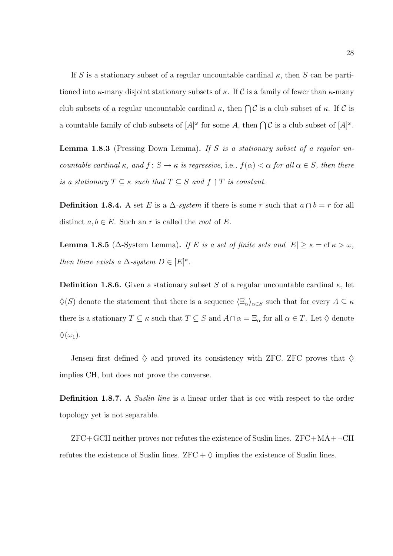If S is a stationary subset of a regular uncountable cardinal  $\kappa$ , then S can be partitioned into  $\kappa$ -many disjoint stationary subsets of  $\kappa$ . If C is a family of fewer than  $\kappa$ -many club subsets of a regular uncountable cardinal  $\kappa$ , then  $\bigcap \mathcal{C}$  is a club subset of  $\kappa$ . If  $\mathcal{C}$  is a countable family of club subsets of  $[A]^\omega$  for some A, then  $\bigcap \mathcal{C}$  is a club subset of  $[A]^\omega$ .

Lemma 1.8.3 (Pressing Down Lemma). If S is a stationary subset of a regular uncountable cardinal  $\kappa$ , and  $f: S \to \kappa$  is regressive, i.e.,  $f(\alpha) < \alpha$  for all  $\alpha \in S$ , then there is a stationary  $T \subseteq \kappa$  such that  $T \subseteq S$  and  $f \upharpoonright T$  is constant.

**Definition 1.8.4.** A set E is a  $\Delta$ -system if there is some r such that  $a \cap b = r$  for all distinct  $a, b \in E$ . Such an r is called the root of E.

**Lemma 1.8.5** ( $\Delta$ -System Lemma). If E is a set of finite sets and  $|E| \ge \kappa = \text{cf } \kappa > \omega$ , then there exists a  $\Delta$ -system  $D \in [E]^{\kappa}$ .

**Definition 1.8.6.** Given a stationary subset S of a regular uncountable cardinal  $\kappa$ , let  $\Diamond(S)$  denote the statement that there is a sequence  $\langle \Xi_\alpha \rangle_{\alpha \in S}$  such that for every  $A \subseteq \kappa$ there is a stationary  $T \subseteq \kappa$  such that  $T \subseteq S$  and  $A \cap \alpha = \Xi_{\alpha}$  for all  $\alpha \in T$ . Let  $\diamondsuit$  denote  $\Diamond(\omega_1).$ 

Jensen first defined  $\Diamond$  and proved its consistency with ZFC. ZFC proves that  $\Diamond$ implies CH, but does not prove the converse.

**Definition 1.8.7.** A *Suslin line* is a linear order that is ccc with respect to the order topology yet is not separable.

 $ZFC+GCH$  neither proves nor refutes the existence of Suslin lines.  $ZFC+MA+\neg CH$ refutes the existence of Suslin lines.  $ZFC + \Diamond$  implies the existence of Suslin lines.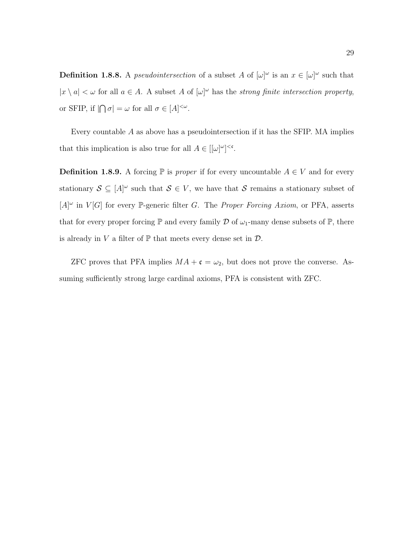**Definition 1.8.8.** A *pseudointersection* of a subset A of  $[\omega]^\omega$  is an  $x \in [\omega]^\omega$  such that  $|x \setminus a| < \omega$  for all  $a \in A$ . A subset A of  $[\omega]^\omega$  has the strong finite intersection property, or SFIP, if  $|\bigcap \sigma| = \omega$  for all  $\sigma \in [A]^{<\omega}$ .

Every countable A as above has a pseudointersection if it has the SFIP. MA implies that this implication is also true for all  $A \in [[\omega]^{\omega}]^{<\mathfrak{c}}$ .

**Definition 1.8.9.** A forcing  $\mathbb{P}$  is proper if for every uncountable  $A \in V$  and for every stationary  $S \subseteq [A]^{\omega}$  such that  $S \in V$ , we have that S remains a stationary subset of  $[A]^{\omega}$  in  $V[G]$  for every P-generic filter G. The *Proper Forcing Axiom*, or PFA, asserts that for every proper forcing  $\mathbb P$  and every family  $\mathcal D$  of  $\omega_1$ -many dense subsets of  $\mathbb P$ , there is already in V a filter of  $\mathbb P$  that meets every dense set in  $\mathcal D$ .

ZFC proves that PFA implies  $MA + \mathfrak{c} = \omega_2$ , but does not prove the converse. Assuming sufficiently strong large cardinal axioms, PFA is consistent with ZFC.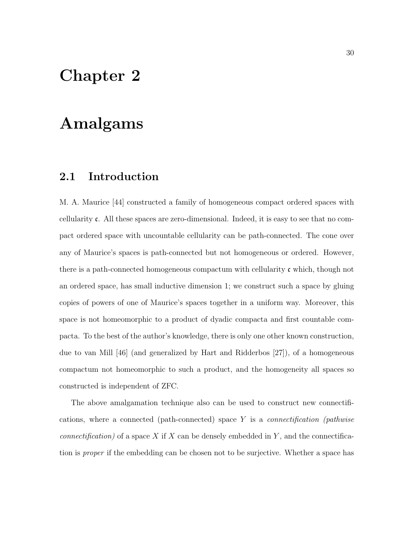## Chapter 2

# Amalgams

## 2.1 Introduction

M. A. Maurice [44] constructed a family of homogeneous compact ordered spaces with cellularity c. All these spaces are zero-dimensional. Indeed, it is easy to see that no compact ordered space with uncountable cellularity can be path-connected. The cone over any of Maurice's spaces is path-connected but not homogeneous or ordered. However, there is a path-connected homogeneous compactum with cellularity c which, though not an ordered space, has small inductive dimension 1; we construct such a space by gluing copies of powers of one of Maurice's spaces together in a uniform way. Moreover, this space is not homeomorphic to a product of dyadic compacta and first countable compacta. To the best of the author's knowledge, there is only one other known construction, due to van Mill [46] (and generalized by Hart and Ridderbos [27]), of a homogeneous compactum not homeomorphic to such a product, and the homogeneity all spaces so constructed is independent of ZFC.

The above amalgamation technique also can be used to construct new connectifications, where a connected (path-connected) space  $Y$  is a *connectification (pathwise* connectification) of a space X if X can be densely embedded in Y, and the connectification is proper if the embedding can be chosen not to be surjective. Whether a space has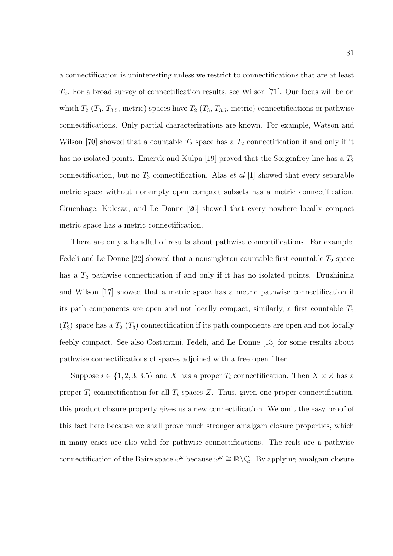a connectification is uninteresting unless we restrict to connectifications that are at least  $T_2$ . For a broad survey of connectification results, see Wilson [71]. Our focus will be on which  $T_2$  ( $T_3$ ,  $T_{3.5}$ , metric) spaces have  $T_2$  ( $T_3$ ,  $T_{3.5}$ , metric) connectifications or pathwise connectifications. Only partial characterizations are known. For example, Watson and Wilson [70] showed that a countable  $T_2$  space has a  $T_2$  connectification if and only if it has no isolated points. Emeryk and Kulpa [19] proved that the Sorgenfrey line has a  $T_2$ connectification, but no  $T_3$  connectification. Alas *et al* [1] showed that every separable metric space without nonempty open compact subsets has a metric connectification. Gruenhage, Kulesza, and Le Donne [26] showed that every nowhere locally compact metric space has a metric connectification.

There are only a handful of results about pathwise connectifications. For example, Fedeli and Le Donne [22] showed that a nonsingleton countable first countable  $T_2$  space has a  $T_2$  pathwise connectication if and only if it has no isolated points. Druzhinina and Wilson [17] showed that a metric space has a metric pathwise connectification if its path components are open and not locally compact; similarly, a first countable  $T_2$  $(T_3)$  space has a  $T_2$   $(T_3)$  connectification if its path components are open and not locally feebly compact. See also Costantini, Fedeli, and Le Donne [13] for some results about pathwise connectifications of spaces adjoined with a free open filter.

Suppose  $i \in \{1, 2, 3, 3.5\}$  and X has a proper  $T_i$  connectification. Then  $X \times Z$  has a proper  $T_i$  connectification for all  $T_i$  spaces Z. Thus, given one proper connectification, this product closure property gives us a new connectification. We omit the easy proof of this fact here because we shall prove much stronger amalgam closure properties, which in many cases are also valid for pathwise connectifications. The reals are a pathwise connectification of the Baire space  $\omega^{\omega}$  because  $\omega^{\omega} \cong \mathbb{R} \setminus \mathbb{Q}$ . By applying amalgam closure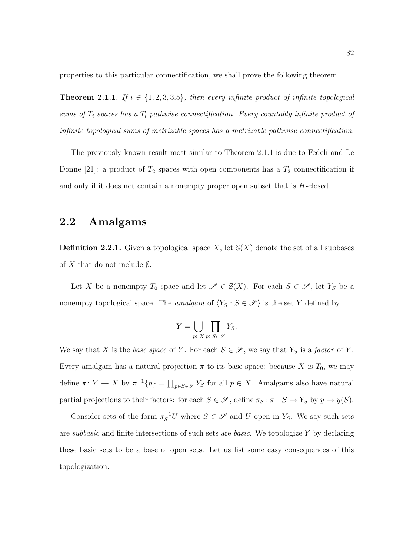properties to this particular connectification, we shall prove the following theorem.

**Theorem 2.1.1.** If  $i \in \{1, 2, 3, 3.5\}$ , then every infinite product of infinite topological sums of  $T_i$  spaces has a  $T_i$  pathwise connectification. Every countably infinite product of infinite topological sums of metrizable spaces has a metrizable pathwise connectification.

The previously known result most similar to Theorem 2.1.1 is due to Fedeli and Le Donne [21]: a product of  $T_2$  spaces with open components has a  $T_2$  connectification if and only if it does not contain a nonempty proper open subset that is H-closed.

### 2.2 Amalgams

**Definition 2.2.1.** Given a topological space X, let  $S(X)$  denote the set of all subbases of X that do not include  $\emptyset$ .

Let X be a nonempty  $T_0$  space and let  $\mathscr{S} \in \mathbb{S}(X)$ . For each  $S \in \mathscr{S}$ , let  $Y_S$  be a nonempty topological space. The amalgam of  $\langle Y_S : S \in \mathscr{S} \rangle$  is the set Y defined by

$$
Y = \bigcup_{p \in X} \prod_{p \in S \in \mathscr{S}} Y_S.
$$

We say that X is the base space of Y. For each  $S \in \mathscr{S}$ , we say that  $Y_S$  is a factor of Y. Every amalgam has a natural projection  $\pi$  to its base space: because X is  $T_0$ , we may define  $\pi: Y \to X$  by  $\pi^{-1}{p} = \prod_{p \in S \in \mathscr{S}} Y_S$  for all  $p \in X$ . Amalgams also have natural partial projections to their factors: for each  $S \in \mathscr{S}$ , define  $\pi_S : \pi^{-1}S \to Y_S$  by  $y \mapsto y(S)$ .

Consider sets of the form  $\pi_S^{-1}U$  where  $S \in \mathscr{S}$  and U open in  $Y_S$ . We say such sets are *subbasic* and finite intersections of such sets are *basic*. We topologize  $Y$  by declaring these basic sets to be a base of open sets. Let us list some easy consequences of this topologization.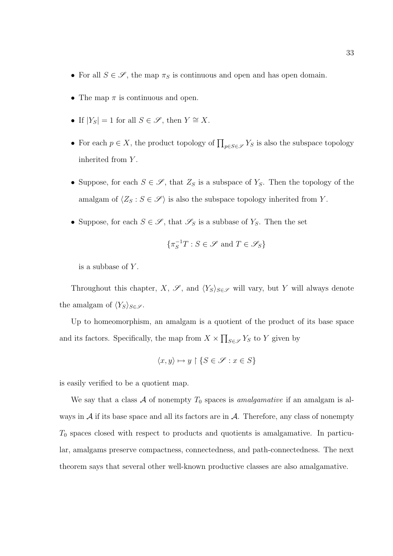- For all  $S \in \mathscr{S}$ , the map  $\pi_S$  is continuous and open and has open domain.
- The map  $\pi$  is continuous and open.
- If  $|Y_S| = 1$  for all  $S \in \mathscr{S}$ , then  $Y \cong X$ .
- For each  $p \in X$ , the product topology of  $\prod_{p \in S \in \mathscr{S}} Y_S$  is also the subspace topology inherited from Y.
- Suppose, for each  $S \in \mathscr{S}$ , that  $Z_S$  is a subspace of  $Y_S$ . Then the topology of the amalgam of  $\langle Z_S : S \in \mathscr{S} \rangle$  is also the subspace topology inherited from Y.
- Suppose, for each  $S \in \mathscr{S}$ , that  $\mathscr{S}_S$  is a subbase of  $Y_S$ . Then the set

$$
\{\pi_S^{-1}T:S\in\mathscr{S}\text{ and }T\in\mathscr{S}_S\}
$$

is a subbase of  $Y$ .

Throughout this chapter, X,  $\mathscr{S}$ , and  $\langle Y_S \rangle_{S \in \mathscr{S}}$  will vary, but Y will always denote the amalgam of  $\langle Y_S \rangle_{S \in \mathscr{S}}$ .

Up to homeomorphism, an amalgam is a quotient of the product of its base space and its factors. Specifically, the map from  $X \times \prod_{S \in \mathscr{S}} Y_S$  to Y given by

$$
\langle x, y \rangle \mapsto y \upharpoonright \{ S \in \mathscr{S} : x \in S \}
$$

is easily verified to be a quotient map.

We say that a class A of nonempty  $T_0$  spaces is *amalgamative* if an amalgam is always in  $A$  if its base space and all its factors are in  $A$ . Therefore, any class of nonempty  $T_0$  spaces closed with respect to products and quotients is amalgamative. In particular, amalgams preserve compactness, connectedness, and path-connectedness. The next theorem says that several other well-known productive classes are also amalgamative.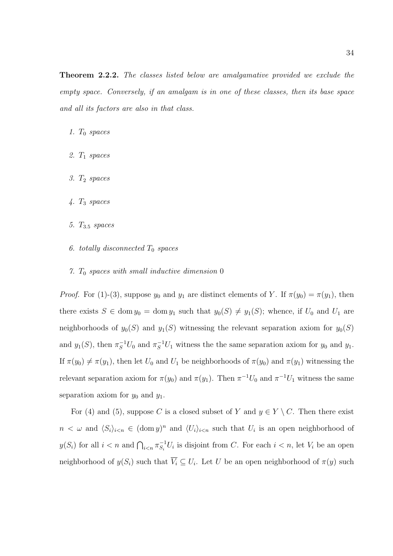**Theorem 2.2.2.** The classes listed below are amalgamative provided we exclude the empty space. Conversely, if an amalgam is in one of these classes, then its base space and all its factors are also in that class.

- 1.  $T_0$  spaces
- 2. T<sup>1</sup> spaces
- 3. T<sup>2</sup> spaces
- 4. T<sup>3</sup> spaces
- 5.  $T_{3.5}$  spaces
- 6. totally disconnected  $T_0$  spaces
- 7.  $T_0$  spaces with small inductive dimension 0

*Proof.* For (1)-(3), suppose  $y_0$  and  $y_1$  are distinct elements of Y. If  $\pi(y_0) = \pi(y_1)$ , then there exists  $S \in \text{dom } y_0 = \text{dom } y_1$  such that  $y_0(S) \neq y_1(S)$ ; whence, if  $U_0$  and  $U_1$  are neighborhoods of  $y_0(S)$  and  $y_1(S)$  witnessing the relevant separation axiom for  $y_0(S)$ and  $y_1(S)$ , then  $\pi_S^{-1}U_0$  and  $\pi_S^{-1}U_1$  witness the the same separation axiom for  $y_0$  and  $y_1$ . If  $\pi(y_0) \neq \pi(y_1)$ , then let  $U_0$  and  $U_1$  be neighborhoods of  $\pi(y_0)$  and  $\pi(y_1)$  witnessing the relevant separation axiom for  $\pi(y_0)$  and  $\pi(y_1)$ . Then  $\pi^{-1}U_0$  and  $\pi^{-1}U_1$  witness the same separation axiom for  $y_0$  and  $y_1$ .

For (4) and (5), suppose C is a closed subset of Y and  $y \in Y \setminus C$ . Then there exist  $n < \omega$  and  $\langle S_i \rangle_{i \le n} \in (\text{dom } y)^n$  and  $\langle U_i \rangle_{i \le n}$  such that  $U_i$  is an open neighborhood of  $y(S_i)$  for all  $i < n$  and  $\bigcap_{i < n} \pi_{S_i}^{-1}$  $\overline{S}_i^{-1}U_i$  is disjoint from C. For each  $i < n$ , let  $V_i$  be an open neighborhood of  $y(S_i)$  such that  $\overline{V_i} \subseteq U_i$ . Let U be an open neighborhood of  $\pi(y)$  such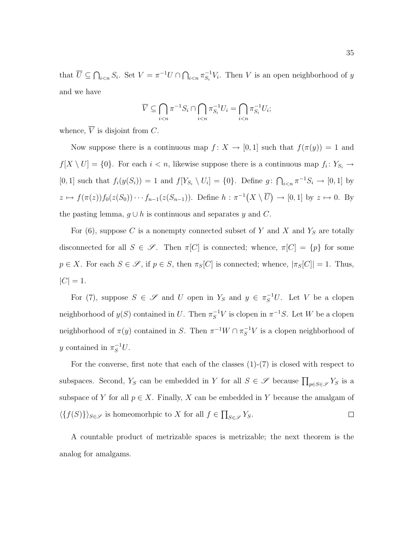that  $\overline{U} \subseteq \bigcap_{i \leq n} S_i$ . Set  $V = \pi^{-1} U \cap \bigcap_{i \leq n} \pi_{S_i}^{-1}$  $S_i^{-1}V_i$ . Then V is an open neighborhood of y and we have

$$
\overline{V} \subseteq \bigcap_{i < n} \pi^{-1} S_i \cap \bigcap_{i < n} \pi_{S_i}^{-1} U_i = \bigcap_{i < n} \pi_{S_i}^{-1} U_i;
$$

whence,  $\overline{V}$  is disjoint from C.

Now suppose there is a continuous map  $f: X \to [0,1]$  such that  $f(\pi(y)) = 1$  and  $f[X \setminus U] = \{0\}$ . For each  $i < n$ , likewise suppose there is a continuous map  $f_i: Y_{S_i} \to$ [0, 1] such that  $f_i(y(S_i)) = 1$  and  $f[Y_{S_i} \setminus U_i] = \{0\}$ . Define  $g: \bigcap_{i \le n} \pi^{-1}S_i \to [0, 1]$  by  $z \mapsto f(\pi(z))f_0(z(S_0))\cdots f_{n-1}(z(S_{n-1}))$ . Define  $h : \pi^{-1}(X \setminus \overline{U}) \to [0,1]$  by  $z \mapsto 0$ . By the pasting lemma,  $g \cup h$  is continuous and separates y and C.

For  $(6)$ , suppose C is a nonempty connected subset of Y and X and Y<sub>S</sub> are totally disconnected for all  $S \in \mathscr{S}$ . Then  $\pi[C]$  is connected; whence,  $\pi[C] = \{p\}$  for some  $p \in X$ . For each  $S \in \mathscr{S}$ , if  $p \in S$ , then  $\pi_S[C]$  is connected; whence,  $|\pi_S[C]| = 1$ . Thus,  $|C| = 1.$ 

For (7), suppose  $S \in \mathscr{S}$  and U open in  $Y_S$  and  $y \in \pi_S^{-1}U$ . Let V be a clopen neighborhood of  $y(S)$  contained in U. Then  $\pi_S^{-1}V$  is clopen in  $\pi^{-1}S$ . Let W be a clopen neighborhood of  $\pi(y)$  contained in S. Then  $\pi^{-1}W \cap \pi_S^{-1}V$  is a clopen neighborhood of y contained in  $\pi_S^{-1}U$ .

For the converse, first note that each of the classes  $(1)-(7)$  is closed with respect to subspaces. Second,  $Y_S$  can be embedded in Y for all  $S \in \mathscr{S}$  because  $\prod_{p \in S \in \mathscr{S}} Y_S$  is a subspace of Y for all  $p \in X$ . Finally, X can be embedded in Y because the amalgam of  $\langle \{f(S)\} \rangle_{S \in \mathscr{S}}$  is homeomorhpic to X for all  $f \in \prod_{S \in \mathscr{S}} Y_S$ .  $\Box$ 

A countable product of metrizable spaces is metrizable; the next theorem is the analog for amalgams.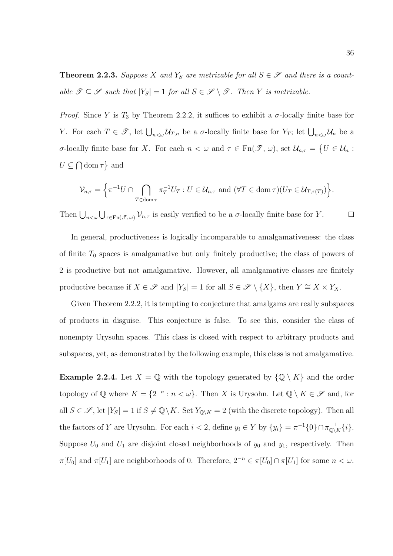**Theorem 2.2.3.** Suppose X and  $Y_S$  are metrizable for all  $S \in \mathcal{S}$  and there is a countable  $\mathscr{T} \subseteq \mathscr{S}$  such that  $|Y_S| = 1$  for all  $S \in \mathscr{S} \setminus \mathscr{T}$ . Then Y is metrizable.

*Proof.* Since Y is  $T_3$  by Theorem 2.2.2, it suffices to exhibit a  $\sigma$ -locally finite base for Y. For each  $T \in \mathscr{T}$ , let  $\bigcup_{n<\omega} \mathcal{U}_{T,n}$  be a  $\sigma$ -locally finite base for  $Y_T$ ; let  $\bigcup_{n<\omega} \mathcal{U}_n$  be a σ-locally finite base for X. For each  $n < \omega$  and  $\tau \in \text{Fn}(\mathscr{T}, \omega)$ , set  $\mathcal{U}_{n,\tau} = \{U \in \mathcal{U}_n :$  $\overline{U} \subseteq \bigcap \text{dom } \tau$  and

$$
\mathcal{V}_{n,\tau} = \left\{ \pi^{-1} U \cap \bigcap_{T \in \text{dom}\,\tau} \pi_T^{-1} U_T : U \in \mathcal{U}_{n,\tau} \text{ and } (\forall T \in \text{dom}\,\tau)(U_T \in \mathcal{U}_{T,\tau(T)}) \right\}.
$$

Then  $\bigcup_{n<\omega}\bigcup_{\tau\in\text{Fn}(\mathscr{T},\omega)}\mathcal{V}_{n,\tau}$  is easily verified to be a  $\sigma$ -locally finite base for Y.  $\Box$ 

In general, productiveness is logically incomparable to amalgamativeness: the class of finite  $T_0$  spaces is amalgamative but only finitely productive; the class of powers of 2 is productive but not amalgamative. However, all amalgamative classes are finitely productive because if  $X \in \mathscr{S}$  and  $|Y_S| = 1$  for all  $S \in \mathscr{S} \setminus \{X\}$ , then  $Y \cong X \times Y_X$ .

Given Theorem 2.2.2, it is tempting to conjecture that amalgams are really subspaces of products in disguise. This conjecture is false. To see this, consider the class of nonempty Urysohn spaces. This class is closed with respect to arbitrary products and subspaces, yet, as demonstrated by the following example, this class is not amalgamative.

**Example 2.2.4.** Let  $X = \mathbb{Q}$  with the topology generated by  $\{\mathbb{Q} \setminus K\}$  and the order topology of  $\mathbb Q$  where  $K = \{2^{-n} : n < \omega\}$ . Then X is Urysohn. Let  $\mathbb Q \setminus K \in \mathscr S$  and, for all  $S \in \mathscr{S}$ , let  $|Y_S| = 1$  if  $S \neq \mathbb{Q} \setminus K$ . Set  $Y_{\mathbb{Q} \setminus K} = 2$  (with the discrete topology). Then all the factors of Y are Urysohn. For each  $i < 2$ , define  $y_i \in Y$  by  $\{y_i\} = \pi^{-1}\{0\} \cap \pi_{\mathbb{Q}\setminus K}^{-1}\{i\}.$ Suppose  $U_0$  and  $U_1$  are disjoint closed neighborhoods of  $y_0$  and  $y_1$ , respectively. Then  $\pi[U_0]$  and  $\pi[U_1]$  are neighborhoods of 0. Therefore,  $2^{-n} \in \overline{\pi[U_0]} \cap \overline{\pi[U_1]}$  for some  $n < \omega$ .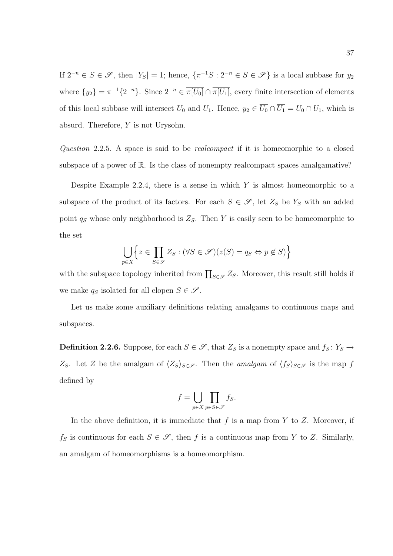If  $2^{-n} \in S \in \mathscr{S}$ , then  $|Y_S| = 1$ ; hence,  $\{\pi^{-1}S : 2^{-n} \in S \in \mathscr{S}\}\$ is a local subbase for  $y_2$ where  $\{y_2\} = \pi^{-1}\{2^{-n}\}\$ . Since  $2^{-n} \in \overline{\pi[U_0]} \cap \overline{\pi[U_1]}$ , every finite intersection of elements of this local subbase will intersect  $U_0$  and  $U_1$ . Hence,  $y_2 \in \overline{U_0} \cap \overline{U_1} = U_0 \cap U_1$ , which is absurd. Therefore, Y is not Urysohn.

Question 2.2.5. A space is said to be realcompact if it is homeomorphic to a closed subspace of a power of R. Is the class of nonempty realcompact spaces amalgamative?

Despite Example 2.2.4, there is a sense in which  $Y$  is almost homeomorphic to a subspace of the product of its factors. For each  $S \in \mathscr{S}$ , let  $Z_S$  be  $Y_S$  with an added point  $q_S$  whose only neighborhood is  $Z_S$ . Then Y is easily seen to be homeomorphic to the set

$$
\bigcup_{p\in X} \left\{ z \in \prod_{S \in \mathscr{S}} Z_S : (\forall S \in \mathscr{S})(z(S) = q_S \Leftrightarrow p \notin S) \right\}
$$

with the subspace topology inherited from  $\prod_{S \in \mathscr{S}} Z_S$ . Moreover, this result still holds if we make  $q_S$  isolated for all clopen  $S \in \mathscr{S}$ .

Let us make some auxiliary definitions relating amalgams to continuous maps and subspaces.

**Definition 2.2.6.** Suppose, for each  $S \in \mathscr{S}$ , that  $Z_S$  is a nonempty space and  $f_S: Y_S \to Y_S$ Z<sub>S</sub>. Let Z be the amalgam of  $\langle Z_S \rangle_{S \in \mathscr{S}}$ . Then the *amalgam* of  $\langle f_S \rangle_{S \in \mathscr{S}}$  is the map f defined by

$$
f = \bigcup_{p \in X} \prod_{p \in S \in \mathscr{S}} f_S.
$$

In the above definition, it is immediate that  $f$  is a map from  $Y$  to  $Z$ . Moreover, if  $f_S$  is continuous for each  $S \in \mathscr{S}$ , then f is a continuous map from Y to Z. Similarly, an amalgam of homeomorphisms is a homeomorphism.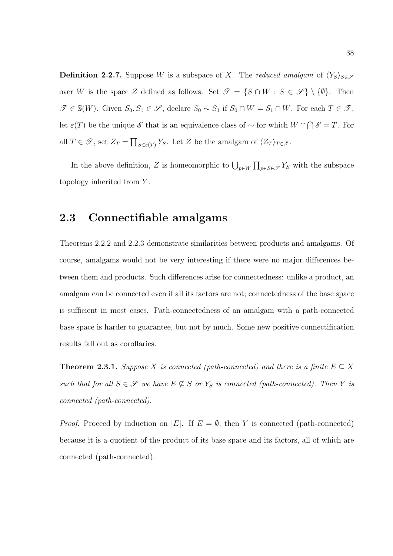**Definition 2.2.7.** Suppose W is a subspace of X. The reduced amalgam of  $\langle Y_s \rangle_{s \in \mathscr{S}}$ over W is the space Z defined as follows. Set  $\mathscr{T} = \{S \cap W : S \in \mathscr{S}\}\setminus \{\emptyset\}$ . Then  $\mathscr{T} \in \mathbb{S}(W)$ . Given  $S_0, S_1 \in \mathscr{S}$ , declare  $S_0 \sim S_1$  if  $S_0 \cap W = S_1 \cap W$ . For each  $T \in \mathscr{T}$ , let  $\varepsilon(T)$  be the unique  $\mathscr E$  that is an equivalence class of  $\sim$  for which  $W \cap \bigcap \mathscr E = T$ . For all  $T \in \mathscr{T}$ , set  $Z_T = \prod_{S \in \varepsilon(T)} Y_S$ . Let Z be the amalgam of  $\langle Z_T \rangle_{T \in \mathscr{T}}$ .

In the above definition, Z is homeomorphic to  $\bigcup_{p\in W} \prod_{p\in S\in\mathscr{S}} Y_S$  with the subspace topology inherited from Y.

### 2.3 Connectifiable amalgams

Theorems 2.2.2 and 2.2.3 demonstrate similarities between products and amalgams. Of course, amalgams would not be very interesting if there were no major differences between them and products. Such differences arise for connectedness: unlike a product, an amalgam can be connected even if all its factors are not; connectedness of the base space is sufficient in most cases. Path-connectedness of an amalgam with a path-connected base space is harder to guarantee, but not by much. Some new positive connectification results fall out as corollaries.

**Theorem 2.3.1.** Suppose X is connected (path-connected) and there is a finite  $E \subseteq X$ such that for all  $S \in \mathscr{S}$  we have  $E \nsubseteq S$  or  $Y_S$  is connected (path-connected). Then Y is connected (path-connected).

*Proof.* Proceed by induction on |E|. If  $E = \emptyset$ , then Y is connected (path-connected) because it is a quotient of the product of its base space and its factors, all of which are connected (path-connected).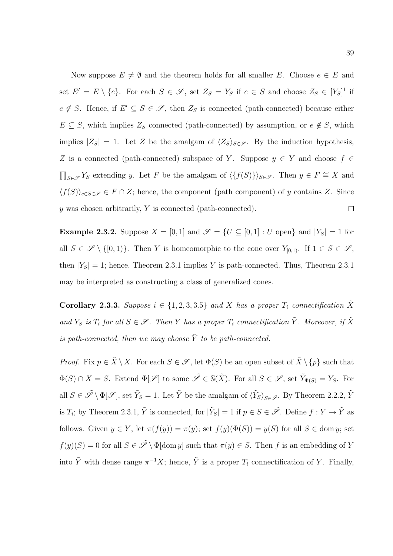Now suppose  $E \neq \emptyset$  and the theorem holds for all smaller E. Choose  $e \in E$  and set  $E' = E \setminus \{e\}$ . For each  $S \in \mathscr{S}$ , set  $Z_S = Y_S$  if  $e \in S$  and choose  $Z_S \in [Y_S]^1$  if  $e \notin S$ . Hence, if  $E' \subseteq S \in \mathscr{S}$ , then  $Z_S$  is connected (path-connected) because either  $E \subseteq S$ , which implies  $Z_S$  connected (path-connected) by assumption, or  $e \notin S$ , which implies  $|Z_S| = 1$ . Let Z be the amalgam of  $\langle Z_S \rangle_{S \in \mathscr{S}}$ . By the induction hypothesis, Z is a connected (path-connected) subspace of Y. Suppose  $y \in Y$  and choose  $f \in$  $\prod_{S \in \mathscr{S}} Y_S$  extending y. Let F be the amalgam of  $\langle \{f(S)\}\rangle_{S \in \mathscr{S}}$ . Then  $y \in F \cong X$  and  $\langle f(S)\rangle_{e\in S\in\mathscr{S}} \in F\cap Z$ ; hence, the component (path component) of y contains Z. Since  $\Box$ y was chosen arbitrarily,  $Y$  is connected (path-connected).

**Example 2.3.2.** Suppose  $X = [0, 1]$  and  $\mathscr{S} = \{U \subseteq [0, 1] : U$  open} and  $|Y_S| = 1$  for all  $S \in \mathscr{S} \setminus \{[0,1)\}\$ . Then Y is homeomorphic to the cone over  $Y_{[0,1)}$ . If  $1 \in S \in \mathscr{S}$ , then  $|Y_S| = 1$ ; hence, Theorem 2.3.1 implies Y is path-connected. Thus, Theorem 2.3.1 may be interpreted as constructing a class of generalized cones.

Corollary 2.3.3. Suppose  $i \in \{1, 2, 3, 3.5\}$  and X has a proper  $T_i$  connectification  $\tilde{X}$ and  $Y_S$  is  $T_i$  for all  $S \in \mathscr{S}$ . Then Y has a proper  $T_i$  connectification  $\tilde{Y}$ . Moreover, if  $\tilde{X}$ is path-connected, then we may choose  $\tilde{Y}$  to be path-connected.

*Proof.* Fix  $p \in \tilde{X} \setminus X$ . For each  $S \in \mathscr{S}$ , let  $\Phi(S)$  be an open subset of  $\tilde{X} \setminus \{p\}$  such that  $\Phi(S) \cap X = S$ . Extend  $\Phi[\mathscr{S}]$  to some  $\tilde{\mathscr{S}} \in \mathbb{S}(\tilde{X})$ . For all  $S \in \mathscr{S}$ , set  $\tilde{Y}_{\Phi(S)} = Y_S$ . For all  $S \in \tilde{\mathscr{S}} \setminus \Phi[\mathscr{S}]$ , set  $\tilde{Y}_S = 1$ . Let  $\tilde{Y}$  be the amalgam of  $\langle \tilde{Y}_S \rangle_{S \in \tilde{\mathscr{S}}}$ . By Theorem 2.2.2,  $\tilde{Y}$ is  $T_i$ ; by Theorem 2.3.1,  $\tilde{Y}$  is connected, for  $|\tilde{Y}_S|=1$  if  $p\in S\in\tilde{\mathscr{S}}$ . Define  $f:Y\to\tilde{Y}$  as follows. Given  $y \in Y$ , let  $\pi(f(y)) = \pi(y)$ ; set  $f(y)(\Phi(S)) = y(S)$  for all  $S \in \text{dom } y$ ; set  $f(y)(S) = 0$  for all  $S \in \tilde{\mathscr{S}} \setminus \Phi[\text{dom } y]$  such that  $\pi(y) \in S$ . Then f is an embedding of Y into  $\tilde{Y}$  with dense range  $\pi^{-1}X$ ; hence,  $\tilde{Y}$  is a proper  $T_i$  connectification of Y. Finally,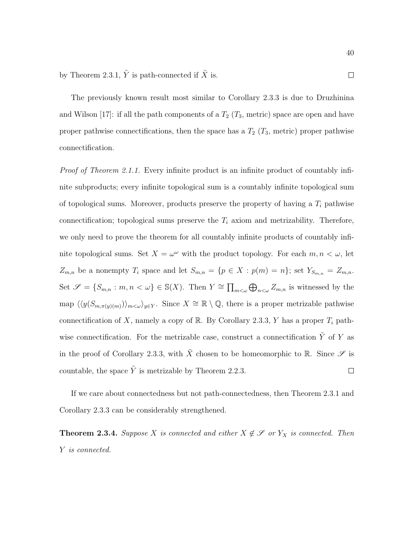The previously known result most similar to Corollary 2.3.3 is due to Druzhinina and Wilson [17]: if all the path components of a  $T_2$  ( $T_3$ , metric) space are open and have proper pathwise connectifications, then the space has a  $T_2$  ( $T_3$ , metric) proper pathwise connectification.

Proof of Theorem 2.1.1. Every infinite product is an infinite product of countably infinite subproducts; every infinite topological sum is a countably infinite topological sum of topological sums. Moreover, products preserve the property of having a  $T_i$  pathwise connectification; topological sums preserve the  $T_i$  axiom and metrizability. Therefore, we only need to prove the theorem for all countably infinite products of countably infinite topological sums. Set  $X = \omega^{\omega}$  with the product topology. For each  $m, n < \omega$ , let  $Z_{m,n}$  be a nonempty  $T_i$  space and let  $S_{m,n} = \{p \in X : p(m) = n\}$ ; set  $Y_{S_{m,n}} = Z_{m,n}$ . Set  $\mathscr{S} = \{S_{m,n} : m, n < \omega\} \in \mathbb{S}(X)$ . Then  $Y \cong \prod_{m < \omega} \bigoplus_{n < \omega} Z_{m,n}$  is witnessed by the map  $\langle \langle y(S_{m,\pi(y)(m)}) \rangle_{m \langle \omega} \rangle_{y \in Y}$ . Since  $X \cong \mathbb{R} \setminus \mathbb{Q}$ , there is a proper metrizable pathwise connectification of X, namely a copy of R. By Corollary 2.3.3, Y has a proper  $T_i$  pathwise connectification. For the metrizable case, construct a connectification  $\tilde{Y}$  of Y as in the proof of Corollary 2.3.3, with  $\tilde{X}$  chosen to be homeomorphic to R. Since  $\mathscr S$  is countable, the space  $\tilde{Y}$  is metrizable by Theorem 2.2.3.  $\Box$ 

If we care about connectedness but not path-connectedness, then Theorem 2.3.1 and Corollary 2.3.3 can be considerably strengthened.

**Theorem 2.3.4.** Suppose X is connected and either  $X \notin \mathcal{S}$  or  $Y_X$  is connected. Then Y is connected.

 $\Box$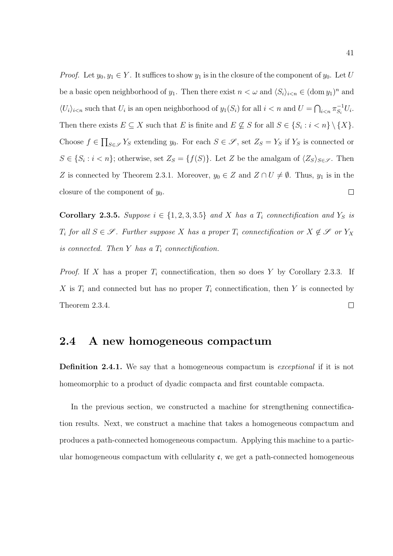*Proof.* Let  $y_0, y_1 \in Y$ . It suffices to show  $y_1$  is in the closure of the component of  $y_0$ . Let U be a basic open neighborhood of  $y_1$ . Then there exist  $n < \omega$  and  $\langle S_i \rangle_{i \le n} \in (\text{dom } y_1)^n$  and  $\langle U_i \rangle_{i \le n}$  such that  $U_i$  is an open neighborhood of  $y_1(S_i)$  for all  $i \le n$  and  $U = \bigcap_{i \le n} \pi_{S_i}^{-1}$  $S_i^{-1}U_i$ . Then there exists  $E \subseteq X$  such that E is finite and  $E \nsubseteq S$  for all  $S \in \{S_i : i < n\} \setminus \{X\}$ . Choose  $f \in \prod_{S \in \mathscr{S}} Y_S$  extending  $y_0$ . For each  $S \in \mathscr{S}$ , set  $Z_S = Y_S$  if  $Y_S$  is connected or  $S \in \{S_i : i < n\}$ ; otherwise, set  $Z_S = \{f(S)\}\$ . Let Z be the amalgam of  $\langle Z_S \rangle_{S \in \mathscr{S}}$ . Then Z is connected by Theorem 2.3.1. Moreover,  $y_0 \in Z$  and  $Z \cap U \neq \emptyset$ . Thus,  $y_1$  is in the  $\Box$ closure of the component of  $y_0$ .

Corollary 2.3.5. Suppose  $i \in \{1, 2, 3, 3.5\}$  and X has a  $T_i$  connectification and  $Y_S$  is  $T_i$  for all  $S \in \mathscr{S}$ . Further suppose X has a proper  $T_i$  connectification or  $X \notin \mathscr{S}$  or  $Y_X$ is connected. Then  $Y$  has a  $T_i$  connectification.

*Proof.* If X has a proper  $T_i$  connectification, then so does Y by Corollary 2.3.3. If X is  $T_i$  and connected but has no proper  $T_i$  connectification, then Y is connected by Theorem 2.3.4.  $\Box$ 

### 2.4 A new homogeneous compactum

Definition 2.4.1. We say that a homogeneous compactum is exceptional if it is not homeomorphic to a product of dyadic compacta and first countable compacta.

In the previous section, we constructed a machine for strengthening connectification results. Next, we construct a machine that takes a homogeneous compactum and produces a path-connected homogeneous compactum. Applying this machine to a particular homogeneous compactum with cellularity  $\mathfrak{c}$ , we get a path-connected homogeneous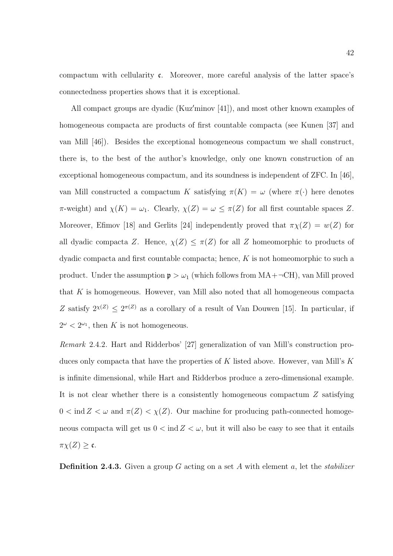compactum with cellularity  $\mathfrak{c}$ . Moreover, more careful analysis of the latter space's connectedness properties shows that it is exceptional.

All compact groups are dyadic (Kuz'minov  $[41]$ ), and most other known examples of homogeneous compacta are products of first countable compacta (see Kunen [37] and van Mill [46]). Besides the exceptional homogeneous compactum we shall construct, there is, to the best of the author's knowledge, only one known construction of an exceptional homogeneous compactum, and its soundness is independent of ZFC. In [46], van Mill constructed a compactum K satisfying  $\pi(K) = \omega$  (where  $\pi(\cdot)$ ) here denotes  $\pi$ -weight) and  $\chi(K) = \omega_1$ . Clearly,  $\chi(Z) = \omega \leq \pi(Z)$  for all first countable spaces Z. Moreover, Efimov [18] and Gerlits [24] independently proved that  $\pi\chi(Z) = w(Z)$  for all dyadic compacta Z. Hence,  $\chi(Z) \leq \pi(Z)$  for all Z homeomorphic to products of dyadic compacta and first countable compacta; hence,  $K$  is not homeomorphic to such a product. Under the assumption  $p > \omega_1$  (which follows from  $MA + \neg CH$ ), van Mill proved that  $K$  is homogeneous. However, van Mill also noted that all homogeneous compacta Z satisfy  $2^{\chi(Z)} \leq 2^{\pi(Z)}$  as a corollary of a result of Van Douwen [15]. In particular, if  $2^{\omega} < 2^{\omega_1}$ , then K is not homogeneous.

Remark 2.4.2. Hart and Ridderbos' [27] generalization of van Mill's construction produces only compacta that have the properties of  $K$  listed above. However, van Mill's  $K$ is infinite dimensional, while Hart and Ridderbos produce a zero-dimensional example. It is not clear whether there is a consistently homogeneous compactum Z satisfying  $0<\operatorname{ind} Z<\omega$  and  $\pi(Z)<\chi(Z).$  Our machine for producing path-connected homogeneous compacta will get us  $0 < \text{ind } Z < \omega$ , but it will also be easy to see that it entails  $\pi \chi(Z) \geq \mathfrak{c}.$ 

**Definition 2.4.3.** Given a group G acting on a set A with element a, let the *stabilizer*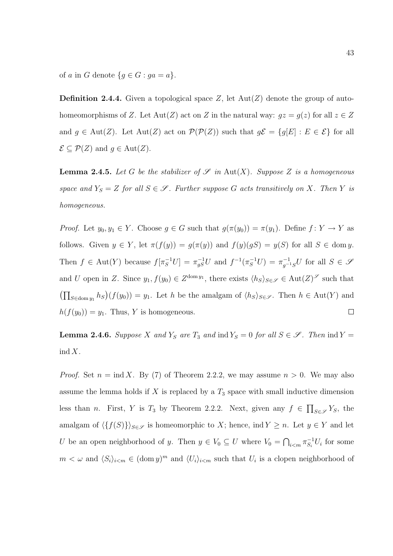of a in G denote  ${g \in G : ga = a}.$ 

**Definition 2.4.4.** Given a topological space Z, let  $Aut(Z)$  denote the group of autohomeomorphisms of Z. Let Aut(Z) act on Z in the natural way:  $gz = g(z)$  for all  $z \in Z$ and  $g \in Aut(Z)$ . Let  $Aut(Z)$  act on  $\mathcal{P}(\mathcal{P}(Z))$  such that  $g\mathcal{E} = \{g[E] : E \in \mathcal{E}\}\)$  for all  $\mathcal{E} \subseteq \mathcal{P}(Z)$  and  $g \in \text{Aut}(Z)$ .

**Lemma 2.4.5.** Let G be the stabilizer of  $\mathscr S$  in Aut(X). Suppose Z is a homogeneous space and  $Y_S = Z$  for all  $S \in \mathcal{S}$ . Further suppose G acts transitively on X. Then Y is homogeneous.

*Proof.* Let  $y_0, y_1 \in Y$ . Choose  $g \in G$  such that  $g(\pi(y_0)) = \pi(y_1)$ . Define  $f: Y \to Y$  as follows. Given  $y \in Y$ , let  $\pi(f(y)) = g(\pi(y))$  and  $f(y)(gS) = y(S)$  for all  $S \in \text{dom } y$ . Then  $f \in Aut(Y)$  because  $f[\pi_S^{-1}U] = \pi_{gS}^{-1}U$  and  $f^{-1}(\pi_S^{-1}U) = \pi_{g^{-1}S}^{-1}U$  for all  $S \in \mathcal{S}$ and U open in Z. Since  $y_1, f(y_0) \in Z^{\text{dom } y_1}$ , there exists  $\langle h_S \rangle_{S \in \mathscr{S}} \in \text{Aut}(Z)^{\mathscr{S}}$  such that  $(\prod_{S \in \text{dom } y_1} h_S)(f(y_0)) = y_1$ . Let h be the amalgam of  $\langle h_S \rangle_{S \in \mathscr{S}}$ . Then  $h \in \text{Aut}(Y)$  and  $\Box$  $h(f(y_0)) = y_1$ . Thus, Y is homogeneous.

**Lemma 2.4.6.** Suppose X and  $Y_s$  are  $T_3$  and ind  $Y_s = 0$  for all  $S \in \mathscr{S}$ . Then ind  $Y =$  $\operatorname{ind} X$ .

*Proof.* Set  $n = \text{ind } X$ . By (7) of Theorem 2.2.2, we may assume  $n > 0$ . We may also assume the lemma holds if  $X$  is replaced by a  $T_3$  space with small inductive dimension less than *n*. First, *Y* is  $T_3$  by Theorem 2.2.2. Next, given any  $f \in \prod_{S \in \mathscr{S}} Y_S$ , the amalgam of  $\langle \{f(S)\}\rangle_{S\in\mathscr{S}}$  is homeomorphic to X; hence, ind  $Y \geq n$ . Let  $y \in Y$  and let U be an open neighborhood of y. Then  $y \in V_0 \subseteq U$  where  $V_0 = \bigcap_{i \le m} \pi_{S_i}^{-1}$  $\overline{S}_i^{-1}U_i$  for some  $m < \omega$  and  $\langle S_i \rangle_{i \le m} \in (\text{dom } y)^m$  and  $\langle U_i \rangle_{i \le m}$  such that  $U_i$  is a clopen neighborhood of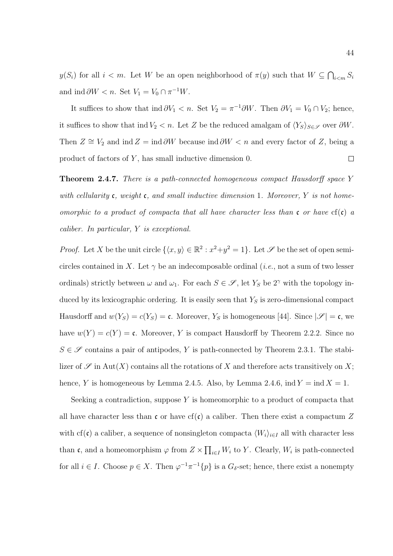$y(S_i)$  for all  $i < m$ . Let W be an open neighborhood of  $\pi(y)$  such that  $W \subseteq \bigcap_{i \le m} S_i$ and ind  $\partial W < n$ . Set  $V_1 = V_0 \cap \pi^{-1}W$ .

It suffices to show that ind  $\partial V_1 < n$ . Set  $V_2 = \pi^{-1} \partial W$ . Then  $\partial V_1 = V_0 \cap V_2$ ; hence, it suffices to show that ind  $V_2 < n$ . Let Z be the reduced amalgam of  $\langle Y_S \rangle_{S \in \mathscr{S}}$  over  $\partial W$ . Then  $Z \cong V_2$  and ind  $Z = \text{ind } \partial W$  because ind  $\partial W < n$  and every factor of Z, being a product of factors of Y , has small inductive dimension 0.  $\Box$ 

**Theorem 2.4.7.** There is a path-connected homogeneous compact Hausdorff space Y with cellularity c, weight c, and small inductive dimension 1. Moreover, Y is not homeomorphic to a product of compacta that all have character less than  $\mathfrak c$  or have  $cf(\mathfrak c)$  a caliber. In particular, Y is exceptional.

*Proof.* Let X be the unit circle  $\{\langle x, y \rangle \in \mathbb{R}^2 : x^2 + y^2 = 1\}$ . Let  $\mathscr{S}$  be the set of open semicircles contained in X. Let  $\gamma$  be an indecomposable ordinal (*i.e.*, not a sum of two lesser ordinals) strictly between  $\omega$  and  $\omega_1$ . For each  $S \in \mathscr{S}$ , let  $Y_S$  be  $2^{\gamma}$  with the topology induced by its lexicographic ordering. It is easily seen that  $Y<sub>S</sub>$  is zero-dimensional compact Hausdorff and  $w(Y_s) = c(Y_s) = \mathfrak{c}$ . Moreover,  $Y_s$  is homogeneous [44]. Since  $|\mathcal{S}| = \mathfrak{c}$ , we have  $w(Y) = c(Y) = c$ . Moreover, Y is compact Hausdorff by Theorem 2.2.2. Since no  $S \in \mathscr{S}$  contains a pair of antipodes, Y is path-connected by Theorem 2.3.1. The stabilizer of  $\mathscr S$  in Aut $(X)$  contains all the rotations of X and therefore acts transitively on X; hence, Y is homogeneous by Lemma 2.4.5. Also, by Lemma 2.4.6, ind  $Y = \text{ind } X = 1$ .

Seeking a contradiction, suppose Y is homeomorphic to a product of compacta that all have character less than c or have cf(c) a caliber. Then there exist a compactum Z with cf(c) a caliber, a sequence of nonsingleton compacta  $\langle W_i \rangle_{i \in I}$  all with character less than c, and a homeomorphism  $\varphi$  from  $Z \times \prod_{i \in I} W_i$  to Y. Clearly,  $W_i$  is path-connected for all  $i \in I$ . Choose  $p \in X$ . Then  $\varphi^{-1}\pi^{-1}\{p\}$  is a  $G_{\delta}$ -set; hence, there exist a nonempty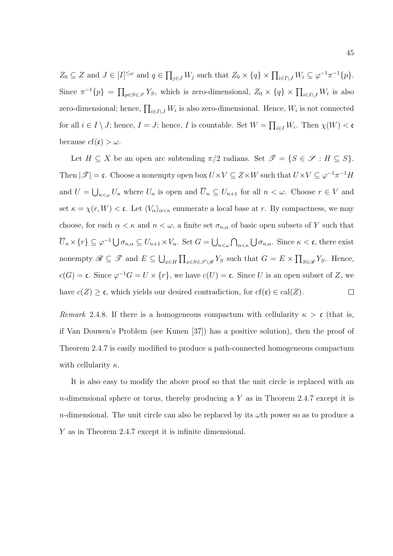$Z_0 \subseteq Z$  and  $J \in [I]^{\leq \omega}$  and  $q \in \prod_{j \in J} W_j$  such that  $Z_0 \times \{q\} \times \prod_{i \in I \setminus J} W_i \subseteq \varphi^{-1} \pi^{-1} \{p\}.$ Since  $\pi^{-1}{p} = \prod_{p \in S \in \mathscr{S}} Y_S$ , which is zero-dimensional,  $Z_0 \times {q} \times \prod_{i \in I \setminus J} W_i$  is also zero-dimensional; hence,  $\prod_{i\in I\setminus J} W_i$  is also zero-dimensional. Hence,  $W_i$  is not connected for all  $i \in I \setminus J$ ; hence,  $I = J$ ; hence, I is countable. Set  $W = \prod_{i \in I} W_i$ . Then  $\chi(W) < \mathfrak{c}$ because cf(c)  $>\omega$ .

Let  $H \subseteq X$  be an open arc subtending  $\pi/2$  radians. Set  $\mathscr{T} = \{S \in \mathscr{S} : H \subseteq S\}.$ Then  $|\mathscr{T}| = \mathfrak{c}$ . Choose a nonempty open box  $U \times V \subseteq Z \times W$  such that  $U \times V \subseteq \varphi^{-1} \pi^{-1} H$ and  $U = \bigcup_{n \leq \omega} U_n$  where  $U_n$  is open and  $\overline{U}_n \subseteq U_{n+1}$  for all  $n < \omega$ . Choose  $r \in V$  and set  $\kappa = \chi(r, W) < \mathfrak{c}$ . Let  $\langle V_{\alpha} \rangle_{\alpha \leq \kappa}$  enumerate a local base at r. By compactness, we may choose, for each  $\alpha < \kappa$  and  $n < \omega$ , a finite set  $\sigma_{n,\alpha}$  of basic open subsets of Y such that  $\overline{U}_n \times \{r\} \subseteq \varphi^{-1} \bigcup \sigma_{n,\alpha} \subseteq U_{n+1} \times V_\alpha$ . Set  $G = \bigcup_{n<\omega} \bigcap_{\alpha<\kappa} \bigcup \sigma_{n,\alpha}$ . Since  $\kappa < \mathfrak{c}$ , there exist nonempty  $\mathscr{R} \subseteq \mathscr{T}$  and  $E \subseteq \bigcup_{x \in H} \prod_{x \in S \in \mathscr{S} \setminus \mathscr{R}} Y_S$  such that  $G = E \times \prod_{S \in \mathscr{R}} Y_S$ . Hence,  $c(G) = \mathfrak{c}$ . Since  $\varphi^{-1}G = U \times \{r\}$ , we have  $c(U) = \mathfrak{c}$ . Since U is an open subset of Z, we have  $c(Z) \geq \mathfrak{c}$ , which yields our desired contradiction, for  $cf(\mathfrak{c}) \in cal(Z)$ .  $\Box$ 

Remark 2.4.8. If there is a homogeneous compactum with cellularity  $\kappa > c$  (that is, if Van Douwen's Problem (see Kunen [37]) has a positive solution), then the proof of Theorem 2.4.7 is easily modified to produce a path-connected homogeneous compactum with cellularity  $\kappa$ .

It is also easy to modify the above proof so that the unit circle is replaced with an  $n$ -dimensional sphere or torus, thereby producing a Y as in Theorem 2.4.7 except it is n-dimensional. The unit circle can also be replaced by its  $\omega$ th power so as to produce a Y as in Theorem 2.4.7 except it is infinite dimensional.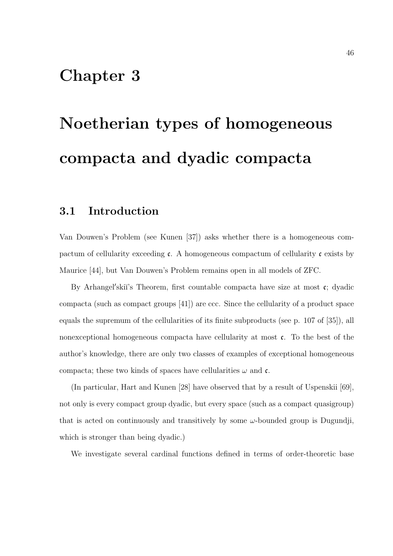## Chapter 3

# Noetherian types of homogeneous compacta and dyadic compacta

## 3.1 Introduction

Van Douwen's Problem (see Kunen [37]) asks whether there is a homogeneous compactum of cellularity exceeding  $\mathfrak c$ . A homogeneous compactum of cellularity  $\mathfrak c$  exists by Maurice [44], but Van Douwen's Problem remains open in all models of ZFC.

By Arhangel'skiï's Theorem, first countable compacta have size at most  $c$ ; dyadic compacta (such as compact groups [41]) are ccc. Since the cellularity of a product space equals the supremum of the cellularities of its finite subproducts (see p. 107 of [35]), all nonexceptional homogeneous compacta have cellularity at most c. To the best of the author's knowledge, there are only two classes of examples of exceptional homogeneous compacta; these two kinds of spaces have cellularities  $\omega$  and  $\mathfrak{c}$ .

(In particular, Hart and Kunen [28] have observed that by a result of Uspenskii [69], not only is every compact group dyadic, but every space (such as a compact quasigroup) that is acted on continuously and transitively by some  $\omega$ -bounded group is Dugundji, which is stronger than being dyadic.)

We investigate several cardinal functions defined in terms of order-theoretic base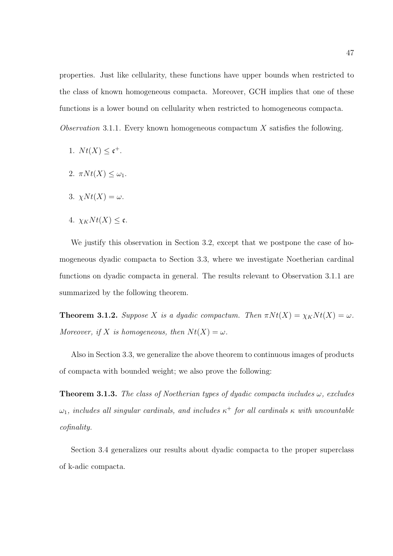properties. Just like cellularity, these functions have upper bounds when restricted to the class of known homogeneous compacta. Moreover, GCH implies that one of these functions is a lower bound on cellularity when restricted to homogeneous compacta.

Observation 3.1.1. Every known homogeneous compactum  $X$  satisfies the following.

- 1.  $Nt(X) \leq c^{+}$ .
- 2.  $\pi N t(X) \leq \omega_1$ .
- 3.  $\chi N t(X) = \omega$ .
- 4.  $\chi_K N t(X) \leq \mathfrak{c}$ .

We justify this observation in Section 3.2, except that we postpone the case of homogeneous dyadic compacta to Section 3.3, where we investigate Noetherian cardinal functions on dyadic compacta in general. The results relevant to Observation 3.1.1 are summarized by the following theorem.

**Theorem 3.1.2.** Suppose X is a dyadic compactum. Then  $\pi N t(X) = \chi_K N t(X) = \omega$ . Moreover, if X is homogeneous, then  $Nt(X) = \omega$ .

Also in Section 3.3, we generalize the above theorem to continuous images of products of compacta with bounded weight; we also prove the following:

**Theorem 3.1.3.** The class of Noetherian types of dyadic compacta includes  $\omega$ , excludes  $\omega_1$ , includes all singular cardinals, and includes  $\kappa^+$  for all cardinals  $\kappa$  with uncountable cofinality.

Section 3.4 generalizes our results about dyadic compacta to the proper superclass of k-adic compacta.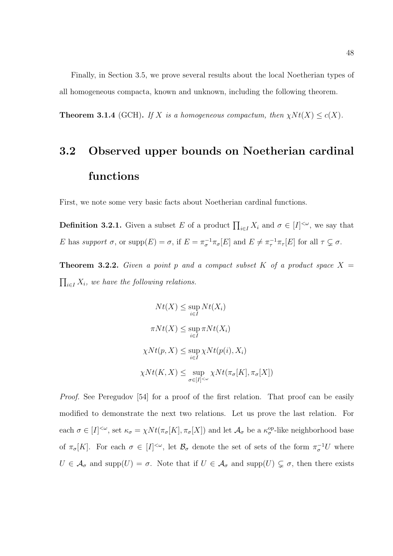Finally, in Section 3.5, we prove several results about the local Noetherian types of all homogeneous compacta, known and unknown, including the following theorem.

**Theorem 3.1.4** (GCH). If X is a homogeneous compactum, then  $\chi N t(X) \leq c(X)$ .

# 3.2 Observed upper bounds on Noetherian cardinal functions

First, we note some very basic facts about Noetherian cardinal functions.

**Definition 3.2.1.** Given a subset E of a product  $\prod_{i \in I} X_i$  and  $\sigma \in [I]^{<\omega}$ , we say that E has support  $\sigma$ , or  $\text{supp}(E) = \sigma$ , if  $E = \pi_{\sigma}^{-1} \pi_{\sigma}[E]$  and  $E \neq \pi_{\tau}^{-1} \pi_{\tau}[E]$  for all  $\tau \subsetneq \sigma$ .

**Theorem 3.2.2.** Given a point p and a compact subset K of a product space  $X =$  $\prod_{i\in I} X_i$ , we have the following relations.

$$
Nt(X) \le \sup_{i \in I} Nt(X_i)
$$
  

$$
\pi Nt(X) \le \sup_{i \in I} \pi Nt(X_i)
$$
  

$$
\chi Nt(p, X) \le \sup_{i \in I} \chi Nt(p(i), X_i)
$$
  

$$
\chi Nt(K, X) \le \sup_{\sigma \in [I]^{<\omega}} \chi Nt(\pi_{\sigma}[K], \pi_{\sigma}[X])
$$

Proof. See Peregudov [54] for a proof of the first relation. That proof can be easily modified to demonstrate the next two relations. Let us prove the last relation. For each  $\sigma \in [I]^{<\omega}$ , set  $\kappa_{\sigma} = \chi N t(\pi_{\sigma}[K], \pi_{\sigma}[X])$  and let  $\mathcal{A}_{\sigma}$  be a  $\kappa_{\sigma}^{\text{op-like}}$  neighborhood base of  $\pi_{\sigma}[K]$ . For each  $\sigma \in [I]^{<\omega}$ , let  $\mathcal{B}_{\sigma}$  denote the set of sets of the form  $\pi_{\sigma}^{-1}U$  where  $U \in \mathcal{A}_{\sigma}$  and supp $(U) = \sigma$ . Note that if  $U \in \mathcal{A}_{\sigma}$  and supp $(U) \subsetneq \sigma$ , then there exists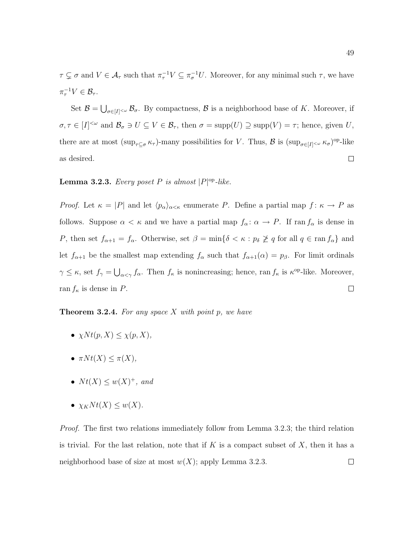$\tau \subsetneq \sigma$  and  $V \in \mathcal{A}_{\tau}$  such that  $\pi_{\tau}^{-1}V \subseteq \pi_{\sigma}^{-1}U$ . Moreover, for any minimal such  $\tau$ , we have  $\pi_\tau^{-1} V \in \mathcal{B}_\tau.$ 

Set  $\mathcal{B} = \bigcup_{\sigma \in [I]^{<\omega}} \mathcal{B}_{\sigma}$ . By compactness,  $\mathcal{B}$  is a neighborhood base of K. Moreover, if  $\sigma, \tau \in [I]^{<\omega}$  and  $\mathcal{B}_{\sigma} \ni U \subseteq V \in \mathcal{B}_{\tau}$ , then  $\sigma = \text{supp}(U) \supseteq \text{supp}(V) = \tau$ ; hence, given U, there are at most  $(\sup_{\tau \subseteq \sigma} \kappa_{\tau})$ -many possibilities for V. Thus,  $\mathcal{B}$  is  $(\sup_{\sigma \in [I]^{\leq \omega}} \kappa_{\sigma})^{\text{op-like}}$ as desired.  $\Box$ 

### **Lemma 3.2.3.** Every poset P is almost  $|P|^{op}\text{-}like$ .

*Proof.* Let  $\kappa = |P|$  and let  $\langle p_{\alpha} \rangle_{\alpha \leq \kappa}$  enumerate P. Define a partial map  $f: \kappa \to P$  as follows. Suppose  $\alpha < \kappa$  and we have a partial map  $f_{\alpha}: \alpha \to P$ . If ran  $f_{\alpha}$  is dense in P, then set  $f_{\alpha+1} = f_{\alpha}$ . Otherwise, set  $\beta = \min\{\delta \leq \kappa : p_{\delta} \not\geq q \text{ for all } q \in \text{ran } f_{\alpha}\}\$ and let  $f_{\alpha+1}$  be the smallest map extending  $f_{\alpha}$  such that  $f_{\alpha+1}(\alpha) = p_{\beta}$ . For limit ordinals  $\gamma \leq \kappa$ , set  $f_{\gamma} = \bigcup_{\alpha < \gamma} f_{\alpha}$ . Then  $f_{\kappa}$  is nonincreasing; hence, ran  $f_{\kappa}$  is  $\kappa^{\text{op}}$ -like. Moreover, ran  $f_{\kappa}$  is dense in P.  $\Box$ 

**Theorem 3.2.4.** For any space  $X$  with point p, we have

- $\chi N t(p, X) \leq \chi(p, X),$
- $\pi N t(X) \leq \pi(X)$ ,
- $Nt(X) \leq w(X)^+$ , and
- $\chi_K N t(X) \leq w(X)$ .

Proof. The first two relations immediately follow from Lemma 3.2.3; the third relation is trivial. For the last relation, note that if  $K$  is a compact subset of  $X$ , then it has a neighborhood base of size at most  $w(X)$ ; apply Lemma 3.2.3.  $\Box$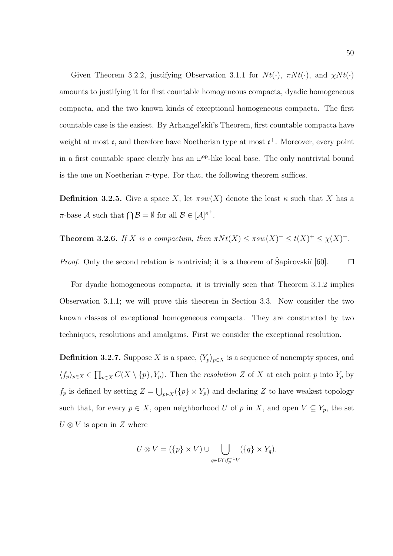Given Theorem 3.2.2, justifying Observation 3.1.1 for  $N t(\cdot)$ ,  $\pi N t(\cdot)$ , and  $\chi N t(\cdot)$ amounts to justifying it for first countable homogeneous compacta, dyadic homogeneous compacta, and the two known kinds of exceptional homogeneous compacta. The first countable case is the easiest. By Arhangel'skii's Theorem, first countable compacta have weight at most  $\mathfrak{c}$ , and therefore have Noetherian type at most  $\mathfrak{c}^+$ . Moreover, every point in a first countable space clearly has an  $\omega^{\rm op}$ -like local base. The only nontrivial bound is the one on Noetherian  $\pi$ -type. For that, the following theorem suffices.

**Definition 3.2.5.** Give a space X, let  $\pi s w(X)$  denote the least  $\kappa$  such that X has a  $\pi$ -base A such that  $\bigcap \mathcal{B} = \emptyset$  for all  $\mathcal{B} \in [\mathcal{A}]^{\kappa^+}$ .

**Theorem 3.2.6.** If X is a compactum, then  $\pi N t(X) \leq \pi s w(X)^{+} \leq t(X)^{+} \leq \chi(X)^{+}$ .

*Proof.* Only the second relation is nontrivial; it is a theorem of Šapirovskiı̆ $[60]$ .  $\Box$ 

For dyadic homogeneous compacta, it is trivially seen that Theorem 3.1.2 implies Observation 3.1.1; we will prove this theorem in Section 3.3. Now consider the two known classes of exceptional homogeneous compacta. They are constructed by two techniques, resolutions and amalgams. First we consider the exceptional resolution.

**Definition 3.2.7.** Suppose X is a space,  $\langle Y_p \rangle_{p \in X}$  is a sequence of nonempty spaces, and  $\langle f_p \rangle_{p \in X} \in \prod_{p \in X} C(X \setminus \{p\}, Y_p)$ . Then the *resolution* Z of X at each point p into Y<sub>p</sub> by  $f_p$  is defined by setting  $Z = \bigcup_{p \in X} (\{p\} \times Y_p)$  and declaring Z to have weakest topology such that, for every  $p \in X$ , open neighborhood U of p in X, and open  $V \subseteq Y_p$ , the set  $U \otimes V$  is open in Z where

$$
U \otimes V = (\{p\} \times V) \cup \bigcup_{q \in U \cap f_p^{-1}V} (\{q\} \times Y_q).
$$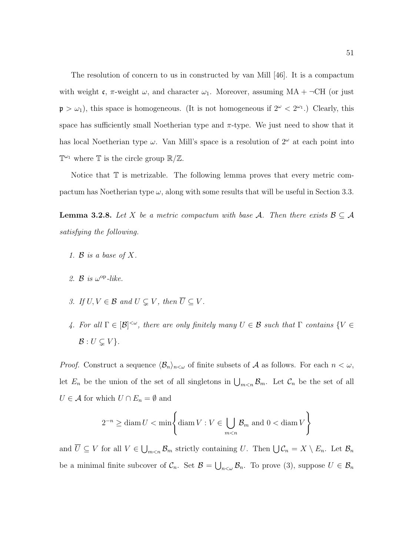The resolution of concern to us in constructed by van Mill [46]. It is a compactum with weight c,  $\pi$ -weight  $\omega$ , and character  $\omega_1$ . Moreover, assuming MA +  $\neg$ CH (or just  $\mathfrak{p} > \omega_1$ ), this space is homogeneous. (It is not homogeneous if  $2^{\omega} < 2^{\omega_1}$ .) Clearly, this space has sufficiently small Noetherian type and  $\pi$ -type. We just need to show that it has local Noetherian type  $\omega$ . Van Mill's space is a resolution of  $2^{\omega}$  at each point into  $\mathbb{T}^{\omega_1}$  where  $\mathbb T$  is the circle group  $\mathbb{R}/\mathbb{Z}$ .

Notice that  $\mathbb T$  is metrizable. The following lemma proves that every metric compactum has Noetherian type  $\omega$ , along with some results that will be useful in Section 3.3.

**Lemma 3.2.8.** Let X be a metric compactum with base A. Then there exists  $\mathcal{B} \subseteq \mathcal{A}$ satisfying the following.

- 1.  $\mathcal{B}$  is a base of X.
- 2.  $\mathcal{B}$  is  $\omega^{\mathrm{op}}$ -like.
- 3. If  $U, V \in \mathcal{B}$  and  $U \subseteq V$ , then  $\overline{U} \subseteq V$ .
- 4. For all  $\Gamma \in [\mathcal{B}]^{<\omega}$ , there are only finitely many  $U \in \mathcal{B}$  such that  $\Gamma$  contains  $\{V \in \mathcal{B} \mid V \in \mathcal{B}\}$  $\mathcal{B}: U \subsetneq V$ .

*Proof.* Construct a sequence  $\langle \mathcal{B}_n \rangle_{n \leq \omega}$  of finite subsets of A as follows. For each  $n < \omega$ , let  $E_n$  be the union of the set of all singletons in  $\bigcup_{m\leq n} \mathcal{B}_m$ . Let  $\mathcal{C}_n$  be the set of all  $U \in \mathcal{A}$  for which  $U \cap E_n = \emptyset$  and

$$
2^{-n} \ge \operatorname{diam} U < \min \left\{ \operatorname{diam} V : V \in \bigcup_{m < n} \mathcal{B}_m \text{ and } 0 < \operatorname{diam} V \right\}
$$

and  $\overline{U} \subseteq V$  for all  $V \in \bigcup_{m \leq n} \mathcal{B}_m$  strictly containing U. Then  $\bigcup \mathcal{C}_n = X \setminus E_n$ . Let  $\mathcal{B}_n$ be a minimal finite subcover of  $\mathcal{C}_n$ . Set  $\mathcal{B} = \bigcup_{n<\omega} \mathcal{B}_n$ . To prove (3), suppose  $U \in \mathcal{B}_n$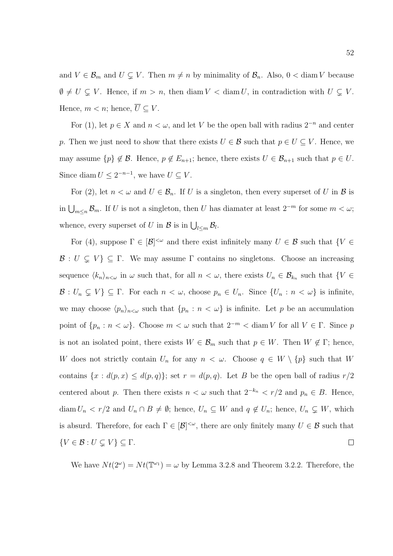and  $V \in \mathcal{B}_m$  and  $U \subsetneq V$ . Then  $m \neq n$  by minimality of  $\mathcal{B}_n$ . Also,  $0 < \text{diam } V$  because  $\emptyset \neq U \subsetneq V$ . Hence, if  $m > n$ , then diam  $V <$  diam U, in contradiction with  $U \subsetneq V$ . Hence,  $m < n$ ; hence,  $\overline{U} \subseteq V$ .

For (1), let  $p \in X$  and  $n < \omega$ , and let V be the open ball with radius  $2^{-n}$  and center p. Then we just need to show that there exists  $U \in \mathcal{B}$  such that  $p \in U \subseteq V$ . Hence, we may assume  $\{p\} \notin \mathcal{B}$ . Hence,  $p \notin E_{n+1}$ ; hence, there exists  $U \in \mathcal{B}_{n+1}$  such that  $p \in U$ . Since diam  $U \leq 2^{-n-1}$ , we have  $U \subseteq V$ .

For (2), let  $n < \omega$  and  $U \in \mathcal{B}_n$ . If U is a singleton, then every superset of U in B is in  $\bigcup_{m\leq n} \mathcal{B}_m$ . If U is not a singleton, then U has diamater at least  $2^{-m}$  for some  $m < \omega$ ; whence, every superset of U in B is in  $\bigcup_{l \leq m} \mathcal{B}_l$ .

For (4), suppose  $\Gamma \in [\mathcal{B}]^{\leq \omega}$  and there exist infinitely many  $U \in \mathcal{B}$  such that  $\{V \in \mathcal{B}\}$  $\mathcal{B}: U \subsetneq V$   $\subseteq \Gamma$ . We may assume  $\Gamma$  contains no singletons. Choose an increasing sequence  $\langle k_n \rangle_{n \leq \omega}$  in  $\omega$  such that, for all  $n < \omega$ , there exists  $U_n \in \mathcal{B}_{k_n}$  such that  $\{V \in$  $\mathcal{B}: U_n \subsetneq V \subseteq \Gamma$ . For each  $n < \omega$ , choose  $p_n \in U_n$ . Since  $\{U_n : n < \omega\}$  is infinite, we may choose  $\langle p_n \rangle_{n \leq \omega}$  such that  $\{p_n : n \leq \omega\}$  is infinite. Let p be an accumulation point of  $\{p_n : n < \omega\}$ . Choose  $m < \omega$  such that  $2^{-m} < \text{diam } V$  for all  $V \in \Gamma$ . Since p is not an isolated point, there exists  $W \in \mathcal{B}_m$  such that  $p \in W$ . Then  $W \notin \Gamma$ ; hence, W does not strictly contain  $U_n$  for any  $n < \omega$ . Choose  $q \in W \setminus \{p\}$  such that W contains  $\{x : d(p,x) \leq d(p,q)\}\;$  set  $r = d(p,q)$ . Let B be the open ball of radius  $r/2$ centered about p. Then there exists  $n < \omega$  such that  $2^{-k_n} < r/2$  and  $p_n \in B$ . Hence, diam  $U_n < r/2$  and  $U_n \cap B \neq \emptyset$ ; hence,  $U_n \subseteq W$  and  $q \notin U_n$ ; hence,  $U_n \subsetneq W$ , which is absurd. Therefore, for each  $\Gamma \in [\mathcal{B}]^{<\omega}$ , there are only finitely many  $U \in \mathcal{B}$  such that  $\{V \in \mathcal{B} : U \subsetneq V\} \subseteq \Gamma.$  $\Box$ 

We have  $Nt(2^{\omega}) = Nt(\mathbb{T}^{\omega_1}) = \omega$  by Lemma 3.2.8 and Theorem 3.2.2. Therefore, the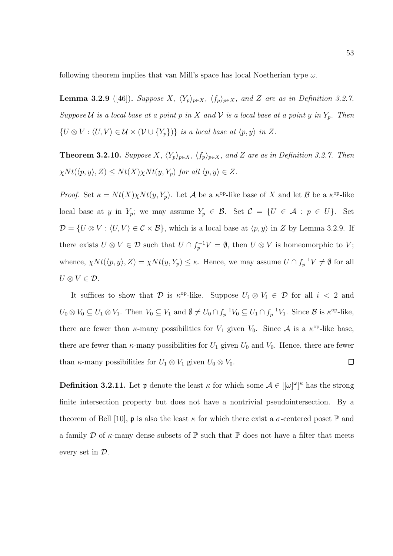following theorem implies that van Mill's space has local Noetherian type  $\omega$ .

**Lemma 3.2.9** ([46]). Suppose X,  $\langle Y_p \rangle_{p \in X}$ ,  $\langle f_p \rangle_{p \in X}$ , and Z are as in Definition 3.2.7. Suppose U is a local base at a point p in X and V is a local base at a point y in  $Y_p$ . Then  $\{U \otimes V : \langle U, V \rangle \in \mathcal{U} \times (\mathcal{V} \cup \{Y_p\})\}$  is a local base at  $\langle p, y \rangle$  in Z.

**Theorem 3.2.10.** Suppose X,  $\langle Y_p \rangle_{p \in X}$ ,  $\langle f_p \rangle_{p \in X}$ , and Z are as in Definition 3.2.7. Then  $\chi N t(\langle p, y \rangle, Z) \leq N t(X) \chi N t(y, Y_p)$  for all  $\langle p, y \rangle \in Z$ .

*Proof.* Set  $\kappa = Nt(X)\chi Nt(y, Y_p)$ . Let A be a  $\kappa^{\rm op}$ -like base of X and let B be a  $\kappa^{\rm op}$ -like local base at y in  $Y_p$ ; we may assume  $Y_p \in \mathcal{B}$ . Set  $\mathcal{C} = \{U \in \mathcal{A} : p \in U\}$ . Set  $\mathcal{D} = \{U \otimes V : \langle U, V \rangle \in \mathcal{C} \times \mathcal{B}\},\$  which is a local base at  $\langle p, y \rangle$  in Z by Lemma 3.2.9. If there exists  $U \otimes V \in \mathcal{D}$  such that  $U \cap f_p^{-1}V = \emptyset$ , then  $U \otimes V$  is homeomorphic to V; whence,  $\chi N t(\langle p, y \rangle, Z) = \chi N t(y, Y_p) \leq \kappa$ . Hence, we may assume  $U \cap f_p^{-1}V \neq \emptyset$  for all  $U \otimes V \in \mathcal{D}$ .

It suffices to show that  $\mathcal D$  is  $\kappa^{\text{op}}$ -like. Suppose  $U_i \otimes V_i \in \mathcal D$  for all  $i < 2$  and  $U_0 \otimes V_0 \subseteq U_1 \otimes V_1$ . Then  $V_0 \subseteq V_1$  and  $\emptyset \neq U_0 \cap f_p^{-1}V_0 \subseteq U_1 \cap f_p^{-1}V_1$ . Since  $\mathcal{B}$  is  $\kappa^{\text{op-like}}$ , there are fewer than  $\kappa$ -many possibilities for  $V_1$  given  $V_0$ . Since A is a  $\kappa$ <sup>op</sup>-like base, there are fewer than  $\kappa$ -many possibilities for  $U_1$  given  $U_0$  and  $V_0$ . Hence, there are fewer than  $\kappa$ -many possibilities for  $U_1 \otimes V_1$  given  $U_0 \otimes V_0$ .  $\Box$ 

**Definition 3.2.11.** Let **p** denote the least  $\kappa$  for which some  $\mathcal{A} \in [[\omega]^{\omega}]^{\kappa}$  has the strong finite intersection property but does not have a nontrivial pseudointersection. By a theorem of Bell [10], **p** is also the least  $\kappa$  for which there exist a  $\sigma$ -centered poset  $\mathbb{P}$  and a family D of  $\kappa$ -many dense subsets of  $\mathbb P$  such that  $\mathbb P$  does not have a filter that meets every set in D.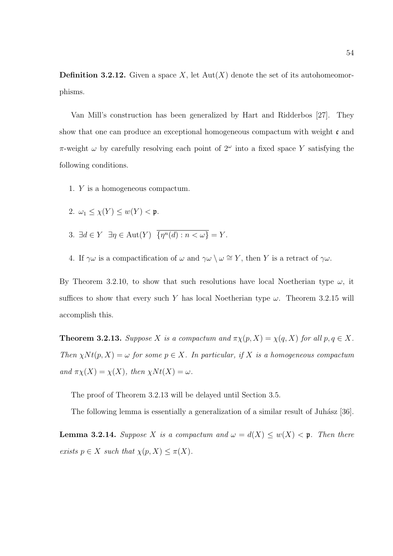**Definition 3.2.12.** Given a space X, let  $Aut(X)$  denote the set of its autohomeomorphisms.

Van Mill's construction has been generalized by Hart and Ridderbos [27]. They show that one can produce an exceptional homogeneous compactum with weight  $\mathfrak c$  and  $\pi$ -weight  $\omega$  by carefully resolving each point of  $2^{\omega}$  into a fixed space Y satisfying the following conditions.

1. Y is a homogeneous compactum.

$$
2. \, \omega_1 \le \chi(Y) \le w(Y) < \mathfrak{p}.
$$

- 3.  $\exists d \in Y \; \exists \eta \in \text{Aut}(Y) \; \{ \eta^n(d) : n < \omega \} = Y.$
- 4. If  $\gamma\omega$  is a compactification of  $\omega$  and  $\gamma\omega \setminus \omega \cong Y$ , then Y is a retract of  $\gamma\omega$ .

By Theorem 3.2.10, to show that such resolutions have local Noetherian type  $\omega$ , it suffices to show that every such Y has local Noetherian type  $\omega$ . Theorem 3.2.15 will accomplish this.

**Theorem 3.2.13.** Suppose X is a compactum and  $\pi \chi(p, X) = \chi(q, X)$  for all  $p, q \in X$ . Then  $\chi N t(p, X) = \omega$  for some  $p \in X$ . In particular, if X is a homogeneous compactum and  $\pi \chi(X) = \chi(X)$ , then  $\chi N t(X) = \omega$ .

The proof of Theorem 3.2.13 will be delayed until Section 3.5.

The following lemma is essentially a generalization of a similar result of Juhász [36].

**Lemma 3.2.14.** Suppose X is a compactum and  $\omega = d(X) \leq w(X) < \mathfrak{p}$ . Then there exists  $p \in X$  such that  $\chi(p, X) \leq \pi(X)$ .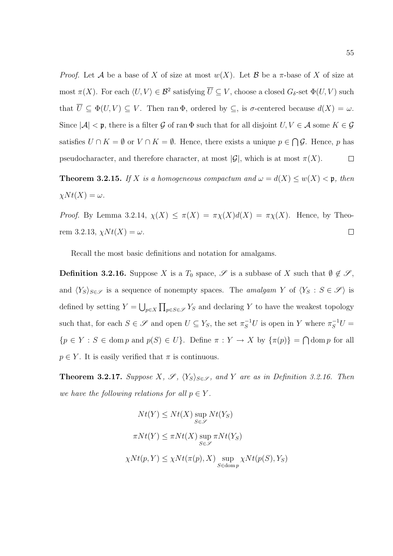*Proof.* Let A be a base of X of size at most  $w(X)$ . Let B be a  $\pi$ -base of X of size at most  $\pi(X)$ . For each  $\langle U, V \rangle \in \mathcal{B}^2$  satisfying  $\overline{U} \subseteq V$ , choose a closed  $G_{\delta}$ -set  $\Phi(U, V)$  such that  $\overline{U} \subseteq \Phi(U, V) \subseteq V$ . Then ran  $\Phi$ , ordered by  $\subseteq$ , is  $\sigma$ -centered because  $d(X) = \omega$ . Since  $|\mathcal{A}| < \mathfrak{p}$ , there is a filter G of ran  $\Phi$  such that for all disjoint  $U, V \in \mathcal{A}$  some  $K \in \mathcal{G}$ satisfies  $U \cap K = \emptyset$  or  $V \cap K = \emptyset$ . Hence, there exists a unique  $p \in \bigcap \mathcal{G}$ . Hence, p has pseudocharacter, and therefore character, at most  $|\mathcal{G}|$ , which is at most  $\pi(X)$ .  $\Box$ 

**Theorem 3.2.15.** If X is a homogeneous compactum and  $\omega = d(X) \leq w(X) < \mathfrak{p}$ , then  $\chi N t(X) = \omega$ .

Proof. By Lemma 3.2.14,  $\chi(X) \leq \pi(X) = \pi \chi(X)d(X) = \pi \chi(X)$ . Hence, by Theorem 3.2.13,  $\chi N t(X) = \omega$ .  $\Box$ 

Recall the most basic definitions and notation for amalgams.

**Definition 3.2.16.** Suppose X is a  $T_0$  space,  $\mathscr S$  is a subbase of X such that  $\emptyset \notin \mathscr S$ , and  $\langle Y_S \rangle_{S \in \mathscr{S}}$  is a sequence of nonempty spaces. The *amalgam Y* of  $\langle Y_S : S \in \mathscr{S} \rangle$  is defined by setting  $Y = \bigcup_{p \in X} \prod_{p \in S \in \mathcal{S}} Y_S$  and declaring Y to have the weakest topology such that, for each  $S \in \mathscr{S}$  and open  $U \subseteq Y_S$ , the set  $\pi_S^{-1}U$  is open in Y where  $\pi_S^{-1}U =$  ${p \in Y : S \in \text{dom } p \text{ and } p(S) \in U}$ . Define  $\pi : Y \to X$  by  ${\pi(p)} = \bigcap \text{dom } p \text{ for all }$  $p \in Y$ . It is easily verified that  $\pi$  is continuous.

**Theorem 3.2.17.** Suppose X,  $\mathscr{S}$ ,  $\langle Y_{S} \rangle_{S \in \mathscr{S}}$ , and Y are as in Definition 3.2.16. Then we have the following relations for all  $p \in Y$ .

$$
Nt(Y) \leq Nt(X) \sup_{S \in \mathscr{S}} Nt(Y_S)
$$
  

$$
\pi Nt(Y) \leq \pi Nt(X) \sup_{S \in \mathscr{S}} \pi Nt(Y_S)
$$
  

$$
\chi Nt(p, Y) \leq \chi Nt(\pi(p), X) \sup_{S \in \text{dom } p} \chi Nt(p(S), Y_S)
$$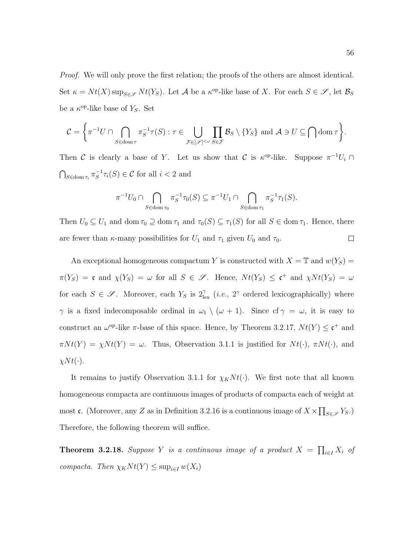Proof. We will only prove the first relation; the proofs of the others are almost identical. Set  $\kappa = Nt(X) \sup_{S \in \mathcal{S}} Nt(Y_S)$ . Let  $\mathcal A$  be a  $\kappa^{\text{op}}$ -like base of X. For each  $S \in \mathcal{S}$ , let  $\mathcal{B}_S$ be a  $\kappa^{\text{op}}$ -like base of  $Y_s$ . Set

$$
\mathcal{C} = \left\{ \pi^{-1}U \cap \bigcap_{S \in \text{dom}\,\tau} \pi_S^{-1}\tau(S) : \tau \in \bigcup_{\mathcal{F} \in [\mathscr{S}]^{<\omega}} \prod_{S \in \mathcal{F}} \mathcal{B}_S \setminus \{Y_S\} \text{ and } \mathcal{A} \ni U \subseteq \bigcap \text{dom}\,\tau \right\}.
$$

Then C is clearly a base of Y. Let us show that C is  $\kappa^{op}$ -like. Suppose  $\pi^{-1}U_i \cap$  $\bigcap_{S \in \text{dom } \tau_i} \pi_S^{-1}$  $\overline{S}^1 \tau_i(S) \in \mathcal{C}$  for all  $i < 2$  and

$$
\pi^{-1}U_0 \cap \bigcap_{S \in \text{dom } \tau_0} \pi_S^{-1} \tau_0(S) \subseteq \pi^{-1}U_1 \cap \bigcap_{S \in \text{dom } \tau_1} \pi_S^{-1} \tau_1(S).
$$

Then  $U_0 \subseteq U_1$  and dom  $\tau_0 \supseteq \text{dom } \tau_1$  and  $\tau_0(S) \subseteq \tau_1(S)$  for all  $S \in \text{dom } \tau_1$ . Hence, there  $\Box$ are fewer than  $\kappa$ -many possibilities for  $U_1$  and  $\tau_1$  given  $U_0$  and  $\tau_0$ .

An exceptional homogeneous compactum Y is constructed with  $X = \mathbb{T}$  and  $w(Y_S) =$  $\pi(Y_S) = \mathfrak{c}$  and  $\chi(Y_S) = \omega$  for all  $S \in \mathcal{S}$ . Hence,  $Nt(Y_S) \leq \mathfrak{c}^+$  and  $\chi Nt(Y_S) = \omega$ for each  $S \in \mathscr{S}$ . Moreover, each  $Y_S$  is  $2_{\text{lex}}^{\gamma}$  (*i.e.*,  $2^{\gamma}$  ordered lexicographically) where  $\gamma$  is a fixed indecomposable ordinal in  $\omega_1 \setminus (\omega + 1)$ . Since  $cf \gamma = \omega$ , it is easy to construct an  $\omega^{\rm op}$ -like  $\pi$ -base of this space. Hence, by Theorem 3.2.17,  $Nt(Y) \leq \mathfrak{c}^+$  and  $\pi N t(Y) = \chi N t(Y) = \omega$ . Thus, Observation 3.1.1 is justified for  $N t(\cdot)$ ,  $\pi N t(\cdot)$ , and  $\chi N t(\cdot).$ 

It remains to justify Observation 3.1.1 for  $\chi_K N t(\cdot)$ . We first note that all known homogeneous compacta are continuous images of products of compacta each of weight at most c. (Moreover, any Z as in Definition 3.2.16 is a continuous image of  $X \times \prod_{S \in \mathscr{S}} Y_S$ .) Therefore, the following theorem will suffice.

**Theorem 3.2.18.** Suppose Y is a continuous image of a product  $X = \prod_{i \in I} X_i$  of compacta. Then  $\chi_K N t(Y) \leq \sup_{i \in I} w(X_i)$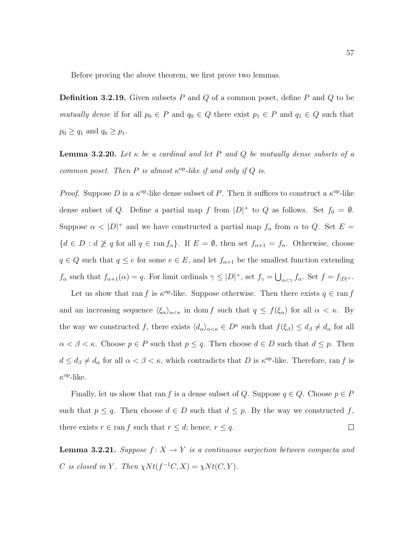Before proving the above theorem, we first prove two lemmas.

**Definition 3.2.19.** Given subsets P and Q of a common poset, define P and Q to be mutually dense if for all  $p_0 \in P$  and  $q_0 \in Q$  there exist  $p_1 \in P$  and  $q_1 \in Q$  such that  $p_0 \geq q_1$  and  $q_0 \geq p_1$ .

**Lemma 3.2.20.** Let  $\kappa$  be a cardinal and let P and Q be mutually dense subsets of a common poset. Then P is almost  $\kappa^{\rm op}$ -like if and only if Q is.

*Proof.* Suppose D is a  $\kappa^{\rm op}$ -like dense subset of P. Then it suffices to construct a  $\kappa^{\rm op}$ -like dense subset of Q. Define a partial map f from  $|D|$ <sup>+</sup> to Q as follows. Set  $f_0 = \emptyset$ . Suppose  $\alpha$  <  $|D|^+$  and we have constructed a partial map  $f_\alpha$  from  $\alpha$  to Q. Set  $E =$  ${d \in D : d \not\geq q \text{ for all } q \in \text{ran } f_\alpha }$ . If  $E = \emptyset$ , then set  $f_{\alpha+1} = f_\alpha$ . Otherwise, choose  $q \in Q$  such that  $q \leq e$  for some  $e \in E$ , and let  $f_{\alpha+1}$  be the smallest function extending  $f_{\alpha}$  such that  $f_{\alpha+1}(\alpha) = q$ . For limit ordinals  $\gamma \leq |D|^+$ , set  $f_{\gamma} = \bigcup_{\alpha < \gamma} f_{\alpha}$ . Set  $f = f_{|D|^+}$ .

Let us show that ran f is  $\kappa^{\text{op}}$ -like. Suppose otherwise. Then there exists  $q \in \text{ran } f$ and an increasing sequence  $\langle \xi_\alpha \rangle_{\alpha < \kappa}$  in dom f such that  $q \leq f(\xi_\alpha)$  for all  $\alpha < \kappa$ . By the way we constructed f, there exists  $\langle d_{\alpha} \rangle_{\alpha \leq \kappa} \in D^{\kappa}$  such that  $f(\xi_{\beta}) \leq d_{\beta} \neq d_{\alpha}$  for all  $\alpha < \beta < \kappa$ . Choose  $p \in P$  such that  $p \leq q$ . Then choose  $d \in D$  such that  $d \leq p$ . Then  $d \leq d_{\beta} \neq d_{\alpha}$  for all  $\alpha < \beta < \kappa$ , which contradicts that D is  $\kappa^{\rm op}$ -like. Therefore, ran f is  $\kappa^{\rm op}\text{-like}.$ 

Finally, let us show that ran f is a dense subset of Q. Suppose  $q \in Q$ . Choose  $p \in P$ such that  $p \leq q$ . Then choose  $d \in D$  such that  $d \leq p$ . By the way we constructed f, there exists  $r \in \text{ran } f$  such that  $r \leq d$ ; hence,  $r \leq q$ .  $\Box$ 

**Lemma 3.2.21.** Suppose  $f: X \to Y$  is a continuous surjection between compacta and C is closed in Y. Then  $\chi N t(f^{-1}C, X) = \chi N t(C, Y)$ .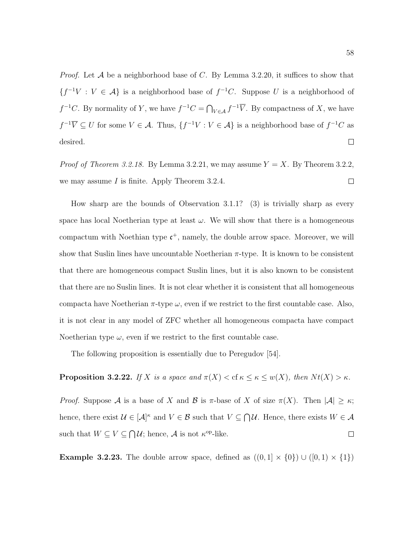*Proof.* Let  $A$  be a neighborhood base of  $C$ . By Lemma 3.2.20, it suffices to show that  ${f^{-1}V : V \in \mathcal{A}}$  is a neighborhood base of  $f^{-1}C$ . Suppose U is a neighborhood of  $f^{-1}C$ . By normality of Y, we have  $f^{-1}C = \bigcap_{V \in \mathcal{A}} f^{-1}\overline{V}$ . By compactness of X, we have  $f^{-1}\overline{V} \subseteq U$  for some  $V \in \mathcal{A}$ . Thus,  $\{f^{-1}V : V \in \mathcal{A}\}\$ is a neighborhood base of  $f^{-1}C$  as desired.  $\Box$ 

*Proof of Theorem 3.2.18.* By Lemma 3.2.21, we may assume  $Y = X$ . By Theorem 3.2.2, we may assume I is finite. Apply Theorem 3.2.4.  $\Box$ 

How sharp are the bounds of Observation 3.1.1? (3) is trivially sharp as every space has local Noetherian type at least  $\omega$ . We will show that there is a homogeneous compactum with Noethian type  $c^+$ , namely, the double arrow space. Moreover, we will show that Suslin lines have uncountable Noetherian  $\pi$ -type. It is known to be consistent that there are homogeneous compact Suslin lines, but it is also known to be consistent that there are no Suslin lines. It is not clear whether it is consistent that all homogeneous compacta have Noetherian  $\pi$ -type  $\omega$ , even if we restrict to the first countable case. Also, it is not clear in any model of ZFC whether all homogeneous compacta have compact Noetherian type  $\omega$ , even if we restrict to the first countable case.

The following proposition is essentially due to Peregudov [54].

### **Proposition 3.2.22.** If X is a space and  $\pi(X) < \text{cf } \kappa \leq \kappa \leq w(X)$ , then  $Nt(X) > \kappa$ .

Proof. Suppose A is a base of X and B is  $\pi$ -base of X of size  $\pi(X)$ . Then  $|\mathcal{A}| \geq \kappa$ ; hence, there exist  $\mathcal{U} \in [\mathcal{A}]^{\kappa}$  and  $V \in \mathcal{B}$  such that  $V \subseteq \bigcap \mathcal{U}$ . Hence, there exists  $W \in \mathcal{A}$ such that  $W \subseteq V \subseteq \bigcap \mathcal{U}$ ; hence,  $\mathcal{A}$  is not  $\kappa^{\text{op}}$ -like.  $\Box$ 

**Example 3.2.23.** The double arrow space, defined as  $((0,1] \times \{0\}) \cup ([0,1] \times \{1\})$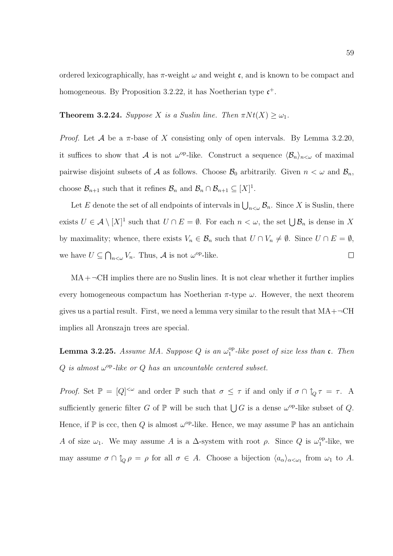ordered lexicographically, has  $\pi$ -weight  $\omega$  and weight c, and is known to be compact and homogeneous. By Proposition 3.2.22, it has Noetherian type  $\mathfrak{c}^+$ .

**Theorem 3.2.24.** Suppose X is a Suslin line. Then  $\pi N t(X) \geq \omega_1$ .

*Proof.* Let A be a  $\pi$ -base of X consisting only of open intervals. By Lemma 3.2.20, it suffices to show that A is not  $\omega^{\text{op}}$ -like. Construct a sequence  $\langle \mathcal{B}_n \rangle_{n \leq \omega}$  of maximal pairwise disjoint subsets of A as follows. Choose  $\mathcal{B}_0$  arbitrarily. Given  $n < \omega$  and  $\mathcal{B}_n$ , choose  $\mathcal{B}_{n+1}$  such that it refines  $\mathcal{B}_n$  and  $\mathcal{B}_n \cap \mathcal{B}_{n+1} \subseteq [X]^1$ .

Let E denote the set of all endpoints of intervals in  $\bigcup_{n<\omega}\mathcal{B}_n$ . Since X is Suslin, there exists  $U \in \mathcal{A} \setminus [X]^1$  such that  $U \cap E = \emptyset$ . For each  $n < \omega$ , the set  $\bigcup \mathcal{B}_n$  is dense in X by maximality; whence, there exists  $V_n \in \mathcal{B}_n$  such that  $U \cap V_n \neq \emptyset$ . Since  $U \cap E = \emptyset$ , we have  $U \subseteq \bigcap_{n<\omega} V_n$ . Thus, A is not  $\omega^{\text{op}}$ -like.  $\Box$ 

 $MA + \neg CH$  implies there are no Suslin lines. It is not clear whether it further implies every homogeneous compactum has Noetherian  $\pi$ -type  $\omega$ . However, the next theorem gives us a partial result. First, we need a lemma very similar to the result that  $MA+\neg CH$ implies all Aronszajn trees are special.

**Lemma 3.2.25.** Assume MA. Suppose Q is an  $\omega_1^{\text{op}}$  $_{1}^{\mathrm{op}}$ -like poset of size less than  $\mathfrak{c}$ . Then  $Q$  is almost  $\omega^{\rm op}$ -like or  $Q$  has an uncountable centered subset.

Proof. Set  $\mathbb{P} = [Q]^{<\omega}$  and order  $\mathbb P$  such that  $\sigma \leq \tau$  if and only if  $\sigma \cap \uparrow_Q \tau = \tau$ . A sufficiently generic filter G of  $\mathbb P$  will be such that  $\bigcup G$  is a dense  $\omega^{\text{op}}$ -like subset of Q. Hence, if  $\mathbb P$  is ccc, then Q is almost  $\omega^{\text{op}}$ -like. Hence, we may assume  $\mathbb P$  has an antichain A of size  $\omega_1$ . We may assume A is a  $\Delta$ -system with root  $\rho$ . Since Q is  $\omega_1^{\rm op}$  $n_1^{\rm op}$ -like, we may assume  $\sigma \cap \uparrow_Q \rho = \rho$  for all  $\sigma \in A$ . Choose a bijection  $\langle a_\alpha \rangle_{\alpha < \omega_1}$  from  $\omega_1$  to A.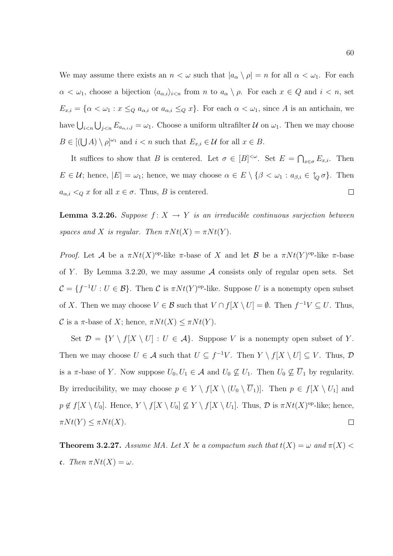We may assume there exists an  $n < \omega$  such that  $|a_{\alpha} \rangle \rho = n$  for all  $\alpha < \omega_1$ . For each  $\alpha < \omega_1$ , choose a bijection  $\langle a_{\alpha,i} \rangle_{i \leq n}$  from n to  $a_{\alpha} \setminus \rho$ . For each  $x \in Q$  and  $i < n$ , set  $E_{x,i} = \{\alpha < \omega_1 : x \leq_Q a_{\alpha,i}$  or  $a_{\alpha,i} \leq_Q x\}$ . For each  $\alpha < \omega_1$ , since A is an antichain, we have  $\bigcup_{i\leq n}\bigcup_{j\leq n}E_{a_{\alpha,i},j}=\omega_1$ . Choose a uniform ultrafilter  $\mathcal U$  on  $\omega_1$ . Then we may choose  $B \in [(\bigcup A) \setminus \rho]^{\omega_1}$  and  $i < n$  such that  $E_{x,i} \in \mathcal{U}$  for all  $x \in B$ .

It suffices to show that B is centered. Let  $\sigma \in [B]^{<\omega}$ . Set  $E = \bigcap_{x \in \sigma} E_{x,i}$ . Then  $E \in \mathcal{U}$ ; hence,  $|E| = \omega_1$ ; hence, we may choose  $\alpha \in E \setminus \{\beta < \omega_1 : a_{\beta,i} \in \hat{I}_Q \sigma\}$ . Then  $\Box$  $a_{\alpha,i} \leq Q \ x$  for all  $x \in \sigma$ . Thus, B is centered.

**Lemma 3.2.26.** Suppose  $f: X \rightarrow Y$  is an irreducible continuous surjection between spaces and X is regular. Then  $\pi N t(X) = \pi N t(Y)$ .

*Proof.* Let A be a  $\pi N t(X)$ <sup>op</sup>-like  $\pi$ -base of X and let B be a  $\pi N t(Y)$ <sup>op</sup>-like  $\pi$ -base of Y. By Lemma 3.2.20, we may assume  $A$  consists only of regular open sets. Set  $\mathcal{C} = \{f^{-1}U : U \in \mathcal{B}\}.$  Then  $\mathcal{C}$  is  $\pi N t(Y)$ <sup>op</sup>-like. Suppose U is a nonempty open subset of X. Then we may choose  $V \in \mathcal{B}$  such that  $V \cap f[X \setminus U] = \emptyset$ . Then  $f^{-1}V \subseteq U$ . Thus, C is a  $\pi$ -base of X; hence,  $\pi N t(X) \leq \pi N t(Y)$ .

Set  $\mathcal{D} = \{Y \setminus f[X \setminus U] : U \in \mathcal{A}\}.$  Suppose V is a nonempty open subset of Y. Then we may choose  $U \in \mathcal{A}$  such that  $U \subseteq f^{-1}V$ . Then  $Y \setminus f[X \setminus U] \subseteq V$ . Thus,  $\mathcal{D}$ is a  $\pi$ -base of Y. Now suppose  $U_0, U_1 \in \mathcal{A}$  and  $U_0 \nsubseteq U_1$ . Then  $U_0 \nsubseteq \overline{U}_1$  by regularity. By irreducibility, we may choose  $p \in Y \setminus f[X \setminus (U_0 \setminus \overline{U}_1)]$ . Then  $p \in f[X \setminus U_1]$  and  $p \notin f[X \setminus U_0]$ . Hence,  $Y \setminus f[X \setminus U_0] \nsubseteq Y \setminus f[X \setminus U_1]$ . Thus,  $\mathcal D$  is  $\pi N t(X)$ <sup>op</sup>-like; hence,  $\pi N t(Y) \leq \pi N t(X).$  $\Box$ 

**Theorem 3.2.27.** Assume MA. Let X be a compactum such that  $t(X) = \omega$  and  $\pi(X)$ c. Then  $\pi N t(X) = \omega$ .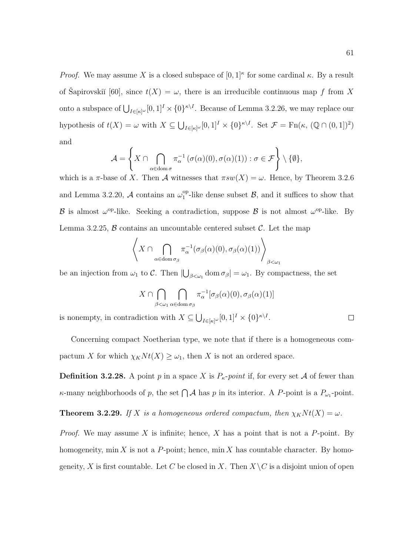*Proof.* We may assume X is a closed subspace of  $[0,1]^{\kappa}$  for some cardinal  $\kappa$ . By a result of Šapirovskiı̆ $[60]$ , since  $t(X) = \omega$ , there is an irreducible continuous map f from X onto a subspace of  $\bigcup_{I \in [\kappa]^{\omega}} [0,1]^I \times \{0\}^{\kappa \setminus I}$ . Because of Lemma 3.2.26, we may replace our hypothesis of  $t(X) = \omega$  with  $X \subseteq \bigcup_{I \in [\kappa]^{\omega}} [0,1]^I \times \{0\}^{\kappa \setminus I}$ . Set  $\mathcal{F} = \text{Fn}(\kappa, (\mathbb{Q} \cap (0,1])^2)$ and

$$
\mathcal{A} = \left\{ X \cap \bigcap_{\alpha \in \text{dom}\,\sigma} \pi_{\alpha}^{-1}(\sigma(\alpha)(0), \sigma(\alpha)(1)) : \sigma \in \mathcal{F} \right\} \setminus \{\emptyset\},\
$$

which is a  $\pi$ -base of X. Then A witnesses that  $\pi sw(X) = \omega$ . Hence, by Theorem 3.2.6 and Lemma 3.2.20, A contains an  $\omega_1^{\rm op}$  $_{1}^{\text{op}}$ -like dense subset  $\mathcal{B}$ , and it suffices to show that B is almost  $\omega^{\rm op}$ -like. Seeking a contradiction, suppose B is not almost  $\omega^{\rm op}$ -like. By Lemma 3.2.25,  $\beta$  contains an uncountable centered subset  $\beta$ . Let the map

$$
\left\langle X \cap \bigcap_{\alpha \in \text{dom}\,\sigma_{\beta}} \pi_{\alpha}^{-1}(\sigma_{\beta}(\alpha)(0), \sigma_{\beta}(\alpha)(1)) \right\rangle_{\beta < \omega_1}
$$

be an injection from  $\omega_1$  to C. Then  $|\bigcup_{\beta<\omega_1}$  dom  $\sigma_\beta|=\omega_1$ . By compactness, the set

$$
X \cap \bigcap_{\beta < \omega_1} \bigcap_{\alpha \in \text{dom}\,\sigma_\beta} \pi_\alpha^{-1}[\sigma_\beta(\alpha)(0), \sigma_\beta(\alpha)(1)]
$$

is nonempty, in contradiction with  $X \subseteq \bigcup_{I \in [\kappa]^{\omega}} [0,1]^I \times \{0\}^{\kappa \setminus I}.$ 

Concerning compact Noetherian type, we note that if there is a homogeneous compactum X for which  $\chi_K N t(X) \geq \omega_1$ , then X is not an ordered space.

**Definition 3.2.28.** A point p in a space X is  $P_{\kappa}$ -point if, for every set A of fewer than  $\kappa$ -many neighborhoods of p, the set  $\bigcap \mathcal{A}$  has p in its interior. A P-point is a  $P_{\omega_1}$ -point.

**Theorem 3.2.29.** If X is a homogeneous ordered compactum, then  $\chi_K N t(X) = \omega$ .

*Proof.* We may assume X is infinite; hence, X has a point that is not a P-point. By homogeneity, min X is not a P-point; hence, min X has countable character. By homogeneity, X is first countable. Let C be closed in X. Then  $X\setminus C$  is a disjoint union of open

 $\Box$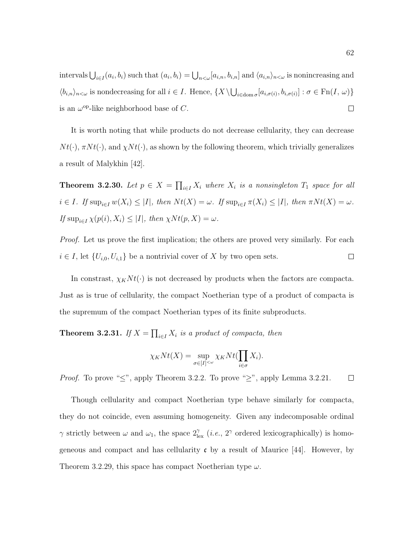intervals  $\bigcup_{i\in I}(a_i,b_i)$  such that  $(a_i,b_i) = \bigcup_{n<\omega}[a_{i,n},b_{i,n}]$  and  $\langle a_{i,n}\rangle_{n<\omega}$  is nonincreasing and  $\langle b_{i,n} \rangle_{n \leq \omega}$  is nondecreasing for all  $i \in I$ . Hence,  $\{X \setminus \bigcup_{i \in \text{dom }\sigma} [a_{i,\sigma(i)}, b_{i,\sigma(i)}]: \sigma \in \text{Fn}(I, \omega)\}\$ is an  $\omega^{\rm op}$ -like neighborhood base of C.  $\Box$ 

It is worth noting that while products do not decrease cellularity, they can decrease  $N t(\cdot)$ ,  $\pi N t(\cdot)$ , and  $\chi N t(\cdot)$ , as shown by the following theorem, which trivially generalizes a result of Malykhin [42].

**Theorem 3.2.30.** Let  $p \in X = \prod_{i \in I} X_i$  where  $X_i$  is a nonsingleton  $T_1$  space for all  $i \in I$ . If  $\sup_{i \in I} w(X_i) \leq |I|$ , then  $Nt(X) = \omega$ . If  $\sup_{i \in I} \pi(X_i) \leq |I|$ , then  $\pi Nt(X) = \omega$ . If  $\sup_{i\in I} \chi(p(i), X_i) \leq |I|$ , then  $\chi N t(p, X) = \omega$ .

*Proof.* Let us prove the first implication; the others are proved very similarly. For each  $\Box$  $i \in I$ , let  $\{U_{i,0}, U_{i,1}\}$  be a nontrivial cover of X by two open sets.

In constrast,  $\chi_K N t(\cdot)$  is not decreased by products when the factors are compacta. Just as is true of cellularity, the compact Noetherian type of a product of compacta is the supremum of the compact Noetherian types of its finite subproducts.

**Theorem 3.2.31.** If  $X = \prod_{i \in I} X_i$  is a product of compacta, then

$$
\chi_K Nt(X) = \sup_{\sigma \in [I]^{<\omega}} \chi_K Nt(\prod_{i \in \sigma} X_i).
$$

*Proof.* To prove " $\leq$ ", apply Theorem 3.2.2. To prove " $\geq$ ", apply Lemma 3.2.21.  $\Box$ 

Though cellularity and compact Noetherian type behave similarly for compacta, they do not coincide, even assuming homogeneity. Given any indecomposable ordinal  $\gamma$  strictly between  $\omega$  and  $\omega_1$ , the space  $2^{\gamma}_{\text{lex}}$  (*i.e.*, 2<sup> $\gamma$ </sup> ordered lexicographically) is homogeneous and compact and has cellularity  $\mathfrak c$  by a result of Maurice [44]. However, by Theorem 3.2.29, this space has compact Noetherian type  $\omega$ .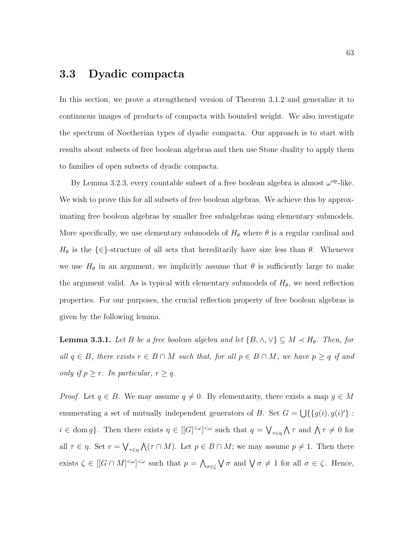### 3.3 Dyadic compacta

In this section, we prove a strengthened version of Theorem 3.1.2 and generalize it to continuous images of products of compacta with bounded weight. We also investigate the spectrum of Noetherian types of dyadic compacta. Our approach is to start with results about subsets of free boolean algebras and then use Stone duality to apply them to families of open subsets of dyadic compacta.

By Lemma 3.2.3, every countable subset of a free boolean algebra is almost  $\omega^{\rm op}\text{-like}$ . We wish to prove this for all subsets of free boolean algebras. We achieve this by approximating free boolean algebras by smaller free subalgebras using elementary submodels. More specifically, we use elementary submodels of  $H_{\theta}$  where  $\theta$  is a regular cardinal and  $H_{\theta}$  is the  $\{\in\}$ -structure of all sets that hereditarily have size less than  $\theta$ . Whenever we use  $H_{\theta}$  in an argument, we implicitly assume that  $\theta$  is sufficiently large to make the argument valid. As is typical with elementary submodels of  $H_{\theta}$ , we need reflection properties. For our purposes, the crucial reflection property of free boolean algebras is given by the following lemma.

**Lemma 3.3.1.** Let B be a free boolean algebra and let  $\{B, \wedge, \vee\} \subseteq M \prec H_{\theta}$ . Then, for all  $q \in B$ , there exists  $r \in B \cap M$  such that, for all  $p \in B \cap M$ , we have  $p \geq q$  if and only if  $p \geq r$ . In particular,  $r \geq q$ .

*Proof.* Let  $q \in B$ . We may assume  $q \neq 0$ . By elementarity, there exists a map  $g \in M$ enumerating a set of mutually independent generators of B. Set  $G = \bigcup \{ \{g(i), g(i)'\} :$  $i \in \text{dom } g$ . Then there exists  $\eta \in [[G]^{<\omega}]^{<\omega}$  such that  $q = \bigvee_{\tau \in \eta} \bigwedge \tau$  and  $\bigwedge \tau \neq 0$  for all  $\tau \in \eta$ . Set  $r = \bigvee_{\tau \in \eta} \bigwedge (\tau \cap M)$ . Let  $p \in B \cap M$ ; we may assume  $p \neq 1$ . Then there exists  $\zeta \in [[G \cap M]^{<\omega}]^{<\omega}$  such that  $p = \bigwedge_{\sigma \in \zeta} \bigvee \sigma$  and  $\bigvee \sigma \neq 1$  for all  $\sigma \in \zeta$ . Hence,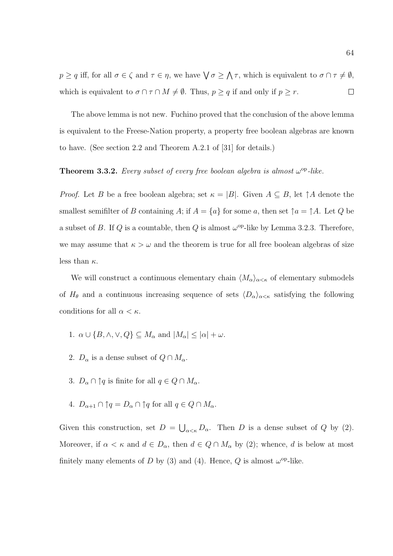$p \geq q$  iff, for all  $\sigma \in \zeta$  and  $\tau \in \eta$ , we have  $\bigvee \sigma \geq \bigwedge \tau$ , which is equivalent to  $\sigma \cap \tau \neq \emptyset$ , which is equivalent to  $\sigma \cap \tau \cap M \neq \emptyset$ . Thus,  $p \geq q$  if and only if  $p \geq r$ .  $\Box$ 

The above lemma is not new. Fuchino proved that the conclusion of the above lemma is equivalent to the Freese-Nation property, a property free boolean algebras are known to have. (See section 2.2 and Theorem A.2.1 of [31] for details.)

### **Theorem 3.3.2.** Every subset of every free boolean algebra is almost  $\omega^{\rm op}$ -like.

*Proof.* Let B be a free boolean algebra; set  $\kappa = |B|$ . Given  $A \subseteq B$ , let  $\uparrow A$  denote the smallest semifilter of B containing A; if  $A = \{a\}$  for some a, then set  $\uparrow a = \uparrow A$ . Let Q be a subset of B. If Q is a countable, then Q is almost  $\omega^{\rm op}$ -like by Lemma 3.2.3. Therefore, we may assume that  $\kappa > \omega$  and the theorem is true for all free boolean algebras of size less than  $\kappa$ .

We will construct a continuous elementary chain  $\langle M_{\alpha}\rangle_{\alpha<\kappa}$  of elementary submodels of  $H_{\theta}$  and a continuous increasing sequence of sets  $\langle D_{\alpha}\rangle_{\alpha<\kappa}$  satisfying the following conditions for all  $\alpha < \kappa$ .

- 1.  $\alpha \cup \{B, \wedge, \vee, Q\} \subseteq M_\alpha$  and  $|M_\alpha| \leq |\alpha| + \omega$ .
- 2.  $D_{\alpha}$  is a dense subset of  $Q \cap M_{\alpha}$ .
- 3.  $D_{\alpha} \cap \uparrow q$  is finite for all  $q \in Q \cap M_{\alpha}$ .
- 4.  $D_{\alpha+1} \cap \uparrow q = D_{\alpha} \cap \uparrow q$  for all  $q \in Q \cap M_{\alpha}$ .

Given this construction, set  $D = \bigcup_{\alpha < \kappa} D_\alpha$ . Then D is a dense subset of Q by (2). Moreover, if  $\alpha < \kappa$  and  $d \in D_{\alpha}$ , then  $d \in Q \cap M_{\alpha}$  by (2); whence, d is below at most finitely many elements of D by (3) and (4). Hence, Q is almost  $\omega^{\rm op}\text{-like}$ .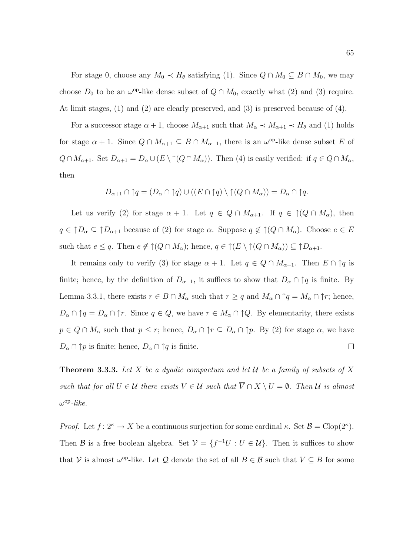For stage 0, choose any  $M_0 \prec H_\theta$  satisfying (1). Since  $Q \cap M_0 \subseteq B \cap M_0$ , we may choose  $D_0$  to be an  $\omega^{\text{op}}$ -like dense subset of  $Q \cap M_0$ , exactly what (2) and (3) require. At limit stages, (1) and (2) are clearly preserved, and (3) is preserved because of (4).

For a successor stage  $\alpha + 1$ , choose  $M_{\alpha+1}$  such that  $M_{\alpha} \prec M_{\alpha+1} \prec H_{\theta}$  and (1) holds for stage  $\alpha + 1$ . Since  $Q \cap M_{\alpha+1} \subseteq B \cap M_{\alpha+1}$ , there is an  $\omega^{\rm op}$ -like dense subset E of  $Q \cap M_{\alpha+1}$ . Set  $D_{\alpha+1} = D_{\alpha} \cup (E \setminus \uparrow (Q \cap M_{\alpha}))$ . Then (4) is easily verified: if  $q \in Q \cap M_{\alpha}$ , then

$$
D_{\alpha+1} \cap \uparrow q = (D_{\alpha} \cap \uparrow q) \cup ((E \cap \uparrow q) \setminus \uparrow (Q \cap M_{\alpha})) = D_{\alpha} \cap \uparrow q.
$$

Let us verify (2) for stage  $\alpha + 1$ . Let  $q \in Q \cap M_{\alpha+1}$ . If  $q \in \hat{P}(Q \cap M_{\alpha})$ , then  $q \in \uparrow D_\alpha \subseteq \uparrow D_{\alpha+1}$  because of (2) for stage  $\alpha$ . Suppose  $q \notin \uparrow (Q \cap M_\alpha)$ . Choose  $e \in E$ such that  $e \leq q$ . Then  $e \notin \uparrow (Q \cap M_\alpha)$ ; hence,  $q \in \uparrow (E \setminus \uparrow (Q \cap M_\alpha)) \subseteq \uparrow D_{\alpha+1}$ .

It remains only to verify (3) for stage  $\alpha + 1$ . Let  $q \in Q \cap M_{\alpha+1}$ . Then  $E \cap \uparrow q$  is finite; hence, by the definition of  $D_{\alpha+1}$ , it suffices to show that  $D_{\alpha} \cap \uparrow q$  is finite. By Lemma 3.3.1, there exists  $r \in B \cap M_\alpha$  such that  $r \geq q$  and  $M_\alpha \cap \uparrow q = M_\alpha \cap \uparrow r$ ; hence,  $D_{\alpha} \cap \uparrow q = D_{\alpha} \cap \uparrow r$ . Since  $q \in Q$ , we have  $r \in M_{\alpha} \cap \uparrow Q$ . By elementarity, there exists  $p \in Q \cap M_\alpha$  such that  $p \leq r$ ; hence,  $D_\alpha \cap \uparrow r \subseteq D_\alpha \cap \uparrow p$ . By (2) for stage  $\alpha$ , we have  $D_{\alpha} \cap \uparrow p$  is finite; hence,  $D_{\alpha} \cap \uparrow q$  is finite.  $\Box$ 

**Theorem 3.3.3.** Let X be a dyadic compactum and let U be a family of subsets of X such that for all  $U \in \mathcal{U}$  there exists  $V \in \mathcal{U}$  such that  $\overline{V} \cap \overline{X \setminus U} = \emptyset$ . Then  $\mathcal{U}$  is almost  $\omega^{\rm op}\text{-}like.$ 

*Proof.* Let  $f: 2^{\kappa} \to X$  be a continuous surjection for some cardinal  $\kappa$ . Set  $\mathcal{B} = \text{Clop}(2^{\kappa})$ . Then B is a free boolean algebra. Set  $V = \{f^{-1}U : U \in \mathcal{U}\}\$ . Then it suffices to show that V is almost  $\omega^{\text{op}}$ -like. Let Q denote the set of all  $B \in \mathcal{B}$  such that  $V \subseteq B$  for some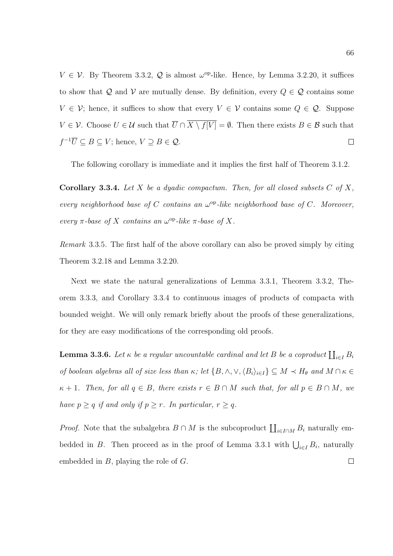$V \in V$ . By Theorem 3.3.2, Q is almost  $\omega^{\rm op}$ -like. Hence, by Lemma 3.2.20, it suffices to show that  $Q$  and  $V$  are mutually dense. By definition, every  $Q \in \mathcal{Q}$  contains some  $V \in \mathcal{V}$ ; hence, it suffices to show that every  $V \in \mathcal{V}$  contains some  $Q \in \mathcal{Q}$ . Suppose  $V \in \mathcal{V}$ . Choose  $U \in \mathcal{U}$  such that  $\overline{U} \cap \overline{X \setminus f[V]} = \emptyset$ . Then there exists  $B \in \mathcal{B}$  such that  $f^{-1}\overline{U} \subseteq B \subseteq V$ ; hence,  $V \supseteq B \in \mathcal{Q}$ .  $\Box$ 

The following corollary is immediate and it implies the first half of Theorem 3.1.2.

**Corollary 3.3.4.** Let X be a dyadic compactum. Then, for all closed subsets  $C$  of  $X$ , every neighborhood base of C contains an  $\omega^{\rm op}$ -like neighborhood base of C. Moreover, every  $\pi$ -base of X contains an  $\omega^{\rm op}$ -like  $\pi$ -base of X.

Remark 3.3.5. The first half of the above corollary can also be proved simply by citing Theorem 3.2.18 and Lemma 3.2.20.

Next we state the natural generalizations of Lemma 3.3.1, Theorem 3.3.2, Theorem 3.3.3, and Corollary 3.3.4 to continuous images of products of compacta with bounded weight. We will only remark briefly about the proofs of these generalizations, for they are easy modifications of the corresponding old proofs.

**Lemma 3.3.6.** Let  $\kappa$  be a regular uncountable cardinal and let B be a coproduct  $\prod_{i\in I} B_i$ of boolean algebras all of size less than  $\kappa$ ; let  $\{B, \wedge, \vee, \langle B_i \rangle_{i \in I}\} \subseteq M \prec H_\theta$  and  $M \cap \kappa \in$  $\kappa + 1$ . Then, for all  $q \in B$ , there exists  $r \in B \cap M$  such that, for all  $p \in B \cap M$ , we have  $p \geq q$  if and only if  $p \geq r$ . In particular,  $r \geq q$ .

*Proof.* Note that the subalgebra  $B \cap M$  is the subcoproduct  $\coprod_{i \in I \cap M} B_i$  naturally embedded in B. Then proceed as in the proof of Lemma 3.3.1 with  $\bigcup_{i\in I} B_i$ , naturally embedded in B, playing the role of G. $\Box$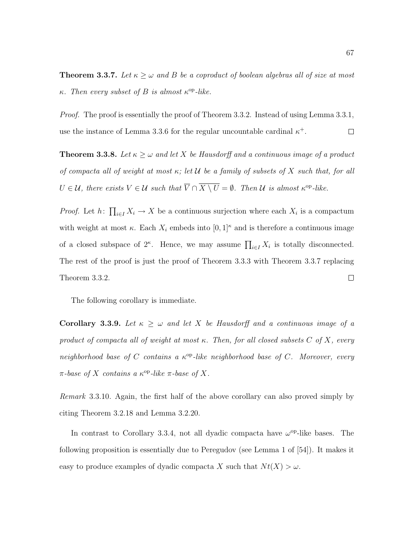**Theorem 3.3.7.** Let  $\kappa \geq \omega$  and B be a coproduct of boolean algebras all of size at most  $\kappa$ . Then every subset of B is almost  $\kappa^{\rm op}\text{-}like$ .

Proof. The proof is essentially the proof of Theorem 3.3.2. Instead of using Lemma 3.3.1, use the instance of Lemma 3.3.6 for the regular uncountable cardinal  $\kappa^+$ .  $\Box$ 

**Theorem 3.3.8.** Let  $\kappa \geq \omega$  and let X be Hausdorff and a continuous image of a product of compacta all of weight at most  $\kappa$ ; let  $\mathcal U$  be a family of subsets of X such that, for all  $U \in \mathcal{U}$ , there exists  $V \in \mathcal{U}$  such that  $\overline{V} \cap \overline{X \setminus U} = \emptyset$ . Then  $\mathcal{U}$  is almost  $\kappa^{\rm op}\text{-}like$ .

*Proof.* Let  $h: \prod_{i \in I} X_i \to X$  be a continuous surjection where each  $X_i$  is a compactum with weight at most  $\kappa$ . Each  $X_i$  embeds into  $[0,1]^{\kappa}$  and is therefore a continuous image of a closed subspace of  $2^{\kappa}$ . Hence, we may assume  $\prod_{i\in I} X_i$  is totally disconnected. The rest of the proof is just the proof of Theorem 3.3.3 with Theorem 3.3.7 replacing Theorem 3.3.2.  $\Box$ 

The following corollary is immediate.

Corollary 3.3.9. Let  $\kappa \geq \omega$  and let X be Hausdorff and a continuous image of a product of compacta all of weight at most  $\kappa$ . Then, for all closed subsets C of X, every neighborhood base of C contains a  $\kappa^{\rm op}$ -like neighborhood base of C. Moreover, every  $\pi$ -base of X contains a  $\kappa^{\rm op}\text{-}like$   $\pi$ -base of X.

Remark 3.3.10. Again, the first half of the above corollary can also proved simply by citing Theorem 3.2.18 and Lemma 3.2.20.

In contrast to Corollary 3.3.4, not all dyadic compacta have  $\omega^{\rm op}\text{-like}$  bases. The following proposition is essentially due to Peregudov (see Lemma 1 of [54]). It makes it easy to produce examples of dyadic compacta X such that  $N t(X) > \omega$ .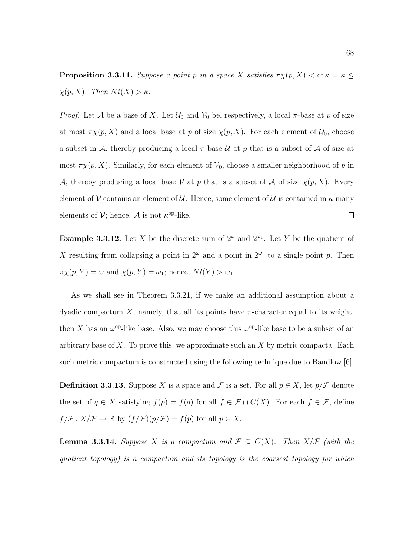**Proposition 3.3.11.** Suppose a point p in a space X satisfies  $\pi \chi(p, X) < \text{cf } \kappa = \kappa \leq$  $\chi(p, X)$ . Then  $Nt(X) > \kappa$ .

*Proof.* Let A be a base of X. Let  $\mathcal{U}_0$  and  $\mathcal{V}_0$  be, respectively, a local  $\pi$ -base at p of size at most  $\pi \chi(p, X)$  and a local base at p of size  $\chi(p, X)$ . For each element of  $\mathcal{U}_0$ , choose a subset in A, thereby producing a local  $\pi$ -base U at p that is a subset of A of size at most  $\pi \chi(p, X)$ . Similarly, for each element of  $\mathcal{V}_0$ , choose a smaller neighborhood of p in A, thereby producing a local base V at p that is a subset of A of size  $\chi(p, X)$ . Every element of V contains an element of U. Hence, some element of U is contained in  $\kappa$ -many elements of  $\mathcal{V}$ ; hence,  $\mathcal{A}$  is not  $\kappa^{\text{op}}$ -like.  $\Box$ 

**Example 3.3.12.** Let X be the discrete sum of  $2^{\omega}$  and  $2^{\omega_1}$ . Let Y be the quotient of X resulting from collapsing a point in  $2^{\omega}$  and a point in  $2^{\omega_1}$  to a single point p. Then  $\pi \chi(p, Y) = \omega$  and  $\chi(p, Y) = \omega_1$ ; hence,  $Nt(Y) > \omega_1$ .

As we shall see in Theorem 3.3.21, if we make an additional assumption about a dyadic compactum X, namely, that all its points have  $\pi$ -character equal to its weight, then X has an  $\omega^{\rm op}$ -like base. Also, we may choose this  $\omega^{\rm op}$ -like base to be a subset of an arbitrary base of  $X$ . To prove this, we approximate such an  $X$  by metric compacta. Each such metric compactum is constructed using the following technique due to Bandlow [6].

**Definition 3.3.13.** Suppose X is a space and F is a set. For all  $p \in X$ , let  $p/\mathcal{F}$  denote the set of  $q \in X$  satisfying  $f(p) = f(q)$  for all  $f \in \mathcal{F} \cap C(X)$ . For each  $f \in \mathcal{F}$ , define  $f/\mathcal{F}: X/\mathcal{F} \to \mathbb{R}$  by  $(f/\mathcal{F})(p/\mathcal{F}) = f(p)$  for all  $p \in X$ .

**Lemma 3.3.14.** Suppose X is a compactum and  $\mathcal{F} \subseteq C(X)$ . Then  $X/\mathcal{F}$  (with the quotient topology) is a compactum and its topology is the coarsest topology for which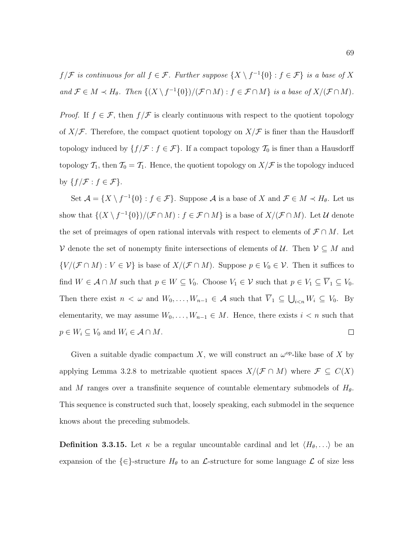$f/\mathcal{F}$  is continuous for all  $f \in \mathcal{F}$ . Further suppose  $\{X \setminus f^{-1}\{0\} : f \in \mathcal{F}\}\$ is a base of X and  $\mathcal{F} \in M \prec H_{\theta}$ . Then  $\{(X \setminus f^{-1}\{0\})/(\mathcal{F} \cap M) : f \in \mathcal{F} \cap M\}$  is a base of  $X/(\mathcal{F} \cap M)$ .

*Proof.* If  $f \in \mathcal{F}$ , then  $f/\mathcal{F}$  is clearly continuous with respect to the quotient topology of  $X/\mathcal{F}$ . Therefore, the compact quotient topology on  $X/\mathcal{F}$  is finer than the Hausdorff topology induced by  $\{f/\mathcal{F} : f \in \mathcal{F}\}\$ . If a compact topology  $\mathcal{T}_0$  is finer than a Hausdorff topology  $\mathcal{T}_1$ , then  $\mathcal{T}_0 = \mathcal{T}_1$ . Hence, the quotient topology on  $X/\mathcal{F}$  is the topology induced by  $\{f/\mathcal{F} : f \in \mathcal{F}\}.$ 

Set  $\mathcal{A} = \{X \setminus f^{-1}\{0\} : f \in \mathcal{F}\}\$ . Suppose  $\mathcal A$  is a base of X and  $\mathcal{F} \in M \prec H_{\theta}$ . Let us show that  $\{(X \setminus f^{-1}\{0\})/(\mathcal{F} \cap M) : f \in \mathcal{F} \cap M\}$  is a base of  $X/(\mathcal{F} \cap M)$ . Let U denote the set of preimages of open rational intervals with respect to elements of  $\mathcal{F} \cap M$ . Let V denote the set of nonempty finite intersections of elements of  $\mathcal{U}$ . Then  $\mathcal{V} \subseteq M$  and  $\{V/(\mathcal{F} \cap M) : V \in \mathcal{V}\}\$ is base of  $X/(\mathcal{F} \cap M)$ . Suppose  $p \in V_0 \in \mathcal{V}$ . Then it suffices to find  $W \in \mathcal{A} \cap M$  such that  $p \in W \subseteq V_0$ . Choose  $V_1 \in \mathcal{V}$  such that  $p \in V_1 \subseteq \overline{V}_1 \subseteq V_0$ . Then there exist  $n < \omega$  and  $W_0, \ldots, W_{n-1} \in \mathcal{A}$  such that  $\overline{V}_1 \subseteq \bigcup_{i \leq n} W_i \subseteq V_0$ . By elementarity, we may assume  $W_0, \ldots, W_{n-1} \in M$ . Hence, there exists  $i < n$  such that  $p \in W_i \subseteq V_0$  and  $W_i \in \mathcal{A} \cap M$ .  $\Box$ 

Given a suitable dyadic compactum X, we will construct an  $\omega^{\rm op}$ -like base of X by applying Lemma 3.2.8 to metrizable quotient spaces  $X/(\mathcal{F} \cap M)$  where  $\mathcal{F} \subseteq C(X)$ and M ranges over a transfinite sequence of countable elementary submodels of  $H_{\theta}$ . This sequence is constructed such that, loosely speaking, each submodel in the sequence knows about the preceding submodels.

**Definition 3.3.15.** Let  $\kappa$  be a regular uncountable cardinal and let  $\langle H_\theta, \ldots \rangle$  be an expansion of the  $\{\in\}$ -structure  $H_{\theta}$  to an  $\mathcal{L}$ -structure for some language  $\mathcal{L}$  of size less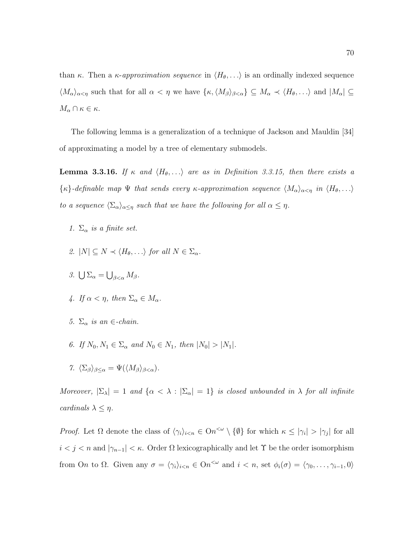than κ. Then a κ-approximation sequence in  $\langle H_\theta, \ldots \rangle$  is an ordinally indexed sequence  $\langle M_{\alpha}\rangle_{\alpha<\eta}$  such that for all  $\alpha<\eta$  we have  $\{\kappa,\langle M_{\beta}\rangle_{\beta<\alpha}\}\subseteq M_{\alpha}\prec\langle H_{\theta},\ldots\rangle$  and  $|M_{\alpha}|\subseteq$  $M_{\alpha} \cap \kappa \in \kappa$ .

The following lemma is a generalization of a technique of Jackson and Mauldin [34] of approximating a model by a tree of elementary submodels.

**Lemma 3.3.16.** If  $\kappa$  and  $\langle H_\theta, \ldots \rangle$  are as in Definition 3.3.15, then there exists a  $\{\kappa\}$ -definable map  $\Psi$  that sends every  $\kappa$ -approximation sequence  $\langle M_{\alpha}\rangle_{\alpha<\eta}$  in  $\langle H_{\theta},\ldots\rangle$ to a sequence  $\langle \Sigma_{\alpha} \rangle_{\alpha \leq \eta}$  such that we have the following for all  $\alpha \leq \eta$ .

- 1.  $\Sigma_{\alpha}$  is a finite set.
- 2.  $|N| \subset N \prec \langle H_{\theta}, \ldots \rangle$  for all  $N \in \Sigma_{\alpha}$ .
- 3.  $\bigcup \Sigma_{\alpha} = \bigcup_{\beta < \alpha} M_{\beta}$ .
- 4. If  $\alpha < \eta$ , then  $\Sigma_{\alpha} \in M_{\alpha}$ .
- 5.  $\Sigma_{\alpha}$  is an ∈-chain.
- 6. If  $N_0, N_1 \in \Sigma_\alpha$  and  $N_0 \in N_1$ , then  $|N_0| > |N_1|$ .
- 7.  $\langle \Sigma_{\beta} \rangle_{\beta \leq \alpha} = \Psi(\langle M_{\beta} \rangle_{\beta \leq \alpha}).$

Moreover,  $|\Sigma_{\lambda}| = 1$  and  $\{\alpha < \lambda : |\Sigma_{\alpha}| = 1\}$  is closed unbounded in  $\lambda$  for all infinite cardinals  $\lambda \leq \eta$ .

Proof. Let  $\Omega$  denote the class of  $\langle \gamma_i \rangle_{i \leq n} \in \Omega n^{\langle \omega \rangle} \setminus \{ \emptyset \}$  for which  $\kappa \leq |\gamma_i| > |\gamma_j|$  for all  $i < j < n$  and  $|\gamma_{n-1}| < \kappa$ . Order  $\Omega$  lexicographically and let  $\Upsilon$  be the order isomorphism from On to  $\Omega$ . Given any  $\sigma = \langle \gamma_i \rangle_{i \leq n} \in \Omega n^{\leq \omega}$  and  $i \leq n$ , set  $\phi_i(\sigma) = \langle \gamma_0, \ldots, \gamma_{i-1}, 0 \rangle$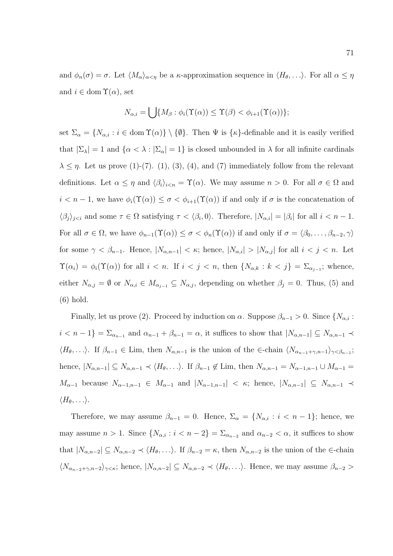and  $\phi_n(\sigma) = \sigma$ . Let  $\langle M_\alpha \rangle_{\alpha < \eta}$  be a  $\kappa$ -approximation sequence in  $\langle H_\theta, \ldots \rangle$ . For all  $\alpha \leq \eta$ and  $i \in \text{dom } \Upsilon(\alpha)$ , set

$$
N_{\alpha,i} = \bigcup \{ M_{\beta} : \phi_i(\Upsilon(\alpha)) \leq \Upsilon(\beta) < \phi_{i+1}(\Upsilon(\alpha)) \};
$$

set  $\Sigma_{\alpha} = \{N_{\alpha,i} : i \in \text{dom } \Upsilon(\alpha)\}\setminus \{\emptyset\}.$  Then  $\Psi$  is  $\{\kappa\}$ -definable and it is easily verified that  $|\Sigma_{\lambda}| = 1$  and  $\{\alpha < \lambda : |\Sigma_{\alpha}| = 1\}$  is closed unbounded in  $\lambda$  for all infinite cardinals  $\lambda \leq \eta$ . Let us prove (1)-(7). (1), (3), (4), and (7) immediately follow from the relevant definitions. Let  $\alpha \leq \eta$  and  $\langle \beta_i \rangle_{i \leq n} = \Upsilon(\alpha)$ . We may assume  $n > 0$ . For all  $\sigma \in \Omega$  and  $i < n-1$ , we have  $\phi_i(\Upsilon(\alpha)) \leq \sigma < \phi_{i+1}(\Upsilon(\alpha))$  if and only if  $\sigma$  is the concatenation of  $\langle \beta_j \rangle_{j \leq i}$  and some  $\tau \in \Omega$  satisfying  $\tau \langle \beta_i, 0 \rangle$ . Therefore,  $|N_{\alpha,i}| = |\beta_i|$  for all  $i \leq n-1$ . For all  $\sigma \in \Omega$ , we have  $\phi_{n-1}(\Upsilon(\alpha)) \leq \sigma < \phi_n(\Upsilon(\alpha))$  if and only if  $\sigma = \langle \beta_0, \ldots, \beta_{n-2}, \gamma \rangle$ for some  $\gamma < \beta_{n-1}$ . Hence,  $|N_{\alpha,n-1}| < \kappa$ ; hence,  $|N_{\alpha,i}| > |N_{\alpha,j}|$  for all  $i < j < n$ . Let  $\Upsilon(\alpha_i) = \phi_i(\Upsilon(\alpha))$  for all  $i < n$ . If  $i < j < n$ , then  $\{N_{\alpha,k} : k < j\} = \Sigma_{\alpha_{j-1}}$ ; whence, either  $N_{\alpha,j} = \emptyset$  or  $N_{\alpha,i} \in M_{\alpha_{j-1}} \subseteq N_{\alpha,j}$ , depending on whether  $\beta_j = 0$ . Thus, (5) and (6) hold.

Finally, let us prove (2). Proceed by induction on  $\alpha$ . Suppose  $\beta_{n-1} > 0$ . Since  $\{N_{\alpha,i} :$  $i < n-1$ } =  $\Sigma_{\alpha_{n-1}}$  and  $\alpha_{n-1} + \beta_{n-1} = \alpha$ , it suffices to show that  $|N_{\alpha,n-1}| \subseteq N_{\alpha,n-1} \prec$  $\langle H_\theta, \ldots \rangle$ . If  $\beta_{n-1} \in \text{Lim}$ , then  $N_{\alpha,n-1}$  is the union of the  $\in$ -chain  $\langle N_{\alpha_{n-1}+\gamma,n-1} \rangle_{\gamma < \beta_{n-1}}$ ; hence,  $|N_{\alpha,n-1}| \subseteq N_{\alpha,n-1} \prec \langle H_\theta, \ldots \rangle$ . If  $\beta_{n-1} \notin \text{Lim, then } N_{\alpha,n-1} = N_{\alpha-1,n-1} \cup M_{\alpha-1} =$  $M_{\alpha-1}$  because  $N_{\alpha-1,n-1} \in M_{\alpha-1}$  and  $|N_{\alpha-1,n-1}| < \kappa$ ; hence,  $|N_{\alpha,n-1}| \subseteq N_{\alpha,n-1} \prec$  $\langle H_\theta, \ldots \rangle$ .

Therefore, we may assume  $\beta_{n-1} = 0$ . Hence,  $\Sigma_{\alpha} = \{N_{\alpha,i} : i \leq n-1\}$ ; hence, we may assume  $n > 1$ . Since  $\{N_{\alpha,i} : i < n-2\} = \sum_{\alpha_{n-2}}$  and  $\alpha_{n-2} < \alpha$ , it suffices to show that  $|N_{\alpha,n-2}| \subseteq N_{\alpha,n-2} \prec \langle H_\theta,\ldots \rangle$ . If  $\beta_{n-2} = \kappa$ , then  $N_{\alpha,n-2}$  is the union of the ∈-chain  $\langle N_{\alpha_{n-2}+\gamma,n-2}\rangle_{\gamma\leq\kappa}$ ; hence,  $|N_{\alpha,n-2}|\subseteq N_{\alpha,n-2}\prec\langle H_{\theta},\ldots\rangle$ . Hence, we may assume  $\beta_{n-2}$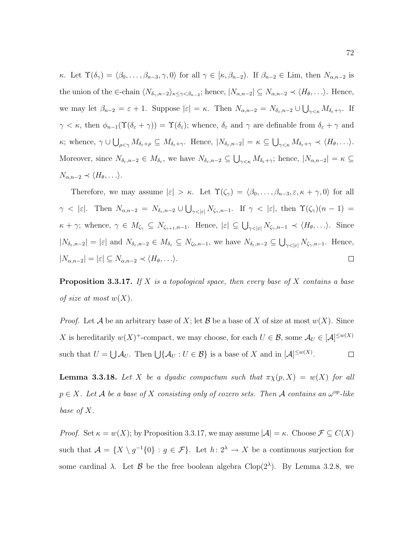κ. Let  $\Upsilon(\delta_\gamma) = \langle \beta_0, \ldots, \beta_{n-3}, \gamma, 0 \rangle$  for all  $\gamma \in [\kappa, \beta_{n-2})$ . If  $\beta_{n-2} \in \text{Lim}$ , then  $N_{\alpha,n-2}$  is the union of the ∈-chain  $\langle N_{\delta_{\gamma},n-2}\rangle_{\kappa\leq \gamma<\beta_{n-2}}$ ; hence,  $|N_{\alpha,n-2}|\subseteq N_{\alpha,n-2}\prec \langle H_{\theta},\ldots\rangle$ . Hence, we may let  $\beta_{n-2} = \varepsilon + 1$ . Suppose  $|\varepsilon| = \kappa$ . Then  $N_{\alpha,n-2} = N_{\delta_{\varepsilon},n-2} \cup \bigcup_{\gamma<\kappa} M_{\delta_{\varepsilon}+\gamma}$ . If  $\gamma < \kappa$ , then  $\phi_{n-1}(\Upsilon(\delta_{\varepsilon} + \gamma)) = \Upsilon(\delta_{\varepsilon})$ ; whence,  $\delta_{\varepsilon}$  and  $\gamma$  are definable from  $\delta_{\varepsilon} + \gamma$  and  $\kappa$ ; whence,  $\gamma \cup \bigcup_{\rho<\gamma} M_{\delta_{\varepsilon}+\rho} \subseteq M_{\delta_{\varepsilon}+\gamma}$ . Hence,  $|N_{\delta_{\varepsilon},n-2}| = \kappa \subseteq \bigcup_{\gamma<\kappa} M_{\delta_{\varepsilon}+\gamma} \prec \langle H_{\theta}, \ldots \rangle$ . Moreover, since  $N_{\delta_{\varepsilon},n-2} \in M_{\delta_{\varepsilon}}$ , we have  $N_{\delta_{\varepsilon},n-2} \subseteq \bigcup_{\gamma<\kappa} M_{\delta_{\varepsilon}+\gamma}$ ; hence,  $|N_{\alpha,n-2}| = \kappa \subseteq$  $N_{\alpha,n-2} \prec \langle H_\theta, \ldots \rangle$ .

Therefore, we may assume  $|\varepsilon| > \kappa$ . Let  $\Upsilon(\zeta_\gamma) = \langle \beta_0, \ldots, \beta_{n-3}, \varepsilon, \kappa + \gamma, 0 \rangle$  for all  $\gamma$  <  $|\varepsilon|$ . Then  $N_{\alpha,n-2} = N_{\delta_{\varepsilon},n-2} \cup \bigcup_{\gamma<|\varepsilon|} N_{\zeta_{\gamma},n-1}$ . If  $\gamma < |\varepsilon|$ , then  $\Upsilon(\zeta_{\gamma})(n-1) =$  $\kappa + \gamma$ ; whence,  $\gamma \in M_{\zeta_{\gamma}} \subseteq N_{\zeta_{\gamma+1},n-1}$ . Hence,  $|\varepsilon| \subseteq \bigcup_{\gamma < |\varepsilon|} N_{\zeta_{\gamma},n-1} \prec \langle H_{\theta}, \ldots \rangle$ . Since  $|N_{\delta_{\varepsilon},n-2}|=|\varepsilon|$  and  $N_{\delta_{\varepsilon},n-2}\in M_{\delta_{\varepsilon}}\subseteq N_{\zeta_0,n-1}$ , we have  $N_{\delta_{\varepsilon},n-2}\subseteq \bigcup_{\gamma<|\varepsilon|}N_{\zeta_{\gamma},n-1}$ . Hence,  $|N_{\alpha,n-2}| = |\varepsilon| \subseteq N_{\alpha,n-2} \prec \langle H_\theta, \ldots \rangle.$  $\Box$ 

**Proposition 3.3.17.** If X is a topological space, then every base of X contains a base of size at most  $w(X)$ .

*Proof.* Let A be an arbitrary base of X; let B be a base of X of size at most  $w(X)$ . Since X is hereditarily  $w(X)^+$ -compact, we may choose, for each  $U \in \mathcal{B}$ , some  $\mathcal{A}_U \in [\mathcal{A}]^{\leq w(X)}$ such that  $U = \bigcup \mathcal{A}_U$ . Then  $\bigcup \{\mathcal{A}_U : U \in \mathcal{B}\}$  is a base of X and in  $[\mathcal{A}]^{\leq w(X)}$ .  $\Box$ 

**Lemma 3.3.18.** Let X be a dyadic compactum such that  $\pi \chi(p, X) = w(X)$  for all  $p \in X$ . Let A be a base of X consisting only of cozero sets. Then A contains an  $\omega^{\rm op}\text{-}like$ base of X.

*Proof.* Set  $\kappa = w(X)$ ; by Proposition 3.3.17, we may assume  $|\mathcal{A}| = \kappa$ . Choose  $\mathcal{F} \subseteq C(X)$ such that  $\mathcal{A} = \{X \setminus g^{-1}\{0\} : g \in \mathcal{F}\}\$ . Let  $h: 2^{\lambda} \to X$  be a continuous surjection for some cardinal  $\lambda$ . Let  $\beta$  be the free boolean algebra Clop(2<sup> $\lambda$ </sup>). By Lemma 3.2.8, we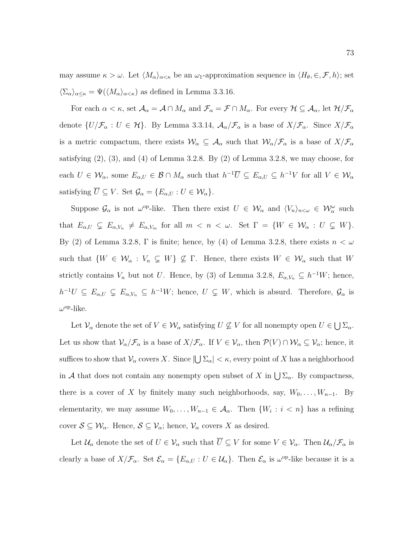may assume  $\kappa > \omega$ . Let  $\langle M_{\alpha}\rangle_{\alpha<\kappa}$  be an  $\omega_1$ -approximation sequence in  $\langle H_{\theta}, \in, \mathcal{F}, h \rangle$ ; set  $\langle \Sigma_{\alpha} \rangle_{\alpha \leq \kappa} = \Psi(\langle M_{\alpha} \rangle_{\alpha \leq \kappa})$  as defined in Lemma 3.3.16.

For each  $\alpha < \kappa$ , set  $\mathcal{A}_{\alpha} = \mathcal{A} \cap M_{\alpha}$  and  $\mathcal{F}_{\alpha} = \mathcal{F} \cap M_{\alpha}$ . For every  $\mathcal{H} \subseteq \mathcal{A}_{\alpha}$ , let  $\mathcal{H}/\mathcal{F}_{\alpha}$ denote  $\{U/\mathcal{F}_{\alpha}: U \in \mathcal{H}\}\$ . By Lemma 3.3.14,  $\mathcal{A}_{\alpha}/\mathcal{F}_{\alpha}$  is a base of  $X/\mathcal{F}_{\alpha}$ . Since  $X/\mathcal{F}_{\alpha}$ is a metric compactum, there exists  $W_\alpha \subseteq A_\alpha$  such that  $W_\alpha/\mathcal{F}_\alpha$  is a base of  $X/\mathcal{F}_\alpha$ satisfying  $(2)$ ,  $(3)$ , and  $(4)$  of Lemma 3.2.8. By  $(2)$  of Lemma 3.2.8, we may choose, for each  $U \in \mathcal{W}_{\alpha}$ , some  $E_{\alpha,U} \in \mathcal{B} \cap M_{\alpha}$  such that  $h^{-1}\overline{U} \subseteq E_{\alpha,U} \subseteq h^{-1}V$  for all  $V \in \mathcal{W}_{\alpha}$ satisfying  $\overline{U} \subseteq V$ . Set  $\mathcal{G}_{\alpha} = \{E_{\alpha,U} : U \in \mathcal{W}_{\alpha}\}.$ 

Suppose  $\mathcal{G}_\alpha$  is not  $\omega^{\text{op}}$ -like. Then there exist  $U \in \mathcal{W}_\alpha$  and  $\langle V_n \rangle_{n \leq \omega} \in \mathcal{W}_\alpha^{\omega}$  such that  $E_{\alpha,U} \subsetneq E_{\alpha,V_n} \neq E_{\alpha,V_m}$  for all  $m \langle n \rangle \langle n \rangle$ . Set  $\Gamma = \{W \in \mathcal{W}_{\alpha} : U \subsetneq W\}$ . By (2) of Lemma 3.2.8, Γ is finite; hence, by (4) of Lemma 3.2.8, there exists  $n < \omega$ such that  $\{W \in \mathcal{W}_\alpha : V_n \subsetneq W\} \nsubseteq \Gamma$ . Hence, there exists  $W \in \mathcal{W}_\alpha$  such that W strictly contains  $V_n$  but not U. Hence, by (3) of Lemma 3.2.8,  $E_{\alpha,V_n} \subseteq h^{-1}W$ ; hence,  $h^{-1}U \subseteq E_{\alpha,U} \subsetneq E_{\alpha,V_n} \subseteq h^{-1}W$ ; hence,  $U \subsetneq W$ , which is absurd. Therefore,  $\mathcal{G}_{\alpha}$  is  $\omega^{\rm op}\text{-like}.$ 

Let  $\mathcal{V}_{\alpha}$  denote the set of  $V \in \mathcal{W}_{\alpha}$  satisfying  $U \nsubseteq V$  for all nonempty open  $U \in \bigcup \Sigma_{\alpha}$ . Let us show that  $\mathcal{V}_{\alpha}/\mathcal{F}_{\alpha}$  is a base of  $X/\mathcal{F}_{\alpha}$ . If  $V \in \mathcal{V}_{\alpha}$ , then  $\mathcal{P}(V) \cap \mathcal{W}_{\alpha} \subseteq \mathcal{V}_{\alpha}$ ; hence, it suffices to show that  $\mathcal{V}_\alpha$  covers X. Since  $|\bigcup \Sigma_\alpha| < \kappa$ , every point of X has a neighborhood in A that does not contain any nonempty open subset of X in  $\bigcup \Sigma_{\alpha}$ . By compactness, there is a cover of X by finitely many such neighborhoods, say,  $W_0, \ldots, W_{n-1}$ . By elementarity, we may assume  $W_0, \ldots, W_{n-1} \in \mathcal{A}_{\alpha}$ . Then  $\{W_i : i < n\}$  has a refining cover  $S \subseteq \mathcal{W}_\alpha$ . Hence,  $S \subseteq \mathcal{V}_\alpha$ ; hence,  $\mathcal{V}_\alpha$  covers X as desired.

Let  $\mathcal{U}_{\alpha}$  denote the set of  $U \in \mathcal{V}_{\alpha}$  such that  $\overline{U} \subseteq V$  for some  $V \in \mathcal{V}_{\alpha}$ . Then  $\mathcal{U}_{\alpha}/\mathcal{F}_{\alpha}$  is clearly a base of  $X/\mathcal{F}_{\alpha}$ . Set  $\mathcal{E}_{\alpha} = \{E_{\alpha,U} : U \in \mathcal{U}_{\alpha}\}\$ . Then  $\mathcal{E}_{\alpha}$  is  $\omega^{\text{op}}$ -like because it is a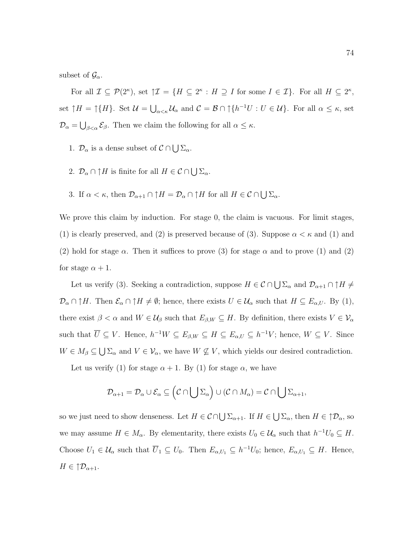subset of  $\mathcal{G}_{\alpha}$ .

For all  $\mathcal{I} \subseteq \mathcal{P}(2^{\kappa})$ , set  $\mathcal{I} \mathcal{I} = \{H \subseteq 2^{\kappa} : H \supseteq I \text{ for some } I \in \mathcal{I}\}\.$  For all  $H \subseteq 2^{\kappa}$ , set  $\uparrow H = \uparrow \{H\}$ . Set  $\mathcal{U} = \bigcup_{\alpha < \kappa} \mathcal{U}_{\alpha}$  and  $\mathcal{C} = \mathcal{B} \cap \uparrow \{h^{-1}U : U \in \mathcal{U}\}$ . For all  $\alpha \leq \kappa$ , set  $\mathcal{D}_{\alpha} = \bigcup_{\beta < \alpha} \mathcal{E}_{\beta}$ . Then we claim the following for all  $\alpha \leq \kappa$ .

- 1.  $\mathcal{D}_{\alpha}$  is a dense subset of  $\mathcal{C} \cap \bigcup \Sigma_{\alpha}$ .
- 2.  $\mathcal{D}_{\alpha} \cap \uparrow H$  is finite for all  $H \in \mathcal{C} \cap \bigcup \Sigma_{\alpha}$ .
- 3. If  $\alpha < \kappa$ , then  $\mathcal{D}_{\alpha+1} \cap \uparrow H = \mathcal{D}_{\alpha} \cap \uparrow H$  for all  $H \in \mathcal{C} \cap \bigcup \Sigma_{\alpha}$ .

We prove this claim by induction. For stage 0, the claim is vacuous. For limit stages, (1) is clearly preserved, and (2) is preserved because of (3). Suppose  $\alpha < \kappa$  and (1) and (2) hold for stage  $\alpha$ . Then it suffices to prove (3) for stage  $\alpha$  and to prove (1) and (2) for stage  $\alpha + 1$ .

Let us verify (3). Seeking a contradiction, suppose  $H \in \mathcal{C} \cap \bigcup \Sigma_{\alpha}$  and  $\mathcal{D}_{\alpha+1} \cap \uparrow H \neq$  $\mathcal{D}_{\alpha} \cap \uparrow H$ . Then  $\mathcal{E}_{\alpha} \cap \uparrow H \neq \emptyset$ ; hence, there exists  $U \in \mathcal{U}_{\alpha}$  such that  $H \subseteq E_{\alpha,U}$ . By (1), there exist  $\beta < \alpha$  and  $W \in \mathcal{U}_{\beta}$  such that  $E_{\beta,W} \subseteq H$ . By definition, there exists  $V \in \mathcal{V}_{\alpha}$ such that  $\overline{U} \subseteq V$ . Hence,  $h^{-1}W \subseteq E_{\beta,W} \subseteq H \subseteq E_{\alpha,U} \subseteq h^{-1}V$ ; hence,  $W \subseteq V$ . Since  $W \in M_\beta \subseteq \bigcup \Sigma_\alpha$  and  $V \in \mathcal{V}_\alpha$ , we have  $W \nsubseteq V$ , which yields our desired contradiction.

Let us verify (1) for stage  $\alpha + 1$ . By (1) for stage  $\alpha$ , we have

$$
\mathcal{D}_{\alpha+1}=\mathcal{D}_{\alpha}\cup\mathcal{E}_{\alpha}\subseteq(\mathcal{C}\cap\bigcup\Sigma_{\alpha})\cup(\mathcal{C}\cap M_{\alpha})=\mathcal{C}\cap\bigcup\Sigma_{\alpha+1},
$$

so we just need to show denseness. Let  $H \in \mathcal{C} \cap \bigcup \Sigma_{\alpha+1}$ . If  $H \in \bigcup \Sigma_{\alpha}$ , then  $H \in \mathcal{D}_{\alpha}$ , so we may assume  $H \in M_\alpha$ . By elementarity, there exists  $U_0 \in \mathcal{U}_\alpha$  such that  $h^{-1}U_0 \subseteq H$ . Choose  $U_1 \in \mathcal{U}_{\alpha}$  such that  $\overline{U}_1 \subseteq U_0$ . Then  $E_{\alpha,U_1} \subseteq h^{-1}U_0$ ; hence,  $E_{\alpha,U_1} \subseteq H$ . Hence,  $H \in \uparrow \mathcal{D}_{\alpha+1}.$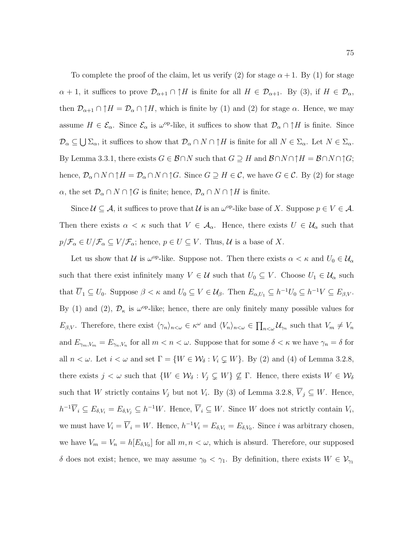To complete the proof of the claim, let us verify (2) for stage  $\alpha + 1$ . By (1) for stage  $\alpha + 1$ , it suffices to prove  $\mathcal{D}_{\alpha+1} \cap \uparrow H$  is finite for all  $H \in \mathcal{D}_{\alpha+1}$ . By (3), if  $H \in \mathcal{D}_{\alpha}$ , then  $\mathcal{D}_{\alpha+1} \cap \uparrow H = \mathcal{D}_{\alpha} \cap \uparrow H$ , which is finite by (1) and (2) for stage  $\alpha$ . Hence, we may assume  $H \in \mathcal{E}_{\alpha}$ . Since  $\mathcal{E}_{\alpha}$  is  $\omega^{\text{op-like}}$ , it suffices to show that  $\mathcal{D}_{\alpha} \cap \uparrow H$  is finite. Since  $\mathcal{D}_{\alpha} \subseteq \bigcup \Sigma_{\alpha}$ , it suffices to show that  $\mathcal{D}_{\alpha} \cap N \cap \uparrow H$  is finite for all  $N \in \Sigma_{\alpha}$ . Let  $N \in \Sigma_{\alpha}$ . By Lemma 3.3.1, there exists  $G \in \mathcal{B} \cap N$  such that  $G \supseteq H$  and  $\mathcal{B} \cap N \cap \uparrow H = \mathcal{B} \cap N \cap \uparrow G$ ; hence,  $\mathcal{D}_{\alpha} \cap N \cap \uparrow H = \mathcal{D}_{\alpha} \cap N \cap \uparrow G$ . Since  $G \supseteq H \in \mathcal{C}$ , we have  $G \in \mathcal{C}$ . By (2) for stage  $\alpha$ , the set  $\mathcal{D}_{\alpha} \cap N \cap \uparrow G$  is finite; hence,  $\mathcal{D}_{\alpha} \cap N \cap \uparrow H$  is finite.

Since  $\mathcal{U} \subseteq \mathcal{A}$ , it suffices to prove that  $\mathcal{U}$  is an  $\omega^{\text{op}}$ -like base of X. Suppose  $p \in V \in \mathcal{A}$ . Then there exists  $\alpha < \kappa$  such that  $V \in \mathcal{A}_{\alpha}$ . Hence, there exists  $U \in \mathcal{U}_{\alpha}$  such that  $p/\mathcal{F}_{\alpha} \in U/\mathcal{F}_{\alpha} \subseteq V/\mathcal{F}_{\alpha}$ ; hence,  $p \in U \subseteq V$ . Thus,  $\mathcal{U}$  is a base of X.

Let us show that U is  $\omega^{\text{op}}$ -like. Suppose not. Then there exists  $\alpha < \kappa$  and  $U_0 \in \mathcal{U}_\alpha$ such that there exist infinitely many  $V \in \mathcal{U}$  such that  $U_0 \subseteq V$ . Choose  $U_1 \in \mathcal{U}_{\alpha}$  such that  $\overline{U}_1 \subseteq U_0$ . Suppose  $\beta < \kappa$  and  $U_0 \subseteq V \in \mathcal{U}_{\beta}$ . Then  $E_{\alpha,U_1} \subseteq h^{-1}U_0 \subseteq h^{-1}V \subseteq E_{\beta,V}$ . By (1) and (2),  $\mathcal{D}_{\kappa}$  is  $\omega^{\text{op}}$ -like; hence, there are only finitely many possible values for  $E_{\beta,V}$ . Therefore, there exist  $\langle \gamma_n \rangle_{n \langle \omega} \in \kappa^\omega$  and  $\langle V_n \rangle_{n \langle \omega} \in \prod_{n \langle \omega} \mathcal{U}_{\gamma_n}$  such that  $V_m \neq V_m$ and  $E_{\gamma_m,V_m} = E_{\gamma_n,V_n}$  for all  $m < n < \omega$ . Suppose that for some  $\delta < \kappa$  we have  $\gamma_n = \delta$  for all  $n < \omega$ . Let  $i < \omega$  and set  $\Gamma = \{W \in \mathcal{W}_{\delta} : V_i \subsetneq W\}$ . By (2) and (4) of Lemma 3.2.8, there exists  $j < \omega$  such that  $\{W \in \mathcal{W}_{\delta} : V_j \subsetneq W\} \nsubseteq \Gamma$ . Hence, there exists  $W \in \mathcal{W}_{\delta}$ such that W strictly contains  $V_j$  but not  $V_i$ . By (3) of Lemma 3.2.8,  $\overline{V}_j \subseteq W$ . Hence,  $h^{-1}\overline{V}_i \subseteq E_{\delta,V_i} = E_{\delta,V_j} \subseteq h^{-1}W$ . Hence,  $\overline{V}_i \subseteq W$ . Since W does not strictly contain  $V_i$ , we must have  $V_i = \overline{V}_i = W$ . Hence,  $h^{-1}V_i = E_{\delta, V_i} = E_{\delta, V_0}$ . Since i was arbitrary chosen, we have  $V_m = V_n = h[E_{\delta, V_0}]$  for all  $m, n < \omega$ , which is absurd. Therefore, our supposed  $\delta$  does not exist; hence, we may assume  $\gamma_0 < \gamma_1$ . By definition, there exists  $W \in \mathcal{V}_{\gamma_1}$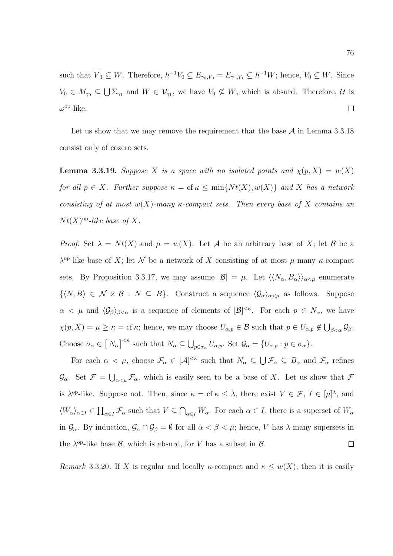such that  $\overline{V}_1 \subseteq W$ . Therefore,  $h^{-1}V_0 \subseteq E_{\gamma_0,V_0} = E_{\gamma_1,V_1} \subseteq h^{-1}W$ ; hence,  $V_0 \subseteq W$ . Since  $V_0 \in M_{\gamma_0} \subseteq \bigcup \Sigma_{\gamma_1}$  and  $W \in \mathcal{V}_{\gamma_1}$ , we have  $V_0 \nsubseteq W$ , which is absurd. Therefore, U is  $\omega^{\rm op}\text{-like}.$  $\Box$ 

Let us show that we may remove the requirement that the base  $\mathcal A$  in Lemma 3.3.18 consist only of cozero sets.

**Lemma 3.3.19.** Suppose X is a space with no isolated points and  $\chi(p, X) = w(X)$ for all  $p \in X$ . Further suppose  $\kappa = \text{cf } \kappa \le \min\{Nt(X), w(X)\}\$  and X has a network consisting of at most  $w(X)$ -many  $\kappa$ -compact sets. Then every base of X contains an  $Nt(X)$ <sup>op</sup>-like base of X.

*Proof.* Set  $\lambda = N t(X)$  and  $\mu = w(X)$ . Let A be an arbitrary base of X; let B be a  $\lambda^{\text{op}}$ -like base of X; let N be a network of X consisting of at most  $\mu$ -many  $\kappa$ -compact sets. By Proposition 3.3.17, we may assume  $|\mathcal{B}| = \mu$ . Let  $\langle \langle N_{\alpha}, B_{\alpha} \rangle \rangle_{\alpha \leq \mu}$  enumerate  $\{\langle N, B\rangle \in \mathcal{N} \times \mathcal{B} : N \subseteq B\}.$  Construct a sequence  $\langle \mathcal{G}_{\alpha}\rangle_{\alpha\leq \mu}$  as follows. Suppose  $\alpha < \mu$  and  $\langle \mathcal{G}_{\beta} \rangle_{\beta < \alpha}$  is a sequence of elements of  $[\mathcal{B}]^{<\kappa}$ . For each  $p \in N_{\alpha}$ , we have  $\chi(p, X) = \mu \geq \kappa = \text{cf } \kappa$ ; hence, we may choose  $U_{\alpha, p} \in \mathcal{B}$  such that  $p \in U_{\alpha, p} \notin \bigcup_{\beta < \alpha} \mathcal{G}_{\beta}$ . Choose  $\sigma_{\alpha} \in [N_{\alpha}]^{\leq \kappa}$  such that  $N_{\alpha} \subseteq \bigcup_{p \in \sigma_{\alpha}} U_{\alpha,p}$ . Set  $\mathcal{G}_{\alpha} = \{U_{\alpha,p} : p \in \sigma_{\alpha}\}.$ 

For each  $\alpha < \mu$ , choose  $\mathcal{F}_{\alpha} \in [\mathcal{A}]^{<\kappa}$  such that  $N_{\alpha} \subseteq \bigcup \mathcal{F}_{\alpha} \subseteq B_{\alpha}$  and  $\mathcal{F}_{\alpha}$  refines  $\mathcal{G}_{\alpha}$ . Set  $\mathcal{F} = \bigcup_{\alpha<\mu} \mathcal{F}_{\alpha}$ , which is easily seen to be a base of X. Let us show that  $\mathcal{F}$ is  $\lambda^{\text{op}}$ -like. Suppose not. Then, since  $\kappa = \text{cf } \kappa \leq \lambda$ , there exist  $V \in \mathcal{F}, I \in [\mu]^{\lambda}$ , and  $\langle W_{\alpha}\rangle_{\alpha\in I}\in\prod_{\alpha\in I}\mathcal{F}_{\alpha}$  such that  $V\subseteq\bigcap_{\alpha\in I}W_{\alpha}$ . For each  $\alpha\in I$ , there is a superset of  $W_{\alpha}$ in  $\mathcal{G}_{\alpha}$ . By induction,  $\mathcal{G}_{\alpha} \cap \mathcal{G}_{\beta} = \emptyset$  for all  $\alpha < \beta < \mu$ ; hence, V has  $\lambda$ -many supersets in the  $\lambda^{\rm op}$ -like base  $\mathcal{B}$ , which is absurd, for V has a subset in  $\mathcal{B}$ .  $\Box$ 

Remark 3.3.20. If X is regular and locally  $\kappa$ -compact and  $\kappa \leq w(X)$ , then it is easily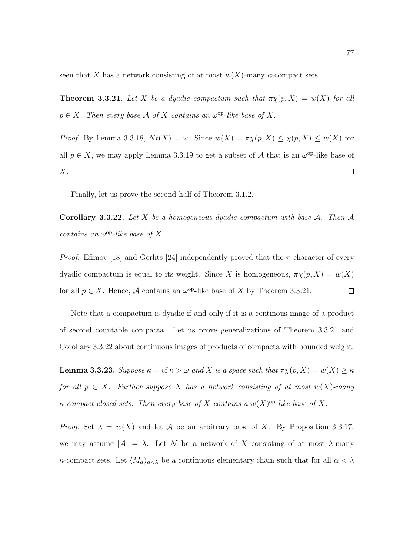seen that X has a network consisting of at most  $w(X)$ -many  $\kappa$ -compact sets.

**Theorem 3.3.21.** Let X be a dyadic compactum such that  $\pi \chi(p, X) = w(X)$  for all  $p \in X$ . Then every base A of X contains an  $\omega^{\rm op}$ -like base of X.

*Proof.* By Lemma 3.3.18,  $Nt(X) = \omega$ . Since  $w(X) = \pi \chi(p, X) \leq \chi(p, X) \leq w(X)$  for all  $p \in X$ , we may apply Lemma 3.3.19 to get a subset of A that is an  $\omega^{\text{op}}$ -like base of X.  $\Box$ 

Finally, let us prove the second half of Theorem 3.1.2.

**Corollary 3.3.22.** Let X be a homogeneous dyadic compactum with base A. Then A contains an  $\omega^{\rm op}\text{-}like$  base of X.

*Proof.* Efimov [18] and Gerlits [24] independently proved that the  $\pi$ -character of every dyadic compactum is equal to its weight. Since X is homogeneous,  $\pi \chi(p, X) = w(X)$ for all  $p \in X$ . Hence, A contains an  $\omega^{\rm op}$ -like base of X by Theorem 3.3.21.  $\Box$ 

Note that a compactum is dyadic if and only if it is a continous image of a product of second countable compacta. Let us prove generalizations of Theorem 3.3.21 and Corollary 3.3.22 about continuous images of products of compacta with bounded weight.

**Lemma 3.3.23.** Suppose  $\kappa = \text{cf } \kappa > \omega$  and X is a space such that  $\pi \chi(p, X) = w(X) \ge \kappa$ for all  $p \in X$ . Further suppose X has a network consisting of at most  $w(X)$ -many  $\kappa$ -compact closed sets. Then every base of X contains a  $w(X)$ <sup>op</sup>-like base of X.

*Proof.* Set  $\lambda = w(X)$  and let A be an arbitrary base of X. By Proposition 3.3.17, we may assume  $|\mathcal{A}| = \lambda$ . Let N be a network of X consisting of at most  $\lambda$ -many κ-compact sets. Let  $\langle M_{\alpha}\rangle_{\alpha<\lambda}$  be a continuous elementary chain such that for all  $\alpha<\lambda$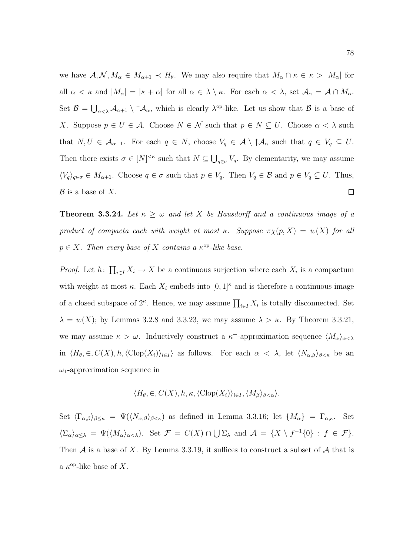we have  $A, \mathcal{N}, M_{\alpha} \in M_{\alpha+1} \prec H_{\theta}$ . We may also require that  $M_{\alpha} \cap \kappa \in \kappa > |M_{\alpha}|$  for all  $\alpha < \kappa$  and  $|M_{\alpha}| = |\kappa + \alpha|$  for all  $\alpha \in \lambda \setminus \kappa$ . For each  $\alpha < \lambda$ , set  $\mathcal{A}_{\alpha} = \mathcal{A} \cap M_{\alpha}$ . Set  $\mathcal{B} = \bigcup_{\alpha < \lambda} A_{\alpha+1} \setminus \uparrow \mathcal{A}_{\alpha}$ , which is clearly  $\lambda^{\rm op}\text{-like}$ . Let us show that  $\mathcal{B}$  is a base of X. Suppose  $p \in U \in \mathcal{A}$ . Choose  $N \in \mathcal{N}$  such that  $p \in N \subseteq U$ . Choose  $\alpha < \lambda$  such that  $N, U \in \mathcal{A}_{\alpha+1}$ . For each  $q \in N$ , choose  $V_q \in \mathcal{A} \setminus \uparrow \mathcal{A}_{\alpha}$  such that  $q \in V_q \subseteq U$ . Then there exists  $\sigma \in [N]^{<\kappa}$  such that  $N \subseteq \bigcup_{q \in \sigma} V_q$ . By elementarity, we may assume  $\langle V_q \rangle_{q \in \sigma} \in M_{\alpha+1}$ . Choose  $q \in \sigma$  such that  $p \in V_q$ . Then  $V_q \in \mathcal{B}$  and  $p \in V_q \subseteq U$ . Thus,  $\Box$  $\mathcal{B}$  is a base of X.

**Theorem 3.3.24.** Let  $\kappa \geq \omega$  and let X be Hausdorff and a continuous image of a product of compacta each with weight at most κ. Suppose  $\pi \chi(p, X) = w(X)$  for all  $p \in X$ . Then every base of X contains a  $\kappa^{\rm op}$ -like base.

*Proof.* Let  $h: \prod_{i \in I} X_i \to X$  be a continuous surjection where each  $X_i$  is a compactum with weight at most  $\kappa$ . Each  $X_i$  embeds into  $[0,1]^{\kappa}$  and is therefore a continuous image of a closed subspace of  $2^{\kappa}$ . Hence, we may assume  $\prod_{i\in I} X_i$  is totally disconnected. Set  $\lambda = w(X)$ ; by Lemmas 3.2.8 and 3.3.23, we may assume  $\lambda > \kappa$ . By Theorem 3.3.21, we may assume  $\kappa > \omega$ . Inductively construct a  $\kappa^+$ -approximation sequence  $\langle M_{\alpha} \rangle_{\alpha < \lambda}$ in  $\langle H_\theta, \in, C(X), h, \langle \text{Clop}(X_i) \rangle_{i \in I}$  as follows. For each  $\alpha < \lambda$ , let  $\langle N_{\alpha,\beta} \rangle_{\beta < \kappa}$  be an  $\omega_1$ -approximation sequence in

$$
\langle H_{\theta}, \in, C(X), h, \kappa, \langle \text{Clop}(X_i) \rangle_{i \in I}, \langle M_{\beta} \rangle_{\beta < \alpha} \rangle.
$$

Set  $\langle \Gamma_{\alpha,\beta}\rangle_{\beta\leq\kappa} = \Psi(\langle N_{\alpha,\beta}\rangle_{\beta<\kappa})$  as defined in Lemma 3.3.16; let  $\{M_{\alpha}\} = \Gamma_{\alpha,\kappa}$ . Set  $\langle \Sigma_{\alpha} \rangle_{\alpha \leq \lambda} = \Psi(\langle M_{\alpha} \rangle_{\alpha \leq \lambda}).$  Set  $\mathcal{F} = C(X) \cap \bigcup \Sigma_{\lambda}$  and  $\mathcal{A} = \{X \setminus f^{-1}\{0\} : f \in \mathcal{F}\}.$ Then  $A$  is a base of X. By Lemma 3.3.19, it suffices to construct a subset of  $A$  that is a  $\kappa$ <sup>op</sup>-like base of X.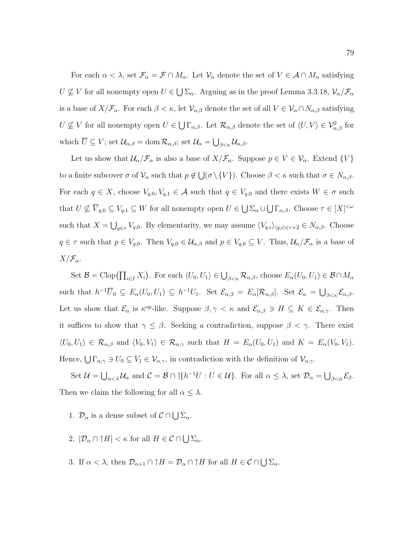For each  $\alpha < \lambda$ , set  $\mathcal{F}_{\alpha} = \mathcal{F} \cap M_{\alpha}$ . Let  $\mathcal{V}_{\alpha}$  denote the set of  $V \in \mathcal{A} \cap M_{\alpha}$  satisfying  $U \not\subseteq V$  for all nonempty open  $U \in \bigcup \Sigma_{\alpha}$ . Arguing as in the proof Lemma 3.3.18,  $\mathcal{V}_{\alpha}/\mathcal{F}_{\alpha}$ is a base of  $X/\mathcal{F}_{\alpha}$ . For each  $\beta < \kappa$ , let  $\mathcal{V}_{\alpha,\beta}$  denote the set of all  $V \in \mathcal{V}_{\alpha} \cap N_{\alpha,\beta}$  satisfying  $U \nsubseteq V$  for all nonempty open  $U \in \bigcup \Gamma_{\alpha,\beta}$ . Let  $\mathcal{R}_{\alpha,\beta}$  denote the set of  $\langle U, V \rangle \in \mathcal{V}^2_{\alpha,\beta}$  for which  $\overline{U} \subseteq V$ ; set  $\mathcal{U}_{\alpha,\beta} = \text{dom }\mathcal{R}_{\alpha,\beta}$ ; set  $\mathcal{U}_{\alpha} = \bigcup_{\beta < \kappa} \mathcal{U}_{\alpha,\beta}$ .

Let us show that  $\mathcal{U}_{\alpha}/\mathcal{F}_{\alpha}$  is also a base of  $X/\mathcal{F}_{\alpha}$ . Suppose  $p \in V \in \mathcal{V}_{\alpha}$ . Extend  $\{V\}$ to a finite subcover  $\sigma$  of  $\mathcal{V}_{\alpha}$  such that  $p \notin \bigcup_{\sigma \setminus \{V\}} (\sigma \setminus \{V\})$ . Choose  $\beta < \kappa$  such that  $\sigma \in N_{\alpha,\beta}$ . For each  $q \in X$ , choose  $V_{q,0}, V_{q,1} \in \mathcal{A}$  such that  $q \in V_{q,0}$  and there exists  $W \in \sigma$  such that  $U \nsubseteq \overline{V}_{q,0} \subseteq V_{q,1} \subseteq W$  for all nonempty open  $U \in \bigcup \Sigma_{\alpha} \cup \bigcup \Gamma_{\alpha,\beta}$ . Choose  $\tau \in [X]^{<\omega}$ such that  $X = \bigcup_{q \in \tau} V_{q,0}$ . By elementarity, we may assume  $\langle V_{q,i} \rangle_{\langle q,i\rangle \in \tau \times 2} \in N_{\alpha,\beta}$ . Choose  $q \in \tau$  such that  $p \in V_{q,0}$ . Then  $V_{q,0} \in \mathcal{U}_{\alpha,\beta}$  and  $p \in V_{q,0} \subseteq V$ . Thus,  $\mathcal{U}_{\alpha}/\mathcal{F}_{\alpha}$  is a base of  $X/\mathcal{F}_{\alpha}$ .

Set  $\mathcal{B} = \text{Clop}(\prod_{i \in I} X_i)$ . For each  $\langle U_0, U_1 \rangle \in \bigcup_{\beta < \kappa} \mathcal{R}_{\alpha,\beta}$ , choose  $E_\alpha(U_0, U_1) \in \mathcal{B} \cap M_\alpha$ such that  $h^{-1}\overline{U}_0 \subseteq E_\alpha(U_0, U_1) \subseteq h^{-1}U_1$ . Set  $\mathcal{E}_{\alpha,\beta} = E_\alpha[\mathcal{R}_{\alpha,\beta}]$ . Set  $\mathcal{E}_\alpha = \bigcup_{\beta < \kappa} \mathcal{E}_{\alpha,\beta}$ . Let us show that  $\mathcal{E}_{\alpha}$  is  $\kappa^{\text{op-like}}$ . Suppose  $\beta, \gamma < \kappa$  and  $\mathcal{E}_{\alpha,\beta} \ni H \subseteq K \in \mathcal{E}_{\alpha,\gamma}$ . Then it suffices to show that  $\gamma \leq \beta$ . Seeking a contradiction, suppose  $\beta < \gamma$ . There exist  $\langle U_0, U_1 \rangle \in \mathcal{R}_{\alpha,\beta}$  and  $\langle V_0, V_1 \rangle \in \mathcal{R}_{\alpha,\gamma}$  such that  $H = E_{\alpha}(U_0, U_1)$  and  $K = E_{\alpha}(V_0, V_1)$ . Hence,  $\bigcup \Gamma_{\alpha,\gamma} \ni U_0 \subseteq V_1 \in V_{\alpha,\gamma}$ , in contradiction with the definition of  $V_{\alpha,\gamma}$ .

Set  $\mathcal{U} = \bigcup_{\alpha < \lambda} \mathcal{U}_{\alpha}$  and  $\mathcal{C} = \mathcal{B} \cap \mathcal{U} \mid h^{-1}U : U \in \mathcal{U}$ . For all  $\alpha \leq \lambda$ , set  $\mathcal{D}_{\alpha} = \bigcup_{\beta < \alpha} \mathcal{E}_{\beta}$ . Then we claim the following for all  $\alpha \leq \lambda$ .

- 1.  $\mathcal{D}_{\alpha}$  is a dense subset of  $\mathcal{C} \cap \bigcup \Sigma_{\alpha}$ .
- 2.  $|\mathcal{D}_{\alpha} \cap \uparrow H| < \kappa$  for all  $H \in \mathcal{C} \cap \bigcup \Sigma_{\alpha}$ .
- 3. If  $\alpha < \lambda$ , then  $\mathcal{D}_{\alpha+1} \cap \uparrow H = \mathcal{D}_{\alpha} \cap \uparrow H$  for all  $H \in \mathcal{C} \cap \bigcup \Sigma_{\alpha}$ .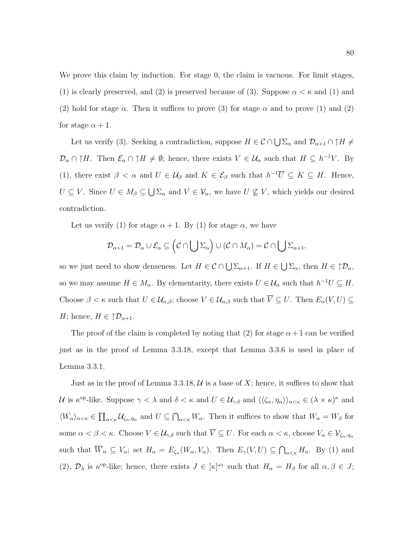We prove this claim by induction. For stage 0, the claim is vacuous. For limit stages, (1) is clearly preserved, and (2) is preserved because of (3). Suppose  $\alpha < \kappa$  and (1) and (2) hold for stage  $\alpha$ . Then it suffices to prove (3) for stage  $\alpha$  and to prove (1) and (2) for stage  $\alpha + 1$ .

Let us verify (3). Seeking a contradiction, suppose  $H \in \mathcal{C} \cap \bigcup \Sigma_{\alpha}$  and  $\mathcal{D}_{\alpha+1} \cap \uparrow H \neq$  $\mathcal{D}_{\alpha} \cap \uparrow H$ . Then  $\mathcal{E}_{\alpha} \cap \uparrow H \neq \emptyset$ ; hence, there exists  $V \in \mathcal{U}_{\alpha}$  such that  $H \subseteq h^{-1}V$ . By (1), there exist  $\beta < \alpha$  and  $U \in \mathcal{U}_{\beta}$  and  $K \in \mathcal{E}_{\beta}$  such that  $h^{-1}\overline{U} \subseteq K \subseteq H$ . Hence,  $U \subseteq V$ . Since  $U \in M_\beta \subseteq \bigcup \Sigma_\alpha$  and  $V \in \mathcal{V}_\alpha$ , we have  $U \nsubseteq V$ , which yields our desired contradiction.

Let us verify (1) for stage  $\alpha + 1$ . By (1) for stage  $\alpha$ , we have

$$
\mathcal{D}_{\alpha+1} = \mathcal{D}_{\alpha} \cup \mathcal{E}_{\alpha} \subseteq (\mathcal{C} \cap \bigcup \Sigma_{\alpha}) \cup (\mathcal{C} \cap M_{\alpha}) = \mathcal{C} \cap \bigcup \Sigma_{\alpha+1},
$$

so we just need to show denseness. Let  $H \in \mathcal{C} \cap \bigcup \Sigma_{\alpha+1}$ . If  $H \in \bigcup \Sigma_{\alpha}$ , then  $H \in \mathcal{D}_{\alpha}$ , so we may assume  $H \in M_\alpha$ . By elementarity, there exists  $U \in \mathcal{U}_\alpha$  such that  $h^{-1}U \subseteq H$ . Choose  $\beta < \kappa$  such that  $U \in \mathcal{U}_{\alpha,\beta}$ ; choose  $V \in \mathcal{U}_{\alpha,\beta}$  such that  $\overline{V} \subseteq U$ . Then  $E_{\alpha}(V, U) \subseteq$ H; hence,  $H \in \mathcal{D}_{\alpha+1}$ .

The proof of the claim is completed by noting that (2) for stage  $\alpha + 1$  can be verified just as in the proof of Lemma 3.3.18, except that Lemma 3.3.6 is used in place of Lemma 3.3.1.

Just as in the proof of Lemma 3.3.18,  $\mathcal U$  is a base of X; hence, it suffices to show that U is  $\kappa^{\text{op-like}}$ . Suppose  $\gamma < \lambda$  and  $\delta < \kappa$  and  $U \in \mathcal{U}_{\gamma,\delta}$  and  $\langle\langle \zeta_\alpha, \eta_\alpha \rangle\rangle_{\alpha < \kappa} \in (\lambda \times \kappa)^\kappa$  and  $\langle W_{\alpha}\rangle_{\alpha<\kappa}\in\prod_{\alpha<\kappa}U_{\zeta_{\alpha},\eta_{\alpha}}$  and  $U\subseteq\bigcap_{\alpha<\kappa}W_{\alpha}$ . Then it suffices to show that  $W_{\alpha}=W_{\beta}$  for some  $\alpha < \beta < \kappa$ . Choose  $V \in \mathcal{U}_{\gamma,\delta}$  such that  $\overline{V} \subseteq U$ . For each  $\alpha < \kappa$ , choose  $V_{\alpha} \in \mathcal{V}_{\zeta_{\alpha},\eta_{\alpha}}$ such that  $\overline{W}_{\alpha} \subseteq V_{\alpha}$ ; set  $H_{\alpha} = E_{\zeta_{\alpha}}(W_{\alpha}, V_{\alpha})$ . Then  $E_{\gamma}(V, U) \subseteq \bigcap_{\alpha < \kappa} H_{\alpha}$ . By (1) and (2),  $\mathcal{D}_{\lambda}$  is  $\kappa^{\text{op-like}}$ ; hence, there exists  $J \in [\kappa]^{\omega_1}$  such that  $H_{\alpha} = H_{\beta}$  for all  $\alpha, \beta \in J$ ;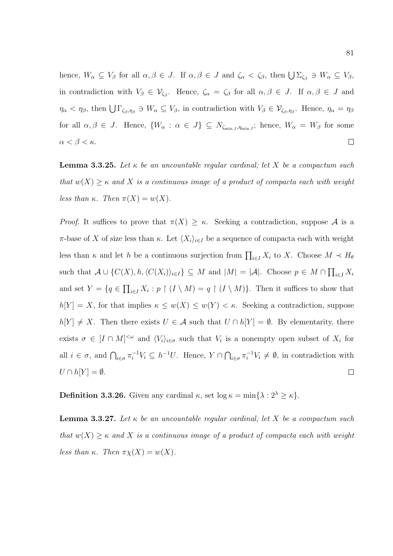hence,  $W_{\alpha} \subseteq V_{\beta}$  for all  $\alpha, \beta \in J$ . If  $\alpha, \beta \in J$  and  $\zeta_{\alpha} < \zeta_{\beta}$ , then  $\bigcup \Sigma_{\zeta_{\beta}} \ni W_{\alpha} \subseteq V_{\beta}$ , in contradiction with  $V_{\beta} \in \mathcal{V}_{\zeta_{\beta}}$ . Hence,  $\zeta_{\alpha} = \zeta_{\beta}$  for all  $\alpha, \beta \in J$ . If  $\alpha, \beta \in J$  and  $\eta_{\alpha} < \eta_{\beta}$ , then  $\bigcup \Gamma_{\zeta_{\beta},\eta_{\beta}} \ni W_{\alpha} \subseteq V_{\beta}$ , in contradiction with  $V_{\beta} \in V_{\zeta_{\beta},\eta_{\beta}}$ . Hence,  $\eta_{\alpha} = \eta_{\beta}$ for all  $\alpha, \beta \in J$ . Hence,  $\{W_{\alpha} : \alpha \in J\} \subseteq N_{\zeta_{\min J}, \eta_{\min J}}$ ; hence,  $W_{\alpha} = W_{\beta}$  for some  $\alpha < \beta < \kappa$ .  $\Box$ 

**Lemma 3.3.25.** Let  $\kappa$  be an uncountable regular cardinal; let X be a compactum such that  $w(X) \geq \kappa$  and X is a continuous image of a product of compacta each with weight less than  $\kappa$ . Then  $\pi(X) = w(X)$ .

*Proof.* It suffices to prove that  $\pi(X) \geq \kappa$ . Seeking a contradiction, suppose A is a π-base of X of size less than κ. Let  $\langle X_i \rangle_{i \in I}$  be a sequence of compacta each with weight less than  $\kappa$  and let h be a continuous surjection from  $\prod_{i\in I} X_i$  to X. Choose  $M \prec H_\theta$ such that  $A \cup \{C(X), h, \langle C(X_i) \rangle_{i \in I}\} \subseteq M$  and  $|M| = |A|$ . Choose  $p \in M \cap \prod_{i \in I} X_i$ and set  $Y = \{q \in \prod_{i \in I} X_i : p \restriction (I \setminus M) = q \restriction (I \setminus M)\}\.$  Then it suffices to show that  $h[Y] = X$ , for that implies  $\kappa \leq w(X) \leq w(Y) < \kappa$ . Seeking a contradiction, suppose  $h[Y] \neq X$ . Then there exists  $U \in \mathcal{A}$  such that  $U \cap h[Y] = \emptyset$ . By elementarity, there exists  $\sigma \in [I \cap M]^{<\omega}$  and  $\langle V_i \rangle_{i \in \sigma}$  such that  $V_i$  is a nonempty open subset of  $X_i$  for all  $i \in \sigma$ , and  $\bigcap_{i \in \sigma} \pi_i^{-1} V_i \subseteq h^{-1} U$ . Hence,  $Y \cap \bigcap_{i \in \sigma} \pi_i^{-1} V_i \neq \emptyset$ , in contradiction with  $U \cap h[Y] = \emptyset.$  $\Box$ 

**Definition 3.3.26.** Given any cardinal  $\kappa$ , set  $\log \kappa = \min\{\lambda : 2^{\lambda} \geq \kappa\}.$ 

**Lemma 3.3.27.** Let  $\kappa$  be an uncountable regular cardinal; let X be a compactum such that  $w(X) \geq \kappa$  and X is a continuous image of a product of compacta each with weight less than  $\kappa$ . Then  $\pi \chi(X) = w(X)$ .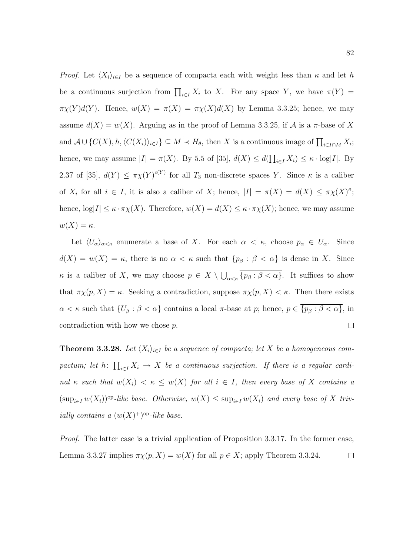*Proof.* Let  $\langle X_i \rangle_{i \in I}$  be a sequence of compacta each with weight less than  $\kappa$  and let h be a continuous surjection from  $\prod_{i\in I} X_i$  to X. For any space Y, we have  $\pi(Y) =$  $\pi\chi(Y)d(Y)$ . Hence,  $w(X) = \pi(X) = \pi\chi(X)d(X)$  by Lemma 3.3.25; hence, we may assume  $d(X) = w(X)$ . Arguing as in the proof of Lemma 3.3.25, if A is a  $\pi$ -base of X and  $\mathcal{A} \cup \{C(X), h, \langle C(X_i) \rangle_{i \in I}\} \subseteq M \prec H_\theta$ , then X is a continuous image of  $\prod_{i \in I \cap M} X_i$ ; hence, we may assume  $|I| = \pi(X)$ . By 5.5 of [35],  $d(X) \leq d(\prod_{i \in I} X_i) \leq \kappa \cdot \log|I|$ . By 2.37 of [35],  $d(Y) \leq \pi \chi(Y)^{c(Y)}$  for all  $T_3$  non-discrete spaces Y. Since  $\kappa$  is a caliber of  $X_i$  for all  $i \in I$ , it is also a caliber of X; hence,  $|I| = \pi(X) = d(X) \leq \pi \chi(X)^{\kappa}$ ; hence,  $\log|I| \leq \kappa \cdot \pi \chi(X)$ . Therefore,  $w(X) = d(X) \leq \kappa \cdot \pi \chi(X)$ ; hence, we may assume  $w(X) = \kappa$ .

Let  $\langle U_{\alpha}\rangle_{\alpha<\kappa}$  enumerate a base of X. For each  $\alpha<\kappa$ , choose  $p_{\alpha}\in U_{\alpha}$ . Since  $d(X) = w(X) = \kappa$ , there is no  $\alpha < \kappa$  such that  $\{p_{\beta} : \beta < \alpha\}$  is dense in X. Since  $\kappa$  is a caliber of X, we may choose  $p \in X \setminus \bigcup_{\alpha < \kappa} \{p_\beta : \beta < \alpha\}.$  It suffices to show that  $\pi \chi(p, X) = \kappa$ . Seeking a contradiction, suppose  $\pi \chi(p, X) < \kappa$ . Then there exists  $\alpha < \kappa$  such that  $\{U_\beta : \beta < \alpha\}$  contains a local  $\pi$ -base at  $p$ ; hence,  $p \in \overline{\{p_\beta : \beta < \alpha\}}$ , in  $\Box$ contradiction with how we chose p.

**Theorem 3.3.28.** Let  $\langle X_i \rangle_{i \in I}$  be a sequence of compacta; let X be a homogeneous compactum; let h:  $\prod_{i\in I} X_i \to X$  be a continuous surjection. If there is a regular cardinal  $\kappa$  such that  $w(X_i) < \kappa \leq w(X)$  for all  $i \in I$ , then every base of X contains a  $(\sup_{i\in I} w(X_i))^{\text{op}-like}$  base. Otherwise,  $w(X) \leq \sup_{i\in I} w(X_i)$  and every base of X trivially contains a  $(w(X)^+)^\text{op}-like$  base.

Proof. The latter case is a trivial application of Proposition 3.3.17. In the former case, Lemma 3.3.27 implies  $\pi \chi(p, X) = w(X)$  for all  $p \in X$ ; apply Theorem 3.3.24.  $\Box$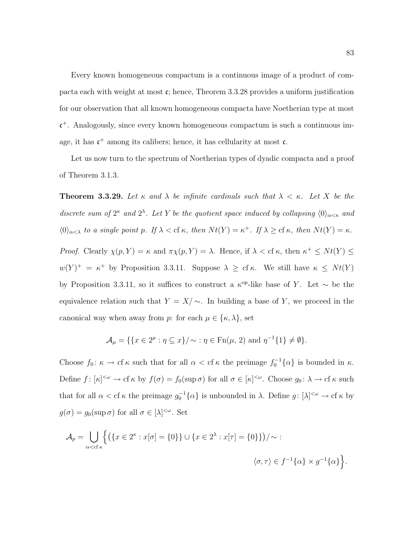Every known homogeneous compactum is a continuous image of a product of compacta each with weight at most  $\mathfrak{c}$ ; hence, Theorem 3.3.28 provides a uniform justification for our observation that all known homogeneous compacta have Noetherian type at most c <sup>+</sup>. Analogously, since every known homogeneous compactum is such a continuous image, it has  $c^+$  among its calibers; hence, it has cellularity at most  $c$ .

Let us now turn to the spectrum of Noetherian types of dyadic compacta and a proof of Theorem 3.1.3.

**Theorem 3.3.29.** Let  $\kappa$  and  $\lambda$  be infinite cardinals such that  $\lambda < \kappa$ . Let X be the discrete sum of  $2^{\kappa}$  and  $2^{\lambda}$ . Let Y be the quotient space induced by collapsing  $\langle 0 \rangle_{\alpha \leq \kappa}$  and  $\langle 0 \rangle_{\alpha < \lambda}$  to a single point p. If  $\lambda <$  cf  $\kappa$ , then  $Nt(Y) = \kappa^+$ . If  $\lambda \geq$  cf  $\kappa$ , then  $Nt(Y) = \kappa$ . Proof. Clearly  $\chi(p, Y) = \kappa$  and  $\pi \chi(p, Y) = \lambda$ . Hence, if  $\lambda <$  cf  $\kappa$ , then  $\kappa^+ \leq N t(Y) \leq$  $w(Y)^{+} = \kappa^{+}$  by Proposition 3.3.11. Suppose  $\lambda \geq cf \kappa$ . We still have  $\kappa \leq Nt(Y)$ by Proposition 3.3.11, so it suffices to construct a  $\kappa^{op}$ -like base of Y. Let  $\sim$  be the equivalence relation such that  $Y = X/\sim$ . In building a base of Y, we proceed in the canonical way when away from p: for each  $\mu \in \{\kappa, \lambda\}$ , set

$$
\mathcal{A}_{\mu} = \{ \{x \in 2^{\mu} : \eta \subseteq x \} / \sim : \eta \in \operatorname{Fn}(\mu, 2) \text{ and } \eta^{-1} \{1\} \neq \emptyset \}.
$$

Choose  $f_0: \kappa \to \mathrm{cf} \kappa$  such that for all  $\alpha < \mathrm{cf} \kappa$  the preimage  $f_0^{-1}\{\alpha\}$  is bounded in  $\kappa$ . Define  $f: [\kappa]^{<\omega} \to \mathrm{cf} \kappa$  by  $f(\sigma) = f_0(\sup \sigma)$  for all  $\sigma \in [\kappa]^{<\omega}$ . Choose  $g_0: \lambda \to \mathrm{cf} \kappa$  such that for all  $\alpha <$  cf  $\kappa$  the preimage  $g_0^{-1}\{\alpha\}$  is unbounded in  $\lambda$ . Define  $g: [\lambda]^{<\omega} \to$  cf  $\kappa$  by  $g(\sigma) = g_0(\sup \sigma)$  for all  $\sigma \in [\lambda]^{<\omega}$ . Set

$$
\mathcal{A}_p = \bigcup_{\alpha < \text{cf } \kappa} \left\{ \left( \{ x \in 2^{\kappa} : x[\sigma] = \{0\} \} \cup \{ x \in 2^{\lambda} : x[\tau] = \{0\} \} \right) / \sim : \right\}
$$
\n
$$
\langle \sigma, \tau \rangle \in f^{-1} \{ \alpha \} \times g^{-1} \{ \alpha \} \left\}.
$$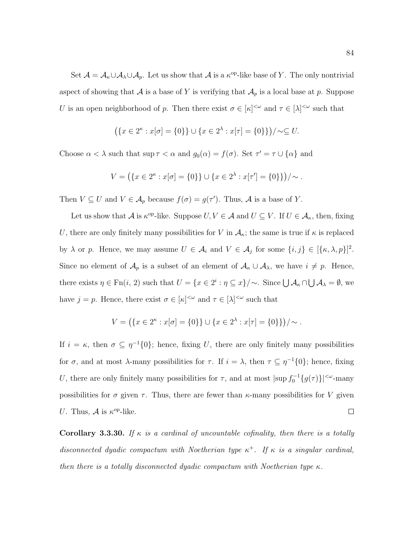Set  $\mathcal{A} = \mathcal{A}_{\kappa} \cup \mathcal{A}_{\lambda} \cup \mathcal{A}_{p}$ . Let us show that  $\mathcal{A}$  is a  $\kappa^{\text{op}}$ -like base of Y. The only nontrivial aspect of showing that  $A$  is a base of Y is verifying that  $A_p$  is a local base at p. Suppose U is an open neighborhood of p. Then there exist  $\sigma \in [\kappa]^{<\omega}$  and  $\tau \in [\lambda]^{<\omega}$  such that

$$
(\{x \in 2^k : x[\sigma] = \{0\}\} \cup \{x \in 2^{\lambda} : x[\tau] = \{0\}\}) / \sim \subseteq U.
$$

Choose  $\alpha < \lambda$  such that  $\sup \tau < \alpha$  and  $g_0(\alpha) = f(\sigma)$ . Set  $\tau' = \tau \cup {\alpha}$  and

$$
V = (\{x \in 2^{\kappa} : x[\sigma] = \{0\}\} \cup \{x \in 2^{\lambda} : x[\tau'] = \{0\}\}) / \sim.
$$

Then  $V \subseteq U$  and  $V \in \mathcal{A}_p$  because  $f(\sigma) = g(\tau')$ . Thus,  $\mathcal{A}$  is a base of Y.

Let us show that  $\mathcal A$  is  $\kappa^{\text{op-like}}$ . Suppose  $U, V \in \mathcal A$  and  $U \subseteq V$ . If  $U \in \mathcal A_\kappa$ , then, fixing U, there are only finitely many possibilities for V in  $A_{\kappa}$ ; the same is true if  $\kappa$  is replaced by  $\lambda$  or p. Hence, we may assume  $U \in \mathcal{A}_i$  and  $V \in \mathcal{A}_j$  for some  $\{i, j\} \in [\{\kappa, \lambda, p\}]^2$ . Since no element of  $\mathcal{A}_p$  is a subset of an element of  $\mathcal{A}_{\kappa} \cup \mathcal{A}_{\lambda}$ , we have  $i \neq p$ . Hence, there exists  $\eta \in \text{Fn}(i, 2)$  such that  $U = \{x \in 2^i : \eta \subseteq x\}/\sim$ . Since  $\bigcup \mathcal{A}_{\kappa} \cap \bigcup \mathcal{A}_{\lambda} = \emptyset$ , we have  $j = p$ . Hence, there exist  $\sigma \in [\kappa]^{<\omega}$  and  $\tau \in [\lambda]^{<\omega}$  such that

$$
V = (\{x \in 2^{\kappa} : x[\sigma] = \{0\}\} \cup \{x \in 2^{\lambda} : x[\tau] = \{0\}\})/\sim.
$$

If  $i = \kappa$ , then  $\sigma \subseteq \eta^{-1}{0}$ ; hence, fixing U, there are only finitely many possibilities for  $\sigma$ , and at most  $\lambda$ -many possibilities for  $\tau$ . If  $i = \lambda$ , then  $\tau \subseteq \eta^{-1}\{0\}$ ; hence, fixing U, there are only finitely many possibilities for  $\tau$ , and at most  $|\sup f_0^{-1}{g(\tau)}\rangle|^{&\omega}$ -many possibilities for  $\sigma$  given  $\tau$ . Thus, there are fewer than  $\kappa$ -many possibilities for V given U. Thus,  $\mathcal A$  is  $\kappa^{\mathrm{op}}$ -like.  $\Box$ 

Corollary 3.3.30. If  $\kappa$  is a cardinal of uncountable cofinality, then there is a totally disconnected dyadic compactum with Noetherian type  $\kappa^+$ . If  $\kappa$  is a singular cardinal, then there is a totally disconnected dyadic compactum with Noetherian type  $\kappa$ .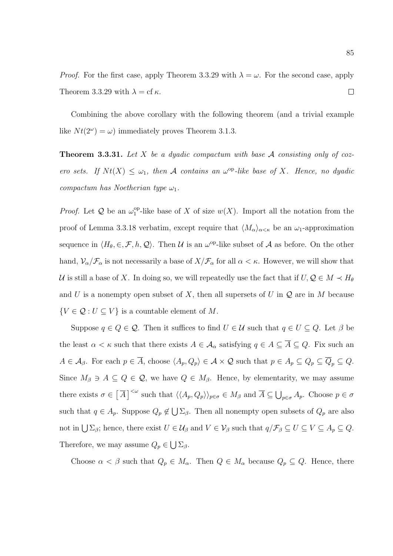*Proof.* For the first case, apply Theorem 3.3.29 with  $\lambda = \omega$ . For the second case, apply Theorem 3.3.29 with  $\lambda = cf \kappa$ .  $\Box$ 

Combining the above corollary with the following theorem (and a trivial example like  $Nt(2^{\omega}) = \omega$  immediately proves Theorem 3.1.3.

**Theorem 3.3.31.** Let X be a dyadic compactum with base  $A$  consisting only of cozero sets. If  $Nt(X) \leq \omega_1$ , then A contains an  $\omega^{\rm op}-like$  base of X. Hence, no dyadic compactum has Noetherian type  $\omega_1$ .

*Proof.* Let  $Q$  be an  $\omega_1^{\text{op}}$ <sup>op</sup>-like base of X of size  $w(X)$ . Import all the notation from the proof of Lemma 3.3.18 verbatim, except require that  $\langle M_{\alpha}\rangle_{\alpha<\kappa}$  be an  $\omega_1$ -approximation sequence in  $\langle H_\theta, \in, \mathcal{F}, h, \mathcal{Q} \rangle$ . Then U is an  $\omega^{\rm op}\text{-like}$  subset of A as before. On the other hand,  $\mathcal{V}_{\alpha}/\mathcal{F}_{\alpha}$  is not necessarily a base of  $X/\mathcal{F}_{\alpha}$  for all  $\alpha < \kappa$ . However, we will show that U is still a base of X. In doing so, we will repeatedly use the fact that if  $U, Q \in M \prec H_{\theta}$ and U is a nonempty open subset of X, then all supersets of U in  $\mathcal Q$  are in M because  $\{V\in\mathcal{Q}:U\subseteq V\}$  is a countable element of  $M.$ 

Suppose  $q \in Q \in \mathcal{Q}$ . Then it suffices to find  $U \in \mathcal{U}$  such that  $q \in U \subseteq Q$ . Let  $\beta$  be the least  $\alpha < \kappa$  such that there exists  $A \in \mathcal{A}_{\alpha}$  satisfying  $q \in A \subseteq \overline{A} \subseteq Q$ . Fix such an  $A \in \mathcal{A}_{\beta}$ . For each  $p \in \overline{A}$ , choose  $\langle A_p, Q_p \rangle \in \mathcal{A} \times \mathcal{Q}$  such that  $p \in A_p \subseteq Q_p \subseteq \overline{Q}_p \subseteq Q$ . Since  $M_{\beta} \ni A \subseteq Q \in \mathcal{Q}$ , we have  $Q \in M_{\beta}$ . Hence, by elementarity, we may assume there exists  $\sigma \in \left[\overline{A}\right]^{<\omega}$  such that  $\langle\langle A_p, Q_p \rangle\rangle_{p \in \sigma} \in M_\beta$  and  $\overline{A} \subseteq \bigcup_{p \in \sigma} A_p$ . Choose  $p \in \sigma$ such that  $q \in A_p$ . Suppose  $Q_p \notin \bigcup \Sigma_{\beta}$ . Then all nonempty open subsets of  $Q_p$  are also not in  $\bigcup \Sigma_{\beta}$ ; hence, there exist  $U \in \mathcal{U}_{\beta}$  and  $V \in \mathcal{V}_{\beta}$  such that  $q/\mathcal{F}_{\beta} \subseteq U \subseteq V \subseteq A_p \subseteq Q$ . Therefore, we may assume  $Q_p \in \bigcup \Sigma_{\beta}$ .

Choose  $\alpha < \beta$  such that  $Q_p \in M_\alpha$ . Then  $Q \in M_\alpha$  because  $Q_p \subseteq Q$ . Hence, there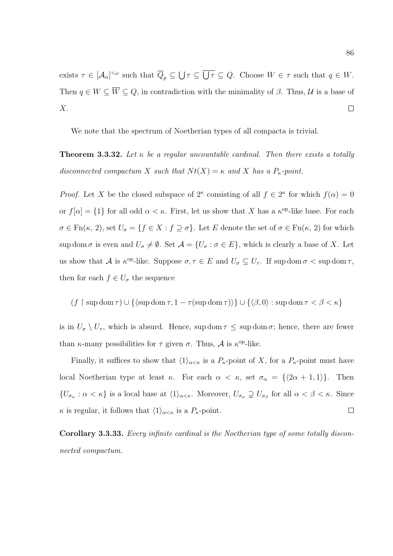exists  $\tau \in [\mathcal{A}_{\alpha}]^{<\omega}$  such that  $\overline{Q}_p \subseteq \bigcup \tau \subseteq \overline{U\tau} \subseteq Q$ . Choose  $W \in \tau$  such that  $q \in W$ . Then  $q \in W \subseteq \overline{W} \subseteq Q$ , in contradiction with the minimality of  $\beta$ . Thus,  $\mathcal{U}$  is a base of X.  $\Box$ 

We note that the spectrum of Noetherian types of all compacta is trivial.

**Theorem 3.3.32.** Let  $\kappa$  be a regular uncountable cardinal. Then there exists a totally disconnected compactum X such that  $N t(X) = \kappa$  and X has a  $P_{\kappa}$ -point.

*Proof.* Let X be the closed subspace of  $2^{\kappa}$  consisting of all  $f \in 2^{\kappa}$  for which  $f(\alpha) = 0$ or  $f[\alpha] = \{1\}$  for all odd  $\alpha < \kappa$ . First, let us show that X has a  $\kappa^{\text{op}}$ -like base. For each  $\sigma \in \mathrm{Fn}(\kappa, 2)$ , set  $U_{\sigma} = \{f \in X : f \supseteq \sigma\}$ . Let E denote the set of  $\sigma \in \mathrm{Fn}(\kappa, 2)$  for which sup dom  $\sigma$  is even and  $U_{\sigma} \neq \emptyset$ . Set  $\mathcal{A} = \{U_{\sigma} : \sigma \in E\}$ , which is clearly a base of X. Let us show that A is  $\kappa^{op}\text{-like}$ . Suppose  $\sigma, \tau \in E$  and  $U_{\sigma} \subseteq U_{\tau}$ . If sup dom  $\sigma < \sup \text{dom } \tau$ , then for each  $f \in U_{\sigma}$  the sequence

$$
(f \restriction \sup \operatorname{dom} \tau) \cup \{ \langle \sup \operatorname{dom} \tau, 1 - \tau(\sup \operatorname{dom} \tau) \rangle \} \cup \{ \langle \beta, 0 \rangle : \sup \operatorname{dom} \tau < \beta < \kappa \}
$$

is in  $U_{\sigma} \setminus U_{\tau}$ , which is absurd. Hence, sup dom  $\tau \leq \sup \text{dom } \sigma$ ; hence, there are fewer than  $\kappa$ -many possibilities for  $\tau$  given  $\sigma$ . Thus,  $\mathcal A$  is  $\kappa^{\text{op}}$ -like.

Finally, it suffices to show that  $\langle 1 \rangle_{\alpha \leq \kappa}$  is a  $P_{\kappa}$ -point of X, for a  $P_{\kappa}$ -point must have local Noetherian type at least κ. For each  $\alpha < \kappa$ , set  $\sigma_{\alpha} = \{\langle 2\alpha + 1, 1 \rangle\}$ . Then  $\{U_{\sigma_\alpha}: \alpha < \kappa\}$  is a local base at  $\langle 1 \rangle_{\alpha < \kappa}$ . Moreover,  $U_{\sigma_\alpha} \supsetneq U_{\sigma_\beta}$  for all  $\alpha < \beta < \kappa$ . Since  $\Box$  $\kappa$  is regular, it follows that  $\langle 1 \rangle_{\alpha \leq \kappa}$  is a  $P_{\kappa}$ -point.

Corollary 3.3.33. Every infinite cardinal is the Noetherian type of some totally disconnected compactum.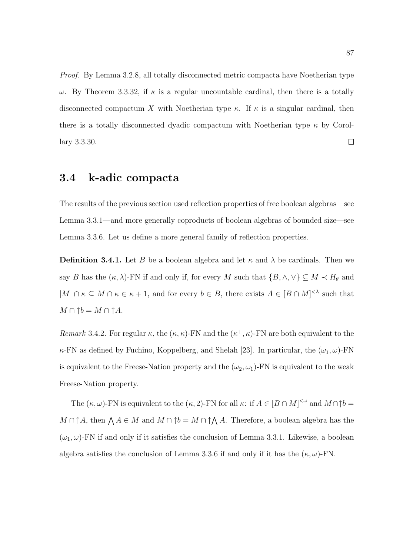Proof. By Lemma 3.2.8, all totally disconnected metric compacta have Noetherian type  $ω$ . By Theorem 3.3.32, if  $κ$  is a regular uncountable cardinal, then there is a totally disconnected compactum X with Noetherian type  $\kappa$ . If  $\kappa$  is a singular cardinal, then there is a totally disconnected dyadic compactum with Noetherian type  $\kappa$  by Corol- $\Box$ lary 3.3.30.

## 3.4 k-adic compacta

The results of the previous section used reflection properties of free boolean algebras—see Lemma 3.3.1—and more generally coproducts of boolean algebras of bounded size—see Lemma 3.3.6. Let us define a more general family of reflection properties.

**Definition 3.4.1.** Let B be a boolean algebra and let  $\kappa$  and  $\lambda$  be cardinals. Then we say B has the  $(\kappa, \lambda)$ -FN if and only if, for every M such that  $\{B, \wedge, \vee\} \subseteq M \prec H_{\theta}$  and  $|M| \cap \kappa \subseteq M \cap \kappa \in \kappa + 1$ , and for every  $b \in B$ , there exists  $A \in [B \cap M]^{<\lambda}$  such that  $M \cap \uparrow b = M \cap \uparrow A.$ 

Remark 3.4.2. For regular  $\kappa$ , the  $(\kappa, \kappa)$ -FN and the  $(\kappa^+, \kappa)$ -FN are both equivalent to the  $\kappa$ -FN as defined by Fuchino, Koppelberg, and Shelah [23]. In particular, the  $(\omega_1, \omega)$ -FN is equivalent to the Freese-Nation property and the  $(\omega_2, \omega_1)$ -FN is equivalent to the weak Freese-Nation property.

The  $(\kappa, \omega)$ -FN is equivalent to the  $(\kappa, 2)$ -FN for all  $\kappa$ : if  $A \in [B \cap M]^{<\omega}$  and  $M \cap \uparrow b =$  $M \cap \uparrow A$ , then  $\bigwedge A \in M$  and  $M \cap \uparrow b = M \cap \uparrow \bigwedge A$ . Therefore, a boolean algebra has the  $(\omega_1, \omega)$ -FN if and only if it satisfies the conclusion of Lemma 3.3.1. Likewise, a boolean algebra satisfies the conclusion of Lemma 3.3.6 if and only if it has the  $(\kappa, \omega)$ -FN.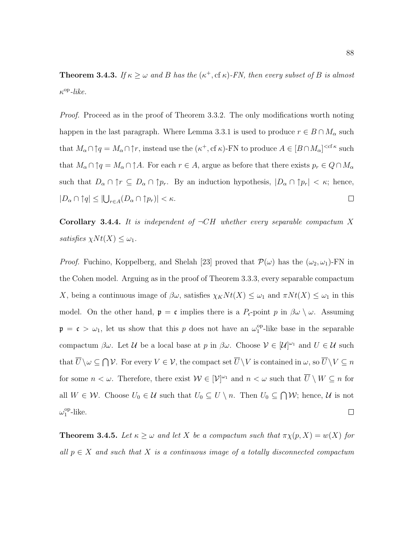**Theorem 3.4.3.** If  $\kappa \geq \omega$  and B has the  $(\kappa^+, \text{cf } \kappa)$ -FN, then every subset of B is almost  $\kappa^{\rm op}\text{-}like.$ 

Proof. Proceed as in the proof of Theorem 3.3.2. The only modifications worth noting happen in the last paragraph. Where Lemma 3.3.1 is used to produce  $r \in B \cap M_\alpha$  such that  $M_\alpha \cap \uparrow q = M_\alpha \cap \uparrow r$ , instead use the  $(\kappa^+, c f \kappa)$ -FN to produce  $A \in [B \cap M_\alpha]^{< c f \kappa}$  such that  $M_\alpha \cap \uparrow q = M_\alpha \cap \uparrow A$ . For each  $r \in A$ , argue as before that there exists  $p_r \in Q \cap M_\alpha$ such that  $D_{\alpha} \cap \uparrow r \subseteq D_{\alpha} \cap \uparrow p_r$ . By an induction hypothesis,  $|D_{\alpha} \cap \uparrow p_r| < \kappa$ ; hence,  $|D_{\alpha} \cap \uparrow q| \leq |\bigcup_{r \in A} (D_{\alpha} \cap \uparrow p_r)| < \kappa.$  $\Box$ 

Corollary 3.4.4. It is independent of  $\neg CH$  whether every separable compactum X satisfies  $\chi N t(X) \leq \omega_1$ .

*Proof.* Fuchino, Koppelberg, and Shelah [23] proved that  $\mathcal{P}(\omega)$  has the  $(\omega_2, \omega_1)$ -FN in the Cohen model. Arguing as in the proof of Theorem 3.3.3, every separable compactum X, being a continuous image of  $\beta\omega$ , satisfies  $\chi_K N t(X) \leq \omega_1$  and  $\pi N t(X) \leq \omega_1$  in this model. On the other hand,  $\mathfrak{p} = \mathfrak{c}$  implies there is a  $P_{\mathfrak{c}}$ -point p in  $\beta\omega \setminus \omega$ . Assuming  $\mathfrak{p} = \mathfrak{c} > \omega_1$ , let us show that this p does not have an  $\omega_1^{\text{op}}$  $1^{\text{op}}$ -like base in the separable compactum  $\beta\omega$ . Let U be a local base at p in  $\beta\omega$ . Choose  $V \in [\mathcal{U}]^{\omega_1}$  and  $U \in \mathcal{U}$  such that  $\overline{U} \setminus \omega \subseteq \bigcap \mathcal{V}$ . For every  $V \in \mathcal{V}$ , the compact set  $\overline{U} \setminus V$  is contained in  $\omega$ , so  $\overline{U} \setminus V \subseteq n$ for some  $n < \omega$ . Therefore, there exist  $W \in |\mathcal{V}|^{\omega_1}$  and  $n < \omega$  such that  $\overline{U} \setminus W \subseteq n$  for all  $W \in \mathcal{W}$ . Choose  $U_0 \in \mathcal{U}$  such that  $U_0 \subseteq U \setminus n$ . Then  $U_0 \subseteq \bigcap \mathcal{W}$ ; hence,  $\mathcal{U}$  is not  $\omega_1^{\mathrm{op}}$  $_{1}^{\text{op}}$ -like.  $\Box$ 

**Theorem 3.4.5.** Let  $\kappa \geq \omega$  and let X be a compactum such that  $\pi \chi(p, X) = w(X)$  for all  $p \in X$  and such that X is a continuous image of a totally disconnected compactum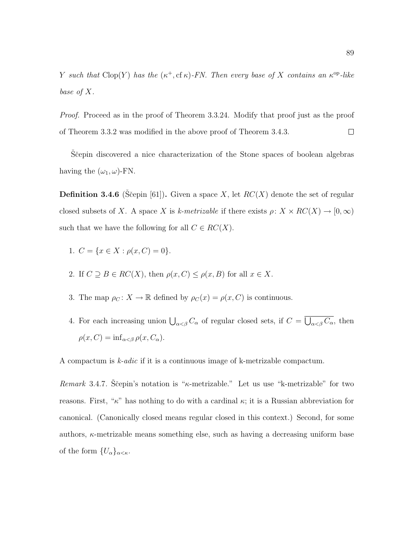Y such that Clop(Y) has the  $(\kappa^+, c f \kappa)$ -FN. Then every base of X contains an  $\kappa^{\rm op}$ -like base of X.

Proof. Proceed as in the proof of Theorem 3.3.24. Modify that proof just as the proof of Theorem 3.3.2 was modified in the above proof of Theorem 3.4.3.  $\Box$ 

Sčepin discovered a nice characterization of the Stone spaces of boolean algebras having the  $(\omega_1, \omega)$ -FN.

**Definition 3.4.6** (Scepin [61]). Given a space X, let  $RC(X)$  denote the set of regular closed subsets of X. A space X is k-metrizable if there exists  $\rho: X \times RC(X) \to [0,\infty)$ such that we have the following for all  $C \in RC(X)$ .

- 1.  $C = \{x \in X : \rho(x, C) = 0\}.$
- 2. If  $C \supseteq B \in RC(X)$ , then  $\rho(x, C) \leq \rho(x, B)$  for all  $x \in X$ .
- 3. The map  $\rho_C \colon X \to \mathbb{R}$  defined by  $\rho_C(x) = \rho(x, C)$  is continuous.
- 4. For each increasing union  $\bigcup_{\alpha<\beta}C_{\alpha}$  of regular closed sets, if  $C=\bigcup_{\alpha<\beta}C_{\alpha}$ , then  $\rho(x, C) = \inf_{\alpha < \beta} \rho(x, C_{\alpha}).$

A compactum is k-adic if it is a continuous image of k-metrizable compactum.

Remark 3.4.7. Stepin's notation is " $\kappa$ -metrizable." Let us use "k-metrizable" for two reasons. First, " $\kappa$ " has nothing to do with a cardinal  $\kappa$ ; it is a Russian abbreviation for canonical. (Canonically closed means regular closed in this context.) Second, for some authors,  $\kappa$ -metrizable means something else, such as having a decreasing uniform base of the form  $\{U_{\alpha}\}_{{\alpha<\kappa}}$ .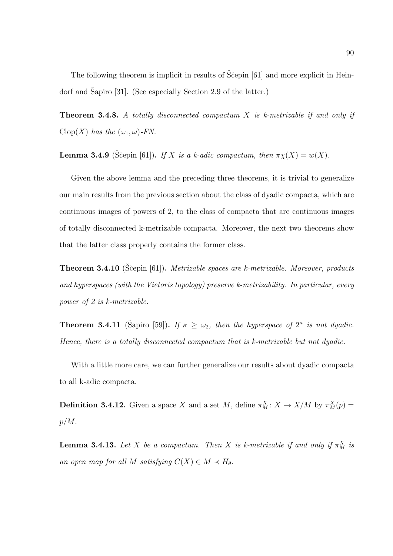The following theorem is implicit in results of Scepin [61] and more explicit in Heindorf and Šapiro  $[31]$ . (See especially Section 2.9 of the latter.)

**Theorem 3.4.8.** A totally disconnected compactum  $X$  is k-metrizable if and only if  $Clop(X)$  has the  $(\omega_1, \omega)$ -FN.

**Lemma 3.4.9** (Ščepin [61]). If X is a k-adic compactum, then  $\pi \chi(X) = w(X)$ .

Given the above lemma and the preceding three theorems, it is trivial to generalize our main results from the previous section about the class of dyadic compacta, which are continuous images of powers of 2, to the class of compacta that are continuous images of totally disconnected k-metrizable compacta. Moreover, the next two theorems show that the latter class properly contains the former class.

**Theorem 3.4.10** (Sčepin [61]). Metrizable spaces are k-metrizable. Moreover, products and hyperspaces (with the Vietoris topology) preserve k-metrizability. In particular, every power of 2 is k-metrizable.

**Theorem 3.4.11** (Šapiro [59]). If  $\kappa \geq \omega_2$ , then the hyperspace of  $2^{\kappa}$  is not dyadic. Hence, there is a totally disconnected compactum that is k-metrizable but not dyadic.

With a little more care, we can further generalize our results about dyadic compacta to all k-adic compacta.

**Definition 3.4.12.** Given a space X and a set M, define  $\pi_M^X: X \to X/M$  by  $\pi_M^X(p) =$  $p/M$ .

**Lemma 3.4.13.** Let X be a compactum. Then X is k-metrizable if and only if  $\pi_M^X$  is an open map for all M satisfying  $C(X) \in M \prec H_{\theta}$ .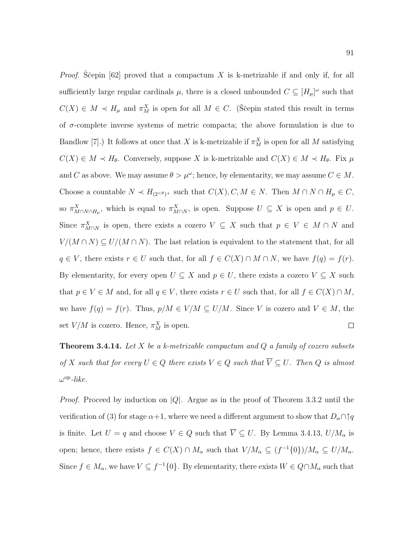*Proof.* Sčepin [62] proved that a compactum X is k-metrizable if and only if, for all sufficiently large regular cardinals  $\mu$ , there is a closed unbounded  $C \subseteq [H_{\mu}]^{\omega}$  such that  $C(X) \in M \prec H_{\mu}$  and  $\pi_M^X$  is open for all  $M \in C$ . (Si epin stated this result in terms of  $\sigma$ -complete inverse systems of metric compacta; the above formulation is due to Bandlow [7].) It follows at once that X is k-metrizable if  $\pi_M^X$  is open for all M satisfying  $C(X) \in M \prec H_{\theta}$ . Conversely, suppose X is k-metrizable and  $C(X) \in M \prec H_{\theta}$ . Fix  $\mu$ and C as above. We may assume  $\theta > \mu^{\omega}$ ; hence, by elementarity, we may assume  $C \in M$ . Choose a countable  $N \prec H_{(2 \le \theta)^+}$  such that  $C(X), C, M \in N$ . Then  $M \cap N \cap H_\mu \in C$ , so  $\pi^X_{M \cap N \cap H_\mu}$ , which is equal to  $\pi^X_{M \cap N}$ , is open. Suppose  $U \subseteq X$  is open and  $p \in U$ . Since  $\pi_{M\cap N}^X$  is open, there exists a cozero  $V \subseteq X$  such that  $p \in V \in M \cap N$  and  $V/(M \cap N) \subseteq U/(M \cap N)$ . The last relation is equivalent to the statement that, for all  $q \in V$ , there exists  $r \in U$  such that, for all  $f \in C(X) \cap M \cap N$ , we have  $f(q) = f(r)$ . By elementarity, for every open  $U \subseteq X$  and  $p \in U$ , there exists a cozero  $V \subseteq X$  such that  $p \in V \in M$  and, for all  $q \in V$ , there exists  $r \in U$  such that, for all  $f \in C(X) \cap M$ , we have  $f(q) = f(r)$ . Thus,  $p/M \in V/M \subseteq U/M$ . Since V is cozero and  $V \in M$ , the set  $V/M$  is cozero. Hence,  $\pi_M^X$  is open.  $\Box$ 

**Theorem 3.4.14.** Let  $X$  be a k-metrizable compactum and  $Q$  a family of cozero subsets of X such that for every  $U \in Q$  there exists  $V \in Q$  such that  $\overline{V} \subseteq U$ . Then Q is almost  $\omega^{\rm op}\text{-}like.$ 

*Proof.* Proceed by induction on  $|Q|$ . Argue as in the proof of Theorem 3.3.2 until the verification of (3) for stage  $\alpha+1$ , where we need a different argument to show that  $D_{\alpha}\cap \uparrow q$ is finite. Let  $U = q$  and choose  $V \in Q$  such that  $\overline{V} \subseteq U$ . By Lemma 3.4.13,  $U/M_{\alpha}$  is open; hence, there exists  $f \in C(X) \cap M_\alpha$  such that  $V/M_\alpha \subseteq (f^{-1}{0})/M_\alpha \subseteq U/M_\alpha$ . Since  $f \in M_\alpha$ , we have  $V \subseteq f^{-1}{0}$ . By elementarity, there exists  $W \in Q \cap M_\alpha$  such that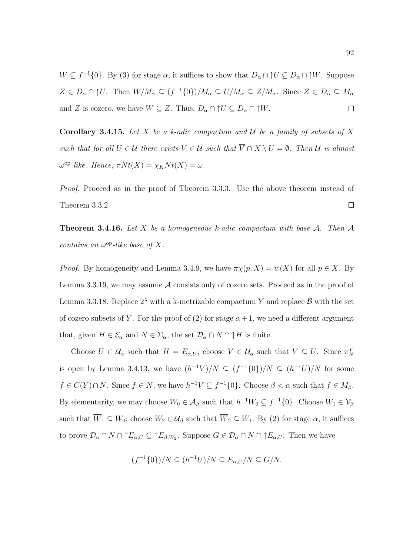$W \subseteq f^{-1}{0}$ . By (3) for stage  $\alpha$ , it suffices to show that  $D_{\alpha} \cap \uparrow U \subseteq D_{\alpha} \cap \uparrow W$ . Suppose  $Z \in D_\alpha \cap U$ . Then  $W/M_\alpha \subseteq (f^{-1}{0})/M_\alpha \subseteq U/M_\alpha \subseteq Z/M_\alpha$ . Since  $Z \in D_\alpha \subseteq M_\alpha$ and Z is cozero, we have  $W \subseteq Z$ . Thus,  $D_{\alpha} \cap \uparrow U \subseteq D_{\alpha} \cap \uparrow W$ .  $\Box$ 

Corollary 3.4.15. Let X be a k-adic compactum and  $U$  be a family of subsets of X such that for all  $U \in \mathcal{U}$  there exists  $V \in \mathcal{U}$  such that  $\overline{V} \cap \overline{X \setminus U} = \emptyset$ . Then  $\mathcal{U}$  is almost  $\omega^{\rm op}\text{-}like.$  Hence,  $\pi Nt(X) = \chi_K Nt(X) = \omega$ .

Proof. Proceed as in the proof of Theorem 3.3.3. Use the above theorem instead of Theorem 3.3.2.  $\Box$ 

**Theorem 3.4.16.** Let X be a homogeneous k-adic compactum with base A. Then A contains an  $\omega^{\rm op}\text{-}like$  base of X.

*Proof.* By homogeneity and Lemma 3.4.9, we have  $\pi \chi(p, X) = w(X)$  for all  $p \in X$ . By Lemma 3.3.19, we may assume A consists only of cozero sets. Proceed as in the proof of Lemma 3.3.18. Replace  $2^{\lambda}$  with a k-metrizable compactum Y and replace  $\beta$  with the set of cozero subsets of Y. For the proof of (2) for stage  $\alpha+1$ , we need a different argument that, given  $H \in \mathcal{E}_{\alpha}$  and  $N \in \Sigma_{\alpha}$ , the set  $\mathcal{D}_{\alpha} \cap N \cap \uparrow H$  is finite.

Choose  $U \in \mathcal{U}_{\alpha}$  such that  $H = E_{\alpha,U}$ ; choose  $V \in \mathcal{U}_{\alpha}$  such that  $\overline{V} \subseteq U$ . Since  $\pi_N^Y$ is open by Lemma 3.4.13, we have  $(h^{-1}V)/N \subseteq (f^{-1}{0})/N \subseteq (h^{-1}U)/N$  for some  $f \in C(Y) \cap N$ . Since  $f \in N$ , we have  $h^{-1}V \subseteq f^{-1}\{0\}$ . Choose  $\beta < \alpha$  such that  $f \in M_{\beta}$ . By elementarity, we may choose  $W_0 \in A_\beta$  such that  $h^{-1}W_0 \subseteq f^{-1}\{0\}$ . Choose  $W_1 \in V_\beta$ such that  $\overline{W}_1 \subseteq W_0$ ; choose  $W_2 \in \mathcal{U}_{\beta}$  such that  $\overline{W}_2 \subseteq W_1$ . By (2) for stage  $\alpha$ , it suffices to prove  $\mathcal{D}_{\alpha} \cap N \cap \uparrow E_{\alpha,U} \subseteq \uparrow E_{\beta,W_2}$ . Suppose  $G \in \mathcal{D}_{\alpha} \cap N \cap \uparrow E_{\alpha,U}$ . Then we have

$$
(f^{-1}{0})/N \subseteq (h^{-1}U)/N \subseteq E_{\alpha,U}/N \subseteq G/N.
$$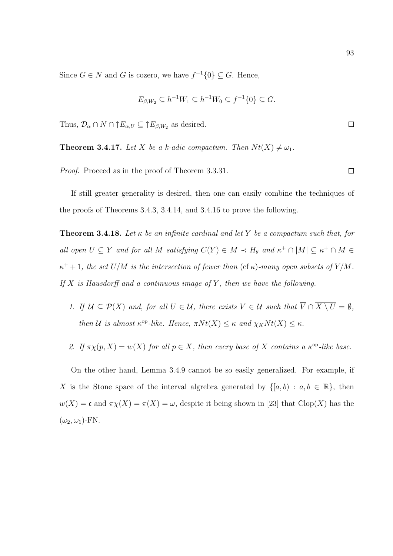Since  $G \in N$  and G is cozero, we have  $f^{-1}\{0\} \subseteq G$ . Hence,

$$
E_{\beta,W_2} \subseteq h^{-1}W_1 \subseteq h^{-1}W_0 \subseteq f^{-1}\{0\} \subseteq G.
$$

Thus,  $\mathcal{D}_{\alpha} \cap N \cap \uparrow E_{\alpha,U} \subseteq \uparrow E_{\beta,W_2}$  as desired.

**Theorem 3.4.17.** Let X be a k-adic compactum. Then  $Nt(X) \neq \omega_1$ .

Proof. Proceed as in the proof of Theorem 3.3.31.

If still greater generality is desired, then one can easily combine the techniques of the proofs of Theorems 3.4.3, 3.4.14, and 3.4.16 to prove the following.

**Theorem 3.4.18.** Let  $\kappa$  be an infinite cardinal and let Y be a compactum such that, for all open  $U \subseteq Y$  and for all M satisfying  $C(Y) \in M \prec H_{\theta}$  and  $\kappa^+ \cap |M| \subseteq \kappa^+ \cap M \in$  $\kappa^+ + 1$ , the set  $U/M$  is the intersection of fewer than (cf  $\kappa$ )-many open subsets of Y/M. If  $X$  is Hausdorff and a continuous image of  $Y$ , then we have the following.

- 1. If  $U \subseteq \mathcal{P}(X)$  and, for all  $U \in \mathcal{U}$ , there exists  $V \in \mathcal{U}$  such that  $\overline{V} \cap \overline{X \setminus U} = \emptyset$ , then U is almost  $\kappa^{\rm op}\text{-}like$ . Hence,  $\pi N t(X) \leq \kappa$  and  $\chi_K N t(X) \leq \kappa$ .
- 2. If  $\pi \chi(p, X) = w(X)$  for all  $p \in X$ , then every base of X contains a  $\kappa^{\rm op}$ -like base.

On the other hand, Lemma 3.4.9 cannot be so easily generalized. For example, if X is the Stone space of the interval algrebra generated by  $\{[a, b) : a, b \in \mathbb{R}\},\$  then  $w(X) = \mathfrak{c}$  and  $\pi \chi(X) = \pi(X) = \omega$ , despite it being shown in [23] that Clop(X) has the  $(\omega_2, \omega_1)$ -FN.

 $\Box$ 

 $\Box$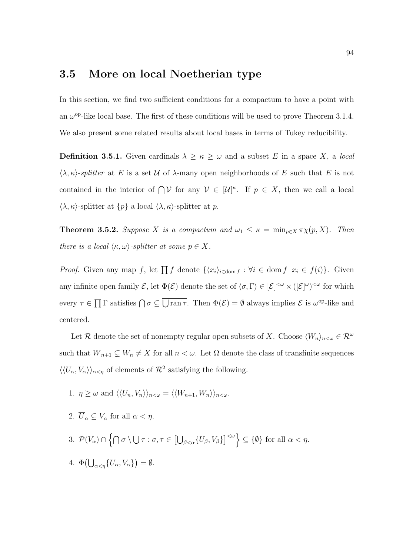## 3.5 More on local Noetherian type

In this section, we find two sufficient conditions for a compactum to have a point with an  $\omega^{\rm op}$ -like local base. The first of these conditions will be used to prove Theorem 3.1.4. We also present some related results about local bases in terms of Tukey reducibility.

**Definition 3.5.1.** Given cardinals  $\lambda \geq \kappa \geq \omega$  and a subset E in a space X, a local  $\langle \lambda, \kappa \rangle$ -splitter at E is a set U of  $\lambda$ -many open neighborhoods of E such that E is not contained in the interior of  $\bigcap V$  for any  $V \in [U]^{\kappa}$ . If  $p \in X$ , then we call a local  $\langle \lambda, \kappa \rangle$ -splitter at  $\{p\}$  a local  $\langle \lambda, \kappa \rangle$ -splitter at p.

**Theorem 3.5.2.** Suppose X is a compactum and  $\omega_1 \leq \kappa = \min_{p \in X} \pi \chi(p, X)$ . Then there is a local  $\langle \kappa, \omega \rangle$ -splitter at some  $p \in X$ .

*Proof.* Given any map f, let  $\prod f$  denote  $\{\langle x_i \rangle_{i \in \text{dom } f} : \forall i \in \text{dom } f \ x_i \in f(i)\}\$ . Given any infinite open family  $\mathcal{E}$ , let  $\Phi(\mathcal{E})$  denote the set of  $\langle \sigma, \Gamma \rangle \in [\mathcal{E}]^{<\omega} \times ([\mathcal{E}]^{\omega})^{<\omega}$  for which every  $\tau \in \prod \Gamma$  satisfies  $\bigcap \sigma \subseteq \overline{\bigcup \operatorname{ran} \tau}$ . Then  $\Phi(\mathcal{E}) = \emptyset$  always implies  $\mathcal{E}$  is  $\omega^{\operatorname{op-like}}$  and centered.

Let R denote the set of nonempty regular open subsets of X. Choose  $\langle W_n \rangle_{n \leq \omega} \in \mathcal{R}^\omega$ such that  $\overline{W}_{n+1} \subsetneq W_n \neq X$  for all  $n < \omega$ . Let  $\Omega$  denote the class of transfinite sequences  $\langle\langle U_{\alpha}, V_{\alpha} \rangle\rangle_{\alpha < \eta}$  of elements of  $\mathcal{R}^2$  satisfying the following.

- 1.  $\eta \geq \omega$  and  $\langle \langle U_n, V_n \rangle \rangle_{n \leq \omega} = \langle \langle W_{n+1}, W_n \rangle \rangle_{n \leq \omega}$ .
- 2.  $\overline{U}_{\alpha} \subseteq V_{\alpha}$  for all  $\alpha < \eta$ .
- 3.  $\mathcal{P}(V_{\alpha}) \cap \left\{ \bigcap \sigma \setminus \overline{\bigcup \tau} : \sigma, \tau \in \left[\bigcup_{\beta < \alpha} \{U_{\beta}, V_{\beta}\}\right]^{<\omega} \right\} \subseteq \{\emptyset\} \text{ for all } \alpha < \eta.$
- 4.  $\Phi\left(\bigcup_{\alpha<\eta}\{U_{\alpha},V_{\alpha}\}\right)=\emptyset.$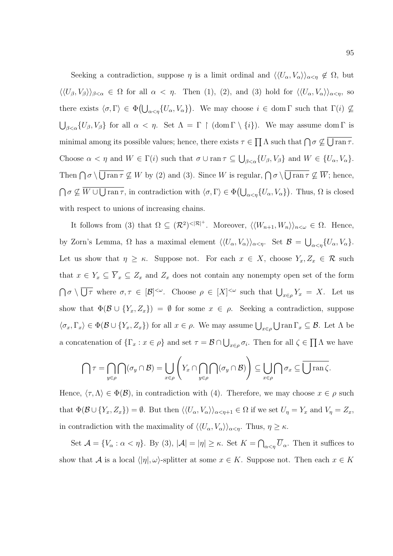Seeking a contradiction, suppose  $\eta$  is a limit ordinal and  $\langle\langle U_{\alpha}, V_{\alpha}\rangle\rangle_{\alpha<\eta} \notin \Omega$ , but  $\langle\langle U_{\beta}, V_{\beta}\rangle\rangle_{\beta<\alpha} \in \Omega$  for all  $\alpha < \eta$ . Then (1), (2), and (3) hold for  $\langle\langle U_{\alpha}, V_{\alpha}\rangle\rangle_{\alpha<\eta}$ , so there exists  $\langle \sigma, \Gamma \rangle \in \Phi(\bigcup_{\alpha < \eta} \{U_{\alpha}, V_{\alpha}\})$ . We may choose  $i \in \text{dom }\Gamma$  such that  $\Gamma(i) \nsubseteq$  $\bigcup_{\beta<\alpha}\{U_{\beta},V_{\beta}\}\)$  for all  $\alpha<\eta$ . Set  $\Lambda=\Gamma\restriction$  (dom  $\Gamma\setminus\{i\}$ ). We may assume dom  $\Gamma$  is minimal among its possible values; hence, there exists  $\tau \in \prod \Lambda$  such that  $\bigcap \sigma \nsubseteq \bigcup \text{ran } \tau$ . Choose  $\alpha < \eta$  and  $W \in \Gamma(i)$  such that  $\sigma \cup \text{ran } \tau \subseteq \bigcup_{\beta < \alpha} \{U_{\beta}, V_{\beta}\}\$ and  $W \in \{U_{\alpha}, V_{\alpha}\}.$ Then  $\bigcap \sigma \setminus \bigcup \operatorname{ran} \tau \nsubseteq W$  by (2) and (3). Since W is regular,  $\bigcap \sigma \setminus \bigcup \operatorname{ran} \tau \nsubseteq \overline{W}$ ; hence,  $\bigcap \sigma \not\subseteq \overline{W} \cup \bigcup \text{ran } \tau$ , in contradiction with  $\langle \sigma, \Gamma \rangle \in \Phi(\bigcup_{\alpha < \eta} \{U_{\alpha}, V_{\alpha}\})$ . Thus,  $\Omega$  is closed with respect to unions of increasing chains.

It follows from (3) that  $\Omega \subseteq (\mathcal{R}^2)^{|\mathcal{R}|^+}$ . Moreover,  $\langle\langle W_{n+1}, W_n \rangle\rangle_{n \leq \omega} \in \Omega$ . Hence, by Zorn's Lemma,  $\Omega$  has a maximal element  $\langle\langle U_{\alpha}, V_{\alpha}\rangle\rangle_{\alpha<\eta}$ . Set  $\mathcal{B}=\bigcup_{\alpha<\eta}\{U_{\alpha}, V_{\alpha}\}.$ Let us show that  $\eta \geq \kappa$ . Suppose not. For each  $x \in X$ , choose  $Y_x, Z_x \in \mathcal{R}$  such that  $x \in Y_x \subseteq \overline{Y}_x \subseteq Z_x$  and  $Z_x$  does not contain any nonempty open set of the form  $\bigcap \sigma \setminus \overline{\bigcup_{\tau}}$  where  $\sigma, \tau \in [\mathcal{B}]^{<\omega}$ . Choose  $\rho \in [X]^{<\omega}$  such that  $\bigcup_{x \in \rho} Y_x = X$ . Let us show that  $\Phi(\mathcal{B} \cup \{Y_x, Z_x\}) = \emptyset$  for some  $x \in \rho$ . Seeking a contradiction, suppose  $\langle \sigma_x, \Gamma_x \rangle \in \Phi(\mathcal{B} \cup \{Y_x, Z_x\})$  for all  $x \in \rho$ . We may assume  $\bigcup_{x \in \rho} \bigcup \text{ran } \Gamma_x \subseteq \mathcal{B}$ . Let  $\Lambda$  be a concatenation of  $\{\Gamma_x : x \in \rho\}$  and set  $\tau = \mathcal{B} \cap \bigcup_{x \in \rho} \sigma_i$ . Then for all  $\zeta \in \prod \Lambda$  we have

$$
\bigcap \tau = \bigcap_{y \in \rho} \bigcap (\sigma_y \cap \mathcal{B}) = \bigcup_{x \in \rho} \left( Y_x \cap \bigcap_{y \in \rho} \bigcap (\sigma_y \cap \mathcal{B}) \right) \subseteq \bigcup_{x \in \rho} \bigcap \sigma_x \subseteq \overline{\bigcup \operatorname{ran} \zeta}.
$$

Hence,  $\langle \tau, \Lambda \rangle \in \Phi(\mathcal{B})$ , in contradiction with (4). Therefore, we may choose  $x \in \rho$  such that  $\Phi(\mathcal{B} \cup \{Y_x, Z_x\}) = \emptyset$ . But then  $\langle \langle U_\alpha, V_\alpha \rangle \rangle_{\alpha < \eta+1} \in \Omega$  if we set  $U_\eta = Y_x$  and  $V_\eta = Z_x$ , in contradiction with the maximality of  $\langle\langle U_{\alpha}, V_{\alpha}\rangle\rangle_{\alpha<\eta}$ . Thus,  $\eta \geq \kappa$ .

Set  $\mathcal{A} = \{V_\alpha : \alpha < \eta\}$ . By (3),  $|\mathcal{A}| = |\eta| \geq \kappa$ . Set  $K = \bigcap_{\alpha < \eta} \overline{U}_\alpha$ . Then it suffices to show that A is a local  $\langle |\eta|, \omega \rangle$ -splitter at some  $x \in K$ . Suppose not. Then each  $x \in K$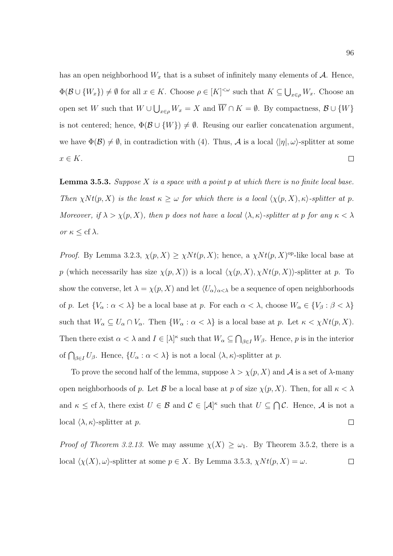has an open neighborhood  $W_x$  that is a subset of infinitely many elements of  $A$ . Hence,  $\Phi(\mathcal{B}\cup \{W_x\})\neq \emptyset$  for all  $x\in K$ . Choose  $\rho\in [K]^{<\omega}$  such that  $K\subseteq \bigcup_{x\in \rho}W_x$ . Choose an open set W such that  $W \cup \bigcup_{x \in \rho} W_x = X$  and  $\overline{W} \cap K = \emptyset$ . By compactness,  $\mathcal{B} \cup \{W\}$ is not centered; hence,  $\Phi(\mathcal{B} \cup \{W\}) \neq \emptyset$ . Reusing our earlier concatenation argument, we have  $\Phi(\mathcal{B})\neq\emptyset$ , in contradiction with (4). Thus, A is a local  $\langle |\eta|,\omega\rangle$ -splitter at some  $x \in K$ .  $\Box$ 

**Lemma 3.5.3.** Suppose X is a space with a point p at which there is no finite local base. Then  $\chi N t(p, X)$  is the least  $\kappa \geq \omega$  for which there is a local  $\langle \chi(p, X), \kappa \rangle$ -splitter at p. Moreover, if  $\lambda > \chi(p, X)$ , then p does not have a local  $\langle \lambda, \kappa \rangle$ -splitter at p for any  $\kappa < \lambda$ or  $\kappa \leq$  cf  $\lambda$ .

*Proof.* By Lemma 3.2.3,  $\chi(p, X) \geq \chi N t(p, X)$ ; hence, a  $\chi N t(p, X)$ <sup>op</sup>-like local base at p (which necessarily has size  $\chi(p, X)$ ) is a local  $\langle \chi(p, X), \chi N t(p, X) \rangle$ -splitter at p. To show the converse, let  $\lambda = \chi(p, X)$  and let  $\langle U_{\alpha} \rangle_{\alpha < \lambda}$  be a sequence of open neighborhoods of p. Let  $\{V_\alpha : \alpha < \lambda\}$  be a local base at p. For each  $\alpha < \lambda$ , choose  $W_\alpha \in \{V_\beta : \beta < \lambda\}$ such that  $W_{\alpha} \subseteq U_{\alpha} \cap V_{\alpha}$ . Then  $\{W_{\alpha} : \alpha < \lambda\}$  is a local base at p. Let  $\kappa < \chi Nt(p, X)$ . Then there exist  $\alpha < \lambda$  and  $I \in [\lambda]^{\kappa}$  such that  $W_{\alpha} \subseteq \bigcap_{\beta \in I} W_{\beta}$ . Hence, p is in the interior of  $\bigcap_{\beta \in I} U_\beta$ . Hence,  $\{U_\alpha : \alpha < \lambda\}$  is not a local  $\langle \lambda, \kappa \rangle$ -splitter at p.

To prove the second half of the lemma, suppose  $\lambda > \chi(p, X)$  and  $\mathcal A$  is a set of  $\lambda$ -many open neighborhoods of p. Let B be a local base at p of size  $\chi(p, X)$ . Then, for all  $\kappa < \lambda$ and  $\kappa \leq cf \lambda$ , there exist  $U \in \mathcal{B}$  and  $\mathcal{C} \in [\mathcal{A}]^{\kappa}$  such that  $U \subseteq \bigcap \mathcal{C}$ . Hence,  $\mathcal{A}$  is not a local  $\langle \lambda, \kappa \rangle$ -splitter at p.  $\Box$ 

*Proof of Theorem 3.2.13.* We may assume  $\chi(X) \geq \omega_1$ . By Theorem 3.5.2, there is a local  $\langle \chi(X), \omega \rangle$ -splitter at some  $p \in X$ . By Lemma 3.5.3,  $\chi N t(p, X) = \omega$ .  $\Box$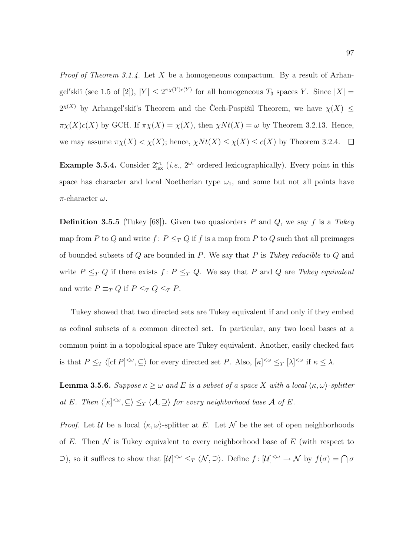*Proof of Theorem 3.1.4.* Let X be a homogeneous compactum. By a result of Arhangel'skiĭ (see 1.5 of [2]),  $|Y| \leq 2^{\pi \chi(Y)c(Y)}$  for all homogeneous  $T_3$  spaces Y. Since  $|X| =$  $2^{x(X)}$  by Arhangel'skiı's Theorem and the Čech-Pospisil Theorem, we have  $\chi(X) \leq$  $\pi\chi(X)c(X)$  by GCH. If  $\pi\chi(X) = \chi(X)$ , then  $\chi N t(X) = \omega$  by Theorem 3.2.13. Hence, we may assume  $\pi \chi(X) < \chi(X)$ ; hence,  $\chi N t(X) \leq \chi(X) \leq c(X)$  by Theorem 3.2.4.  $\Box$ 

**Example 3.5.4.** Consider  $2^{\omega_1}_{\text{lex}}$  (*i.e.*,  $2^{\omega_1}$  ordered lexicographically). Every point in this space has character and local Noetherian type  $\omega_1$ , and some but not all points have  $\pi$ -character  $\omega$ .

**Definition 3.5.5** (Tukey [68]). Given two quasiorders P and Q, we say f is a Tukey map from P to Q and write  $f: P \leq_T Q$  if  $f$  is a map from P to Q such that all preimages of bounded subsets of  $Q$  are bounded in  $P$ . We say that  $P$  is Tukey reducible to  $Q$  and write  $P \leq_T Q$  if there exists  $f: P \leq_T Q$ . We say that P and Q are Tukey equivalent and write  $P \equiv_T Q$  if  $P \leq_T Q \leq_T P$ .

Tukey showed that two directed sets are Tukey equivalent if and only if they embed as cofinal subsets of a common directed set. In particular, any two local bases at a common point in a topological space are Tukey equivalent. Another, easily checked fact is that  $P \leq_T \langle [cf P]^{<\omega}, \subseteq \rangle$  for every directed set P. Also,  $[\kappa]^{<\omega} \leq_T [\lambda]^{<\omega}$  if  $\kappa \leq \lambda$ .

**Lemma 3.5.6.** Suppose  $\kappa \geq \omega$  and E is a subset of a space X with a local  $\langle \kappa, \omega \rangle$ -splitter at E. Then  $\langle [\kappa]^{<\omega}, \subseteq \rangle \leq_T \langle A, \supseteq \rangle$  for every neighborhood base A of E.

*Proof.* Let U be a local  $\langle \kappa, \omega \rangle$ -splitter at E. Let N be the set of open neighborhoods of E. Then  $\mathcal N$  is Tukey equivalent to every neighborhood base of E (with respect to  $\supseteq$ ), so it suffices to show that  $[\mathcal{U}]^{<\omega} \leq_T \langle \mathcal{N}, \supseteq \rangle$ . Define  $f : [\mathcal{U}]^{<\omega} \to \mathcal{N}$  by  $f(\sigma) = \bigcap \sigma$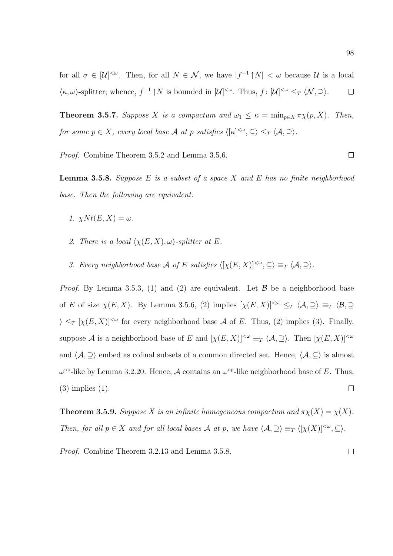for all  $\sigma \in [\mathcal{U}]^{<\omega}$ . Then, for all  $N \in \mathcal{N}$ , we have  $|f^{-1} \uparrow N| < \omega$  because  $\mathcal{U}$  is a local  $\langle \kappa, \omega \rangle$ -splitter; whence,  $f^{-1} \uparrow N$  is bounded in  $[\mathcal{U}]^{<\omega}$ . Thus,  $f : [\mathcal{U}]^{<\omega} \leq_T \langle \mathcal{N}, \supseteq \rangle$ .  $\Box$ 

**Theorem 3.5.7.** Suppose X is a compactum and  $\omega_1 \leq \kappa = \min_{p \in X} \pi \chi(p, X)$ . Then, for some  $p \in X$ , every local base  $\mathcal A$  at  $p$  satisfies  $\langle [\kappa]^{<\omega}, \subseteq \rangle \leq_T \langle \mathcal A, \supseteq \rangle$ .

Proof. Combine Theorem 3.5.2 and Lemma 3.5.6.

**Lemma 3.5.8.** Suppose  $E$  is a subset of a space  $X$  and  $E$  has no finite neighborhood base. Then the following are equivalent.

- 1.  $\chi N t(E, X) = \omega$ .
- 2. There is a local  $\langle \chi(E, X), \omega \rangle$ -splitter at E.
- 3. Every neighborhood base A of E satisfies  $\langle [\chi(E, X)]^{<\omega}, \subseteq \rangle \equiv_T \langle A, \supseteq \rangle$ .

*Proof.* By Lemma 3.5.3, (1) and (2) are equivalent. Let  $\beta$  be a neighborhood base of E of size  $\chi(E, X)$ . By Lemma 3.5.6, (2) implies  $[\chi(E, X)]^{\lt \omega} \leq_T \langle A, \supseteq \rangle \equiv_T \langle B, \supseteq$  $\sum_{i}$   $[\chi(E, X)]^{\leq \omega}$  for every neighborhood base A of E. Thus, (2) implies (3). Finally, suppose A is a neighborhood base of E and  $[\chi(E, X)]^{\lt \omega} \equiv_T \langle A, \supseteq \rangle$ . Then  $[\chi(E, X)]^{\lt \omega}$ and  $\langle \mathcal{A}, \supseteq \rangle$  embed as cofinal subsets of a common directed set. Hence,  $\langle \mathcal{A}, \subseteq \rangle$  is almost  $ω<sup>op</sup>$ -like by Lemma 3.2.20. Hence, *A* contains an  $ω<sup>op</sup>$ -like neighborhood base of *E*. Thus,  $\Box$ (3) implies (1).

**Theorem 3.5.9.** Suppose X is an infinite homogeneous compactum and  $\pi \chi(X) = \chi(X)$ . Then, for all  $p \in X$  and for all local bases A at p, we have  $\langle A, \supseteq \rangle \equiv_T \langle [\chi(X)]^{<\omega}, \subseteq \rangle$ .

Proof. Combine Theorem 3.2.13 and Lemma 3.5.8. $\Box$ 

 $\Box$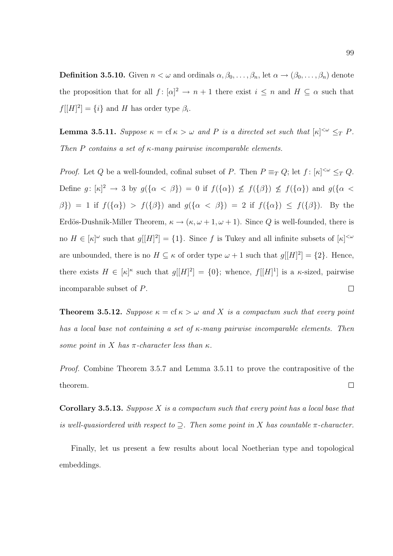**Definition 3.5.10.** Given  $n < \omega$  and ordinals  $\alpha, \beta_0, \ldots, \beta_n$ , let  $\alpha \to (\beta_0, \ldots, \beta_n)$  denote the proposition that for all  $f: [\alpha]^2 \to n+1$  there exist  $i \leq n$  and  $H \subseteq \alpha$  such that  $f[[H]^2] = \{i\}$  and H has order type  $\beta_i$ .

**Lemma 3.5.11.** Suppose  $\kappa = \text{cf } \kappa > \omega$  and P is a directed set such that  $[\kappa]^{<\omega} \leq_T P$ . Then P contains a set of  $\kappa$ -many pairwise incomparable elements.

*Proof.* Let Q be a well-founded, cofinal subset of P. Then  $P \equiv_T Q$ ; let  $f: [\kappa]^{<\omega} \leq_T Q$ . Define  $g: [\kappa]^2 \to 3$  by  $g({\{\alpha < \beta\}}) = 0$  if  $f({\{\alpha\}}) \nleq f({\{\beta\}}) \nleq f({\{\alpha\}})$  and  $g({\{\alpha < \beta\}})$  $\beta$ }) = 1 if  $f(\{\alpha\}) > f(\{\beta\})$  and  $g(\{\alpha < \beta\}) = 2$  if  $f(\{\alpha\}) \le f(\{\beta\})$ . By the Erdös-Dushnik-Miller Theorem,  $\kappa \to (\kappa, \omega + 1, \omega + 1)$ . Since Q is well-founded, there is no  $H \in |\kappa|^{\omega}$  such that  $g[[H]^2] = \{1\}$ . Since f is Tukey and all infinite subsets of  $|\kappa|^{<\omega}$ are unbounded, there is no  $H \subseteq \kappa$  of order type  $\omega + 1$  such that  $g[[H]^2] = \{2\}$ . Hence, there exists  $H \in [\kappa]^{\kappa}$  such that  $g[[H]^2] = \{0\}$ ; whence,  $f[[H]^1]$  is a  $\kappa$ -sized, pairwise incomparable subset of P.  $\Box$ 

**Theorem 3.5.12.** Suppose  $\kappa = \text{cf } \kappa > \omega$  and X is a compactum such that every point has a local base not containing a set of  $\kappa$ -many pairwise incomparable elements. Then some point in X has  $\pi$ -character less than  $\kappa$ .

Proof. Combine Theorem 3.5.7 and Lemma 3.5.11 to prove the contrapositive of the theorem.  $\Box$ 

**Corollary 3.5.13.** Suppose X is a compactum such that every point has a local base that is well-quasiordered with respect to  $\supseteq$ . Then some point in X has countable  $\pi$ -character.

Finally, let us present a few results about local Noetherian type and topological embeddings.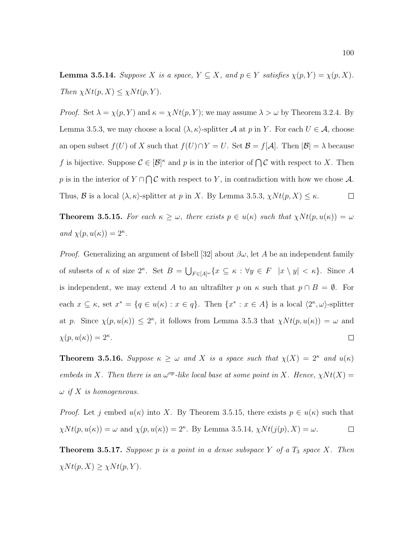**Lemma 3.5.14.** Suppose X is a space,  $Y \subseteq X$ , and  $p \in Y$  satisfies  $\chi(p, Y) = \chi(p, X)$ . Then  $\chi N t(p, X) \leq \chi N t(p, Y)$ .

*Proof.* Set  $\lambda = \chi(p, Y)$  and  $\kappa = \chi N t(p, Y)$ ; we may assume  $\lambda > \omega$  by Theorem 3.2.4. By Lemma 3.5.3, we may choose a local  $\langle \lambda, \kappa \rangle$ -splitter A at p in Y. For each  $U \in \mathcal{A}$ , choose an open subset  $f(U)$  of X such that  $f(U) \cap Y = U$ . Set  $\mathcal{B} = f[\mathcal{A}]$ . Then  $|\mathcal{B}| = \lambda$  because f is bijective. Suppose  $\mathcal{C} \in [\mathcal{B}]^{\kappa}$  and p is in the interior of  $\bigcap \mathcal{C}$  with respect to X. Then p is in the interior of  $Y \cap \bigcap \mathcal{C}$  with respect to Y, in contradiction with how we chose A. Thus, B is a local  $\langle \lambda, \kappa \rangle$ -splitter at p in X. By Lemma 3.5.3,  $\chi N t(p, X) \leq \kappa$ .  $\Box$ 

**Theorem 3.5.15.** For each  $\kappa \geq \omega$ , there exists  $p \in u(\kappa)$  such that  $\chi N t(p, u(\kappa)) = \omega$ and  $\chi(p, u(\kappa)) = 2^{\kappa}$ .

*Proof.* Generalizing an argument of Isbell [32] about  $\beta\omega$ , let A be an independent family of subsets of  $\kappa$  of size  $2^{\kappa}$ . Set  $B = \bigcup_{F \in [A]^{\omega}} \{x \subseteq \kappa : \forall y \in F \mid x \setminus y \mid \kappa\}$ . Since A is independent, we may extend A to an ultrafilter p on  $\kappa$  such that  $p \cap B = \emptyset$ . For each  $x \subseteq \kappa$ , set  $x^* = \{q \in u(\kappa) : x \in q\}$ . Then  $\{x^* : x \in A\}$  is a local  $\langle 2^{\kappa}, \omega \rangle$ -splitter at p. Since  $\chi(p, u(\kappa)) \leq 2^{\kappa}$ , it follows from Lemma 3.5.3 that  $\chi N t(p, u(\kappa)) = \omega$  and  $\chi(p, u(\kappa)) = 2^{\kappa}.$  $\Box$ 

**Theorem 3.5.16.** Suppose  $\kappa \geq \omega$  and X is a space such that  $\chi(X) = 2^{\kappa}$  and  $u(\kappa)$ embeds in X. Then there is an  $\omega^{\rm op}$ -like local base at some point in X. Hence,  $\chi N t(X) =$  $\omega$  if X is homogeneous.

*Proof.* Let j embed  $u(\kappa)$  into X. By Theorem 3.5.15, there exists  $p \in u(\kappa)$  such that  $\chi N t(p, u(\kappa)) = \omega$  and  $\chi(p, u(\kappa)) = 2^{\kappa}$ . By Lemma 3.5.14,  $\chi N t(j(p), X) = \omega$ .  $\Box$ 

**Theorem 3.5.17.** Suppose p is a point in a dense subspace Y of a  $T_3$  space X. Then  $\chi N t(p, X) \geq \chi N t(p, Y).$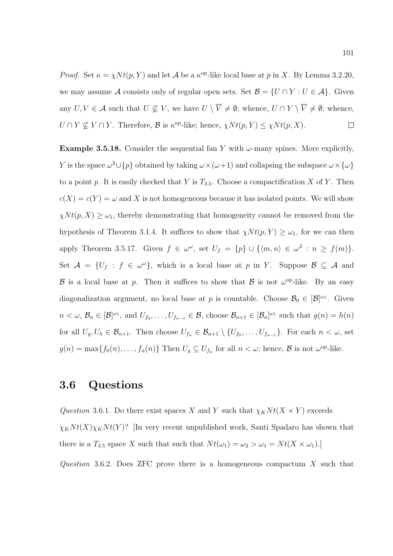*Proof.* Set  $\kappa = \chi N t(p, Y)$  and let A be a  $\kappa^{\text{op-like}}$  local base at p in X. By Lemma 3.2.20, we may assume A consists only of regular open sets. Set  $\mathcal{B} = \{U \cap Y : U \in \mathcal{A}\}.$  Given any  $U, V \in \mathcal{A}$  such that  $U \nsubseteq V$ , we have  $U \setminus \overline{V} \neq \emptyset$ ; whence,  $U \cap Y \setminus \overline{V} \neq \emptyset$ ; whence,  $U \cap Y \nsubseteq V \cap Y$ . Therefore,  $\mathcal{B}$  is  $\kappa^{\text{op-like}}$ ; hence,  $\chi N t(p, Y) \leq \chi N t(p, X)$ .  $\Box$ 

**Example 3.5.18.** Consider the sequential fan Y with  $\omega$ -many spines. More explicitly, Y is the space  $\omega^2 \cup \{p\}$  obtained by taking  $\omega \times (\omega+1)$  and collapsing the subspace  $\omega \times {\{\omega\}}$ to a point p. It is easily checked that Y is  $T_{3.5}$ . Choose a compactification X of Y. Then  $c(X) = c(Y) = \omega$  and X is not homogeneous because it has isolated points. We will show  $\chi N t(p, X) \geq \omega_1$ , thereby demonstrating that homogeneity cannot be removed from the hypothesis of Theorem 3.1.4. It suffices to show that  $\chi N t(p, Y) \geq \omega_1$ , for we can then apply Theorem 3.5.17. Given  $f \in \omega^{\omega}$ , set  $U_f = \{p\} \cup \{\langle m, n \rangle \in \omega^2 : n \ge f(m)\}.$ Set  $\mathcal{A} = \{U_f : f \in \omega^\omega\}$ , which is a local base at p in Y. Suppose  $\mathcal{B} \subseteq \mathcal{A}$  and B is a local base at p. Then it suffices to show that B is not  $\omega^{\rm op}$ -like. By an easy diagonalization argument, no local base at p is countable. Choose  $\mathcal{B}_0 \in [\mathcal{B}]^{\omega_1}$ . Given  $n < \omega, \mathcal{B}_n \in [\mathcal{B}]^{\omega_1}$ , and  $U_{f_0}, \ldots, U_{f_{n-1}} \in \mathcal{B}$ , choose  $\mathcal{B}_{n+1} \in [\mathcal{B}_n]^{\omega_1}$  such that  $g(n) = h(n)$ for all  $U_g, U_h \in \mathcal{B}_{n+1}$ . Then choose  $U_{f_n} \in \mathcal{B}_{n+1} \setminus \{U_{f_0}, \ldots, U_{f_{n-1}}\}$ . For each  $n < \omega$ , set  $g(n) = \max\{f_0(n), \ldots, f_n(n)\}\$ Then  $U_g \subseteq U_{f_n}$  for all  $n < \omega$ ; hence,  $\mathcal{B}$  is not  $\omega^{\mathrm{op}}$ -like.

## 3.6 Questions

Question 3.6.1. Do there exist spaces X and Y such that  $\chi_K N t(X \times Y)$  exceeds  $\chi_K N t(X) \chi_K N t(Y)$ ? [In very recent unpublished work, Santi Spadaro has shown that there is a  $T_{3.5}$  space X such that such that  $N t(\omega_1) = \omega_2 > \omega_1 = N t(X \times \omega_1)$ .

Question 3.6.2. Does ZFC prove there is a homogeneous compactum  $X$  such that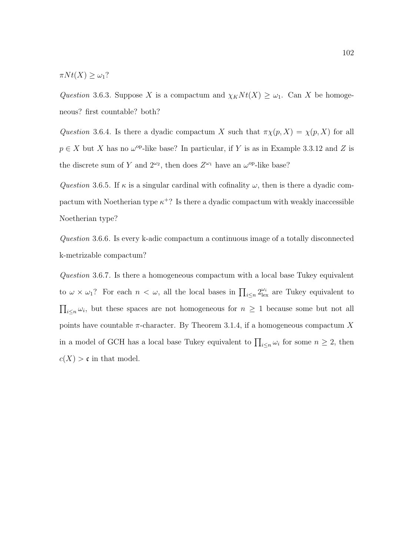$\pi N t(X) \geq \omega_1$ ?

Question 3.6.3. Suppose X is a compactum and  $\chi_K N t(X) \geq \omega_1$ . Can X be homogeneous? first countable? both?

Question 3.6.4. Is there a dyadic compactum X such that  $\pi \chi(p, X) = \chi(p, X)$  for all  $p \in X$  but X has no  $\omega^{\text{op}}$ -like base? In particular, if Y is as in Example 3.3.12 and Z is the discrete sum of Y and  $2^{\omega_2}$ , then does  $Z^{\omega_1}$  have an  $\omega^{\rm op}\text{-like base?}$ 

Question 3.6.5. If  $\kappa$  is a singular cardinal with cofinality  $\omega$ , then is there a dyadic compactum with Noetherian type  $\kappa^+$ ? Is there a dyadic compactum with weakly inaccessible Noetherian type?

Question 3.6.6. Is every k-adic compactum a continuous image of a totally disconnected k-metrizable compactum?

Question 3.6.7. Is there a homogeneous compactum with a local base Tukey equivalent to  $\omega \times \omega_1$ ? For each  $n < \omega$ , all the local bases in  $\prod_{i \leq n} 2^{\omega_i}_{\text{lex}}$  are Tukey equivalent to  $\prod_{i\leq n}\omega_i$ , but these spaces are not homogeneous for  $n\geq 1$  because some but not all points have countable  $\pi$ -character. By Theorem 3.1.4, if a homogeneous compactum X in a model of GCH has a local base Tukey equivalent to  $\prod_{i\leq n}\omega_i$  for some  $n\geq 2$ , then  $c(X) > c$  in that model.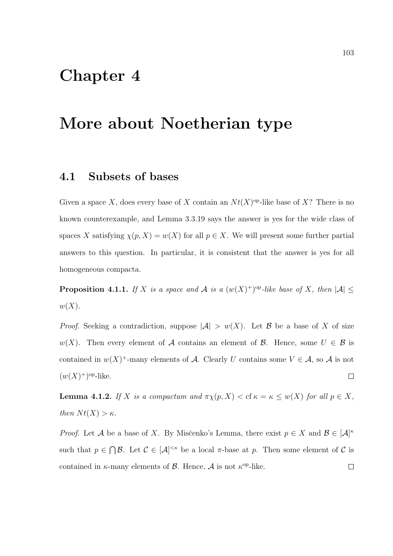## Chapter 4

## More about Noetherian type

#### 4.1 Subsets of bases

Given a space X, does every base of X contain an  $Nt(X)$ <sup>op</sup>-like base of X? There is no known counterexample, and Lemma 3.3.19 says the answer is yes for the wide class of spaces X satisfying  $\chi(p, X) = w(X)$  for all  $p \in X$ . We will present some further partial answers to this question. In particular, it is consistent that the answer is yes for all homogeneous compacta.

**Proposition 4.1.1.** If X is a space and A is a  $(w(X)^+)$ <sup>op</sup>-like base of X, then  $|A| \leq$  $w(X)$ .

*Proof.* Seeking a contradiction, suppose  $|\mathcal{A}| > w(X)$ . Let B be a base of X of size w(X). Then every element of A contains an element of B. Hence, some  $U \in \mathcal{B}$  is contained in  $w(X)^+$ -many elements of A. Clearly U contains some  $V \in \mathcal{A}$ , so A is not  $(w(X)^+)^\text{op-like}.$  $\Box$ 

**Lemma 4.1.2.** If X is a compactum and  $\pi \chi(p, X) <$  cf  $\kappa = \kappa \leq w(X)$  for all  $p \in X$ , then  $N t(X) > \kappa$ .

*Proof.* Let A be a base of X. By Misčenko's Lemma, there exist  $p \in X$  and  $\mathcal{B} \in [\mathcal{A}]^{\kappa}$ such that  $p \in \bigcap \mathcal{B}$ . Let  $\mathcal{C} \in [\mathcal{A}]^{<\kappa}$  be a local  $\pi$ -base at p. Then some element of  $\mathcal{C}$  is contained in  $\kappa$ -many elements of  $\beta$ . Hence,  $\mathcal A$  is not  $\kappa^{\text{op-like}}$ .  $\Box$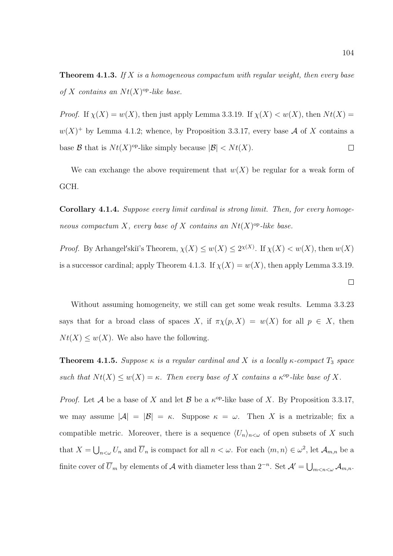**Theorem 4.1.3.** If X is a homogeneous compactum with regular weight, then every base of X contains an  $Nt(X)$ <sup>op</sup>-like base.

*Proof.* If  $\chi(X) = w(X)$ , then just apply Lemma 3.3.19. If  $\chi(X) < w(X)$ , then  $Nt(X) =$  $w(X)^+$  by Lemma 4.1.2; whence, by Proposition 3.3.17, every base A of X contains a base  $\mathcal{B}$  that is  $Nt(X)$ <sup>op</sup>-like simply because  $|\mathcal{B}| < Nt(X)$ .  $\Box$ 

We can exchange the above requirement that  $w(X)$  be regular for a weak form of GCH.

Corollary 4.1.4. Suppose every limit cardinal is strong limit. Then, for every homogeneous compactum X, every base of X contains an  $Nt(X)$ <sup>op</sup>-like base.

*Proof.* By Arhangel'skii's Theorem,  $\chi(X) \leq w(X) \leq 2^{\chi(X)}$ . If  $\chi(X) < w(X)$ , then  $w(X)$ is a successor cardinal; apply Theorem 4.1.3. If  $\chi(X) = w(X)$ , then apply Lemma 3.3.19.

Without assuming homogeneity, we still can get some weak results. Lemma 3.3.23 says that for a broad class of spaces X, if  $\pi \chi(p, X) = w(X)$  for all  $p \in X$ , then  $N t(X) \leq w(X)$ . We also have the following.

**Theorem 4.1.5.** Suppose  $\kappa$  is a regular cardinal and X is a locally  $\kappa$ -compact  $T_3$  space such that  $N t(X) \leq w(X) = \kappa$ . Then every base of X contains a  $\kappa^{\rm op}$ -like base of X.

*Proof.* Let A be a base of X and let B be a  $\kappa^{\rm op}$ -like base of X. By Proposition 3.3.17, we may assume  $|\mathcal{A}| = |\mathcal{B}| = \kappa$ . Suppose  $\kappa = \omega$ . Then X is a metrizable; fix a compatible metric. Moreover, there is a sequence  $\langle U_n \rangle_{n \leq \omega}$  of open subsets of X such that  $X = \bigcup_{n<\omega} U_n$  and  $\overline{U}_n$  is compact for all  $n<\omega$ . For each  $\langle m,n\rangle \in \omega^2$ , let  $\mathcal{A}_{m,n}$  be a finite cover of  $\overline{U}_m$  by elements of A with diameter less than  $2^{-n}$ . Set  $\mathcal{A}' = \bigcup_{m < n < \omega} \mathcal{A}_{m,n}$ .

$$
\boxed{\phantom{0}}
$$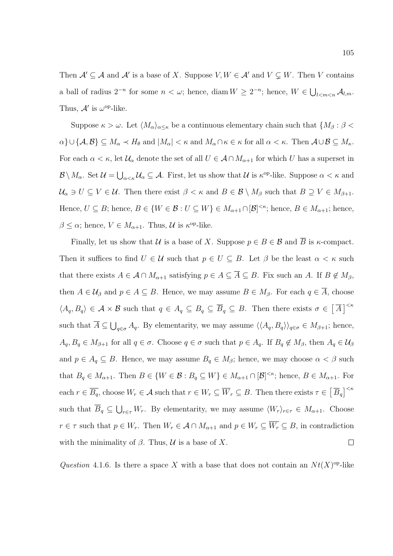Then  $\mathcal{A}' \subseteq \mathcal{A}$  and  $\mathcal{A}'$  is a base of X. Suppose  $V, W \in \mathcal{A}'$  and  $V \subsetneq W$ . Then V contains a ball of radius  $2^{-n}$  for some  $n < \omega$ ; hence, diam  $W \ge 2^{-n}$ ; hence,  $W \in \bigcup_{l < m < n} A_{l,m}$ . Thus,  $\mathcal{A}'$  is  $\omega^{\mathrm{op}}$ -like.

Suppose  $\kappa > \omega$ . Let  $\langle M_{\alpha}\rangle_{\alpha\leq\kappa}$  be a continuous elementary chain such that  $\{M_{\beta} : \beta < \kappa\}$  $\alpha$ } $\cup$ { $\mathcal{A}, \mathcal{B}$ }  $\subseteq M_{\alpha} \prec H_{\theta}$  and  $|M_{\alpha}| \leq \kappa$  and  $M_{\alpha} \cap \kappa \in \kappa$  for all  $\alpha \leq \kappa$ . Then  $\mathcal{A} \cup \mathcal{B} \subseteq M_{\kappa}$ . For each  $\alpha < \kappa$ , let  $\mathcal{U}_{\alpha}$  denote the set of all  $U \in \mathcal{A} \cap M_{\alpha+1}$  for which U has a superset in  $\mathcal{B}\setminus M_\alpha$ . Set  $\mathcal{U}=\bigcup_{\alpha<\kappa}\mathcal{U}_\alpha\subseteq\mathcal{A}$ . First, let us show that  $\mathcal{U}$  is  $\kappa^{\text{op-like}}$ . Suppose  $\alpha<\kappa$  and  $\mathcal{U}_{\alpha} \ni U \subseteq V \in \mathcal{U}$ . Then there exist  $\beta < \kappa$  and  $B \in \mathcal{B} \setminus M_{\beta}$  such that  $B \supseteq V \in M_{\beta+1}$ . Hence,  $U \subseteq B$ ; hence,  $B \in \{W \in \mathcal{B} : U \subseteq W\} \in M_{\alpha+1} \cap [\mathcal{B}]^{<\kappa}$ ; hence,  $B \in M_{\alpha+1}$ ; hence,  $\beta \leq \alpha$ ; hence,  $V \in M_{\alpha+1}$ . Thus,  $\mathcal U$  is  $\kappa^{\text{op}}$ -like.

Finally, let us show that U is a base of X. Suppose  $p \in B \in \mathcal{B}$  and  $\overline{B}$  is  $\kappa$ -compact. Then it suffices to find  $U \in \mathcal{U}$  such that  $p \in U \subseteq B$ . Let  $\beta$  be the least  $\alpha < \kappa$  such that there exists  $A \in \mathcal{A} \cap M_{\alpha+1}$  satisfying  $p \in A \subseteq \overline{A} \subseteq B$ . Fix such an A. If  $B \notin M_{\beta}$ , then  $A \in \mathcal{U}_{\beta}$  and  $p \in A \subseteq B$ . Hence, we may assume  $B \in M_{\beta}$ . For each  $q \in \overline{A}$ , choose  $\langle A_q, B_q \rangle \in \mathcal{A} \times \mathcal{B}$  such that  $q \in A_q \subseteq B_q \subseteq \overline{B}_q \subseteq B$ . Then there exists  $\sigma \in [\overline{A}]^{< \kappa}$ such that  $\overline{A} \subseteq \bigcup_{q \in \sigma} A_q$ . By elementarity, we may assume  $\langle \langle A_q, B_q \rangle \rangle_{q \in \sigma} \in M_{\beta+1}$ ; hence,  $A_q, B_q \in M_{\beta+1}$  for all  $q \in \sigma$ . Choose  $q \in \sigma$  such that  $p \in A_q$ . If  $B_q \notin M_{\beta}$ , then  $A_q \in \mathcal{U}_{\beta}$ and  $p \in A_q \subseteq B$ . Hence, we may assume  $B_q \in M_\beta$ ; hence, we may choose  $\alpha < \beta$  such that  $B_q \in M_{\alpha+1}$ . Then  $B \in \{W \in \mathcal{B} : B_q \subseteq W\} \in M_{\alpha+1} \cap [\mathcal{B}]^{<\kappa}$ ; hence,  $B \in M_{\alpha+1}$ . For each  $r \in \overline{B_q}$ , choose  $W_r \in \mathcal{A}$  such that  $r \in W_r \subseteq \overline{W}_r \subseteq B$ . Then there exists  $\tau \in \left[\overline{B}_q\right]^{\leq \kappa}$ such that  $\overline{B}_q \subseteq \bigcup_{r \in \tau} W_r$ . By elementarity, we may assume  $\langle W_r \rangle_{r \in \tau} \in M_{\alpha+1}$ . Choose  $r \in \tau$  such that  $p \in W_r$ . Then  $W_r \in \mathcal{A} \cap M_{\alpha+1}$  and  $p \in W_r \subseteq \overline{W_r} \subseteq B$ , in contradiction with the minimality of  $\beta$ . Thus,  $\mathcal U$  is a base of X.  $\Box$ 

Question 4.1.6. Is there a space X with a base that does not contain an  $Nt(X)$ <sup>op</sup>-like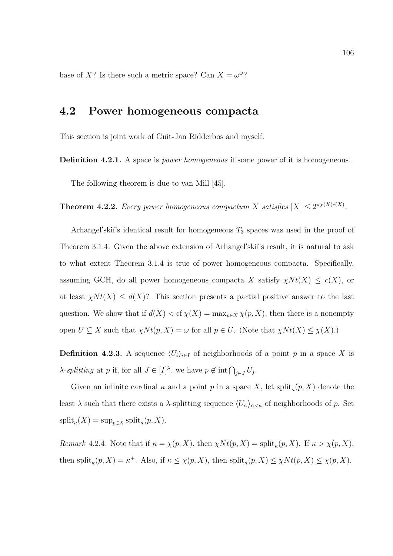base of X? Is there such a metric space? Can  $X = \omega^{\omega}$ ?

## 4.2 Power homogeneous compacta

This section is joint work of Guit-Jan Ridderbos and myself.

**Definition 4.2.1.** A space is *power homogeneous* if some power of it is homogeneous.

The following theorem is due to van Mill [45].

**Theorem 4.2.2.** Every power homogeneous compactum X satisfies  $|X| \leq 2^{\pi\chi(X)c(X)}$ .

Arhangel'skiï's identical result for homogeneous  $T_3$  spaces was used in the proof of Theorem 3.1.4. Given the above extension of Arhangel'skii's result, it is natural to ask to what extent Theorem 3.1.4 is true of power homogeneous compacta. Specifically, assuming GCH, do all power homogeneous compacta X satisfy  $\chi N t(X) \leq c(X)$ , or at least  $\chi N t(X) \leq d(X)$ ? This section presents a partial positive answer to the last question. We show that if  $d(X) <$  cf  $\chi(X) = \max_{p \in X} \chi(p, X)$ , then there is a nonempty open  $U \subseteq X$  such that  $\chi N t(p, X) = \omega$  for all  $p \in U$ . (Note that  $\chi N t(X) \leq \chi(X)$ .)

**Definition 4.2.3.** A sequence  $\langle U_i \rangle_{i \in I}$  of neighborhoods of a point p in a space X is  $\lambda$ -splitting at p if, for all  $J \in [I]^{\lambda}$ , we have  $p \notin \text{int} \bigcap_{j \in J} U_j$ .

Given an infinite cardinal  $\kappa$  and a point p in a space X, let split<sub> $\kappa$ </sub> $(p, X)$  denote the least λ such that there exists a λ-splitting sequence  $\langle U_{\alpha}\rangle_{\alpha<\kappa}$  of neighborhoods of p. Set  $\text{split}_{\kappa}(X) = \sup_{p \in X} \text{split}_{\kappa}(p, X).$ 

Remark 4.2.4. Note that if  $\kappa = \chi(p, X)$ , then  $\chi N t(p, X) = \text{split}_{\kappa}(p, X)$ . If  $\kappa > \chi(p, X)$ , then split<sub> $\kappa$ </sub> $(p, X) = \kappa^+$ . Also, if  $\kappa \leq \chi(p, X)$ , then split $\kappa$  $(p, X) \leq \chi N t(p, X) \leq \chi(p, X)$ .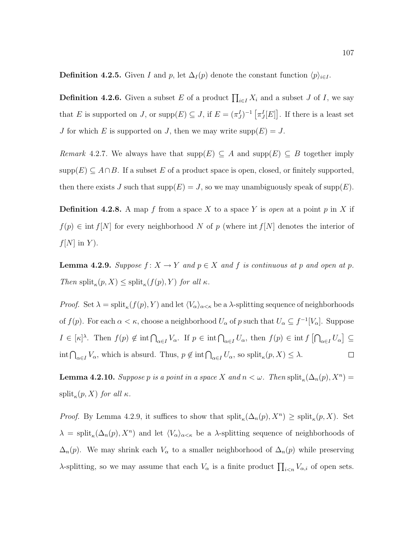**Definition 4.2.5.** Given I and p, let  $\Delta_I(p)$  denote the constant function  $\langle p \rangle_{i \in I}$ .

**Definition 4.2.6.** Given a subset E of a product  $\prod_{i\in I} X_i$  and a subset J of I, we say that E is supported on J, or  $\text{supp}(E) \subseteq J$ , if  $E = (\pi_J^I)^{-1} [\pi_J^I[E]]$ . If there is a least set J for which E is supported on J, then we may write  $\text{supp}(E) = J$ .

*Remark* 4.2.7. We always have that  $\text{supp}(E) \subseteq A$  and  $\text{supp}(E) \subseteq B$  together imply  $\text{supp}(E) \subseteq A \cap B$ . If a subset E of a product space is open, closed, or finitely supported, then there exists J such that  $\text{supp}(E) = J$ , so we may unambiguously speak of  $\text{supp}(E)$ .

**Definition 4.2.8.** A map f from a space X to a space Y is *open* at a point p in X if  $f(p) \in \text{int } f[N]$  for every neighborhood N of p (where int  $f[N]$  denotes the interior of  $f[N]$  in Y).

**Lemma 4.2.9.** Suppose  $f: X \to Y$  and  $p \in X$  and f is continuous at p and open at p. Then split<sub> $\kappa$ </sub> $(p, X) \leq$  split $_{\kappa}$  $(f(p), Y)$  for all  $\kappa$ .

*Proof.* Set  $\lambda = \text{split}_{\kappa}(f(p), Y)$  and let  $\langle V_{\alpha} \rangle_{\alpha \leq \kappa}$  be a  $\lambda$ -splitting sequence of neighborhoods of  $f(p)$ . For each  $\alpha < \kappa$ , choose a neighborhood  $U_{\alpha}$  of p such that  $U_{\alpha} \subseteq f^{-1}[V_{\alpha}]$ . Suppose  $I \in [\kappa]^\lambda$ . Then  $f(p) \notin \text{int} \bigcap_{\alpha \in I} V_\alpha$ . If  $p \in \text{int} \bigcap_{\alpha \in I} U_\alpha$ , then  $f(p) \in \text{int} f \big[ \bigcap_{\alpha \in I} U_\alpha \big] \subseteq$  $\int_{\alpha \in I} V_{\alpha}$ , which is absurd. Thus,  $p \notin \text{int} \bigcap_{\alpha \in I} U_{\alpha}$ , so  $\text{split}_{\kappa}(p, X) \leq \lambda$ .  $\Box$ 

**Lemma 4.2.10.** Suppose p is a point in a space X and  $n < \omega$ . Then  $split_{\kappa}(\Delta_n(p), X^n) =$  $\text{split}_{\kappa}(p, X)$  for all  $\kappa$ .

*Proof.* By Lemma 4.2.9, it suffices to show that  $split_{\kappa}(\Delta_n(p), X^n) \geq split_{\kappa}(p, X)$ . Set  $\lambda = \text{split}_{\kappa}(\Delta_n(p), X^n)$  and let  $\langle V_{\alpha} \rangle_{\alpha \leq \kappa}$  be a  $\lambda$ -splitting sequence of neighborhoods of  $\Delta_n(p)$ . We may shrink each  $V_\alpha$  to a smaller neighborhood of  $\Delta_n(p)$  while preserving  $\lambda$ -splitting, so we may assume that each  $V_{\alpha}$  is a finite product  $\prod_{i\leq n} V_{\alpha,i}$  of open sets.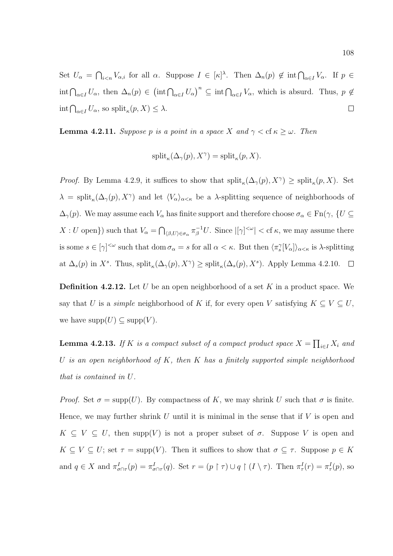Set  $U_{\alpha} = \bigcap_{i \leq n} V_{\alpha,i}$  for all  $\alpha$ . Suppose  $I \in [\kappa]^{\lambda}$ . Then  $\Delta_n(p) \notin \text{int} \bigcap_{\alpha \in I} V_{\alpha}$ . If  $p \in$  $\int_{\alpha \in I} U_{\alpha}$ , then  $\Delta_n(p) \in (\text{int} \bigcap_{\alpha \in I} U_{\alpha})^n \subseteq \text{int} \bigcap_{\alpha \in I} V_{\alpha}$ , which is absurd. Thus,  $p \notin I$  $\int_{\alpha \in I} U_{\alpha}$ , so  $\text{split}_{\kappa}(p, X) \leq \lambda$ .  $\Box$ 

**Lemma 4.2.11.** Suppose p is a point in a space X and  $\gamma < \text{cf } \kappa \geq \omega$ . Then

$$
\mathrm{split}_{\kappa}(\Delta_{\gamma}(p), X^{\gamma}) = \mathrm{split}_{\kappa}(p, X).
$$

*Proof.* By Lemma 4.2.9, it suffices to show that  $split_{\kappa}(\Delta_{\gamma}(p), X^{\gamma}) \geq split_{\kappa}(p, X)$ . Set  $\lambda = \text{split}_{\kappa}(\Delta_{\gamma}(p), X^{\gamma})$  and let  $\langle V_{\alpha}\rangle_{\alpha<\kappa}$  be a  $\lambda$ -splitting sequence of neighborhoods of  $\Delta_{\gamma}(p)$ . We may assume each  $V_{\alpha}$  has finite support and therefore choose  $\sigma_{\alpha} \in \text{Fn}(\gamma, \{U \subseteq$  $X: U$  open}) such that  $V_{\alpha} = \bigcap_{(\beta,U)\in\sigma_{\alpha}} \pi_{\beta}^{-1}U$ . Since  $|[\gamma]^{<\omega}| < \text{cf } \kappa$ , we may assume there is some  $s \in [\gamma]^{<\omega}$  such that dom  $\sigma_\alpha = s$  for all  $\alpha < \kappa$ . But then  $\langle \pi_s^{\gamma} [V_\alpha] \rangle_{\alpha < \kappa}$  is  $\lambda$ -splitting at  $\Delta_s(p)$  in X<sup>s</sup>. Thus,  $\text{split}_{\kappa}(\Delta_{\gamma}(p), X^{\gamma}) \ge \text{split}_{\kappa}(\Delta_s(p), X^s)$ . Apply Lemma 4.2.10.

**Definition 4.2.12.** Let U be an open neighborhood of a set K in a product space. We say that U is a simple neighborhood of K if, for every open V satisfying  $K \subseteq V \subseteq U$ , we have  $\text{supp}(U) \subseteq \text{supp}(V)$ .

**Lemma 4.2.13.** If K is a compact subset of a compact product space  $X = \prod_{i \in I} X_i$  and U is an open neighborhood of  $K$ , then  $K$  has a finitely supported simple neighborhood that is contained in U.

*Proof.* Set  $\sigma = \text{supp}(U)$ . By compactness of K, we may shrink U such that  $\sigma$  is finite. Hence, we may further shrink U until it is minimal in the sense that if  $V$  is open and  $K \subseteq V \subseteq U$ , then supp $(V)$  is not a proper subset of  $\sigma$ . Suppose V is open and  $K \subseteq V \subseteq U$ ; set  $\tau = \text{supp}(V)$ . Then it suffices to show that  $\sigma \subseteq \tau$ . Suppose  $p \in K$ and  $q \in X$  and  $\pi^I_{\sigma \cap \tau}(p) = \pi^I_{\sigma \cap \tau}(q)$ . Set  $r = (p \restriction \tau) \cup q \restriction (I \setminus \tau)$ . Then  $\pi^I_{\tau}(r) = \pi^I_{\tau}(p)$ , so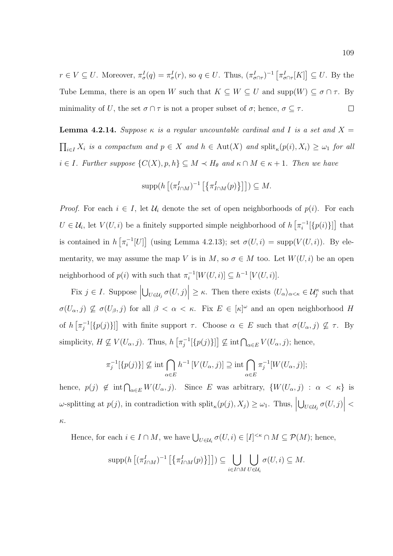$r \in V \subseteq U$ . Moreover,  $\pi^I_\sigma(q) = \pi^I_\sigma(r)$ , so  $q \in U$ . Thus,  $(\pi^I_{\sigma \cap \tau})^{-1} [\pi^I_{\sigma \cap \tau}[K]] \subseteq U$ . By the Tube Lemma, there is an open W such that  $K \subseteq W \subseteq U$  and  $\text{supp}(W) \subseteq \sigma \cap \tau$ . By minimality of U, the set  $\sigma \cap \tau$  is not a proper subset of  $\sigma$ ; hence,  $\sigma \subseteq \tau$ .  $\Box$ 

**Lemma 4.2.14.** Suppose  $\kappa$  is a regular uncountable cardinal and I is a set and X =  $\prod_{i\in I} X_i$  is a compactum and  $p \in X$  and  $h \in \text{Aut}(X)$  and  $\text{split}_{\kappa}(p(i), X_i) \geq \omega_1$  for all  $i \in I$ . Further suppose  $\{C(X), p, h\} \subseteq M \prec H_{\theta}$  and  $\kappa \cap M \in \kappa + 1$ . Then we have

$$
\operatorname{supp}(h\left[ (\pi_{I\cap M}^I)^{-1}\left[\left\{ \pi_{I\cap M}^I(p) \right\} \right] \right])\subseteq M.
$$

*Proof.* For each  $i \in I$ , let  $\mathcal{U}_i$  denote the set of open neighborhoods of  $p(i)$ . For each  $U \in \mathcal{U}_i$ , let  $V(U, i)$  be a finitely supported simple neighborhood of  $h \left[ \pi_i^{-1} \right]$  $\binom{-1}{i}$ [ $\{p(i)\}\]$  that is contained in  $h\left[\pi_i^{-1}\right]$  $i^{-1}[U]$  (using Lemma 4.2.13); set  $\sigma(U, i) = \text{supp}(V(U, i))$ . By elementarity, we may assume the map V is in M, so  $\sigma \in M$  too. Let  $W(U, i)$  be an open neighborhood of  $p(i)$  with such that  $\pi_i^{-1}$  $i_i^{-1}[W(U,i)] \subseteq h^{-1}[V(U,i)].$ 

Fix  $j \in I$ . Suppose  $\left|\bigcup_{U\in\mathcal{U}_j}\sigma(U,j)\right| \geq \kappa$ . Then there exists  $\langle U_\alpha\rangle_{\alpha<\kappa} \in \mathcal{U}_j^{\kappa}$  such that  $\sigma(U_{\alpha},j) \nsubseteq \sigma(U_{\beta},j)$  for all  $\beta < \alpha < \kappa$ . Fix  $E \in [\kappa]^{\omega}$  and an open neighborhood H of  $h\left[\pi_i^{-1}\right]$  $j^{-1}[\{p(j)\}]$  with finite support  $\tau$ . Choose  $\alpha \in E$  such that  $\sigma(U_{\alpha},j) \nsubseteq \tau$ . By simplicity,  $H \nsubseteq V(U_\alpha, j)$ . Thus,  $h \left[ \pi_i^{-1} \right]$  $\left[\prod_{j=1}^{j-1} [\{p(j)\}] \right] \nsubseteq \text{int} \bigcap_{\alpha \in E} V(U_{\alpha}, j);$  hence,

$$
\pi_j^{-1}[\{p(j)\}] \nsubseteq \text{int} \bigcap_{\alpha \in E} h^{-1}[V(U_\alpha, j)] \supseteq \text{int} \bigcap_{\alpha \in E} \pi_j^{-1}[W(U_\alpha, j)];
$$

hence,  $p(j) \notin \text{int} \bigcap_{\alpha \in E} W(U_\alpha, j)$ . Since E was arbitrary,  $\{W(U_\alpha, j) : \alpha < \kappa\}$  is  $\omega$ -splitting at  $p(j)$ , in contradiction with  $\text{split}_{\kappa}(p(j), X_j) \geq \omega_1$ . Thus,  $\bigcup_{U \in \mathcal{U}_j} \sigma(U, j)$  $\lt$ κ.

Hence, for each  $i \in I \cap M$ , we have  $\bigcup_{U \in \mathcal{U}_i} \sigma(U,i) \in [I]^{<\kappa} \cap M \subseteq \mathcal{P}(M)$ ; hence,

$$
\operatorname{supp}(h\left[ (\pi_{I\cap M}^I)^{-1}\left[\left\{ \pi_{I\cap M}^I(p)\right\} \right]\right])\subseteq \bigcup_{i\in I\cap M}\bigcup_{U\in\mathcal{U}_i}\sigma(U,i)\subseteq M.
$$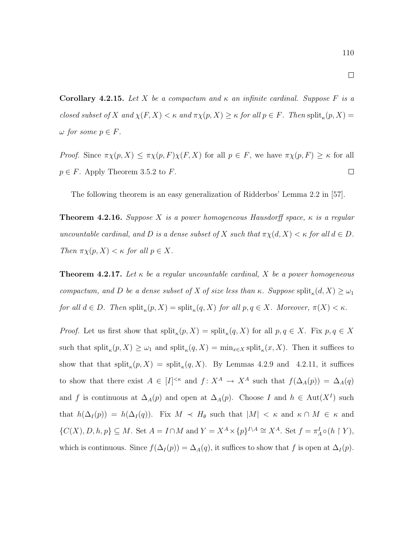$\Box$ 

110

Corollary 4.2.15. Let X be a compactum and  $\kappa$  an infinite cardinal. Suppose F is a closed subset of X and  $\chi(F, X) < \kappa$  and  $\pi \chi(p, X) \geq \kappa$  for all  $p \in F$ . Then  $\text{split}_{\kappa}(p, X) =$  $\omega$  for some  $p \in F$ .

*Proof.* Since  $\pi \chi(p, X) \leq \pi \chi(p, F) \chi(F, X)$  for all  $p \in F$ , we have  $\pi \chi(p, F) \geq \kappa$  for all  $\Box$  $p \in F$ . Apply Theorem 3.5.2 to F.

The following theorem is an easy generalization of Ridderbos' Lemma 2.2 in [57].

**Theorem 4.2.16.** Suppose X is a power homogeneous Hausdorff space,  $\kappa$  is a regular uncountable cardinal, and D is a dense subset of X such that  $\pi \chi(d, X) < \kappa$  for all  $d \in D$ . Then  $\pi \chi(p, X) < \kappa$  for all  $p \in X$ .

**Theorem 4.2.17.** Let  $\kappa$  be a regular uncountable cardinal, X be a power homogeneous compactum, and D be a dense subset of X of size less than  $\kappa$ . Suppose split<sub> $\kappa$ </sub> $(d, X) \geq \omega_1$ for all  $d \in D$ . Then  $\text{split}_{\kappa}(p, X) = \text{split}_{\kappa}(q, X)$  for all  $p, q \in X$ . Moreover,  $\pi(X) < \kappa$ .

*Proof.* Let us first show that  $split_{\kappa}(p, X) = \text{split}_{\kappa}(q, X)$  for all  $p, q \in X$ . Fix  $p, q \in X$ such that  $\text{split}_{\kappa}(p, X) \geq \omega_1$  and  $\text{split}_{\kappa}(q, X) = \min_{x \in X} \text{split}_{\kappa}(x, X)$ . Then it suffices to show that that  $split_{\kappa}(p, X) = \text{split}_{\kappa}(q, X)$ . By Lemmas 4.2.9 and 4.2.11, it suffices to show that there exist  $A \in [I]^{<\kappa}$  and  $f: X^A \to X^A$  such that  $f(\Delta_A(p)) = \Delta_A(q)$ and f is continuous at  $\Delta_A(p)$  and open at  $\Delta_A(p)$ . Choose I and  $h \in Aut(X^I)$  such that  $h(\Delta_I(p)) = h(\Delta_I(q))$ . Fix  $M \prec H_\theta$  such that  $|M| < \kappa$  and  $\kappa \cap M \in \kappa$  and  $\{C(X), D, h, p\} \subseteq M$ . Set  $A = I \cap M$  and  $Y = X^A \times \{p\}^{I \setminus A} \cong X^A$ . Set  $f = \pi_A^I \circ (h \upharpoonright Y)$ , which is continuous. Since  $f(\Delta_I(p)) = \Delta_A(q)$ , it suffices to show that f is open at  $\Delta_I(p)$ .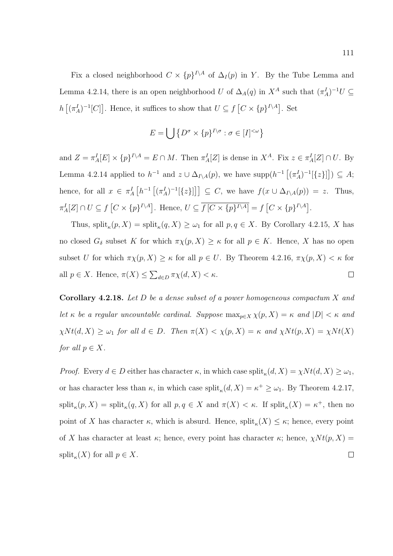Fix a closed neighborhood  $C \times \{p\}^{I \setminus A}$  of  $\Delta_I (p)$  in Y. By the Tube Lemma and Lemma 4.2.14, there is an open neighborhood U of  $\Delta_A(q)$  in  $X^A$  such that  $(\pi_A^I)^{-1}U \subseteq$  $h\left[ (\pi_A^I)^{-1}[C] \right]$ . Hence, it suffices to show that  $U \subseteq f\left[ C \times \{p\}^{I \setminus A} \right]$ . Set

$$
E = \bigcup \{ D^{\sigma} \times \{p\}^{I \setminus \sigma} : \sigma \in [I]^{<\omega} \}
$$

and  $Z = \pi_A^I[E] \times \{p\}^{I \setminus A} = E \cap M$ . Then  $\pi_A^I[Z]$  is dense in  $X^A$ . Fix  $z \in \pi_A^I[Z] \cap U$ . By Lemma 4.2.14 applied to  $h^{-1}$  and  $z \cup \Delta_{I\setminus A}(p)$ , we have  $\text{supp}(h^{-1}[(\pi_A^I)^{-1}[\{z\}]]) \subseteq A;$ hence, for all  $x \in \pi_A^I \left[ h^{-1} \left[ (\pi_A^I)^{-1} [\{z\}] \right] \right] \subseteq C$ , we have  $f(x \cup \Delta_{I \setminus A}(p)) = z$ . Thus,  $\pi_A^I[Z] \cap U \subseteq f \left[ C \times \{p\}^{I \setminus A} \right]$ . Hence,  $U \subseteq f \left[ C \times \{p\}^{I \setminus A} \right] = f \left[ C \times \{p\}^{I \setminus A} \right]$ .

Thus,  $\text{split}_{\kappa}(p, X) = \text{split}_{\kappa}(q, X) \geq \omega_1$  for all  $p, q \in X$ . By Corollary 4.2.15, X has no closed  $G_{\delta}$  subset K for which  $\pi \chi(p, X) \geq \kappa$  for all  $p \in K$ . Hence, X has no open subset U for which  $\pi \chi(p, X) \geq \kappa$  for all  $p \in U$ . By Theorem 4.2.16,  $\pi \chi(p, X) < \kappa$  for all  $p \in X$ . Hence,  $\pi(X) \leq \sum_{d \in D} \pi \chi(d, X) < \kappa$ .  $\Box$ 

**Corollary 4.2.18.** Let D be a dense subset of a power homogeneous compactum X and let  $\kappa$  be a regular uncountable cardinal. Suppose  $\max_{p\in X} \chi(p, X) = \kappa$  and  $|D| < \kappa$  and  $\chi N t(d, X) \geq \omega_1$  for all  $d \in D$ . Then  $\pi(X) < \chi(p, X) = \kappa$  and  $\chi N t(p, X) = \chi N t(X)$ for all  $p \in X$ .

*Proof.* Every  $d \in D$  either has character  $\kappa$ , in which case  $split_{\kappa}(d, X) = \chi N t(d, X) \geq \omega_1$ , or has character less than  $\kappa$ , in which case  $\text{split}_{\kappa}(d, X) = \kappa^+ \geq \omega_1$ . By Theorem 4.2.17,  $\text{split}_{\kappa}(p, X) = \text{split}_{\kappa}(q, X)$  for all  $p, q \in X$  and  $\pi(X) < \kappa$ . If  $\text{split}_{\kappa}(X) = \kappa^+$ , then no point of X has character  $\kappa$ , which is absurd. Hence,  $\text{split}_{\kappa}(X) \leq \kappa$ ; hence, every point of X has character at least  $\kappa$ ; hence, every point has character  $\kappa$ ; hence,  $\chi N t(p, X) =$  $\text{split}_{\kappa}(X)$  for all  $p \in X$ .  $\Box$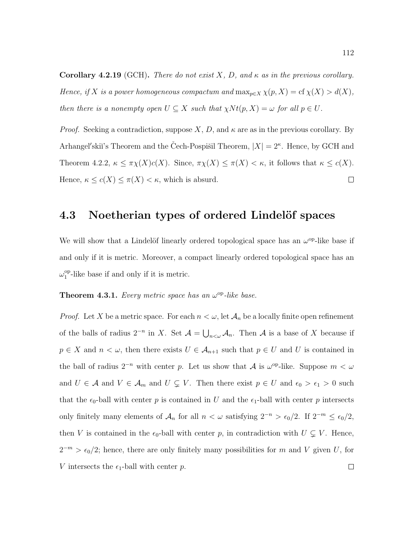**Corollary 4.2.19** (GCH). There do not exist X, D, and  $\kappa$  as in the previous corollary. Hence, if X is a power homogeneous compactum and  $\max_{p\in X} \chi(p, X) = \text{cf } \chi(X) > d(X)$ , then there is a nonempty open  $U \subseteq X$  such that  $\chi N t(p, X) = \omega$  for all  $p \in U$ .

*Proof.* Seeking a contradiction, suppose X, D, and  $\kappa$  are as in the previous corollary. By Arhangel'skiï's Theorem and the Čech-Pospišil Theorem,  $|X| = 2^{\kappa}$ . Hence, by GCH and Theorem 4.2.2,  $\kappa \leq \pi \chi(X)c(X)$ . Since,  $\pi \chi(X) \leq \pi(X) < \kappa$ , it follows that  $\kappa \leq c(X)$ . Hence,  $\kappa \leq c(X) \leq \pi(X) < \kappa$ , which is absurd.  $\Box$ 

### 4.3 Noetherian types of ordered Lindelöf spaces

We will show that a Lindelöf linearly ordered topological space has an  $\omega^{\rm op}$ -like base if and only if it is metric. Moreover, a compact linearly ordered topological space has an  $\omega_1^{\mathrm{op}}$  $_{1}^{\text{op}}$ -like base if and only if it is metric.

#### **Theorem 4.3.1.** Every metric space has an  $\omega^{\rm op}$ -like base.

*Proof.* Let X be a metric space. For each  $n < \omega$ , let  $\mathcal{A}_n$  be a locally finite open refinement of the balls of radius  $2^{-n}$  in X. Set  $\mathcal{A} = \bigcup_{n<\omega} \mathcal{A}_n$ . Then  $\mathcal{A}$  is a base of X because if  $p \in X$  and  $n < \omega$ , then there exists  $U \in \mathcal{A}_{n+1}$  such that  $p \in U$  and U is contained in the ball of radius  $2^{-n}$  with center p. Let us show that A is  $\omega^{\text{op}}$ -like. Suppose  $m < \omega$ and  $U \in \mathcal{A}$  and  $V \in \mathcal{A}_m$  and  $U \subsetneq V$ . Then there exist  $p \in U$  and  $\epsilon_0 > \epsilon_1 > 0$  such that the  $\epsilon_0$ -ball with center p is contained in U and the  $\epsilon_1$ -ball with center p intersects only finitely many elements of  $\mathcal{A}_n$  for all  $n < \omega$  satisfying  $2^{-n} > \epsilon_0/2$ . If  $2^{-m} \leq \epsilon_0/2$ , then V is contained in the  $\epsilon_0$ -ball with center p, in contradiction with  $U \subsetneq V$ . Hence,  $2^{-m} > \epsilon_0/2$ ; hence, there are only finitely many possibilities for m and V given U, for V intersects the  $\epsilon_1$ -ball with center p.  $\Box$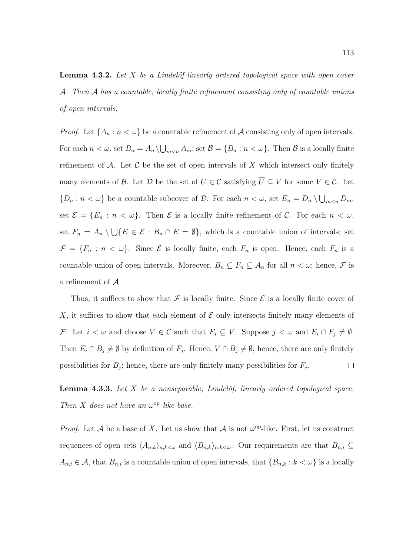**Lemma 4.3.2.** Let  $X$  be a Lindelöf linearly ordered topological space with open cover A. Then A has a countable, locally finite refinement consisting only of countable unions of open intervals.

*Proof.* Let  $\{A_n : n < \omega\}$  be a countable refinement of A consisting only of open intervals. For each  $n < \omega$ , set  $B_n = A_n \setminus \bigcup_{m \le n} A_m$ ; set  $\mathcal{B} = \{B_n : n < \omega\}$ . Then  $\mathcal{B}$  is a locally finite refinement of  $A$ . Let  $C$  be the set of open intervals of  $X$  which intersect only finitely many elements of  $\mathcal{B}$ . Let  $\mathcal{D}$  be the set of  $U \in \mathcal{C}$  satisfying  $\overline{U} \subseteq V$  for some  $V \in \mathcal{C}$ . Let  $\{D_n : n < \omega\}$  be a countable subcover of  $D$ . For each  $n < \omega$ , set  $E_n = D_n \setminus \bigcup_{m < n} D_m$ ; set  $\mathcal{E} = \{E_n : n < \omega\}$ . Then  $\mathcal E$  is a locally finite refinement of  $\mathcal C$ . For each  $n < \omega$ , set  $F_n = A_n \setminus \bigcup \{ E \in \mathcal{E} : B_n \cap E = \emptyset \}$ , which is a countable union of intervals; set  $\mathcal{F} = \{F_n : n < \omega\}$ . Since  $\mathcal{E}$  is locally finite, each  $F_n$  is open. Hence, each  $F_n$  is a countable union of open intervals. Moreover,  $B_n \subseteq F_n \subseteq A_n$  for all  $n < \omega$ ; hence,  $\mathcal F$  is a refinement of A.

Thus, it suffices to show that  $\mathcal F$  is locally finite. Since  $\mathcal E$  is a locally finite cover of X, it suffices to show that each element of  $\mathcal E$  only intersects finitely many elements of F. Let  $i < \omega$  and choose  $V \in \mathcal{C}$  such that  $E_i \subseteq V$ . Suppose  $j < \omega$  and  $E_i \cap F_j \neq \emptyset$ . Then  $E_i \cap B_j \neq \emptyset$  by definition of  $F_j$ . Hence,  $V \cap B_j \neq \emptyset$ ; hence, there are only finitely possibilities for  $B_j$ ; hence, there are only finitely many possibilities for  $F_j$ .  $\Box$ 

**Lemma 4.3.3.** Let  $X$  be a nonseparable, Lindelöf, linearly ordered topological space. Then X does not have an  $\omega^{\rm op}\text{-}like$  base.

*Proof.* Let A be a base of X. Let us show that A is not  $\omega^{\rm op}$ -like. First, let us construct sequences of open sets  $\langle A_{n,k}\rangle_{n,k\lt\omega}$  and  $\langle B_{n,k}\rangle_{n,k\lt\omega}$ . Our requirements are that  $B_{n,i}\subseteq$  $A_{n,i} \in \mathcal{A}$ , that  $B_{n,i}$  is a countable union of open intervals, that  $\{B_{n,k}: k < \omega\}$  is a locally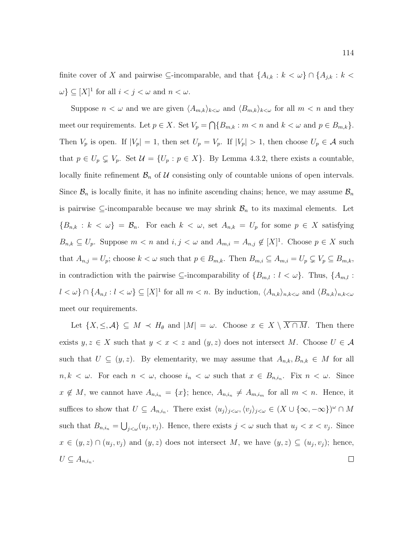finite cover of X and pairwise  $\subseteq$ -incomparable, and that  $\{A_{i,k}: k < \omega\} \cap \{A_{j,k}: k < \omega\}$  $\{\omega\} \subseteq [X]^1$  for all  $i < j < \omega$  and  $n < \omega$ .

Suppose  $n < \omega$  and we are given  $\langle A_{m,k}\rangle_{k\lt\omega}$  and  $\langle B_{m,k}\rangle_{k\lt\omega}$  for all  $m < n$  and they meet our requirements. Let  $p \in X$ . Set  $V_p = \bigcap \{B_{m,k} : m \leq n \text{ and } k \leq \omega \text{ and } p \in B_{m,k}\}.$ Then  $V_p$  is open. If  $|V_p| = 1$ , then set  $U_p = V_p$ . If  $|V_p| > 1$ , then choose  $U_p \in \mathcal{A}$  such that  $p \in U_p \subsetneq V_p$ . Set  $\mathcal{U} = \{U_p : p \in X\}$ . By Lemma 4.3.2, there exists a countable, locally finite refinement  $\mathcal{B}_n$  of U consisting only of countable unions of open intervals. Since  $\mathcal{B}_n$  is locally finite, it has no infinite ascending chains; hence, we may assume  $\mathcal{B}_n$ is pairwise  $\subseteq$ -incomparable because we may shrink  $\mathcal{B}_n$  to its maximal elements. Let  ${B_{n,k} : k < \omega} = \mathcal{B}_n$ . For each  $k < \omega$ , set  $A_{n,k} = U_p$  for some  $p \in X$  satisfying  $B_{n,k} \subseteq U_p$ . Suppose  $m < n$  and  $i, j < \omega$  and  $A_{m,i} = A_{n,j} \notin [X]^1$ . Choose  $p \in X$  such that  $A_{n,j} = U_p$ ; choose  $k < \omega$  such that  $p \in B_{m,k}$ . Then  $B_{m,i} \subseteq A_{m,i} = U_p \subsetneq V_p \subseteq B_{m,k}$ , in contradiction with the pairwise  $\subseteq$ -incomparability of  $\{B_{m,l}: l < \omega\}$ . Thus,  $\{A_{m,l}:$  $l < \omega$ }  $\cap$  { $A_{n,l} : l < \omega$ }  $\subseteq [X]^1$  for all  $m < n$ . By induction,  $\langle A_{n,k} \rangle_{n,k < \omega}$  and  $\langle B_{n,k} \rangle_{n,k < \omega}$ meet our requirements.

Let  $\{X,\leq,\mathcal{A}\}\subseteq M \prec H_{\theta}$  and  $|M|=\omega$ . Choose  $x \in X\setminus\overline{X\cap M}$ . Then there exists  $y, z \in X$  such that  $y < x < z$  and  $(y, z)$  does not intersect M. Choose  $U \in \mathcal{A}$ such that  $U \subseteq (y, z)$ . By elementarity, we may assume that  $A_{n,k}, B_{n,k} \in M$  for all  $n, k < \omega$ . For each  $n < \omega$ , choose  $i_n < \omega$  such that  $x \in B_{n,i_n}$ . Fix  $n < \omega$ . Since  $x \notin M$ , we cannot have  $A_{n,i_n} = \{x\}$ ; hence,  $A_{n,i_n} \neq A_{m,i_m}$  for all  $m < n$ . Hence, it suffices to show that  $U \subseteq A_{n,i_n}$ . There exist  $\langle u_j \rangle_{j \leq \omega}, \langle v_j \rangle_{j \leq \omega} \in (X \cup \{\infty, -\infty\})^{\omega} \cap M$ such that  $B_{n,i_n} = \bigcup_{j < \omega} (u_j, v_j)$ . Hence, there exists  $j < \omega$  such that  $u_j < x < v_j$ . Since  $x \in (y, z) \cap (u_j, v_j)$  and  $(y, z)$  does not intersect M, we have  $(y, z) \subseteq (u_j, v_j)$ ; hence,  $U \subseteq A_{n,i_n}$ .  $\Box$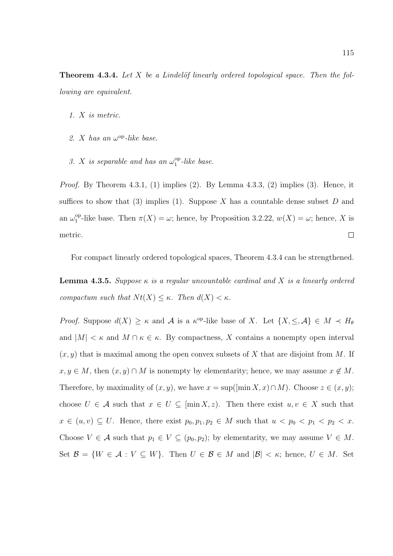**Theorem 4.3.4.** Let  $X$  be a Lindelöf linearly ordered topological space. Then the following are equivalent.

- 1. X is metric.
- 2. X has an  $\omega^{\rm op}\text{-}like$  base.
- 3. X is separable and has an  $\omega_1^{\rm op}$  $i_1^{\rm op}$ -like base.

*Proof.* By Theorem 4.3.1, (1) implies (2). By Lemma 4.3.3, (2) implies (3). Hence, it suffices to show that (3) implies (1). Suppose X has a countable dense subset  $D$  and an  $\omega_1^{\rm op}$ <sup>op</sup>-like base. Then  $\pi(X) = \omega$ ; hence, by Proposition 3.2.22,  $w(X) = \omega$ ; hence, X is metric.  $\Box$ 

For compact linearly ordered topological spaces, Theorem 4.3.4 can be strengthened.

**Lemma 4.3.5.** Suppose  $\kappa$  is a regular uncountable cardinal and X is a linearly ordered compactum such that  $N t(X) \leq \kappa$ . Then  $d(X) < \kappa$ .

*Proof.* Suppose  $d(X) \geq \kappa$  and A is a  $\kappa^{\text{op-like}}$  base of X. Let  $\{X, \leq, \mathcal{A}\} \in M \prec H_{\theta}$ and  $|M| < \kappa$  and  $M \cap \kappa \in \kappa$ . By compactness, X contains a nonempty open interval  $(x, y)$  that is maximal among the open convex subsets of X that are disjoint from M. If  $x, y \in M$ , then  $(x, y) \cap M$  is nonempty by elementarity; hence, we may assume  $x \notin M$ . Therefore, by maximality of  $(x, y)$ , we have  $x = \sup([ \min X, x) \cap M)$ . Choose  $z \in (x, y)$ ; choose  $U \in \mathcal{A}$  such that  $x \in U \subseteq \left[\min X, z\right]$ . Then there exist  $u, v \in X$  such that  $x \in (u, v) \subseteq U$ . Hence, there exist  $p_0, p_1, p_2 \in M$  such that  $u < p_0 < p_1 < p_2 < x$ . Choose  $V \in \mathcal{A}$  such that  $p_1 \in V \subseteq (p_0, p_2)$ ; by elementarity, we may assume  $V \in M$ . Set  $\mathcal{B} = \{W \in \mathcal{A} : V \subseteq W\}$ . Then  $U \in \mathcal{B} \in M$  and  $|\mathcal{B}| < \kappa$ ; hence,  $U \in M$ . Set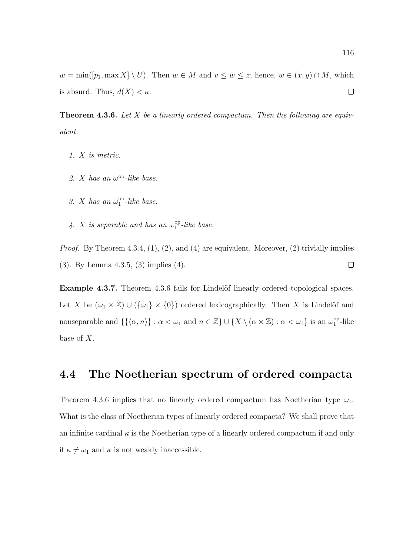$w = \min([p_1, \max X] \setminus U)$ . Then  $w \in M$  and  $v \leq w \leq z$ ; hence,  $w \in (x, y) \cap M$ , which is absurd. Thus,  $d(X) < \kappa$ .  $\Box$ 

**Theorem 4.3.6.** Let  $X$  be a linearly ordered compactum. Then the following are equivalent.

- 1. X is metric.
- 2. X has an  $\omega^{\rm op}\text{-}like$  base.
- 3. X has an  $\omega_1^{\rm op}$  $_1^{\rm op}$ -like base.
- 4. X is separable and has an  $\omega_1^{\rm op}$  $i_1^{\rm op}$ -like base.

*Proof.* By Theorem 4.3.4,  $(1)$ ,  $(2)$ , and  $(4)$  are equivalent. Moreover,  $(2)$  trivially implies (3). By Lemma 4.3.5, (3) implies (4).  $\Box$ 

Example 4.3.7. Theorem 4.3.6 fails for Lindelöf linearly ordered topological spaces. Let X be  $(\omega_1 \times \mathbb{Z}) \cup (\{\omega_1\} \times \{0\})$  ordered lexicographically. Then X is Lindelöf and nonseparable and  $\{\{\langle \alpha, n \rangle\} : \alpha < \omega_1 \text{ and } n \in \mathbb{Z}\}\cup \{X \setminus (\alpha \times \mathbb{Z}) : \alpha < \omega_1\} \text{ is an } \omega_1^{\text{op}}$  $v_1^{\rm op}$ -like base of X.

## 4.4 The Noetherian spectrum of ordered compacta

Theorem 4.3.6 implies that no linearly ordered compactum has Noetherian type  $\omega_1$ . What is the class of Noetherian types of linearly ordered compacta? We shall prove that an infinite cardinal  $\kappa$  is the Noetherian type of a linearly ordered compactum if and only if  $\kappa \neq \omega_1$  and  $\kappa$  is not weakly inaccessible.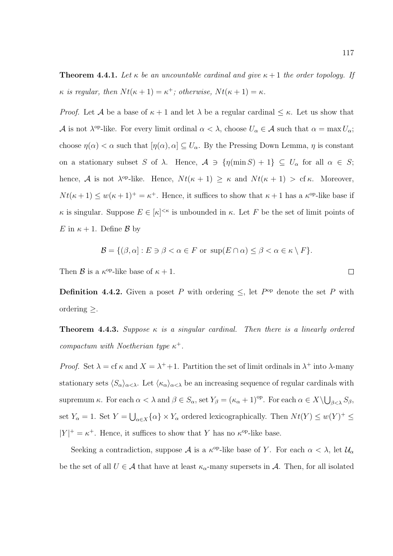**Theorem 4.4.1.** Let  $\kappa$  be an uncountable cardinal and give  $\kappa + 1$  the order topology. If  $\kappa$  is regular, then  $Nt(\kappa + 1) = \kappa^+$ ; otherwise,  $Nt(\kappa + 1) = \kappa$ .

*Proof.* Let A be a base of  $\kappa + 1$  and let  $\lambda$  be a regular cardinal  $\leq \kappa$ . Let us show that A is not  $\lambda^{\text{op-like}}$ . For every limit ordinal  $\alpha < \lambda$ , choose  $U_{\alpha} \in \mathcal{A}$  such that  $\alpha = \max U_{\alpha}$ ; choose  $\eta(\alpha) < \alpha$  such that  $[\eta(\alpha), \alpha] \subseteq U_\alpha$ . By the Pressing Down Lemma,  $\eta$  is constant on a stationary subset S of  $\lambda$ . Hence,  $\mathcal{A} \ni \{\eta(\min S) + 1\} \subseteq U_\alpha$  for all  $\alpha \in S$ ; hence, A is not  $\lambda^{\text{op-like}}$ . Hence,  $Nt(\kappa+1) \geq \kappa$  and  $Nt(\kappa+1) > \text{cf } \kappa$ . Moreover,  $Nt(\kappa+1) \leq w(\kappa+1)^{+} = \kappa^{+}$ . Hence, it suffices to show that  $\kappa+1$  has a  $\kappa^{\text{op}}$ -like base if  $\kappa$  is singular. Suppose  $E \in [\kappa]^{<\kappa}$  is unbounded in  $\kappa$ . Let F be the set of limit points of E in  $\kappa + 1$ . Define B by

$$
\mathcal{B} = \{ (\beta, \alpha) : E \ni \beta < \alpha \in F \text{ or } \sup(E \cap \alpha) \leq \beta < \alpha \in \kappa \setminus F \}.
$$

Then  $\beta$  is a  $\kappa^{\rm op}$ -like base of  $\kappa + 1$ .

**Definition 4.4.2.** Given a poset P with ordering  $\leq$ , let P<sup>op</sup> denote the set P with ordering ≥.

**Theorem 4.4.3.** Suppose  $\kappa$  is a singular cardinal. Then there is a linearly ordered compactum with Noetherian type  $\kappa^+$ .

Proof. Set  $\lambda = \text{cf } \kappa$  and  $X = \lambda^+ + 1$ . Partition the set of limit ordinals in  $\lambda^+$  into  $\lambda$ -many stationary sets  $\langle S_{\alpha}\rangle_{\alpha<\lambda}$ . Let  $\langle \kappa_{\alpha}\rangle_{\alpha<\lambda}$  be an increasing sequence of regular cardinals with supremum κ. For each  $\alpha < \lambda$  and  $\beta \in S_\alpha$ , set  $Y_\beta = (\kappa_\alpha + 1)^\text{op}$ . For each  $\alpha \in X \setminus \bigcup_{\beta < \lambda} S_\beta$ , set  $Y_{\alpha} = 1$ . Set  $Y = \bigcup_{\alpha \in X} {\{\alpha\}} \times Y_{\alpha}$  ordered lexicographically. Then  $Nt(Y) \leq w(Y)^{+} \leq$  $|Y|^+ = \kappa^+$ . Hence, it suffices to show that Y has no  $\kappa^{\text{op}}$ -like base.

Seeking a contradiction, suppose  $\mathcal A$  is a  $\kappa^{\text{op}}$ -like base of Y. For each  $\alpha < \lambda$ , let  $\mathcal U_\alpha$ be the set of all  $U \in \mathcal{A}$  that have at least  $\kappa_{\alpha}$ -many supersets in  $\mathcal{A}$ . Then, for all isolated

 $\Box$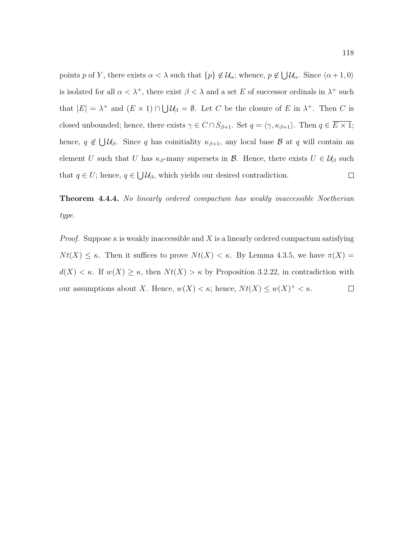points p of Y, there exists  $\alpha < \lambda$  such that  $\{p\} \notin \mathcal{U}_{\alpha}$ ; whence,  $p \notin \bigcup \mathcal{U}_{\alpha}$ . Since  $\langle \alpha + 1, 0 \rangle$ is isolated for all  $\alpha < \lambda^+$ , there exist  $\beta < \lambda$  and a set E of successor ordinals in  $\lambda^+$  such that  $|E| = \lambda^+$  and  $(E \times 1) \cap \bigcup \mathcal{U}_{\beta} = \emptyset$ . Let C be the closure of E in  $\lambda^+$ . Then C is closed unbounded; hence, there exists  $\gamma \in C \cap S_{\beta+1}$ . Set  $q = \langle \gamma, \kappa_{\beta+1} \rangle$ . Then  $q \in \overline{E \times 1}$ ; hence,  $q \notin \bigcup \mathcal{U}_{\beta}$ . Since q has coinitiality  $\kappa_{\beta+1}$ , any local base  $\beta$  at q will contain an element U such that U has  $\kappa_{\beta}$ -many supersets in B. Hence, there exists  $U \in \mathcal{U}_{\beta}$  such that  $q \in U$ ; hence,  $q \in \bigcup \mathcal{U}_{\beta}$ , which yields our desired contradiction.  $\Box$ 

Theorem 4.4.4. No linearly ordered compactum has weakly inaccessible Noetherian type.

*Proof.* Suppose  $\kappa$  is weakly inaccessible and X is a linearly ordered compactum satisfying  $N t(X) \leq \kappa$ . Then it suffices to prove  $N t(X) < \kappa$ . By Lemma 4.3.5, we have  $\pi(X) =$  $d(X) < \kappa$ . If  $w(X) \geq \kappa$ , then  $Nt(X) > \kappa$  by Proposition 3.2.22, in contradiction with our assumptions about X. Hence,  $w(X) < \kappa$ ; hence,  $Nt(X) \leq w(X)^{+} < \kappa$ .  $\Box$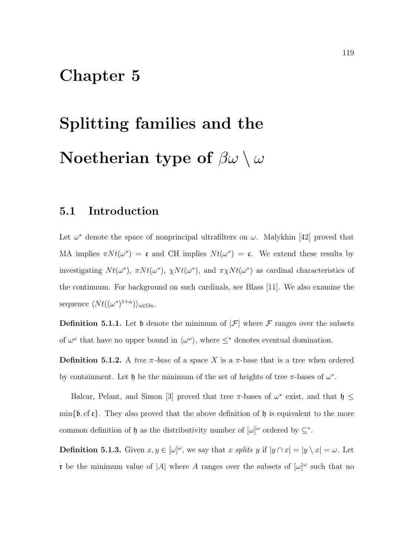## Chapter 5

# Splitting families and the Noetherian type of  $\beta\omega \setminus \omega$

## 5.1 Introduction

Let  $\omega^*$  denote the space of nonprincipal ultrafilters on  $\omega$ . Malykhin [42] proved that MA implies  $\pi N t(\omega^*) = \mathfrak{c}$  and CH implies  $N t(\omega^*) = \mathfrak{c}$ . We extend these results by investigating  $Nt(\omega^*)$ ,  $\pi Nt(\omega^*)$ ,  $\chi Nt(\omega^*)$ , and  $\pi \chi Nt(\omega^*)$  as cardinal characteristics of the continuum. For background on such cardinals, see Blass [11]. We also examine the sequence  $\langle Nt((\omega^*)^{1+\alpha})\rangle_{\alpha\in\mathcal{O}n}$ .

**Definition 5.1.1.** Let  $\mathfrak b$  denote the minimum of  $|\mathcal F|$  where  $\mathcal F$  ranges over the subsets of  $\omega^{\omega}$  that have no upper bound in  $\langle \omega^{\omega} \rangle$ , where  $\leq^*$  denotes eventual domination.

**Definition 5.1.2.** A tree  $\pi$ -base of a space X is a  $\pi$ -base that is a tree when ordered by containment. Let  $\mathfrak h$  be the minimum of the set of heights of tree  $\pi$ -bases of  $\omega^*$ .

Balcar, Pelant, and Simon [3] proved that tree  $\pi$ -bases of  $\omega^*$  exist, and that  $\mathfrak{h} \leq$  $\min\{\mathfrak{b},\mathrm{cf}\,\mathfrak{c}\}\.$  They also proved that the above definition of  $\mathfrak{h}$  is equivalent to the more common definition of  $\mathfrak h$  as the distributivity number of  $[\omega]^\omega$  ordered by  $\subseteq^*$ .

**Definition 5.1.3.** Given  $x, y \in [\omega]^\omega$ , we say that x splits y if  $|y \cap x| = |y \setminus x| = \omega$ . Let r be the minimum value of |A| where A ranges over the subsets of  $[\omega]^\omega$  such that no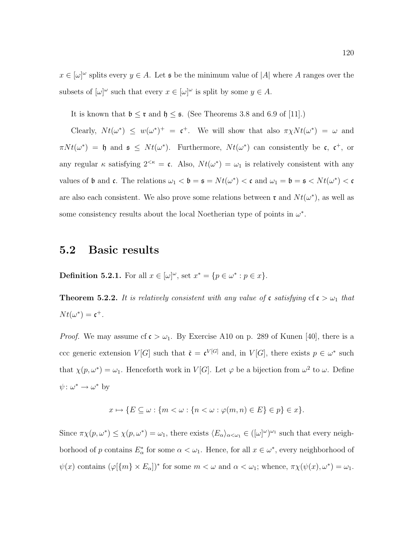$x \in [\omega]^\omega$  splits every  $y \in A$ . Let s be the minimum value of |A| where A ranges over the subsets of  $[\omega]^\omega$  such that every  $x \in [\omega]^\omega$  is split by some  $y \in A$ .

It is known that  $\mathfrak{b} \leq \mathfrak{r}$  and  $\mathfrak{h} \leq \mathfrak{s}$ . (See Theorems 3.8 and 6.9 of [11].)

Clearly,  $Nt(\omega^*) \leq w(\omega^*)^+ = \mathfrak{c}^+$ . We will show that also  $\pi \chi Nt(\omega^*) = \omega$  and  $\pi N t(\omega^*) = \mathfrak{h}$  and  $\mathfrak{s} \leq N t(\omega^*)$ . Furthermore,  $N t(\omega^*)$  can consistently be c, c<sup>+</sup>, or any regular  $\kappa$  satisfying  $2^{<\kappa} = \mathfrak{c}$ . Also,  $Nt(\omega^*) = \omega_1$  is relatively consistent with any values of  $\mathfrak b$  and  $\mathfrak c$ . The relations  $\omega_1 < \mathfrak b = \mathfrak s = Nt(\omega^*) < \mathfrak c$  and  $\omega_1 = \mathfrak b = \mathfrak s < Nt(\omega^*) < \mathfrak c$ are also each consistent. We also prove some relations between  $\mathfrak{r}$  and  $Nt(\omega^*)$ , as well as some consistency results about the local Noetherian type of points in  $\omega^*$ .

## 5.2 Basic results

**Definition 5.2.1.** For all  $x \in [\omega]^\omega$ , set  $x^* = \{p \in \omega^* : p \in x\}.$ 

**Theorem 5.2.2.** It is relatively consistent with any value of c satisfying  $cf c > \omega_1$  that  $Nt(\omega^*)=\mathfrak{c}^+.$ 

*Proof.* We may assume cf  $\mathfrak{c} > \omega_1$ . By Exercise A10 on p. 289 of Kunen [40], there is a ccc generic extension  $V[G]$  such that  $\tilde{\mathfrak{c}} = \mathfrak{c}^{V[G]}$  and, in  $V[G]$ , there exists  $p \in \omega^*$  such that  $\chi(p,\omega^*) = \omega_1$ . Henceforth work in  $V[G]$ . Let  $\varphi$  be a bijection from  $\omega^2$  to  $\omega$ . Define  $\psi: \omega^* \to \omega^*$  by

$$
x \mapsto \{ E \subseteq \omega : \{ m < \omega : \{ n < \omega : \varphi(m, n) \in E \} \in p \} \in x \}.
$$

Since  $\pi \chi(p, \omega^*) \leq \chi(p, \omega^*) = \omega_1$ , there exists  $\langle E_\alpha \rangle_{\alpha < \omega_1} \in ([\omega]^\omega)^{\omega_1}$  such that every neighborhood of p contains  $E^*_{\alpha}$  for some  $\alpha < \omega_1$ . Hence, for all  $x \in \omega^*$ , every neighborhood of  $\psi(x)$  contains  $(\varphi[\{m\}\times E_\alpha])^*$  for some  $m < \omega$  and  $\alpha < \omega_1$ ; whence,  $\pi\chi(\psi(x), \omega^*) = \omega_1$ .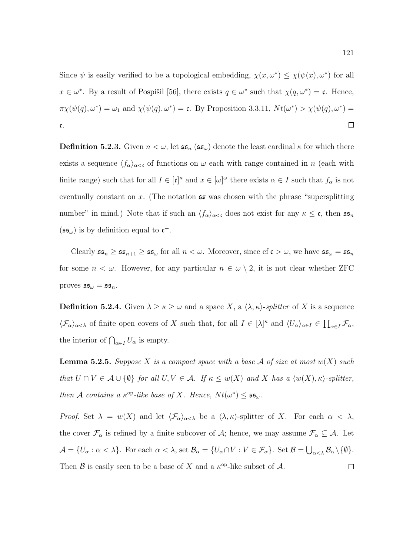Since  $\psi$  is easily verified to be a topological embedding,  $\chi(x, \omega^*) \leq \chi(\psi(x), \omega^*)$  for all  $x \in \omega^*$ . By a result of Pospišil [56], there exists  $q \in \omega^*$  such that  $\chi(q, \omega^*) = \mathfrak{c}$ . Hence,  $\pi \chi(\psi(q), \omega^*) = \omega_1$  and  $\chi(\psi(q), \omega^*) = \mathfrak{c}$ . By Proposition 3.3.11,  $Nt(\omega^*) > \chi(\psi(q), \omega^*) =$ c.  $\Box$ 

**Definition 5.2.3.** Given  $n < \omega$ , let  $\mathfrak{ss}_n$  ( $\mathfrak{ss}_\omega$ ) denote the least cardinal  $\kappa$  for which there exists a sequence  $\langle f_\alpha \rangle_{\alpha < \mathfrak{c}}$  of functions on  $\omega$  each with range contained in n (each with finite range) such that for all  $I \in [\mathfrak{c}]^{\kappa}$  and  $x \in [\omega]^{\omega}$  there exists  $\alpha \in I$  such that  $f_{\alpha}$  is not eventually constant on x. (The notation  $\mathfrak{ss}$  was chosen with the phrase "supersplitting" number" in mind.) Note that if such an  $\langle f_{\alpha}\rangle_{\alpha<\mathfrak{c}}$  does not exist for any  $\kappa\leq\mathfrak{c}$ , then  $\mathfrak{ss}_n$  $(\mathfrak{ss}_{\omega})$  is by definition equal to  $\mathfrak{c}^+$ .

Clearly  $\mathfrak{ss}_n \geq \mathfrak{ss}_{n+1} \geq \mathfrak{ss}_{\omega}$  for all  $n < \omega$ . Moreover, since  $\mathrm{cf} \mathfrak{c} > \omega$ , we have  $\mathfrak{ss}_{\omega} = \mathfrak{ss}_n$ for some  $n < \omega$ . However, for any particular  $n \in \omega \setminus 2$ , it is not clear whether ZFC proves  $\mathfrak{ss}_{\omega} = \mathfrak{ss}_n$ .

**Definition 5.2.4.** Given  $\lambda \geq \kappa \geq \omega$  and a space X, a  $\langle \lambda, \kappa \rangle$ -splitter of X is a sequence  $\langle \mathcal{F}_\alpha \rangle_{\alpha < \lambda}$  of finite open covers of X such that, for all  $I \in [\lambda]^{\kappa}$  and  $\langle U_\alpha \rangle_{\alpha \in I} \in \prod_{\alpha \in I} \mathcal{F}_\alpha$ , the interior of  $\bigcap_{\alpha \in I} U_{\alpha}$  is empty.

**Lemma 5.2.5.** Suppose X is a compact space with a base A of size at most  $w(X)$  such that  $U \cap V \in \mathcal{A} \cup \{\emptyset\}$  for all  $U, V \in \mathcal{A}$ . If  $\kappa \leq w(X)$  and X has a  $\langle w(X), \kappa \rangle$ -splitter, then A contains a  $\kappa^{\rm op}-like$  base of X. Hence,  $Nt(\omega^*) \leq \mathfrak{ss}_{\omega}$ .

Proof. Set  $\lambda = w(X)$  and let  $\langle \mathcal{F}_{\alpha} \rangle_{\alpha < \lambda}$  be a  $\langle \lambda, \kappa \rangle$ -splitter of X. For each  $\alpha < \lambda$ , the cover  $\mathcal{F}_{\alpha}$  is refined by a finite subcover of  $\mathcal{A}$ ; hence, we may assume  $\mathcal{F}_{\alpha} \subseteq \mathcal{A}$ . Let  $\mathcal{A} = \{U_{\alpha} : \alpha < \lambda\}.$  For each  $\alpha < \lambda$ , set  $\mathcal{B}_{\alpha} = \{U_{\alpha} \cap V : V \in \mathcal{F}_{\alpha}\}.$  Set  $\mathcal{B} = \bigcup_{\alpha < \lambda} \mathcal{B}_{\alpha} \setminus \{\emptyset\}.$ Then  $\mathcal B$  is easily seen to be a base of X and a  $\kappa^{\text{op}}$ -like subset of A.  $\Box$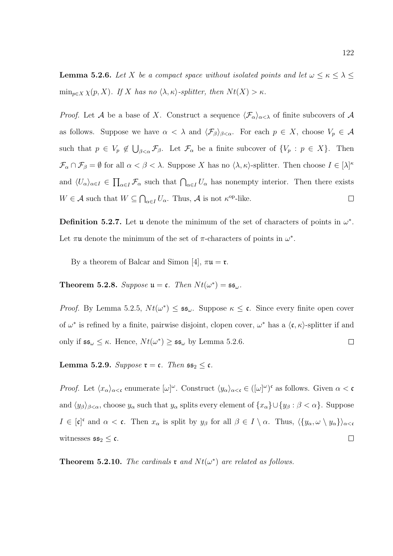**Lemma 5.2.6.** Let X be a compact space without isolated points and let  $\omega \leq \kappa \leq \lambda \leq$  $\min_{p\in X} \chi(p, X)$ . If X has no  $\langle \lambda, \kappa \rangle$ -splitter, then  $N t(X) > \kappa$ .

*Proof.* Let A be a base of X. Construct a sequence  $\langle \mathcal{F}_{\alpha} \rangle_{\alpha < \lambda}$  of finite subcovers of A as follows. Suppose we have  $\alpha < \lambda$  and  $\langle \mathcal{F}_{\beta} \rangle_{\beta < \alpha}$ . For each  $p \in X$ , choose  $V_p \in \mathcal{A}$ such that  $p \in V_p \notin \bigcup_{\beta < \alpha} \mathcal{F}_{\beta}$ . Let  $\mathcal{F}_{\alpha}$  be a finite subcover of  $\{V_p : p \in X\}$ . Then  $\mathcal{F}_{\alpha} \cap \mathcal{F}_{\beta} = \emptyset$  for all  $\alpha < \beta < \lambda$ . Suppose X has no  $\langle \lambda, \kappa \rangle$ -splitter. Then choose  $I \in [\lambda]^{\kappa}$ and  $\langle U_{\alpha}\rangle_{\alpha\in I} \in \prod_{\alpha\in I} \mathcal{F}_{\alpha}$  such that  $\bigcap_{\alpha\in I} U_{\alpha}$  has nonempty interior. Then there exists  $W \in \mathcal{A}$  such that  $W \subseteq \bigcap_{\alpha \in I} U_{\alpha}$ . Thus,  $\mathcal{A}$  is not  $\kappa^{\text{op-like}}$ .  $\Box$ 

**Definition 5.2.7.** Let u denote the minimum of the set of characters of points in  $\omega^*$ . Let  $\pi\mathfrak{u}$  denote the minimum of the set of  $\pi$ -characters of points in  $\omega^*$ .

By a theorem of Balcar and Simon [4],  $\pi u = \mathfrak{r}$ .

**Theorem 5.2.8.** Suppose  $\mathfrak{u} = \mathfrak{c}$ . Then  $Nt(\omega^*) = \mathfrak{ss}_{\omega}$ .

*Proof.* By Lemma 5.2.5,  $Nt(\omega^*) \leq \mathfrak{ss}_{\omega}$ . Suppose  $\kappa \leq \mathfrak{c}$ . Since every finite open cover of  $\omega^*$  is refined by a finite, pairwise disjoint, clopen cover,  $\omega^*$  has a  $\langle \mathfrak{c}, \kappa \rangle$ -splitter if and only if  $\mathfrak{ss}_{\omega} \leq \kappa$ . Hence,  $Nt(\omega^*) \geq \mathfrak{ss}_{\omega}$  by Lemma 5.2.6.  $\Box$ 

Lemma 5.2.9. Suppose  $\mathfrak{r} = \mathfrak{c}$ . Then  $\mathfrak{ss}_2 \leq \mathfrak{c}$ .

*Proof.* Let  $\langle x_\alpha \rangle_{\alpha < \mathfrak{c}}$  enumerate  $[\omega]^\omega$ . Construct  $\langle y_\alpha \rangle_{\alpha < \mathfrak{c}} \in ([\omega]^\omega)^\mathfrak{c}$  as follows. Given  $\alpha < \mathfrak{c}$ and  $\langle y_\beta \rangle_{\beta < \alpha}$ , choose  $y_\alpha$  such that  $y_\alpha$  splits every element of  $\{x_\alpha\} \cup \{y_\beta : \beta < \alpha\}$ . Suppose  $I \in [\mathfrak{c}]^{\mathfrak{c}}$  and  $\alpha < \mathfrak{c}$ . Then  $x_{\alpha}$  is split by  $y_{\beta}$  for all  $\beta \in I \setminus \alpha$ . Thus,  $\langle \{y_{\alpha}, \omega \setminus y_{\alpha}\} \rangle_{\alpha < \alpha}$ witnesses  $\mathfrak{ss}_2 \leq \mathfrak{c}$ .  $\Box$ 

**Theorem 5.2.10.** The cardinals **r** and  $Nt(\omega^*)$  are related as follows.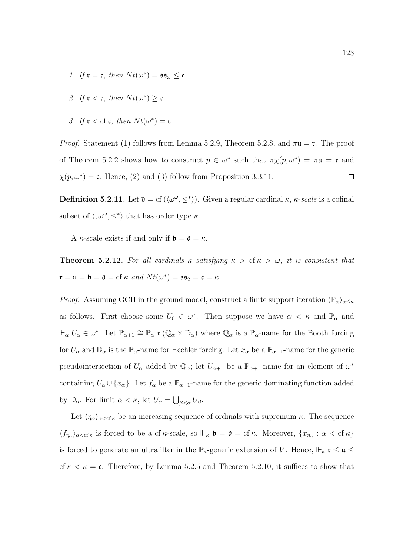1. If  $\mathfrak{r} = \mathfrak{c}$ , then  $Nt(\omega^*) = \mathfrak{ss}_{\omega} \leq \mathfrak{c}$ .

2. If 
$$
\mathfrak{r} < \mathfrak{c}
$$
, then  $Nt(\omega^*) \geq \mathfrak{c}$ .

3. If  $\mathfrak{r} < \text{cf } \mathfrak{c}$ , then  $Nt(\omega^*) = \mathfrak{c}^+$ .

*Proof.* Statement (1) follows from Lemma 5.2.9, Theorem 5.2.8, and  $\pi u = \tau$ . The proof of Theorem 5.2.2 shows how to construct  $p \in \omega^*$  such that  $\pi \chi(p, \omega^*) = \pi \mathfrak{u} = \mathfrak{r}$  and  $\chi(p,\omega^*)$  = c. Hence, (2) and (3) follow from Proposition 3.3.11.  $\Box$ 

**Definition 5.2.11.** Let  $\mathfrak{d} = \text{cf } (\langle \omega^{\omega}, \leq^* \rangle)$ . Given a regular cardinal  $\kappa$ ,  $\kappa$ -scale is a cofinal subset of  $\langle, \omega^\omega, \leq^* \rangle$  that has order type  $\kappa$ .

A  $\kappa$ -scale exists if and only if  $\mathfrak{b} = \mathfrak{d} = \kappa$ .

**Theorem 5.2.12.** For all cardinals  $\kappa$  satisfying  $\kappa > c f \kappa > \omega$ , it is consistent that  $\mathfrak{r} = \mathfrak{u} = \mathfrak{b} = \mathfrak{d} = \mathrm{cf} \kappa \text{ and } N t(\omega^*) = \mathfrak{ss}_2 = \mathfrak{c} = \kappa.$ 

*Proof.* Assuming GCH in the ground model, construct a finite support iteration  $\langle \mathbb{P}_{\alpha} \rangle_{\alpha \leq \kappa}$ as follows. First choose some  $U_0 \in \omega^*$ . Then suppose we have  $\alpha < \kappa$  and  $\mathbb{P}_{\alpha}$  and  $\mathbb{H}_{\alpha}$   $U_{\alpha} \in \omega^*$ . Let  $\mathbb{P}_{\alpha+1} \cong \mathbb{P}_{\alpha} * (\mathbb{Q}_{\alpha} \times \mathbb{D}_{\alpha})$  where  $\mathbb{Q}_{\alpha}$  is a  $\mathbb{P}_{\alpha}$ -name for the Booth forcing for  $U_{\alpha}$  and  $\mathbb{D}_{\alpha}$  is the  $\mathbb{P}_{\alpha}$ -name for Hechler forcing. Let  $x_{\alpha}$  be a  $\mathbb{P}_{\alpha+1}$ -name for the generic pseudointersection of  $U_{\alpha}$  added by  $\mathbb{Q}_{\alpha}$ ; let  $U_{\alpha+1}$  be a  $\mathbb{P}_{\alpha+1}$ -name for an element of  $\omega^*$ containing  $U_{\alpha} \cup \{x_{\alpha}\}\.$  Let  $f_{\alpha}$  be a  $\mathbb{P}_{\alpha+1}$ -name for the generic dominating function added by  $\mathbb{D}_{\alpha}$ . For limit  $\alpha < \kappa$ , let  $U_{\alpha} = \bigcup_{\beta < \alpha} U_{\beta}$ .

Let  $\langle \eta_\alpha \rangle_{\alpha < \text{cf } \kappa}$  be an increasing sequence of ordinals with supremum  $\kappa$ . The sequence  $\langle f_{\eta_\alpha}\rangle_{\alpha<\mathrm{cf}\,\kappa}$  is forced to be a cf  $\kappa$ -scale, so  $\Vdash_{\kappa} \mathfrak{b} = \mathfrak{d} = \mathrm{cf}\,\kappa$ . Moreover,  $\{x_{\eta_\alpha} : \alpha < \mathrm{cf}\,\kappa\}$ is forced to generate an ultrafilter in the  $\mathbb{P}_{\kappa}$ -generic extension of V. Hence,  $\mathbb{H}_{\kappa}$   $\mathfrak{r} \leq \mathfrak{u} \leq$ cf  $\kappa < \kappa = \mathfrak{c}$ . Therefore, by Lemma 5.2.5 and Theorem 5.2.10, it suffices to show that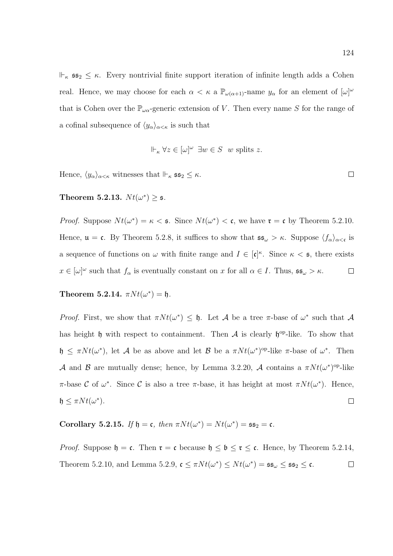$\Vdash_{\kappa}$  ss<sub>2</sub>  $\leq$   $\kappa$ . Every nontrivial finite support iteration of infinite length adds a Cohen real. Hence, we may choose for each  $\alpha < \kappa$  a  $\mathbb{P}_{\omega(\alpha+1)}$ -name  $y_{\alpha}$  for an element of  $[\omega]^{\omega}$ that is Cohen over the  $\mathbb{P}_{\omega\alpha}$ -generic extension of V. Then every name S for the range of a cofinal subsequence of  $\langle y_\alpha \rangle_{\alpha < \kappa}$  is such that

$$
\Vdash_{\kappa} \forall z \in [\omega]^{\omega} \exists w \in S \ \ w \text{ splits } z.
$$

Hence,  $\langle y_\alpha \rangle_{\alpha < \kappa}$  witnesses that  $\Vdash_{\kappa}$   $\mathfrak{ss}_2 \leq \kappa$ .

Theorem 5.2.13.  $Nt(\omega^*) \geq 5$ .

*Proof.* Suppose  $Nt(\omega^*) = \kappa <$  **s**. Since  $Nt(\omega^*) <$  **c**, we have  $\mathbf{r} = \mathbf{c}$  by Theorem 5.2.10. Hence,  $\mathfrak{u} = \mathfrak{c}$ . By Theorem 5.2.8, it suffices to show that  $\mathfrak{ss}_{\omega} > \kappa$ . Suppose  $\langle f_{\alpha} \rangle_{\alpha < \mathfrak{c}}$  is a sequence of functions on  $\omega$  with finite range and  $I \in [\mathfrak{c}]^{\kappa}$ . Since  $\kappa < \mathfrak{s}$ , there exists  $x \in [\omega]^\omega$  such that  $f_\alpha$  is eventually constant on x for all  $\alpha \in I$ . Thus,  $\mathfrak{ss}_\omega > \kappa$ .  $\Box$ 

Theorem 5.2.14.  $\pi N t(\omega^*) = \mathfrak{h}.$ 

Proof. First, we show that  $\pi N t(\omega^*) \leq \mathfrak{h}$ . Let A be a tree  $\pi$ -base of  $\omega^*$  such that A has height  $\mathfrak h$  with respect to containment. Then A is clearly  $\mathfrak h^{\rm op}\text{-like}$ . To show that  $\mathfrak{h} \leq \pi N t(\omega^*)$ , let A be as above and let B be a  $\pi N t(\omega^*)^{\text{op}}$ -like  $\pi$ -base of  $\omega^*$ . Then A and B are mutually dense; hence, by Lemma 3.2.20, A contains a  $\pi N t(\omega^*)^{\text{op-like}}$ π-base C of  $\omega^*$ . Since C is also a tree π-base, it has height at most  $\pi N t(\omega^*)$ . Hence,  $\mathfrak{h} \leq \pi N t(\omega^*).$  $\Box$ 

Corollary 5.2.15. If  $\mathfrak{h} = \mathfrak{c}$ , then  $\pi N t(\omega^*) = N t(\omega^*) = \mathfrak{ss}_2 = \mathfrak{c}$ .

*Proof.* Suppose  $\mathfrak{h} = \mathfrak{c}$ . Then  $\mathfrak{r} = \mathfrak{c}$  because  $\mathfrak{h} \leq \mathfrak{b} \leq \mathfrak{r} \leq \mathfrak{c}$ . Hence, by Theorem 5.2.14, Theorem 5.2.10, and Lemma 5.2.9,  $\mathfrak{c} \leq \pi N t(\omega^*) \leq N t(\omega^*) = \mathfrak{ss}_\omega \leq \mathfrak{ss}_2 \leq \mathfrak{c}.$  $\Box$ 

 $\Box$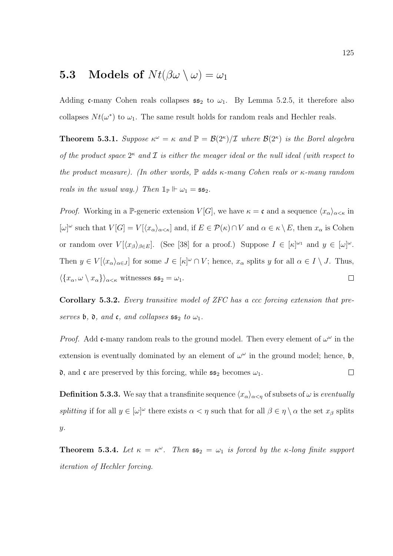## **5.3** Models of  $Nt(\beta\omega \setminus \omega) = \omega_1$

Adding c-many Cohen reals collapses  $\mathfrak{ss}_2$  to  $\omega_1$ . By Lemma 5.2.5, it therefore also collapses  $N t(\omega^*)$  to  $\omega_1$ . The same result holds for random reals and Hechler reals.

**Theorem 5.3.1.** Suppose  $\kappa^{\omega} = \kappa$  and  $\mathbb{P} = \mathcal{B}(2^{\kappa})/\mathcal{I}$  where  $\mathcal{B}(2^{\kappa})$  is the Borel alegebra of the product space  $2^{\kappa}$  and  $\mathcal I$  is either the meager ideal or the null ideal (with respect to the product measure). (In other words,  $\mathbb P$  adds  $\kappa$ -many Cohen reals or  $\kappa$ -many random reals in the usual way.) Then  $\mathbb{1}_{\mathbb{P}} \Vdash \omega_1 = \mathfrak{ss}_2$ .

*Proof.* Working in a P-generic extension  $V[G]$ , we have  $\kappa = \mathfrak{c}$  and a sequence  $\langle x_{\alpha} \rangle_{\alpha < \kappa}$  in  $[\omega]^\omega$  such that  $V[G] = V[\langle x_\alpha \rangle_{\alpha \leq \kappa}]$  and, if  $E \in \mathcal{P}(\kappa) \cap V$  and  $\alpha \in \kappa \setminus E$ , then  $x_\alpha$  is Cohen or random over  $V[\langle x_{\beta}\rangle_{\beta\in E}]$ . (See [38] for a proof.) Suppose  $I \in [\kappa]^{\omega_1}$  and  $y \in [\omega]^{\omega}$ . Then  $y \in V[\langle x_\alpha \rangle_{\alpha \in J}]$  for some  $J \in [\kappa]^\omega \cap V$ ; hence,  $x_\alpha$  splits y for all  $\alpha \in I \setminus J$ . Thus,  $\langle \{x_\alpha, \omega \setminus x_\alpha\} \rangle_{\alpha < \kappa}$  witnesses  $\mathfrak{ss}_2 = \omega_1$ .  $\Box$ 

Corollary 5.3.2. Every transitive model of ZFC has a ccc forcing extension that preserves b,  $\mathfrak d$ , and  $\mathfrak c$ , and collapses  $\mathfrak s$   $\mathfrak s_2$  to  $\omega_1$ .

*Proof.* Add c-many random reals to the ground model. Then every element of  $\omega^{\omega}$  in the extension is eventually dominated by an element of  $\omega^{\omega}$  in the ground model; hence,  $\mathfrak{b}$ , **d**, and **c** are preserved by this forcing, while  $\mathfrak{ss}_2$  becomes  $\omega_1$ .  $\Box$ 

**Definition 5.3.3.** We say that a transfinite sequence  $\langle x_\alpha \rangle_{\alpha < \eta}$  of subsets of  $\omega$  is eventually splitting if for all  $y \in [\omega]^\omega$  there exists  $\alpha < \eta$  such that for all  $\beta \in \eta \setminus \alpha$  the set  $x_\beta$  splits y.

**Theorem 5.3.4.** Let  $\kappa = \kappa^{\omega}$ . Then  $\mathfrak{ss}_2 = \omega_1$  is forced by the  $\kappa$ -long finite support iteration of Hechler forcing.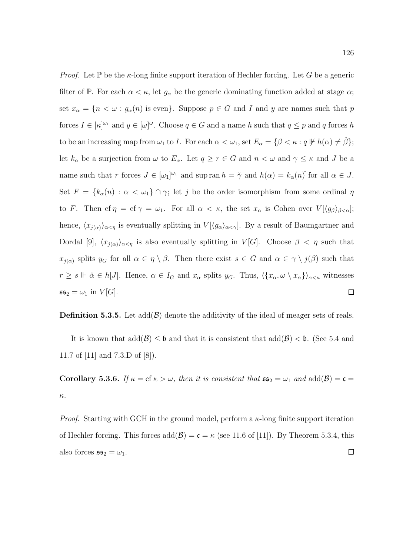*Proof.* Let  $\mathbb P$  be the  $\kappa$ -long finite support iteration of Hechler forcing. Let G be a generic filter of P. For each  $\alpha < \kappa$ , let  $g_{\alpha}$  be the generic dominating function added at stage  $\alpha$ ; set  $x_{\alpha} = \{n < \omega : g_{\alpha}(n)$  is even. Suppose  $p \in G$  and I and y are names such that p forces  $I \in [\kappa]^{\omega_1}$  and  $y \in [\omega]^\omega$ . Choose  $q \in G$  and a name h such that  $q \leq p$  and q forces h to be an increasing map from  $\omega_1$  to I. For each  $\alpha < \omega_1$ , set  $E_\alpha = \{ \beta < \kappa : q \not\Vdash h(\alpha) \neq \check{\beta} \};$ let  $k_{\alpha}$  be a surjection from  $\omega$  to  $E_{\alpha}$ . Let  $q \geq r \in G$  and  $n < \omega$  and  $\gamma \leq \kappa$  and J be a name such that r forces  $J \in [\omega_1]^{\omega_1}$  and sup ran  $h = \tilde{\gamma}$  and  $h(\alpha) = k_\alpha(n)$  for all  $\alpha \in J$ . Set  $F = \{k_\alpha(n) : \alpha < \omega_1\} \cap \gamma$ ; let j be the order isomorphism from some ordinal  $\eta$ to F. Then cf  $\eta = cf \gamma = \omega_1$ . For all  $\alpha < \kappa$ , the set  $x_\alpha$  is Cohen over  $V[\langle g_\beta \rangle_{\beta < \alpha}]$ ; hence,  $\langle x_{j(\alpha)}\rangle_{\alpha<\eta}$  is eventually splitting in  $V[\langle g_{\alpha}\rangle_{\alpha<\gamma}]$ . By a result of Baumgartner and Dordal [9],  $\langle x_{j(\alpha)}\rangle_{\alpha<\eta}$  is also eventually splitting in  $V[G]$ . Choose  $\beta<\eta$  such that  $x_{j(\alpha)}$  splits  $y_G$  for all  $\alpha \in \eta \setminus \beta$ . Then there exist  $s \in G$  and  $\alpha \in \gamma \setminus j(\beta)$  such that  $r \geq s \Vdash \check{\alpha} \in h[J]$ . Hence,  $\alpha \in I_G$  and  $x_\alpha$  splits  $y_G$ . Thus,  $\langle \{x_\alpha, \omega \setminus x_\alpha\} \rangle_{\alpha \leq \kappa}$  witnesses  $\Box$  $\mathfrak{ss}_2 = \omega_1$  in  $V[G]$ .

**Definition 5.3.5.** Let  $add(\mathcal{B})$  denote the additivity of the ideal of meager sets of reals.

It is known that  $\text{add}(\mathcal{B}) \leq \mathfrak{b}$  and that it is consistent that  $\text{add}(\mathcal{B}) < \mathfrak{b}$ . (See 5.4 and 11.7 of [11] and 7.3.D of [8]).

Corollary 5.3.6. If  $\kappa = \text{cf } \kappa > \omega$ , then it is consistent that  $\mathfrak{ss}_2 = \omega_1$  and  $\text{add}(\mathcal{B}) = \mathfrak{c} =$ κ.

*Proof.* Starting with GCH in the ground model, perform a  $\kappa$ -long finite support iteration of Hechler forcing. This forces  $add(\mathcal{B}) = \mathfrak{c} = \kappa$  (see 11.6 of [11]). By Theorem 5.3.4, this also forces  $\mathfrak{ss}_2 = \omega_1$ .  $\Box$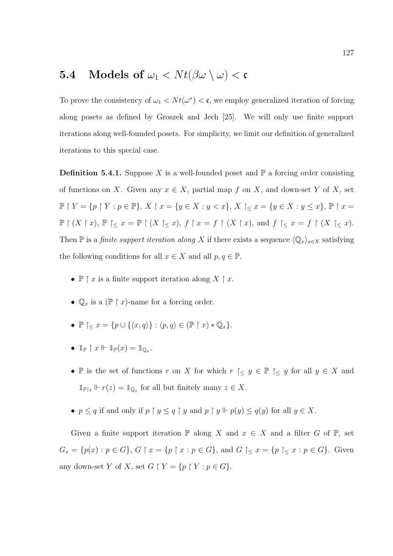## **5.4** Models of  $\omega_1 < N t(\beta \omega \setminus \omega) < c$

To prove the consistency of  $\omega_1 < N t(\omega^*) < c$ , we employ generalized iteration of forcing along posets as defined by Groszek and Jech [25]. We will only use finite support iterations along well-founded posets. For simplicity, we limit our definition of generalized iterations to this special case.

**Definition 5.4.1.** Suppose X is a well-founded poset and  $\mathbb{P}$  a forcing order consisting of functions on X. Given any  $x \in X$ , partial map f on X, and down-set Y of X, set  $\mathbb{P} \restriction Y = \{p \restriction Y : p \in \mathbb{P}\},\, X \restriction x = \{y \in X : y < x\},\, X \restriction_{\leq} x = \{y \in X : y \leq x\},\, \mathbb{P} \restriction x = \emptyset\}$  $\mathbb{P} \restriction (X \restriction x)$ ,  $\mathbb{P} \restriction_{\leq} x = \mathbb{P} \restriction (X \restriction_{\leq} x)$ ,  $f \restriction x = f \restriction (X \restriction x)$ , and  $f \restriction_{\leq} x = f \restriction (X \restriction_{\leq} x)$ . Then P is a *finite support iteration along* X if there exists a sequence  $\langle \mathbb{Q}_x \rangle_{x \in X}$  satisfying the following conditions for all  $x \in X$  and all  $p, q \in \mathbb{P}$ .

- $\mathbb{P} \restriction x$  is a finite support iteration along  $X \restriction x$ .
- $\mathbb{Q}_x$  is a  $(\mathbb{P} \restriction x)$ -name for a forcing order.
- $\mathbb{P}\left[ \langle x \rangle = \{p \cup \{ \langle x, q \rangle\} : \langle p, q \rangle \in (\mathbb{P}\upharpoonright x) * \mathbb{Q}_x\}.$
- $\mathbb{1}_{\mathbb{P}} \restriction x \Vdash \mathbb{1}_{\mathbb{P}}(x) = \mathbb{1}_{\mathbb{Q}_x}.$
- P is the set of functions r on X for which  $r \geq y \in \mathbb{P} \geq y$  for all  $y \in X$  and  $\mathbb{1}_{\mathbb{P}\mid z}$   $\Vdash$   $r(z) = \mathbb{1}_{\mathbb{Q}_z}$  for all but finitely many  $z \in X$ .
- $p \le q$  if and only if  $p \restriction y \le q \restriction y$  and  $p \restriction y \Vdash p(y) \le q(y)$  for all  $y \in X$ .

Given a finite support iteration  $\mathbb P$  along X and  $x \in X$  and a filter G of  $\mathbb P$ , set  $G_x = \{p(x) : p \in G\}, G \upharpoonright x = \{p \upharpoonright x : p \in G\}, \text{ and } G \upharpoonright_{\leq} x = \{p \upharpoonright_{\leq} x : p \in G\}.$  Given any down-set Y of X, set  $G \restriction Y = \{p \restriction Y : p \in G\}.$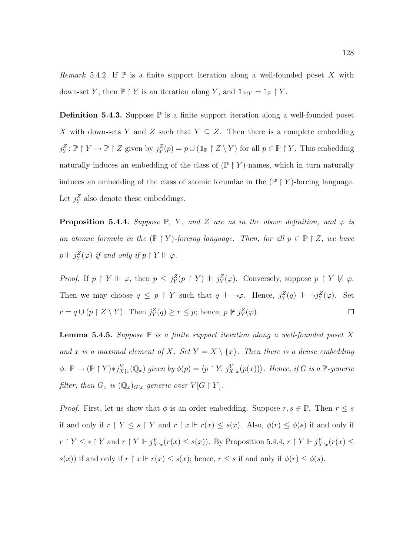Remark 5.4.2. If  $\mathbb P$  is a finite support iteration along a well-founded poset X with down-set Y, then  $\mathbb{P} \restriction Y$  is an iteration along Y, and  $\mathbb{1}_{\mathbb{P} | Y} = \mathbb{1}_{\mathbb{P}} \restriction Y$ .

**Definition 5.4.3.** Suppose  $\mathbb P$  is a finite support iteration along a well-founded poset X with down-sets Y and Z such that  $Y \subseteq Z$ . Then there is a complete embedding  $j_Y^Z$ :  $\mathbb{P} \restriction Y \to \mathbb{P} \restriction Z$  given by  $j_Y^Z(p) = p \cup (\mathbb{1}_{\mathbb{P}} \restriction Z \setminus Y)$  for all  $p \in \mathbb{P} \restriction Y$ . This embedding naturally induces an embedding of the class of  $(\mathbb{P} \restriction Y)$ -names, which in turn naturally induces an embedding of the class of atomic forumlae in the  $(\mathbb{P} \restriction Y)$ -forcing language. Let  $j_Y^Z$  also denote these embeddings.

**Proposition 5.4.4.** Suppose  $\mathbb{P}$ , Y, and Z are as in the above definition, and  $\varphi$  is an atomic formula in the  $(\mathbb{P} \restriction Y)$ -forcing language. Then, for all  $p \in \mathbb{P} \restriction Z$ , we have  $p \Vdash j^Z_Y(\varphi)$  if and only if  $p \restriction Y \Vdash \varphi$ .

Proof. If  $p \restriction Y \Vdash \varphi$ , then  $p \leq j_Y^Z(p \restriction Y) \Vdash j_Y^Z(\varphi)$ . Conversely, suppose  $p \restriction Y \Vdash \varphi$ . Then we may choose  $q \leq p \restriction Y$  such that  $q \Vdash \neg \varphi$ . Hence,  $j_Y^Z(q) \Vdash \neg j_Y^Z(\varphi)$ . Set  $r = q \cup (p \upharpoonright Z \setminus Y)$ . Then  $j_Y^Z(q) \ge r \le p$ ; hence,  $p \not\Vdash j_Y^Z(\varphi)$ .  $\Box$ 

**Lemma 5.4.5.** Suppose  $\mathbb P$  is a finite support iteration along a well-founded poset X and x is a maximal element of X. Set  $Y = X \setminus \{x\}$ . Then there is a dense embedding  $\phi \colon \mathbb{P} \to (\mathbb{P} \restriction Y) * j_{X \restriction x}^Y(\mathbb{Q}_x)$  given by  $\phi(p) = \langle p \restriction Y, j_{X \restriction x}^Y(p(x)) \rangle$ . Hence, if G is a  $\mathbb{P}\text{-}generic$ filter, then  $G_x$  is  $(\mathbb{Q}_x)_{G\vert x}$ -generic over  $V[G \restriction Y]$ .

*Proof.* First, let us show that  $\phi$  is an order embedding. Suppose  $r, s \in \mathbb{P}$ . Then  $r \leq s$ if and only if  $r \upharpoonright Y \leq s \upharpoonright Y$  and  $r \upharpoonright x \Vdash r(x) \leq s(x)$ . Also,  $\phi(r) \leq \phi(s)$  if and only if  $r \restriction Y \leq s \restriction Y$  and  $r \restriction Y \Vdash j_{X \restriction x}^Y(r(x) \leq s(x))$ . By Proposition 5.4.4,  $r \restriction Y \Vdash j_{X \restriction x}^Y(r(x) \leq s)$  $s(x)$ ) if and only if  $r \restriction x \Vdash r(x) \leq s(x)$ ; hence,  $r \leq s$  if and only if  $\phi(r) \leq \phi(s)$ .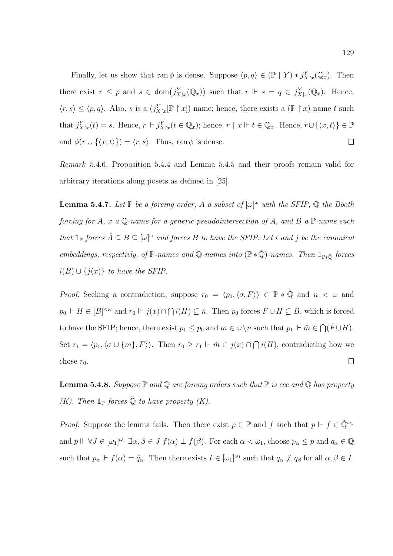Finally, let us show that ran  $\phi$  is dense. Suppose  $\langle p, q \rangle \in (\mathbb{P} \restriction Y) * j^Y_{X \upharpoonright x}(\mathbb{Q}_x)$ . Then there exist  $r \leq p$  and  $s \in \text{dom}(j_{X|x}^Y(\mathbb{Q}_x))$  such that  $r \Vdash s = q \in j_{X|x}^Y(\mathbb{Q}_x)$ . Hence,  $\langle r, s \rangle \leq \langle p, q \rangle$ . Also, s is a  $(j_{X\}_{x}^{\infty}[\mathbb{P} \restriction x])$ -name; hence, there exists a  $(\mathbb{P} \restriction x)$ -name t such that  $j_{X|x}^Y(t) = s$ . Hence,  $r \Vdash j_{X|x}^Y(t \in \mathbb{Q}_x)$ ; hence,  $r \upharpoonright x \Vdash t \in \mathbb{Q}_x$ . Hence,  $r \cup \{\langle x, t \rangle\} \in \mathbb{P}$ and  $\phi(r \cup \{\langle x, t \rangle\}) = \langle r, s \rangle$ . Thus, ran  $\phi$  is dense.  $\Box$ 

Remark 5.4.6. Proposition 5.4.4 and Lemma 5.4.5 and their proofs remain valid for arbitrary iterations along posets as defined in [25].

**Lemma 5.4.7.** Let  $\mathbb P$  be a forcing order, A a subset of  $[\omega]^\omega$  with the SFIP,  $\mathbb Q$  the Booth forcing for A, x a  $\mathbb{Q}$ -name for a generic pseudointersection of A, and B a  $\mathbb{P}$ -name such that  $\mathbb{1}_{\mathbb{P}}$  forces  $\check{A} \subseteq B \subseteq [\omega]^{\omega}$  and forces B to have the SFIP. Let i and j be the canonical embeddings, respectivly, of  $\mathbb{P}\text{-names}$  and  $\mathbb{Q}\text{-names}$  into  $(\mathbb{P} * \check{\mathbb{Q}})$ -names. Then  $\mathbb{1}_{\mathbb{P} * \check{\mathbb{Q}}}$  forces  $i(B) \cup \{j(x)\}\$ to have the SFIP.

*Proof.* Seeking a contradiction, suppose  $r_0 = \langle p_0, \langle \sigma, F \rangle \rangle \in \mathbb{P} * \check{\mathbb{Q}}$  and  $n < \omega$  and  $p_0 \Vdash H \in [B]^{<\omega}$  and  $r_0 \Vdash j(x) \cap \bigcap i(H) \subseteq \check{n}$ . Then  $p_0$  forces  $\check{F} \cup H \subseteq B$ , which is forced to have the SFIP; hence, there exist  $p_1 \leq p_0$  and  $m \in \omega \setminus n$  such that  $p_1 \Vdash \check{m} \in \bigcap (\check{F} \cup H)$ . Set  $r_1 = \langle p_1, \langle \sigma \cup \{m\}, F \rangle \rangle$ . Then  $r_0 \geq r_1 \Vdash \tilde{m} \in j(x) \cap \bigcap i(H)$ , contradicting how we chose  $r_0$ .  $\Box$ 

**Lemma 5.4.8.** Suppose  $\mathbb P$  and  $\mathbb Q$  are forcing orders such that  $\mathbb P$  is ccc and  $\mathbb Q$  has property (K). Then  $\mathbb{1}_{\mathbb{P}}$  forces  $\check{\mathbb{Q}}$  to have property (K).

*Proof.* Suppose the lemma fails. Then there exist  $p \in \mathbb{P}$  and f such that  $p \Vdash f \in \check{\mathbb{Q}}^{\omega_1}$ and  $p \Vdash \forall J \in [\omega_1]^{\omega_1} \exists \alpha, \beta \in J \ f(\alpha) \perp f(\beta)$ . For each  $\alpha < \omega_1$ , choose  $p_\alpha \leq p$  and  $q_\alpha \in \mathbb{Q}$ such that  $p_{\alpha} \Vdash f(\alpha) = \check{q}_{\alpha}$ . Then there exists  $I \in [\omega_1]^{\omega_1}$  such that  $q_{\alpha} \not\perp q_{\beta}$  for all  $\alpha, \beta \in I$ .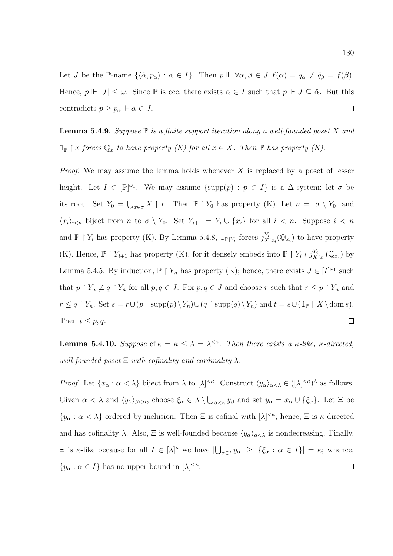Let *J* be the P-name  $\{\langle \check{\alpha}, p_{\alpha} \rangle : \alpha \in I\}$ . Then  $p \Vdash \forall \alpha, \beta \in J$   $f(\alpha) = \check{q}_{\alpha} \not\perp \check{q}_{\beta} = f(\beta)$ . Hence,  $p \Vdash |J| \leq \omega$ . Since  $\mathbb P$  is ccc, there exists  $\alpha \in I$  such that  $p \Vdash J \subseteq \check{\alpha}$ . But this  $\Box$ contradicts  $p \geq p_{\alpha} \Vdash \check{\alpha} \in J$ .

**Lemma 5.4.9.** Suppose  $\mathbb P$  is a finite support iteration along a well-founded poset X and  $\mathbb{1}_{\mathbb{P}} \restriction x$  forces  $\mathbb{Q}_x$  to have property  $(K)$  for all  $x \in X$ . Then  $\mathbb{P}$  has property  $(K)$ .

*Proof.* We may assume the lemma holds whenever  $X$  is replaced by a poset of lesser height. Let  $I \in [\mathbb{P}]^{\omega_1}$ . We may assume  $\{\text{supp}(p) : p \in I\}$  is a  $\Delta$ -system; let  $\sigma$  be its root. Set  $Y_0 = \bigcup_{x \in \sigma} X \upharpoonright x$ . Then  $\mathbb{P} \upharpoonright Y_0$  has property (K). Let  $n = |\sigma \setminus Y_0|$  and  $\langle x_i \rangle_{i \leq n}$  biject from n to  $\sigma \setminus Y_0$ . Set  $Y_{i+1} = Y_i \cup \{x_i\}$  for all  $i \leq n$ . Suppose  $i \leq n$ and  $\mathbb{P} \restriction Y_i$  has property (K). By Lemma 5.4.8,  $\mathbb{1}_{\mathbb{P} \restriction Y_i}$  forces  $j_{X \restriction x_i}^{Y_i}(\mathbb{Q}_{x_i})$  to have property (K). Hence,  $\mathbb{P} \restriction Y_{i+1}$  has property (K), for it densely embeds into  $\mathbb{P} \restriction Y_i * j_{X|x_i}^{Y_i}(\mathbb{Q}_{x_i})$  by Lemma 5.4.5. By induction,  $\mathbb{P} \restriction Y_n$  has property (K); hence, there exists  $J \in [I]^{\omega_1}$  such that  $p \restriction Y_n \nperp q \restriction Y_n$  for all  $p, q \in J$ . Fix  $p, q \in J$  and choose r such that  $r \leq p \restriction Y_n$  and  $r \le q \restriction Y_n$ . Set  $s = r \cup (p \restriction \text{supp}(p) \setminus Y_n) \cup (q \restriction \text{supp}(q) \setminus Y_n)$  and  $t = s \cup (\mathbb{1}_{\mathbb{P}} \restriction X \setminus \text{dom } s)$ . Then  $t \leq p, q$ .  $\Box$ 

**Lemma 5.4.10.** Suppose of  $\kappa = \kappa \leq \lambda = \lambda^{<\kappa}$ . Then there exists a  $\kappa$ -like,  $\kappa$ -directed, well-founded poset  $\Xi$  with cofinality and cardinality  $\lambda$ .

*Proof.* Let  $\{x_\alpha : \alpha < \lambda\}$  biject from  $\lambda$  to  $[\lambda]^{<\kappa}$ . Construct  $\langle y_\alpha \rangle_{\alpha < \lambda} \in ([\lambda]^{<\kappa})^{\lambda}$  as follows. Given  $\alpha < \lambda$  and  $\langle y_{\beta} \rangle_{\beta < \alpha}$ , choose  $\xi_{\alpha} \in \lambda \setminus \bigcup_{\beta < \alpha} y_{\beta}$  and set  $y_{\alpha} = x_{\alpha} \cup \{\xi_{\alpha}\}\$ . Let  $\Xi$  be  $\{y_\alpha : \alpha < \lambda\}$  ordered by inclusion. Then  $\Xi$  is cofinal with  $[\lambda]^{<\kappa}$ ; hence,  $\Xi$  is  $\kappa$ -directed and has cofinality  $\lambda$ . Also,  $\Xi$  is well-founded because  $\langle y_\alpha \rangle_{\alpha < \lambda}$  is nondecreasing. Finally,  $\Xi$  is  $\kappa$ -like because for all  $I \in [\lambda]^{\kappa}$  we have  $|\bigcup_{\alpha \in I} y_{\alpha}| \geq |\{\xi_{\alpha} : \alpha \in I\}| = \kappa$ ; whence,  $\{y_\alpha : \alpha \in I\}$  has no upper bound in  $[\lambda]^{<\kappa}$ .  $\Box$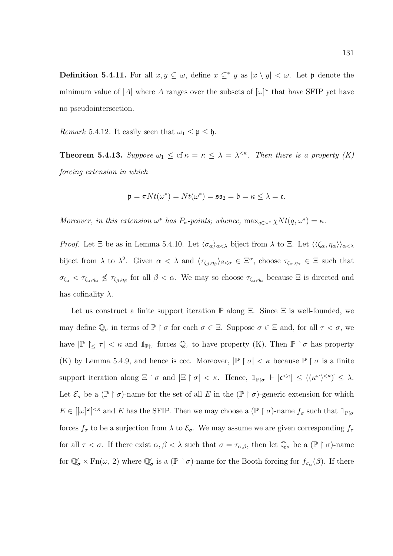**Definition 5.4.11.** For all  $x, y \subseteq \omega$ , define  $x \subseteq^* y$  as  $|x \setminus y| < \omega$ . Let **p** denote the minimum value of |A| where A ranges over the subsets of  $[\omega]^\omega$  that have SFIP yet have no pseudointersection.

*Remark* 5.4.12. It easily seen that  $\omega_1 \leq \mathfrak{p} \leq \mathfrak{h}$ .

**Theorem 5.4.13.** Suppose  $\omega_1 \leq \text{cf } \kappa = \kappa \leq \lambda = \lambda^{<\kappa}$ . Then there is a property (K) forcing extension in which

$$
\mathfrak{p} = \pi N t(\omega^*) = N t(\omega^*) = \mathfrak{ss}_2 = \mathfrak{b} = \kappa \leq \lambda = \mathfrak{c}.
$$

Moreover, in this extension  $\omega^*$  has  $P_{\kappa}$ -points; whence,  $\max_{q \in \omega^*} \chi Nt(q, \omega^*) = \kappa$ .

*Proof.* Let  $\Xi$  be as in Lemma 5.4.10. Let  $\langle \sigma_{\alpha} \rangle_{\alpha < \lambda}$  biject from  $\lambda$  to  $\Xi$ . Let  $\langle \langle \zeta_{\alpha}, \eta_{\alpha} \rangle \rangle_{\alpha < \lambda}$ biject from  $\lambda$  to  $\lambda^2$ . Given  $\alpha < \lambda$  and  $\langle \tau_{\zeta_{\beta},\eta_{\beta}} \rangle_{\beta < \alpha} \in \Xi^{\alpha}$ , choose  $\tau_{\zeta_{\alpha},\eta_{\alpha}} \in \Xi$  such that  $\sigma_{\zeta_{\alpha}} < \tau_{\zeta_{\alpha},\eta_{\alpha}} \nleq \tau_{\zeta_{\beta},\eta_{\beta}}$  for all  $\beta < \alpha$ . We may so choose  $\tau_{\zeta_{\alpha},\eta_{\alpha}}$  because  $\Xi$  is directed and has cofinality  $\lambda$ .

Let us construct a finite support iteration  $\mathbb P$  along  $\Xi$ . Since  $\Xi$  is well-founded, we may define  $\mathbb{Q}_{\sigma}$  in terms of  $\mathbb{P} \restriction \sigma$  for each  $\sigma \in \Xi$ . Suppose  $\sigma \in \Xi$  and, for all  $\tau < \sigma$ , we have  $|\mathbb{P}| \leq \tau$  <  $\kappa$  and  $\mathbb{1}_{\mathbb{P}|\tau}$  forces  $\mathbb{Q}_{\tau}$  to have property (K). Then  $\mathbb{P} \restriction \sigma$  has property (K) by Lemma 5.4.9, and hence is ccc. Moreover,  $|\mathbb{P} \restriction \sigma| < \kappa$  because  $|\mathbb{P} \restriction \sigma$  is a finite support iteration along  $\Xi \restriction \sigma$  and  $|\Xi \restriction \sigma| < \kappa$ . Hence,  $\mathbb{1}_{\mathbb{P}[\sigma} \Vdash |\mathfrak{c}^{\leq \kappa}| \leq ((\kappa^{\omega})^{\leq \kappa})^{\leq} \leq \lambda$ . Let  $\mathcal{E}_{\sigma}$  be a  $(\mathbb{P} \restriction \sigma)$ -name for the set of all E in the  $(\mathbb{P} \restriction \sigma)$ -generic extension for which  $E \in [[\omega]^\omega]^{<\kappa}$  and E has the SFIP. Then we may choose a  $(\mathbb{P} \restriction \sigma)$ -name  $f_\sigma$  such that  $\mathbb{1}_{\mathbb{P}[\sigma]}$ forces  $f_{\sigma}$  to be a surjection from  $\lambda$  to  $\mathcal{E}_{\sigma}$ . We may assume we are given corresponding  $f_{\tau}$ for all  $\tau < \sigma$ . If there exist  $\alpha, \beta < \lambda$  such that  $\sigma = \tau_{\alpha,\beta}$ , then let  $\mathbb{Q}_{\sigma}$  be a  $(\mathbb{P} \restriction \sigma)$ -name for  $\mathbb{Q}'_{\sigma} \times \text{Fn}(\omega, 2)$  where  $\mathbb{Q}'_{\sigma}$  is a  $(\mathbb{P} \restriction \sigma)$ -name for the Booth forcing for  $f_{\sigma_{\alpha}}(\beta)$ . If there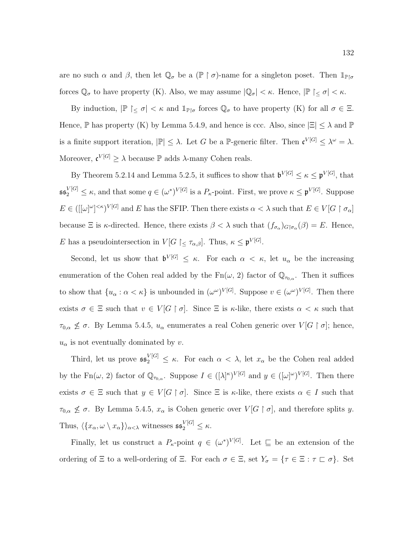are no such  $\alpha$  and  $\beta$ , then let  $\mathbb{Q}_{\sigma}$  be a  $(\mathbb{P} \restriction \sigma)$ -name for a singleton poset. Then  $\mathbb{1}_{\mathbb{P} \restriction \sigma}$ forces  $\mathbb{Q}_{\sigma}$  to have property (K). Also, we may assume  $|\mathbb{Q}_{\sigma}| < \kappa$ . Hence,  $|\mathbb{P}| \leq \sigma < \kappa$ .

By induction,  $|\mathbb{P}| \leq \sigma$   $| \lt \kappa$  and  $\mathbb{1}_{\mathbb{P}\upharpoonright\sigma}$  forces  $\mathbb{Q}_{\sigma}$  to have property (K) for all  $\sigma \in \Xi$ . Hence, P has property (K) by Lemma 5.4.9, and hence is ccc. Also, since  $|\Xi| \leq \lambda$  and P is a finite support iteration,  $|\mathbb{P}| \leq \lambda$ . Let G be a P-generic filter. Then  $\mathfrak{c}^{V[G]} \leq \lambda^{\omega} = \lambda$ . Moreover,  $\mathfrak{c}^{V[G]} \geq \lambda$  because  $\mathbb P$  adds  $\lambda$ -many Cohen reals.

By Theorem 5.2.14 and Lemma 5.2.5, it suffices to show that  $\mathfrak{b}^{V[G]} \leq \kappa \leq \mathfrak{p}^{V[G]}$ , that  $\mathfrak{ss}_2^{V[G]} \leq \kappa$ , and that some  $q \in (\omega^*)^{V[G]}$  is a  $P_\kappa$ -point. First, we prove  $\kappa \leq \mathfrak{p}^{V[G]}$ . Suppose  $E \in (([\omega]^\omega)^{<\kappa})^{V[G]}$  and E has the SFIP. Then there exists  $\alpha < \lambda$  such that  $E \in V[G \restriction \sigma_\alpha]$ because  $\Xi$  is *κ*-directed. Hence, there exists  $\beta < \lambda$  such that  $(f_{\sigma_{\alpha}})_{G|\sigma_{\alpha}}(\beta) = E$ . Hence, E has a pseudointersection in  $V[G \restriction_{\leq} \tau_{\alpha,\beta}]$ . Thus,  $\kappa \leq \mathfrak{p}^{V[G]}$ .

Second, let us show that  $\mathfrak{b}^{V[G]} \leq \kappa$ . For each  $\alpha < \kappa$ , let  $u_{\alpha}$  be the increasing enumeration of the Cohen real added by the  $Fn(\omega, 2)$  factor of  $\mathbb{Q}_{\tau_{0,\alpha}}$ . Then it suffices to show that  $\{u_\alpha : \alpha < \kappa\}$  is unbounded in  $({\omega}^{\omega})^{V[G]}$ . Suppose  $v \in ({\omega}^{\omega})^{V[G]}$ . Then there exists  $\sigma \in \Xi$  such that  $v \in V[G \restriction \sigma]$ . Since  $\Xi$  is  $\kappa$ -like, there exists  $\alpha < \kappa$  such that  $\tau_{0,\alpha} \nleq \sigma$ . By Lemma 5.4.5,  $u_{\alpha}$  enumerates a real Cohen generic over  $V[G \restriction \sigma]$ ; hence,  $u_{\alpha}$  is not eventually dominated by v.

Third, let us prove  $\mathfrak{ss}_2^{V[G]} \leq \kappa$ . For each  $\alpha < \lambda$ , let  $x_\alpha$  be the Cohen real added by the Fn( $\omega$ , 2) factor of  $\mathbb{Q}_{\tau_{0,\alpha}}$ . Suppose  $I \in ([\lambda]^{\kappa})^{V[G]}$  and  $y \in ([\omega]^{\omega})^{V[G]}$ . Then there exists  $\sigma \in \Xi$  such that  $y \in V[G \restriction \sigma]$ . Since  $\Xi$  is  $\kappa$ -like, there exists  $\alpha \in I$  such that  $\tau_{0,\alpha} \nleq \sigma$ . By Lemma 5.4.5,  $x_\alpha$  is Cohen generic over  $V[G \restriction \sigma]$ , and therefore splits y. Thus,  $\langle \{x_\alpha, \omega \setminus x_\alpha\} \rangle_{\alpha < \lambda}$  witnesses  $\mathfrak{ss}_2^{V[G]} \leq \kappa$ .

Finally, let us construct a  $P_{\kappa}$ -point  $q \in (\omega^*)^{V[G]}$ . Let  $\sqsubseteq$  be an extension of the ordering of  $\Xi$  to a well-ordering of  $\Xi$ . For each  $\sigma \in \Xi$ , set  $Y_{\sigma} = {\tau \in \Xi : \tau \sqsubset \sigma}$ . Set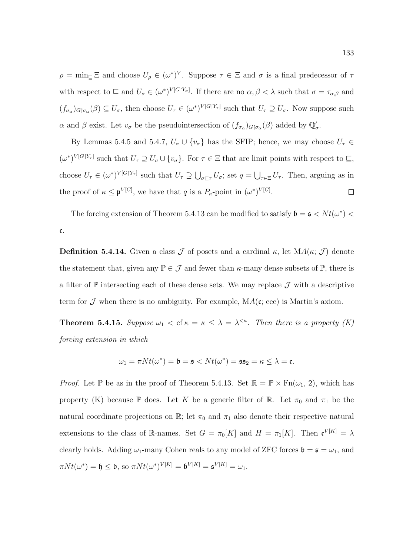$\rho = \min_{\square} \Xi$  and choose  $U_{\rho} \in (\omega^*)^V$ . Suppose  $\tau \in \Xi$  and  $\sigma$  is a final predecessor of  $\tau$ with respect to  $\subseteq$  and  $U_{\sigma} \in (\omega^*)^{V[G|Y_{\sigma}]}$ . If there are no  $\alpha, \beta < \lambda$  such that  $\sigma = \tau_{\alpha,\beta}$  and  $(f_{\sigma_\alpha})_{G\upharpoonright \sigma_\alpha}(\beta) \subseteq U_\sigma$ , then choose  $U_\tau \in (\omega^*)^{V[G\upharpoonright Y_\tau]}$  such that  $U_\tau \supseteq U_\sigma$ . Now suppose such  $\alpha$  and  $\beta$  exist. Let  $v_{\sigma}$  be the pseudointersection of  $(f_{\sigma_{\alpha}})_{G|\sigma_{\alpha}}(\beta)$  added by  $\mathbb{Q}'_{\sigma}$ .

By Lemmas 5.4.5 and 5.4.7,  $U_{\sigma} \cup \{v_{\sigma}\}\$  has the SFIP; hence, we may choose  $U_{\tau} \in$  $(\omega^*)^{V[G|Y_\tau]}$  such that  $U_\tau \supseteq U_\sigma \cup \{v_\sigma\}$ . For  $\tau \in \Xi$  that are limit points with respect to  $\sqsubseteq$ , choose  $U_{\tau} \in (\omega^*)^{V[G|Y_{\tau}]}$  such that  $U_{\tau} \supseteq \bigcup_{\sigma \sqsubset \tau} U_{\sigma}$ ; set  $q = \bigcup_{\tau \in \Xi} U_{\tau}$ . Then, arguing as in the proof of  $\kappa \leq \mathfrak{p}^{V[G]}$ , we have that q is a  $P_{\kappa}$ -point in  $(\omega^*)^{V[G]}$ .  $\Box$ 

The forcing extension of Theorem 5.4.13 can be modified to satisfy  $\mathfrak{b} = \mathfrak{s} < N t(\omega^*)$ c.

**Definition 5.4.14.** Given a class  $\mathcal J$  of posets and a cardinal  $\kappa$ , let  $MA(\kappa; \mathcal J)$  denote the statement that, given any  $\mathbb{P} \in \mathcal{J}$  and fewer than  $\kappa$ -many dense subsets of  $\mathbb{P}$ , there is a filter of  $\mathbb P$  intersecting each of these dense sets. We may replace  $\mathcal J$  with a descriptive term for  $\mathcal J$  when there is no ambiguity. For example,  $MA(c; ccc)$  is Martin's axiom.

**Theorem 5.4.15.** Suppose  $\omega_1 <$  cf  $\kappa = \kappa \leq \lambda = \lambda^{<\kappa}$ . Then there is a property (K) forcing extension in which

$$
\omega_1 = \pi N t(\omega^*) = \mathfrak{b} = \mathfrak{s} < N t(\omega^*) = \mathfrak{s} \mathfrak{s}_2 = \kappa \leq \lambda = \mathfrak{c}.
$$

*Proof.* Let P be as in the proof of Theorem 5.4.13. Set  $\mathbb{R} = \mathbb{P} \times \text{Fn}(\omega_1, 2)$ , which has property (K) because  $\mathbb P$  does. Let K be a generic filter of  $\mathbb R$ . Let  $\pi_0$  and  $\pi_1$  be the natural coordinate projections on  $\mathbb{R}$ ; let  $\pi_0$  and  $\pi_1$  also denote their respective natural extensions to the class of R-names. Set  $G = \pi_0[K]$  and  $H = \pi_1[K]$ . Then  $\mathfrak{c}^{V[K]} = \lambda$ clearly holds. Adding  $\omega_1$ -many Cohen reals to any model of ZFC forces  $\mathfrak{b} = \mathfrak{s} = \omega_1$ , and  $\pi N t(\omega^*) = \mathfrak{h} \leq \mathfrak{b}, \text{ so } \pi N t(\omega^*)^{V[K]} = \mathfrak{b}^{V[K]} = \mathfrak{s}^{V[K]} = \omega_1.$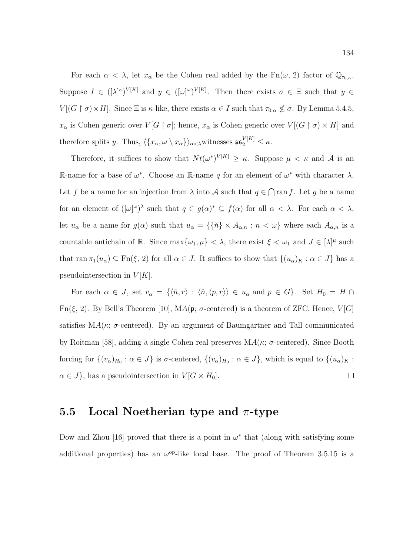For each  $\alpha < \lambda$ , let  $x_{\alpha}$  be the Cohen real added by the Fn( $\omega$ , 2) factor of  $\mathbb{Q}_{\tau_{0,\alpha}}$ . Suppose  $I \in ([\lambda]^{\kappa})^{V[K]}$  and  $y \in ([\omega]^{\omega})^{V[K]}$ . Then there exists  $\sigma \in \Xi$  such that  $y \in$  $V[(G \restriction \sigma) \times H]$ . Since  $\Xi$  is  $\kappa$ -like, there exists  $\alpha \in I$  such that  $\tau_{0,\alpha} \nleq \sigma$ . By Lemma 5.4.5,  $x_{\alpha}$  is Cohen generic over  $V[G \restriction \sigma]$ ; hence,  $x_{\alpha}$  is Cohen generic over  $V[(G \restriction \sigma) \times H]$  and therefore splits y. Thus,  $\langle \{x_\alpha, \omega \setminus x_\alpha\} \rangle_{\alpha < \lambda}$ witnesses  $\mathfrak{ss}_2^{V[K]} \leq \kappa$ .

Therefore, it suffices to show that  $Nt(\omega^*)^{V[K]} \geq \kappa$ . Suppose  $\mu < \kappa$  and A is an R-name for a base of  $\omega^*$ . Choose an R-name q for an element of  $\omega^*$  with character  $\lambda$ . Let f be a name for an injection from  $\lambda$  into A such that  $q \in \bigcap \text{ran } f$ . Let g be a name for an element of  $([\omega]^\omega)^\lambda$  such that  $q \in g(\alpha)^* \subseteq f(\alpha)$  for all  $\alpha < \lambda$ . For each  $\alpha < \lambda$ , let  $u_{\alpha}$  be a name for  $g(\alpha)$  such that  $u_{\alpha} = \{\{\check{n}\} \times A_{\alpha,n} : n < \omega\}$  where each  $A_{\alpha,n}$  is a countable antichain of R. Since  $\max\{\omega_1, \mu\} < \lambda$ , there exist  $\xi < \omega_1$  and  $J \in [\lambda]^{\mu}$  such that  $\text{ran }\pi_1(u_\alpha) \subseteq \text{Fn}(\xi, 2)$  for all  $\alpha \in J$ . It suffices to show that  $\{(u_\alpha)_K : \alpha \in J\}$  has a pseudointersection in  $V[K]$ .

For each  $\alpha \in J$ , set  $v_{\alpha} = \{\langle \tilde{n}, r \rangle : \langle \tilde{n}, \langle p, r \rangle \rangle \in u_{\alpha} \text{ and } p \in G\}$ . Set  $H_0 = H \cap$ Fn( $\xi$ , 2). By Bell's Theorem [10], MA( $\mathfrak{p}$ ;  $\sigma$ -centered) is a theorem of ZFC. Hence,  $V[G]$ satisfies  $MA(\kappa; \sigma\text{-centered})$ . By an argument of Baumgartner and Tall communicated by Roitman [58], adding a single Cohen real preserves  $MA(\kappa; \sigma\text{-centered})$ . Since Booth forcing for  $\{(v_\alpha)_{H_0} : \alpha \in J\}$  is  $\sigma$ -centered,  $\{(v_\alpha)_{H_0} : \alpha \in J\}$ , which is equal to  $\{(u_\alpha)_K :$  $\alpha \in J$ , has a pseudointersection in  $V[G \times H_0]$ .  $\Box$ 

## 5.5 Local Noetherian type and  $\pi$ -type

Dow and Zhou [16] proved that there is a point in  $\omega^*$  that (along with satisfying some additional properties) has an  $\omega^{\rm op}$ -like local base. The proof of Theorem 3.5.15 is a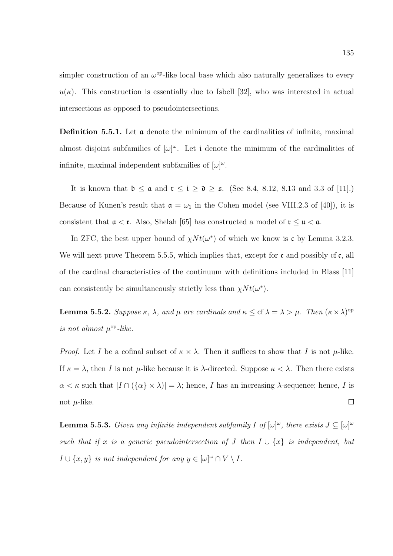simpler construction of an  $\omega^{\rm op}$ -like local base which also naturally generalizes to every  $u(\kappa)$ . This construction is essentially due to Isbell [32], who was interested in actual intersections as opposed to pseudointersections.

**Definition 5.5.1.** Let  $\alpha$  denote the minimum of the cardinalities of infinite, maximal almost disjoint subfamilies of  $[\omega]^\omega$ . Let i denote the minimum of the cardinalities of infinite, maximal independent subfamilies of  $[\omega]^\omega$ .

It is known that  $\mathfrak{b} \leq \mathfrak{a}$  and  $\mathfrak{r} \leq \mathfrak{i} \geq \mathfrak{d} \geq \mathfrak{s}$ . (See 8.4, 8.12, 8.13 and 3.3 of [11].) Because of Kunen's result that  $\mathfrak{a} = \omega_1$  in the Cohen model (see VIII.2.3 of [40]), it is consistent that  $\mathfrak{a} < \mathfrak{r}$ . Also, Shelah [65] has constructed a model of  $\mathfrak{r} \leq \mathfrak{u} < \mathfrak{a}$ .

In ZFC, the best upper bound of  $\chi N t(\omega^*)$  of which we know is c by Lemma 3.2.3. We will next prove Theorem 5.5.5, which implies that, except for  $\mathfrak c$  and possibly cf  $\mathfrak c$ , all of the cardinal characteristics of the continuum with definitions included in Blass [11] can consistently be simultaneously strictly less than  $\chi N t(\omega^* )$ .

**Lemma 5.5.2.** Suppose  $\kappa$ ,  $\lambda$ , and  $\mu$  are cardinals and  $\kappa \leq cf \lambda = \lambda > \mu$ . Then  $(\kappa \times \lambda)$ <sup>op</sup> is not almost  $\mu^{\rm op}\text{-}like.$ 

*Proof.* Let I be a cofinal subset of  $\kappa \times \lambda$ . Then it suffices to show that I is not  $\mu$ -like. If  $\kappa = \lambda$ , then I is not  $\mu$ -like because it is  $\lambda$ -directed. Suppose  $\kappa < \lambda$ . Then there exists  $\alpha < \kappa$  such that  $|I \cap (\{\alpha\} \times \lambda)| = \lambda$ ; hence, I has an increasing  $\lambda$ -sequence; hence, I is  $\Box$ not  $\mu$ -like.

**Lemma 5.5.3.** Given any infinite independent subfamily I of  $[\omega]^\omega$ , there exists  $J \subseteq [\omega]^\omega$ such that if x is a generic pseudointersection of J then  $I \cup \{x\}$  is independent, but  $I \cup \{x, y\}$  is not independent for any  $y \in [\omega]^\omega \cap V \setminus I$ .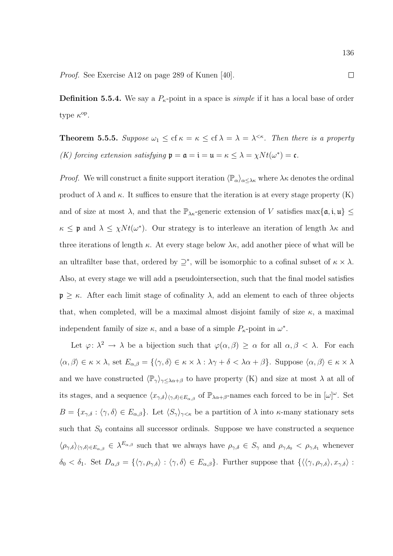Proof. See Exercise A12 on page 289 of Kunen [40].

**Definition 5.5.4.** We say a  $P_k$ -point in a space is *simple* if it has a local base of order type  $\kappa^{\rm op}$ .

**Theorem 5.5.5.** Suppose  $\omega_1 \leq \text{cf } \kappa = \kappa \leq \text{cf } \lambda = \lambda = \lambda^{<\kappa}$ . Then there is a property (K) forcing extension satisfying  $\mathfrak{p} = \mathfrak{a} = \mathfrak{i} = \mathfrak{u} = \kappa \leq \lambda = \chi N t(\omega^*) = \mathfrak{c}$ .

*Proof.* We will construct a finite support iteration  $\langle \mathbb{P}_{\alpha} \rangle_{\alpha \leq \lambda \kappa}$  where  $\lambda \kappa$  denotes the ordinal product of  $\lambda$  and  $\kappa$ . It suffices to ensure that the iteration is at every stage property (K) and of size at most  $\lambda$ , and that the  $\mathbb{P}_{\lambda\kappa}$ -generic extension of V satisfies max $\{\mathfrak{a},\mathfrak{i},\mathfrak{u}\}\leq$  $\kappa \leq \mathfrak{p}$  and  $\lambda \leq \chi N t(\omega^*)$ . Our strategy is to interleave an iteration of length  $\lambda \kappa$  and three iterations of length  $\kappa$ . At every stage below  $\lambda \kappa$ , add another piece of what will be an ultrafilter base that, ordered by  $\supseteq^*$ , will be isomorphic to a cofinal subset of  $\kappa \times \lambda$ . Also, at every stage we will add a pseudointersection, such that the final model satisfies  $\mathfrak{p} \geq \kappa$ . After each limit stage of cofinality  $\lambda$ , add an element to each of three objects that, when completed, will be a maximal almost disjoint family of size  $\kappa$ , a maximal independent family of size  $\kappa$ , and a base of a simple  $P_{\kappa}$ -point in  $\omega^*$ .

Let  $\varphi: \lambda^2 \to \lambda$  be a bijection such that  $\varphi(\alpha, \beta) \geq \alpha$  for all  $\alpha, \beta < \lambda$ . For each  $\langle \alpha, \beta \rangle \in \kappa \times \lambda$ , set  $E_{\alpha,\beta} = {\langle \gamma, \delta \rangle \in \kappa \times \lambda : \lambda \gamma + \delta < \lambda \alpha + \beta }$ . Suppose  $\langle \alpha, \beta \rangle \in \kappa \times \lambda$ and we have constructed  $\langle \mathbb{P}_{\gamma} \rangle_{\gamma \leq \lambda \alpha + \beta}$  to have property (K) and size at most  $\lambda$  at all of its stages, and a sequence  $\langle x_{\gamma,\delta}\rangle_{\langle\gamma,\delta\rangle\in E_{\alpha,\beta}}$  of  $\mathbb{P}_{\lambda\alpha+\beta}$ -names each forced to be in  $[\omega]^\omega$ . Set  $B = \{x_{\gamma,\delta} : \langle \gamma, \delta \rangle \in E_{\alpha,\beta}\}.$  Let  $\langle S_{\gamma} \rangle_{\gamma \leq \kappa}$  be a partition of  $\lambda$  into  $\kappa$ -many stationary sets such that  $S_0$  contains all successor ordinals. Suppose we have constructed a sequence  $\langle \rho_{\gamma,\delta}\rangle_{\langle \gamma,\delta\rangle\in E_{\alpha,\beta}} \in \lambda^{E_{\alpha,\beta}}$  such that we always have  $\rho_{\gamma,\delta} \in S_{\gamma}$  and  $\rho_{\gamma,\delta_0} < \rho_{\gamma,\delta_1}$  whenever  $\delta_0 < \delta_1$ . Set  $D_{\alpha,\beta} = {\langle \gamma, \rho_{\gamma,\delta} \rangle : \langle \gamma, \delta \rangle \in E_{\alpha,\beta}}$ . Further suppose that  ${\langle \langle \gamma, \rho_{\gamma,\delta} \rangle, x_{\gamma,\delta} \rangle : \langle \gamma, \delta \rangle \rangle}$ 

 $\Box$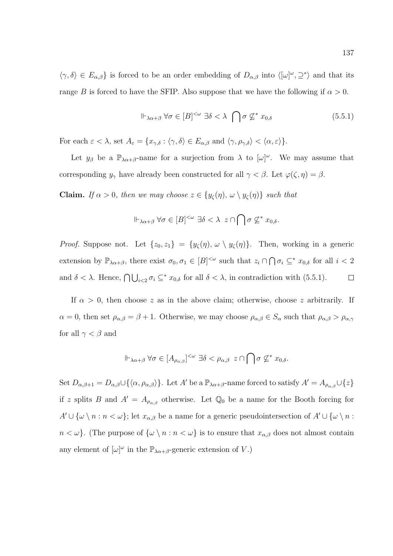$\langle \gamma, \delta \rangle \in E_{\alpha,\beta}$  is forced to be an order embedding of  $D_{\alpha,\beta}$  into  $\langle [\omega]^\omega, \supseteq^* \rangle$  and that its range B is forced to have the SFIP. Also suppose that we have the following if  $\alpha > 0$ .

$$
\Vdash_{\lambda\alpha+\beta}\forall\sigma\in[B]^{<\omega}\;\exists\delta<\lambda\;\bigcap\sigma\not\subseteq^* x_{0,\delta}\tag{5.5.1}
$$

For each  $\varepsilon < \lambda$ , set  $A_{\varepsilon} = \{x_{\gamma,\delta} : \langle \gamma, \delta \rangle \in E_{\alpha,\beta} \text{ and } \langle \gamma, \rho_{\gamma,\delta} \rangle < \langle \alpha, \varepsilon \rangle \}.$ 

Let  $y_\beta$  be a  $\mathbb{P}_{\lambda\alpha+\beta}$ -name for a surjection from  $\lambda$  to  $[\omega]^\omega$ . We may assume that corresponding  $y_{\gamma}$  have already been constructed for all  $\gamma < \beta$ . Let  $\varphi(\zeta, \eta) = \beta$ .

**Claim.** If  $\alpha > 0$ , then we may choose  $z \in \{y_{\zeta}(\eta), \omega \setminus y_{\zeta}(\eta)\}\)$  such that

$$
\Vdash_{\lambda\alpha+\beta}\forall\sigma\in[B]^{<\omega}\,\,\exists\delta<\lambda\,\,z\cap\bigcap\sigma\not\subseteq^*x_{0,\delta}.
$$

*Proof.* Suppose not. Let  $\{z_0, z_1\} = \{y_\zeta(\eta), \omega \setminus y_\zeta(\eta)\}\$ . Then, working in a generic extension by  $\mathbb{P}_{\lambda\alpha+\beta}$ , there exist  $\sigma_0, \sigma_1 \in [B]^{<\omega}$  such that  $z_i \cap \bigcap \sigma_i \subseteq^* x_{0,\delta}$  for all  $i < 2$ and  $\delta < \lambda$ . Hence,  $\bigcap \bigcup_{i < 2} \sigma_i \subseteq^* x_{0,\delta}$  for all  $\delta < \lambda$ , in contradiction with (5.5.1).  $\Box$ 

If  $\alpha > 0$ , then choose z as in the above claim; otherwise, choose z arbitrarily. If  $\alpha = 0$ , then set  $\rho_{\alpha,\beta} = \beta + 1$ . Otherwise, we may choose  $\rho_{\alpha,\beta} \in S_\alpha$  such that  $\rho_{\alpha,\beta} > \rho_{\alpha,\gamma}$ for all  $\gamma < \beta$  and

$$
\Vdash_{\lambda\alpha+\beta}\forall\sigma\in[A_{\rho_{\alpha,\beta}}]^{<\omega}\;\exists\delta<\rho_{\alpha,\beta}\;z\cap\bigcap\sigma\not\subseteq^*x_{0,\delta}.
$$

Set  $D_{\alpha,\beta+1} = D_{\alpha,\beta} \cup \{\langle \alpha,\rho_{\alpha,\beta} \rangle\}$ . Let A' be a  $\mathbb{P}_{\lambda \alpha+\beta}$ -name forced to satisfy  $A' = A_{\rho_{\alpha,\beta}} \cup \{z\}$ if z splits B and  $A' = A_{\rho_{\alpha,\beta}}$  otherwise. Let  $\mathbb{Q}_0$  be a name for the Booth forcing for  $A' \cup {\omega \setminus n : n < \omega}$ ; let  $x_{\alpha,\beta}$  be a name for a generic pseudointersection of  $A' \cup {\omega \setminus n}$ :  $n < \omega$ . (The purpose of  $\{\omega \setminus n : n < \omega\}$  is to ensure that  $x_{\alpha,\beta}$  does not almost contain any element of  $[\omega]^\omega$  in the  $\mathbb{P}_{\lambda\alpha+\beta}$ -generic extension of V.)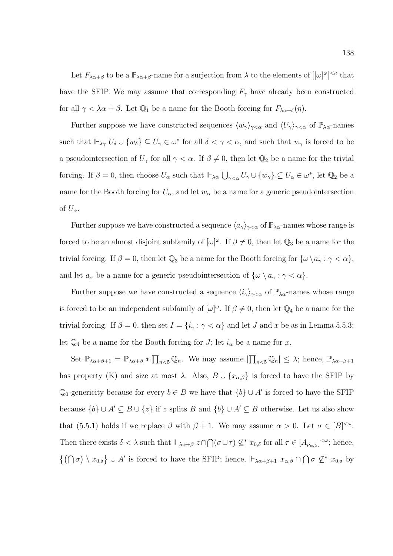Let  $F_{\lambda\alpha+\beta}$  to be a  $\mathbb{P}_{\lambda\alpha+\beta}$ -name for a surjection from  $\lambda$  to the elements of  $[[\omega]^{\omega}]^{<\kappa}$  that have the SFIP. We may assume that corresponding  $F_{\gamma}$  have already been constructed for all  $\gamma < \lambda \alpha + \beta$ . Let  $\mathbb{Q}_1$  be a name for the Booth forcing for  $F_{\lambda \alpha + \zeta}(\eta)$ .

Further suppose we have constructed sequences  $\langle w_\gamma \rangle_{\gamma < \alpha}$  and  $\langle U_\gamma \rangle_{\gamma < \alpha}$  of  $\mathbb{P}_{\lambda \alpha}$ -names such that  $\Vdash_{\lambda\gamma} U_{\delta} \cup \{w_{\delta}\} \subseteq U_{\gamma} \in \omega^*$  for all  $\delta < \gamma < \alpha$ , and such that  $w_{\gamma}$  is forced to be a pseudointersection of  $U_{\gamma}$  for all  $\gamma < \alpha$ . If  $\beta \neq 0$ , then let  $\mathbb{Q}_2$  be a name for the trivial forcing. If  $\beta = 0$ , then choose  $U_{\alpha}$  such that  $\mathbb{H}_{\lambda\alpha} \bigcup_{\gamma<\alpha} U_{\gamma} \cup \{w_{\gamma}\} \subseteq U_{\alpha} \in \omega^*$ , let  $\mathbb{Q}_2$  be a name for the Booth forcing for  $U_{\alpha}$ , and let  $w_{\alpha}$  be a name for a generic pseudointersection of  $U_{\alpha}$ .

Further suppose we have constructed a sequence  $\langle a_{\gamma} \rangle_{\gamma < \alpha}$  of  $\mathbb{P}_{\lambda \alpha}$ -names whose range is forced to be an almost disjoint subfamily of  $[\omega]^\omega$ . If  $\beta \neq 0$ , then let  $\mathbb{Q}_3$  be a name for the trivial forcing. If  $\beta = 0$ , then let  $\mathbb{Q}_3$  be a name for the Booth forcing for  $\{\omega \setminus a_{\gamma} : \gamma < \alpha\},\$ and let  $a_{\alpha}$  be a name for a generic pseudointersection of  $\{\omega \setminus a_{\gamma} : \gamma < \alpha\}.$ 

Further suppose we have constructed a sequence  $\langle i_{\gamma} \rangle_{\gamma < \alpha}$  of  $\mathbb{P}_{\lambda \alpha}$ -names whose range is forced to be an independent subfamily of  $[\omega]^\omega$ . If  $\beta \neq 0$ , then let  $\mathbb{Q}_4$  be a name for the trivial forcing. If  $\beta = 0$ , then set  $I = \{i_{\gamma} : \gamma < \alpha\}$  and let J and x be as in Lemma 5.5.3; let  $\mathbb{Q}_4$  be a name for the Booth forcing for J; let  $i_\alpha$  be a name for x.

Set  $\mathbb{P}_{\lambda\alpha+\beta+1} = \mathbb{P}_{\lambda\alpha+\beta} * \prod_{n<5} \mathbb{Q}_n$ . We may assume  $\left|\prod_{n<5} \mathbb{Q}_n\right| \leq \lambda$ ; hence,  $\mathbb{P}_{\lambda\alpha+\beta+1}$ has property (K) and size at most  $\lambda$ . Also,  $B \cup \{x_{\alpha,\beta}\}\)$  is forced to have the SFIP by Q<sub>0</sub>-genericity because for every  $b \in B$  we have that  $\{b\} \cup A'$  is forced to have the SFIP because  $\{b\} \cup A' \subseteq B \cup \{z\}$  if z splits B and  $\{b\} \cup A' \subseteq B$  otherwise. Let us also show that (5.5.1) holds if we replace  $\beta$  with  $\beta + 1$ . We may assume  $\alpha > 0$ . Let  $\sigma \in |B|^{<\omega}$ . Then there exists  $\delta < \lambda$  such that  $\vdash_{\lambda\alpha+\beta} z \cap \bigcap (\sigma \cup \tau) \not\subseteq^* x_{0,\delta}$  for all  $\tau \in [A_{\rho_{\alpha,\beta}}]^{<\omega}$ ; hence,  $\{(\bigcap \sigma) \setminus x_{0,\delta}\}\cup A'$  is forced to have the SFIP; hence,  $\Vdash_{\lambda\alpha+\beta+1} x_{\alpha,\beta}\cap \bigcap \sigma \nsubseteq^* x_{0,\delta}$  by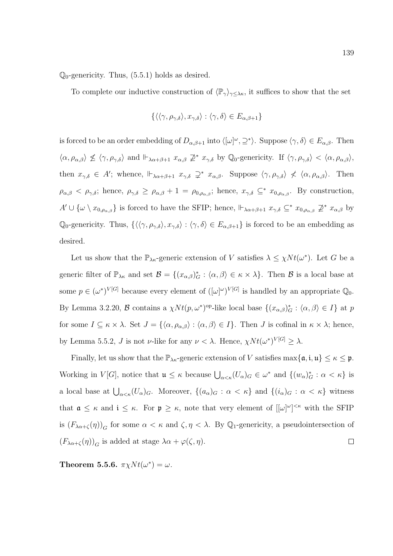$\mathbb{Q}_0$ -genericity. Thus, (5.5.1) holds as desired.

To complete our inductive construction of  $\langle \mathbb{P}_{\gamma} \rangle_{\gamma \leq \lambda \kappa}$ , it suffices to show that the set

$$
\{\langle\langle \gamma, \rho_{\gamma,\delta} \rangle, x_{\gamma,\delta} \rangle : \langle \gamma, \delta \rangle \in E_{\alpha,\beta+1}\}
$$

is forced to be an order embedding of  $D_{\alpha,\beta+1}$  into  $\langle [\omega]^\omega, \supseteq^* \rangle$ . Suppose  $\langle \gamma, \delta \rangle \in E_{\alpha,\beta}$ . Then  $\langle \alpha, \rho_{\alpha,\beta} \rangle \nleq \langle \gamma, \rho_{\gamma,\delta} \rangle$  and  $\Vdash_{\lambda\alpha+\beta+1} x_{\alpha,\beta} \nsubseteq^* x_{\gamma,\delta}$  by Q<sub>0</sub>-genericity. If  $\langle \gamma, \rho_{\gamma,\delta} \rangle < \langle \alpha, \rho_{\alpha,\beta} \rangle$ , then  $x_{\gamma,\delta} \in A'$ ; whence,  $\Vdash_{\lambda\alpha+\beta+1} x_{\gamma,\delta} \supsetneq^* x_{\alpha,\beta}$ . Suppose  $\langle \gamma, \rho_{\gamma,\delta} \rangle \not\prec \langle \alpha, \rho_{\alpha,\beta} \rangle$ . Then  $\rho_{\alpha,\beta} < \rho_{\gamma,\delta}$ ; hence,  $\rho_{\gamma,\delta} \geq \rho_{\alpha,\beta} + 1 = \rho_{0,\rho_{\alpha,\beta}}$ ; hence,  $x_{\gamma,\delta} \subseteq^* x_{0,\rho_{\alpha,\beta}}$ . By construction,  $A' \cup \{\omega \setminus x_{0,\rho_{\alpha,\beta}}\}$  is forced to have the SFIP; hence,  $\mathbb{H}_{\lambda\alpha+\beta+1} x_{\gamma,\delta} \subseteq^* x_{0,\rho_{\alpha,\beta}} \not\supseteq^* x_{\alpha,\beta}$  by Q<sub>0</sub>-genericity. Thus,  $\{\langle\langle \gamma, \rho_{\gamma,\delta}\rangle, x_{\gamma,\delta}\rangle : \langle \gamma, \delta\rangle \in E_{\alpha,\beta+1}\}\$ is forced to be an embedding as desired.

Let us show that the  $\mathbb{P}_{\lambda\kappa}$ -generic extension of V satisfies  $\lambda \leq \chi N t(\omega^*)$ . Let G be a generic filter of  $\mathbb{P}_{\lambda\kappa}$  and set  $\mathcal{B} = \{(x_{\alpha,\beta})^*_{\mathcal{G}} : \langle \alpha, \beta \rangle \in \kappa \times \lambda\}.$  Then  $\mathcal{B}$  is a local base at some  $p \in (\omega^*)^{V[G]}$  because every element of  $([\omega]^\omega)^{V[G]}$  is handled by an appropriate  $\mathbb{Q}_0$ . By Lemma 3.2.20,  $\mathcal B$  contains a  $\chi Nt(p,\omega^*)^{\text{op}}$ -like local base  $\{(x_{\alpha,\beta})^*_{G} : \langle \alpha,\beta \rangle \in I\}$  at p for some  $I \subseteq \kappa \times \lambda$ . Set  $J = \{\langle \alpha, \rho_{\alpha,\beta} \rangle : \langle \alpha, \beta \rangle \in I\}$ . Then J is cofinal in  $\kappa \times \lambda$ ; hence, by Lemma 5.5.2, J is not v-like for any  $\nu < \lambda$ . Hence,  $\chi N t(\omega^*)^{V[G]} \geq \lambda$ .

Finally, let us show that the  $\mathbb{P}_{\lambda\kappa}$ -generic extension of V satisfies  $\max\{\mathfrak{a},\mathfrak{i},\mathfrak{u}\}\leq\kappa\leq\mathfrak{p}$ . Working in  $V[G]$ , notice that  $\mathfrak{u} \leq \kappa$  because  $\bigcup_{\alpha < \kappa} (U_\alpha)_G \in \omega^*$  and  $\{(w_\alpha)^*_{\alpha} : \alpha < \kappa\}$  is a local base at  $\bigcup_{\alpha<\kappa}(U_{\alpha})_G$ . Moreover,  $\{(a_{\alpha})_G : \alpha < \kappa\}$  and  $\{(i_{\alpha})_G : \alpha < \kappa\}$  witness that  $\mathfrak{a} \leq \kappa$  and  $i \leq \kappa$ . For  $\mathfrak{p} \geq \kappa$ , note that very element of  $[[\omega]^{\omega}]^{<\kappa}$  with the SFIP is  $(F_{\lambda\alpha+\zeta}(\eta))_G$  for some  $\alpha<\kappa$  and  $\zeta,\eta<\lambda$ . By  $\mathbb{Q}_1$ -genericity, a pseudointersection of  $(F_{\lambda\alpha+\zeta}(\eta))_G$  is added at stage  $\lambda\alpha+\varphi(\zeta,\eta)$ .  $\Box$ 

Theorem 5.5.6.  $\pi \chi N t(\omega^*) = \omega$ .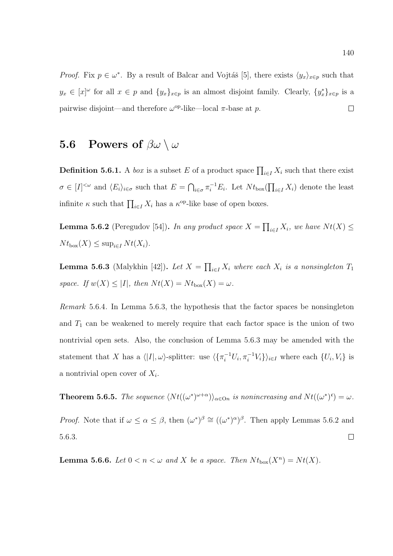*Proof.* Fix  $p \in \omega^*$ . By a result of Balcar and Vojtáš [5], there exists  $\langle y_x \rangle_{x \in p}$  such that  $y_x \in [x]^{\omega}$  for all  $x \in p$  and  $\{y_x\}_{x \in p}$  is an almost disjoint family. Clearly,  $\{y_x^*\}_{x \in p}$  is a pairwise disjoint—and therefore  $\omega^{\text{op}}$ -like—local  $\pi$ -base at p.  $\Box$ 

## 5.6 Powers of  $\beta\omega \setminus \omega$

**Definition 5.6.1.** A *box* is a subset E of a product space  $\prod_{i\in I} X_i$  such that there exist  $\sigma \in [I]^{<\omega}$  and  $\langle E_i \rangle_{i \in \sigma}$  such that  $E = \bigcap_{i \in \sigma} \pi_i^{-1} E_i$ . Let  $N t_{\text{box}}(\prod_{i \in I} X_i)$  denote the least infinite  $\kappa$  such that  $\prod_{i\in I} X_i$  has a  $\kappa^{\text{op}}$ -like base of open boxes.

**Lemma 5.6.2** (Peregudov [54]). In any product space  $X = \prod_{i \in I} X_i$ , we have  $Nt(X) \leq$  $N t_{\text{box}}(X) \leq \sup_{i \in I} N t(X_i).$ 

**Lemma 5.6.3** (Malykhin [42]). Let  $X = \prod_{i \in I} X_i$  where each  $X_i$  is a nonsingleton  $T_1$ space. If  $w(X) \leq |I|$ , then  $Nt(X) = Nt_{\text{box}}(X) = \omega$ .

Remark 5.6.4. In Lemma 5.6.3, the hypothesis that the factor spaces be nonsingleton and  $T_1$  can be weakened to merely require that each factor space is the union of two nontrivial open sets. Also, the conclusion of Lemma 5.6.3 may be amended with the statement that X has a  $\langle |I|, \omega \rangle$ -splitter: use  $\langle {\{\pi_i^{-1}U_i, \pi_i^{-1}V_i\}\rangle_{i \in I}}$  where each  $\{U_i, V_i\}$  is a nontrivial open cover of  $X_i$ .

**Theorem 5.6.5.** The sequence  $\langle Nt((\omega^*)^{\omega+\alpha})\rangle_{\alpha\in\mathcal{O}n}$  is nonincreasing and  $Nt((\omega^*)^c) = \omega$ . *Proof.* Note that if  $\omega \leq \alpha \leq \beta$ , then  $(\omega^*)^{\beta} \cong ((\omega^*)^{\alpha})^{\beta}$ . Then apply Lemmas 5.6.2 and 5.6.3.  $\Box$ 

**Lemma 5.6.6.** Let  $0 < n < \omega$  and X be a space. Then  $Nt_{\text{box}}(X^n) = Nt(X)$ .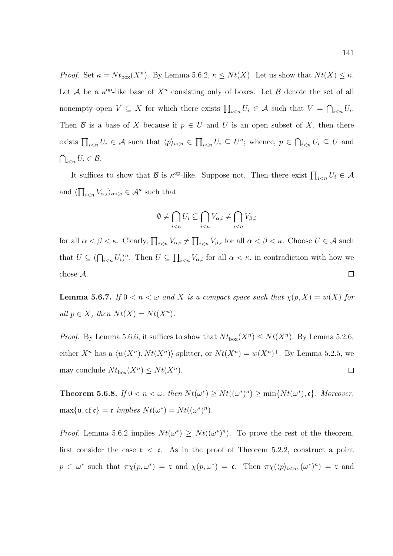*Proof.* Set  $\kappa = N t_{\text{box}}(X^n)$ . By Lemma 5.6.2,  $\kappa \leq N t(X)$ . Let us show that  $N t(X) \leq \kappa$ . Let A be a  $\kappa^{op}$ -like base of  $X^n$  consisting only of boxes. Let B denote the set of all nonempty open  $V \subseteq X$  for which there exists  $\prod_{i \leq n} U_i \in A$  such that  $V = \bigcap_{i \leq n} U_i$ . Then B is a base of X because if  $p \in U$  and U is an open subset of X, then there exists  $\prod_{i\leq n}U_i\in \mathcal{A}$  such that  $\langle p\rangle_{i\leq n}\in \prod_{i\leq n}U_i\subseteq U^n$ ; whence,  $p\in \bigcap_{i\leq n}U_i\subseteq U$  and  $\bigcap_{i$ 

It suffices to show that B is  $\kappa^{\text{op}}$ -like. Suppose not. Then there exist  $\prod_{i\leq n}U_i \in \mathcal{A}$ and  $\langle \prod_{i \leq n} V_{\alpha,i} \rangle_{\alpha \leq \kappa} \in \mathcal{A}^{\kappa}$  such that

$$
\emptyset \neq \bigcap_{i < n} U_i \subseteq \bigcap_{i < n} V_{\alpha,i} \neq \bigcap_{i < n} V_{\beta,i}
$$

for all  $\alpha < \beta < \kappa$ . Clearly,  $\prod_{i \leq n} V_{\alpha,i} \neq \prod_{i \leq n} V_{\beta,i}$  for all  $\alpha < \beta < \kappa$ . Choose  $U \in \mathcal{A}$  such that  $U \subseteq (\bigcap_{i \leq n} U_i)^n$ . Then  $U \subseteq \prod_{i \leq n} V_{\alpha,i}$  for all  $\alpha < \kappa$ , in contradiction with how we chose A.  $\Box$ 

**Lemma 5.6.7.** If  $0 < n < \omega$  and X is a compact space such that  $\chi(p, X) = w(X)$  for all  $p \in X$ , then  $Nt(X) = Nt(X^n)$ .

*Proof.* By Lemma 5.6.6, it suffices to show that  $Nt_{\text{box}}(X^n) \leq Nt(X^n)$ . By Lemma 5.2.6, either  $X^n$  has a  $\langle w(X^n), N t(X^n) \rangle$ -splitter, or  $N t(X^n) = w(X^n)^+$ . By Lemma 5.2.5, we may conclude  $Nt_{\text{box}}(X^n) \leq Nt(X^n)$ .  $\Box$ 

**Theorem 5.6.8.** If  $0 < n < \omega$ , then  $Nt(\omega^*) \geq Nt((\omega^*)^n) \geq \min\{Nt(\omega^*), \mathfrak{c}\}\$ . Moreover,  $\max\{\mathfrak{u},\mathrm{cf\ } \mathfrak{c}\} = \mathfrak{c} \ \text{implies} \ Nt(\omega^*) = Nt((\omega^*)^n).$ 

*Proof.* Lemma 5.6.2 implies  $Nt(\omega^*) \geq Nt((\omega^*)^n)$ . To prove the rest of the theorem, first consider the case  $\tau < \epsilon$ . As in the proof of Theorem 5.2.2, construct a point  $p \in \omega^*$  such that  $\pi \chi(p, \omega^*) = \mathfrak{r}$  and  $\chi(p, \omega^*) = \mathfrak{c}$ . Then  $\pi \chi(\langle p \rangle_{i \leq n}, (\omega^*)^n) = \mathfrak{r}$  and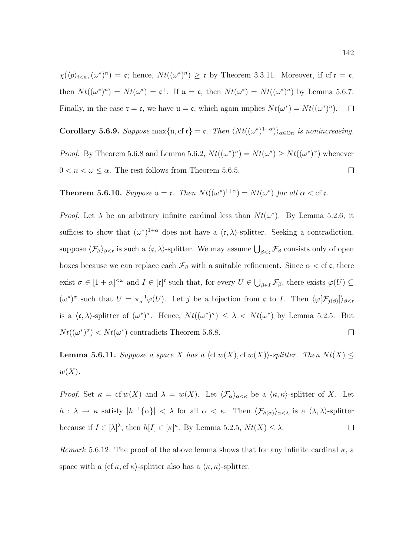$\chi(\langle p \rangle_{i \leq n}, (\omega^*)^n) = \mathfrak{c}$ ; hence,  $N t((\omega^*)^n) \geq \mathfrak{c}$  by Theorem 3.3.11. Moreover, if cf  $\mathfrak{c} = \mathfrak{c}$ , then  $Nt((\omega^*)^n) = Nt(\omega^*) = \mathfrak{c}^+$ . If  $\mathfrak{u} = \mathfrak{c}$ , then  $Nt(\omega^*) = Nt((\omega^*)^n)$  by Lemma 5.6.7. Finally, in the case  $\mathfrak{r} = \mathfrak{c}$ , we have  $\mathfrak{u} = \mathfrak{c}$ , which again implies  $N t(\omega^*) = N t((\omega^*)^n)$ .  $\Box$ 

Corollary 5.6.9. Suppose max $\{u, cf \in \mathfrak{c}\} = \mathfrak{c}$ . Then  $\langle Nt((\omega^*)^{1+\alpha})\rangle_{\alpha \in \mathcal{O}_n}$  is nonincreasing. *Proof.* By Theorem 5.6.8 and Lemma 5.6.2,  $Nt((\omega^*)^n) = Nt(\omega^*) \geq Nt((\omega^*)^{\alpha})$  whenever  $0 < n < \omega \leq \alpha$ . The rest follows from Theorem 5.6.5.  $\Box$ 

**Theorem 5.6.10.** Suppose  $\mathfrak{u} = \mathfrak{c}$ . Then  $Nt((\omega^*)^{1+\alpha}) = Nt(\omega^*)$  for all  $\alpha < \text{cf } \mathfrak{c}$ .

*Proof.* Let  $\lambda$  be an arbitrary infinite cardinal less than  $Nt(\omega^*)$ . By Lemma 5.2.6, it suffices to show that  $(\omega^*)^{1+\alpha}$  does not have a  $\langle \mathfrak{c}, \lambda \rangle$ -splitter. Seeking a contradiction, suppose  $\langle \mathcal{F}_{\beta} \rangle_{\beta < \mathfrak{c}}$  is such a  $\langle \mathfrak{c}, \lambda \rangle$ -splitter. We may assume  $\bigcup_{\beta < \mathfrak{c}} \mathcal{F}_{\beta}$  consists only of open boxes because we can replace each  $\mathcal{F}_{\beta}$  with a suitable refinement. Since  $\alpha < \text{cf } c$ , there exist  $\sigma \in [1+\alpha]^{<\omega}$  and  $I \in [\mathfrak{c}]^{\mathfrak{c}}$  such that, for every  $U \in \bigcup_{\beta \in I} \mathcal{F}_{\beta}$ , there exists  $\varphi(U) \subseteq$  $(\omega^*)^{\sigma}$  such that  $U = \pi_{\sigma}^{-1} \varphi(U)$ . Let j be a bijection from c to I. Then  $\langle \varphi[\mathcal{F}_{j(\beta)}] \rangle_{\beta < \sigma}$ is a  $\langle \mathfrak{c}, \lambda \rangle$ -splitter of  $(\omega^*)^{\sigma}$ . Hence,  $N t((\omega^*)^{\sigma}) \leq \lambda < N t(\omega^*)$  by Lemma 5.2.5. But  $Nt((\omega^*)^{\sigma}) < Nt(\omega^*)$  contradicts Theorem 5.6.8.  $\Box$ 

**Lemma 5.6.11.** Suppose a space X has a  $\langle c f w(X), c f w(X) \rangle$ -splitter. Then  $N t(X)$  $w(X)$ .

Proof. Set  $\kappa = \text{cf }w(X)$  and  $\lambda = w(X)$ . Let  $\langle \mathcal{F}_{\alpha} \rangle_{\alpha \leq \kappa}$  be a  $\langle \kappa, \kappa \rangle$ -splitter of X. Let  $h: \lambda \to \kappa$  satisfy  $|h^{-1}{\{\alpha\}}| < \lambda$  for all  $\alpha < \kappa$ . Then  $\langle \mathcal{F}_{h(\alpha)} \rangle_{\alpha < \lambda}$  is a  $\langle \lambda, \lambda \rangle$ -splitter because if  $I \in [\lambda]^\lambda$ , then  $h[I] \in [\kappa]^\kappa$ . By Lemma 5.2.5,  $Nt(X) \leq \lambda$ .  $\Box$ 

Remark 5.6.12. The proof of the above lemma shows that for any infinite cardinal  $\kappa$ , a space with a  $\langle cf \kappa, cf \kappa \rangle$ -splitter also has a  $\langle \kappa, \kappa \rangle$ -splitter.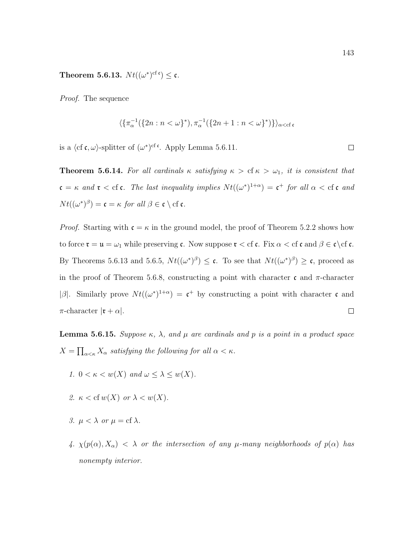Theorem 5.6.13.  $Nt((\omega^*)^{\text{cf c}}) \leq \mathfrak{c}.$ 

Proof. The sequence

$$
\langle \{\pi_{\alpha}^{-1}(\{2n : n < \omega\}^*), \pi_{\alpha}^{-1}(\{2n+1 : n < \omega\}^*)\} \rangle_{\alpha < c}.
$$

is a  $\langle cf \mathfrak{c}, \omega \rangle$ -splitter of  $(\omega^*)^{cf}$ <sup>c</sup>. Apply Lemma 5.6.11.

**Theorem 5.6.14.** For all cardinals  $\kappa$  satisfying  $\kappa > c f \kappa > \omega_1$ , it is consistent that  $\mathfrak{c} = \kappa$  and  $\mathfrak{r} <$  cf  $\mathfrak{c}$ . The last inequality implies  $Nt((\omega^*)^{1+\alpha}) = \mathfrak{c}^+$  for all  $\alpha <$  cf  $\mathfrak{c}$  and  $Nt((\omega^*)^{\beta}) = \mathfrak{c} = \kappa$  for all  $\beta \in \mathfrak{c} \setminus \mathrm{cf} \mathfrak{c}$ .

*Proof.* Starting with  $\mathfrak{c} = \kappa$  in the ground model, the proof of Theorem 5.2.2 shows how to force  $\mathfrak{r} = \mathfrak{u} = \omega_1$  while preserving c. Now suppose  $\mathfrak{r} < c$  f c. Fix  $\alpha < c$  f c and  $\beta \in \mathfrak{c} \setminus c$  f c. By Theorems 5.6.13 and 5.6.5,  $Nt((\omega^*)^{\beta}) \leq \mathfrak{c}$ . To see that  $Nt((\omega^*)^{\beta}) \geq \mathfrak{c}$ , proceed as in the proof of Theorem 5.6.8, constructing a point with character c and  $\pi$ -character |β|. Similarly prove  $Nt((\omega^*)^{1+\alpha}) = c^+$  by constructing a point with character c and  $\pi$ -character  $|\mathfrak{r} + \alpha|$ .  $\Box$ 

**Lemma 5.6.15.** Suppose  $\kappa$ ,  $\lambda$ , and  $\mu$  are cardinals and p is a point in a product space  $X = \prod_{\alpha<\kappa} X_{\alpha}$  satisfying the following for all  $\alpha<\kappa$ .

- 1.  $0 < \kappa < w(X)$  and  $\omega < \lambda < w(X)$ .
- 2.  $\kappa <$  cf  $w(X)$  or  $\lambda < w(X)$ .
- 3.  $\mu < \lambda$  or  $\mu = \text{cf } \lambda$ .
- 4.  $\chi(p(\alpha), X_{\alpha}) < \lambda$  or the intersection of any  $\mu$ -many neighborhoods of  $p(\alpha)$  has nonempty interior.

 $\Box$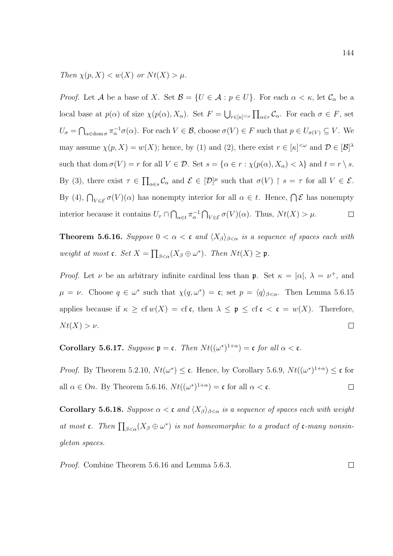Then  $\chi(p, X) < w(X)$  or  $Nt(X) > \mu$ .

*Proof.* Let A be a base of X. Set  $\mathcal{B} = \{U \in \mathcal{A} : p \in U\}$ . For each  $\alpha < \kappa$ , let  $\mathcal{C}_{\alpha}$  be a local base at  $p(\alpha)$  of size  $\chi(p(\alpha), X_{\alpha})$ . Set  $F = \bigcup_{r \in [\kappa]^{<\omega}} \prod_{\alpha \in r} C_{\alpha}$ . For each  $\sigma \in F$ , set  $U_{\sigma} = \bigcap_{\alpha \in \text{dom }\sigma} \pi_{\alpha}^{-1} \sigma(\alpha)$ . For each  $V \in \mathcal{B}$ , choose  $\sigma(V) \in F$  such that  $p \in U_{\sigma(V)} \subseteq V$ . We may assume  $\chi(p, X) = w(X)$ ; hence, by (1) and (2), there exist  $r \in [\kappa]^{<\omega}$  and  $\mathcal{D} \in [\mathcal{B}]^{\lambda}$ such that dom  $\sigma(V) = r$  for all  $V \in \mathcal{D}$ . Set  $s = {\alpha \in r : \chi(p(\alpha), X_{\alpha}) < \lambda}$  and  $t = r \setminus s$ . By (3), there exist  $\tau \in \prod_{\alpha \in s} C_{\alpha}$  and  $\mathcal{E} \in [\mathcal{D}]^{\mu}$  such that  $\sigma(V) \restriction s = \tau$  for all  $V \in \mathcal{E}$ . By (4),  $\bigcap_{V \in \mathcal{E}} \sigma(V)(\alpha)$  has nonempty interior for all  $\alpha \in t$ . Hence,  $\bigcap \mathcal{E}$  has nonempty interior because it contains  $U_{\tau} \cap \bigcap_{\alpha \in t} \pi_{\alpha}^{-1} \bigcap_{V \in \mathcal{E}} \sigma(V)(\alpha)$ . Thus,  $Nt(X) > \mu$ .  $\Box$ 

**Theorem 5.6.16.** Suppose  $0 < \alpha < c$  and  $\langle X_{\beta} \rangle_{\beta < \alpha}$  is a sequence of spaces each with weight at most **c**. Set  $X = \prod_{\beta < \alpha} (X_{\beta} \oplus \omega^*)$ . Then  $Nt(X) \ge \mathfrak{p}$ .

*Proof.* Let  $\nu$  be an arbitrary infinite cardinal less than **p**. Set  $\kappa = |\alpha|, \lambda = \nu^+,$  and  $\mu = \nu$ . Choose  $q \in \omega^*$  such that  $\chi(q, \omega^*) = \mathfrak{c}$ ; set  $p = \langle q \rangle_{\beta < \alpha}$ . Then Lemma 5.6.15 applies because if  $\kappa \geq cf w(X) = cf c$ , then  $\lambda \leq \mathfrak{p} \leq cf c < c = w(X)$ . Therefore,  $N t(X) > \nu$ .  $\Box$ 

Corollary 5.6.17. Suppose  $\mathfrak{p} = \mathfrak{c}$ . Then  $Nt((\omega^*)^{1+\alpha}) = \mathfrak{c}$  for all  $\alpha < \mathfrak{c}$ .

*Proof.* By Theorem 5.2.10,  $Nt(\omega^*) \leq \mathfrak{c}$ . Hence, by Corollary 5.6.9,  $Nt((\omega^*)^{1+\alpha}) \leq \mathfrak{c}$  for all  $\alpha \in \Omega$ . By Theorem 5.6.16,  $Nt((\omega^*)^{1+\alpha}) = \mathfrak{c}$  for all  $\alpha < \mathfrak{c}$ .  $\Box$ 

Corollary 5.6.18. Suppose  $\alpha < \mathfrak{c}$  and  $\langle X_{\beta} \rangle_{\beta < \alpha}$  is a sequence of spaces each with weight at most c. Then  $\prod_{\beta<\alpha}(X_{\beta}\oplus \omega^*)$  is not homeomorphic to a product of c-many nonsingleton spaces.

Proof. Combine Theorem 5.6.16 and Lemma 5.6.3. $\Box$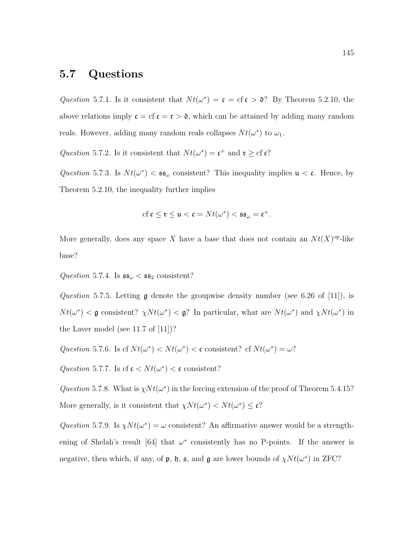## 5.7 Questions

Question 5.7.1. Is it consistent that  $Nt(\omega^*) = \mathfrak{c} = \mathfrak{c} \mathfrak{c} > \mathfrak{d}$ ? By Theorem 5.2.10, the above relations imply  $\mathfrak{c} = \mathfrak{c} \mathfrak{c} = \mathfrak{r} > \mathfrak{d}$ , which can be attained by adding many random reals. However, adding many random reals collapses  $Nt(\omega^*)$  to  $\omega_1$ .

Question 5.7.2. Is it consistent that  $Nt(\omega^*) = \mathfrak{c}^+$  and  $\mathfrak{r} \geq c \mathfrak{f} \mathfrak{c}$ ?

Question 5.7.3. Is  $N t(\omega^*) < \mathfrak{s}_{\omega}$  consistent? This inequality implies  $\mathfrak{u} < \mathfrak{c}$ . Hence, by Theorem 5.2.10, the inequality further implies

$$
\mathrm{cf}\,\mathfrak{c}\leq\mathfrak{r}\leq\mathfrak{u}<\mathfrak{c}=Nt(\omega^*)<\mathfrak{s}\mathfrak{s}_\omega=\mathfrak{c}^+.
$$

More generally, does any space X have a base that does not contain an  $Nt(X)$ <sup>op</sup>-like base?

Question 5.7.4. Is  $\mathfrak{ss}_{\omega} < \mathfrak{ss}_2$  consistent?

Question 5.7.5. Letting  $\mathfrak g$  denote the groupwise density number (see 6.26 of [11]), is  $Nt(\omega^*) < \mathfrak{g}$  consistent?  $\chi Nt(\omega^*) < \mathfrak{g}$ ? In particular, what are  $Nt(\omega^*)$  and  $\chi Nt(\omega^*)$  in the Laver model (see 11.7 of [11])?

Question 5.7.6. Is cf  $Nt(\omega^*) < Nt(\omega^*) < \mathfrak{c}$  consistent? cf  $Nt(\omega^*) = \omega$ ?

Question 5.7.7. Is cf  $\mathfrak{c} < N t(\omega^*) < \mathfrak{c}$  consistent?

Question 5.7.8. What is  $\chi N t(\omega^*)$  in the forcing extension of the proof of Theorem 5.4.15? More generally, is it consistent that  $\chi N t(\omega^*) < N t(\omega^*) \leq c$ ?

Question 5.7.9. Is  $\chi N t(\omega^*) = \omega$  consistent? An affirmative answer would be a strengthening of Shelah's result [64] that  $\omega^*$  consistently has no P-points. If the answer is negative, then which, if any, of  $\mathfrak{p}$ ,  $\mathfrak{h}$ ,  $\mathfrak{s}$ , and  $\mathfrak{g}$  are lower bounds of  $\chi N t(\omega^*)$  in ZFC?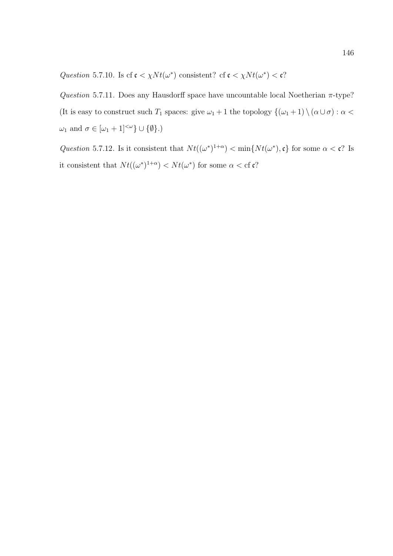Question 5.7.10. Is cf  $\mathfrak{c} < \chi N t(\omega^*)$  consistent? cf  $\mathfrak{c} < \chi N t(\omega^*) < \mathfrak{c}$ ?

Question 5.7.11. Does any Hausdorff space have uncountable local Noetherian  $\pi$ -type? (It is easy to construct such  $T_1$  spaces: give  $\omega_1 + 1$  the topology  $\{(\omega_1 + 1) \setminus (\alpha \cup \sigma) : \alpha$  $\omega_1$  and  $\sigma \in [\omega_1 + 1]^{<\omega} \} \cup \{ \emptyset \}.$ 

Question 5.7.12. Is it consistent that  $Nt((\omega^*)^{1+\alpha}) < \min\{Nt(\omega^*), \mathfrak{c}\}\)$  for some  $\alpha < \mathfrak{c}$ ? Is it consistent that  $Nt((\omega^*)^{1+\alpha}) < Nt(\omega^*)$  for some  $\alpha < \text{cf } c$ ?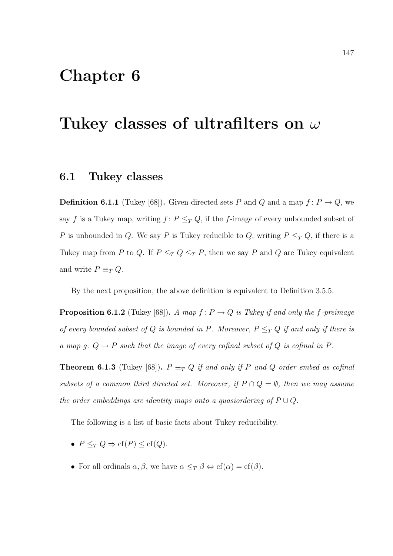## Chapter 6

## Tukey classes of ultrafilters on  $\omega$

#### 6.1 Tukey classes

**Definition 6.1.1** (Tukey [68]). Given directed sets P and Q and a map  $f: P \to Q$ , we say f is a Tukey map, writing  $f: P \leq_T Q$ , if the f-image of every unbounded subset of P is unbounded in Q. We say P is Tukey reducible to Q, writing  $P \leq_T Q$ , if there is a Tukey map from P to Q. If  $P \leq_T Q \leq_T P$ , then we say P and Q are Tukey equivalent and write  $P \equiv_T Q$ .

By the next proposition, the above definition is equivalent to Definition 3.5.5.

**Proposition 6.1.2** (Tukey [68]). A map  $f: P \to Q$  is Tukey if and only the f-preimage of every bounded subset of Q is bounded in P. Moreover,  $P \leq_T Q$  if and only if there is a map  $g: Q \to P$  such that the image of every cofinal subset of Q is cofinal in P.

**Theorem 6.1.3** (Tukey [68]).  $P \equiv_T Q$  if and only if P and Q order embed as cofinal subsets of a common third directed set. Moreover, if  $P \cap Q = \emptyset$ , then we may assume the order embeddings are identity maps onto a quasiordering of  $P \cup Q$ .

The following is a list of basic facts about Tukey reducibility.

- $P \leq_T Q \Rightarrow cf(P) \leq cf(Q)$ .
- For all ordinals  $\alpha, \beta$ , we have  $\alpha \leq_T \beta \Leftrightarrow cf(\alpha) = cf(\beta)$ .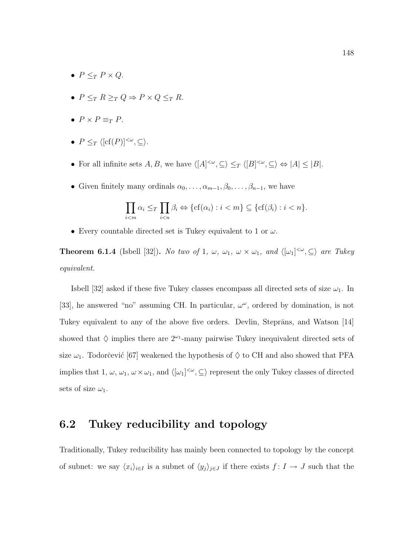- $P \leq_T P \times Q$ .
- $P \leq_T R \geq_T Q \Rightarrow P \times Q \leq_T R$ .
- $P \times P \equiv_T P$ .
- $P \leq_T \langle [cf(P)]^{<\omega}, \subseteq \rangle.$
- For all infinite sets  $A, B$ , we have  $\langle [A]^{<\omega}, \subseteq \rangle \leq_T \langle [B]^{<\omega}, \subseteq \rangle \Leftrightarrow |A| \leq |B|$ .
- Given finitely many ordinals  $\alpha_0, \ldots, \alpha_{m-1}, \beta_0, \ldots, \beta_{n-1}$ , we have

$$
\prod_{i
$$

• Every countable directed set is Tukey equivalent to 1 or  $\omega$ .

**Theorem 6.1.4** (Isbell [32]). No two of 1,  $\omega$ ,  $\omega_1$ ,  $\omega \times \omega_1$ , and  $\langle [\omega_1]^{<\omega}, \subseteq \rangle$  are Tukey equivalent.

Isbell [32] asked if these five Tukey classes encompass all directed sets of size  $\omega_1$ . In [33], he answered "no" assuming CH. In particular,  $\omega^{\omega}$ , ordered by domination, is not Tukey equivalent to any of the above five orders. Devlin, Steprāns, and Watson [14] showed that  $\Diamond$  implies there are  $2^{\omega_1}$ -many pairwise Tukey inequivalent directed sets of size  $\omega_1$ . Todorčević [67] weakened the hypothesis of  $\diamondsuit$  to CH and also showed that PFA implies that  $1, \omega, \omega_1, \omega \times \omega_1$ , and  $\langle [\omega_1]^{<\omega}, \subseteq \rangle$  represent the only Tukey classes of directed sets of size  $\omega_1$ .

## 6.2 Tukey reducibility and topology

Traditionally, Tukey reducibility has mainly been connected to topology by the concept of subnet: we say  $\langle x_i \rangle_{i \in I}$  is a subnet of  $\langle y_j \rangle_{j \in J}$  if there exists  $f: I \to J$  such that the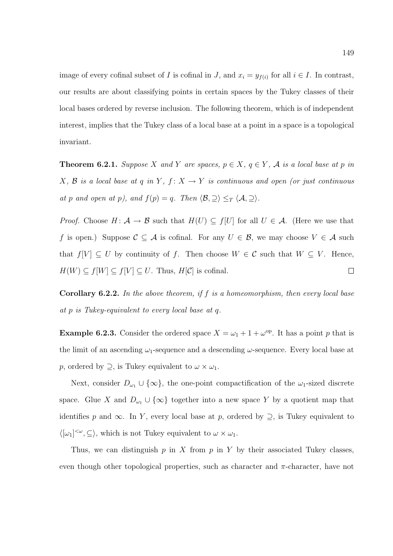image of every cofinal subset of I is cofinal in J, and  $x_i = y_{f(i)}$  for all  $i \in I$ . In contrast, our results are about classifying points in certain spaces by the Tukey classes of their local bases ordered by reverse inclusion. The following theorem, which is of independent interest, implies that the Tukey class of a local base at a point in a space is a topological invariant.

**Theorem 6.2.1.** Suppose X and Y are spaces,  $p \in X$ ,  $q \in Y$ , A is a local base at p in  $X, \mathcal{B}$  is a local base at q in Y,  $f: X \to Y$  is continuous and open (or just continuous at p and open at p), and  $f(p) = q$ . Then  $\langle \mathcal{B}, \supseteq \rangle \leq_T \langle \mathcal{A}, \supseteq \rangle$ .

*Proof.* Choose  $H: \mathcal{A} \to \mathcal{B}$  such that  $H(U) \subseteq f[U]$  for all  $U \in \mathcal{A}$ . (Here we use that f is open.) Suppose  $C \subseteq A$  is cofinal. For any  $U \in \mathcal{B}$ , we may choose  $V \in \mathcal{A}$  such that  $f[V] \subseteq U$  by continuity of f. Then choose  $W \in \mathcal{C}$  such that  $W \subseteq V$ . Hence,  $H(W) \subseteq f[W] \subseteq f[V] \subseteq U$ . Thus,  $H[\mathcal{C}]$  is cofinal.  $\Box$ 

**Corollary 6.2.2.** In the above theorem, if  $f$  is a homeomorphism, then every local base at p is Tukey-equivalent to every local base at q.

**Example 6.2.3.** Consider the ordered space  $X = \omega_1 + 1 + \omega^{\text{op}}$ . It has a point p that is the limit of an ascending  $\omega_1$ -sequence and a descending  $\omega$ -sequence. Every local base at p, ordered by  $\supseteq$ , is Tukey equivalent to  $\omega \times \omega_1$ .

Next, consider  $D_{\omega_1} \cup {\infty}$ , the one-point compactification of the  $\omega_1$ -sized discrete space. Glue X and  $D_{\omega_1} \cup {\infty}$  together into a new space Y by a quotient map that identifies p and  $\infty$ . In Y, every local base at p, ordered by  $\supseteq$ , is Tukey equivalent to  $\langle [\omega_1]^{<\omega}, \subseteq \rangle$ , which is not Tukey equivalent to  $\omega \times \omega_1$ .

Thus, we can distinguish  $p$  in X from  $p$  in Y by their associated Tukey classes, even though other topological properties, such as character and  $\pi$ -character, have not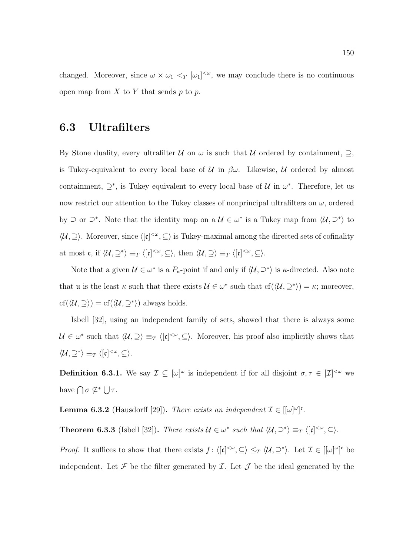changed. Moreover, since  $\omega \times \omega_1 \langle \omega_1 |^{<\omega}$ , we may conclude there is no continuous open map from  $X$  to  $Y$  that sends  $p$  to  $p$ .

### 6.3 Ultrafilters

By Stone duality, every ultrafilter  $\mathcal U$  on  $\omega$  is such that  $\mathcal U$  ordered by containment,  $\supseteq$ , is Tukey-equivalent to every local base of  $\mathcal U$  in  $\beta\omega$ . Likewise,  $\mathcal U$  ordered by almost containment,  $\supseteq^*$ , is Tukey equivalent to every local base of  $\mathcal U$  in  $\omega^*$ . Therefore, let us now restrict our attention to the Tukey classes of nonprincipal ultrafilters on  $\omega$ , ordered by  $\supseteq$  or  $\supseteq^*$ . Note that the identity map on a  $\mathcal{U} \in \omega^*$  is a Tukey map from  $\langle \mathcal{U}, \supseteq^* \rangle$  to  $\langle \mathcal{U}, \supseteq \rangle$ . Moreover, since  $\langle [\mathfrak{c}]^{<\omega}, \subseteq \rangle$  is Tukey-maximal among the directed sets of cofinality at most  $\mathfrak{c}$ , if  $\langle \mathcal{U}, \supseteq^* \rangle \equiv_T \langle [\mathfrak{c}]^{<\omega}, \subseteq \rangle$ , then  $\langle \mathcal{U}, \supseteq \rangle \equiv_T \langle [\mathfrak{c}]^{<\omega}, \subseteq \rangle$ .

Note that a given  $\mathcal{U} \in \omega^*$  is a  $P_{\kappa}$ -point if and only if  $\langle \mathcal{U}, \supseteq^* \rangle$  is  $\kappa$ -directed. Also note that **u** is the least  $\kappa$  such that there exists  $\mathcal{U} \in \omega^*$  such that  $cf(\langle \mathcal{U}, \supseteq^* \rangle) = \kappa$ ; moreover,  $cf(\langle \mathcal{U}, \supseteq \rangle) = cf(\langle \mathcal{U}, \supseteq^* \rangle)$  always holds.

Isbell [32], using an independent family of sets, showed that there is always some  $\mathcal{U} \in \omega^*$  such that  $\langle \mathcal{U}, \supseteq \rangle \equiv_T \langle [\mathfrak{c}]^{\leq \omega}, \subseteq \rangle$ . Moreover, his proof also implicitly shows that  $\langle \mathcal{U}, \supseteq^* \rangle \equiv_T \langle [\mathfrak{c}]^{<\omega}, \subseteq \rangle.$ 

**Definition 6.3.1.** We say  $\mathcal{I} \subseteq [\omega]^\omega$  is independent if for all disjoint  $\sigma, \tau \in [\mathcal{I}]^{<\omega}$  we have  $\bigcap \sigma \nsubseteq^* \bigcup \tau$ .

**Lemma 6.3.2** (Hausdorff [29]). There exists an independent  $\mathcal{I} \in [[\omega]^{\omega}]^{\mathfrak{c}}$ .

**Theorem 6.3.3** (Isbell [32]). There exists  $\mathcal{U} \in \omega^*$  such that  $\langle \mathcal{U}, \supseteq^* \rangle \equiv_T \langle [\mathfrak{c}]^{<\omega}, \subseteq \rangle$ .

*Proof.* It suffices to show that there exists  $f: \langle [c]^{<\omega}, \subseteq \rangle \leq_T \langle \mathcal{U}, \supseteq^* \rangle$ . Let  $\mathcal{I} \in [[\omega]^\omega]^c$  be independent. Let  $\mathcal F$  be the filter generated by  $\mathcal I$ . Let  $\mathcal J$  be the ideal generated by the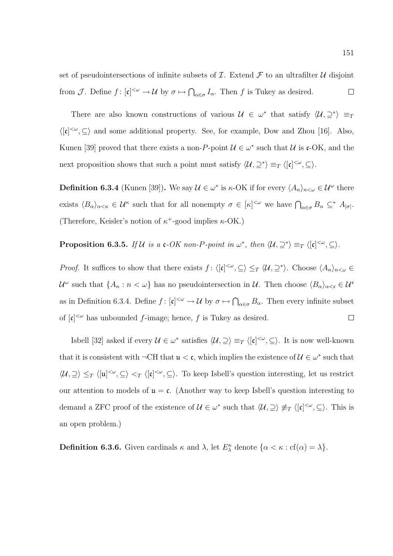set of pseudointersections of infinite subsets of  $\mathcal I$ . Extend  $\mathcal F$  to an ultrafilter  $\mathcal U$  disjoint from  $\mathcal{J}$ . Define  $f: [\mathfrak{c}]^{\langle \omega \rangle} \to \mathcal{U}$  by  $\sigma \mapsto \bigcap_{\alpha \in \sigma} I_{\alpha}$ . Then f is Tukey as desired.  $\Box$ 

There are also known constructions of various  $\mathcal{U} \in \omega^*$  that satisfy  $\langle \mathcal{U}, \supseteq^* \rangle \equiv_T$  $\langle [\mathfrak{c}]^{<\omega}, \subseteq \rangle$  and some additional property. See, for example, Dow and Zhou [16]. Also, Kunen [39] proved that there exists a non-P-point  $\mathcal{U} \in \omega^*$  such that  $\mathcal{U}$  is c-OK, and the next proposition shows that such a point must satisfy  $\langle U, \supseteq^* \rangle \equiv_T \langle [\mathfrak{c}]^{\langle \omega}, \subseteq \rangle$ .

**Definition 6.3.4** (Kunen [39]). We say  $\mathcal{U} \in \omega^*$  is  $\kappa$ -OK if for every  $\langle A_n \rangle_{n \leq \omega} \in \mathcal{U}^{\omega}$  there exists  $\langle B_{\alpha}\rangle_{\alpha<\kappa} \in \mathcal{U}^{\kappa}$  such that for all nonempty  $\sigma \in [\kappa]^{<\omega}$  we have  $\bigcap_{\alpha\in\sigma}B_{\alpha} \subseteq^* A_{|\sigma|}$ . (Therefore, Keisler's notion of  $\kappa^+$ -good implies  $\kappa$ -OK.)

**Proposition 6.3.5.** If U is a  $\mathfrak{c}$ -OK non-P-point in  $\omega^*$ , then  $\langle \mathcal{U}, \supseteq^* \rangle \equiv_T \langle [\mathfrak{c}]^{<\omega}, \subseteq \rangle$ .

*Proof.* It suffices to show that there exists  $f: \langle [\mathfrak{c}]^{\langle \omega}, \subseteq \rangle \leq_T \langle \mathcal{U}, \supseteq^* \rangle$ . Choose  $\langle A_n \rangle_{n \langle \omega} \in$  $\mathcal{U}^{\omega}$  such that  $\{A_n : n < \omega\}$  has no pseudointersection in  $\mathcal{U}$ . Then choose  $\langle B_{\alpha} \rangle_{\alpha < \mathfrak{c}} \in \mathcal{U}^{\omega}$ as in Definition 6.3.4. Define  $f: [\mathfrak{c}]^{\langle \omega \rangle} \to \mathcal{U}$  by  $\sigma \mapsto \bigcap_{\alpha \in \sigma} B_{\alpha}$ . Then every infinite subset of  $[\mathfrak{c}]^{\langle\omega\rangle}$  has unbounded f-image; hence, f is Tukey as desired.  $\Box$ 

Isbell [32] asked if every  $\mathcal{U} \in \omega^*$  satisfies  $\langle \mathcal{U}, \supseteq \rangle \equiv_T \langle [\mathfrak{c}]^{<\omega}, \subseteq \rangle$ . It is now well-known that it is consistent with  $\neg \text{CH}$  that  $\mathfrak{u} < \mathfrak{c}$ , which implies the existence of  $\mathcal{U} \in \omega^*$  such that  $\langle \mathcal{U}, \supseteq \rangle \leq_T \langle [u]^{<\omega}, \subseteq \rangle \langle [t]^{<\omega}, \subseteq \rangle$ . To keep Isbell's question interesting, let us restrict our attention to models of  $\mathfrak{u} = \mathfrak{c}$ . (Another way to keep Isbell's question interesting to demand a ZFC proof of the existence of  $\mathcal{U} \in \omega^*$  such that  $\langle \mathcal{U}, \supseteq \rangle \not\equiv_T \langle [\mathfrak{c}]^{<\omega}, \subseteq \rangle$ . This is an open problem.)

**Definition 6.3.6.** Given cardinals  $\kappa$  and  $\lambda$ , let  $E_{\lambda}^{\kappa}$  denote  $\{\alpha < \kappa : cf(\alpha) = \lambda\}.$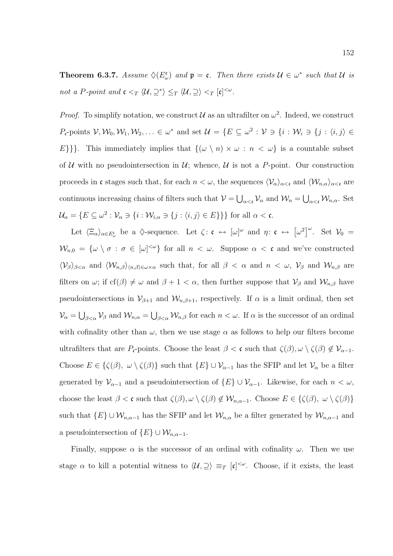**Theorem 6.3.7.** Assume  $\Diamond(E_{\omega}^{\mathfrak{c}})$  and  $\mathfrak{p} = \mathfrak{c}$ . Then there exists  $\mathcal{U} \in \omega^*$  such that  $\mathcal{U}$  is not a P-point and  $\mathfrak{c} <_T \langle \mathcal{U}, \supseteq^* \rangle \leq_T \langle \mathcal{U}, \supseteq \rangle <_T [\mathfrak{c}]^{<\omega}$ .

*Proof.* To simplify notation, we construct  $\mathcal{U}$  as an ultrafilter on  $\omega^2$ . Indeed, we construct  $P_{\mathfrak{c}}$ -points  $V, W_0, W_1, W_2, \ldots \in \omega^*$  and set  $\mathcal{U} = \{E \subseteq \omega^2 : V \ni \{i : W_i \ni \{j : \langle i, j \rangle \in \mathbb{R} \}$ E}}}. This immediately implies that  $\{(\omega \setminus n) \times \omega : n < \omega\}$  is a countable subset of U with no pseudointersection in U; whence, U is not a P-point. Our construction proceeds in c stages such that, for each  $n < \omega$ , the sequences  $\langle \mathcal{V}_{\alpha} \rangle_{\alpha < \mathfrak{c}}$  and  $\langle \mathcal{W}_{n,\alpha} \rangle_{\alpha < \mathfrak{c}}$  are continuous increasing chains of filters such that  $V = \bigcup_{\alpha < \mathfrak{c}} \mathcal{V}_{\alpha}$  and  $\mathcal{W}_n = \bigcup_{\alpha < \mathfrak{c}} \mathcal{W}_{n,\alpha}$ . Set  $\mathcal{U}_{\alpha} = \{E \subseteq \omega^2 : \mathcal{V}_{\alpha} \ni \{i : \mathcal{W}_{i,\alpha} \ni \{j : \langle i,j \rangle \in E\}\}\}\$ for all  $\alpha < \mathfrak{c}$ .

Let  $\langle \Xi_{\alpha} \rangle_{\alpha \in E_{\omega}^{\mathfrak{c}}}$  be a  $\Diamond$ -sequence. Let  $\zeta : \mathfrak{c} \leftrightarrow [\omega]^{\omega}$  and  $\eta : \mathfrak{c} \leftrightarrow [\omega^2]^{\omega}$ . Set  $\mathcal{V}_0 =$  $\mathcal{W}_{n,0} = \{ \omega \setminus \sigma : \sigma \in [\omega]^{<\omega} \}$  for all  $n < \omega$ . Suppose  $\alpha < \mathfrak{c}$  and we've constructed  $\langle V_\beta \rangle_{\beta < \alpha}$  and  $\langle W_{n,\beta} \rangle_{\langle n,\beta \rangle \in \omega \times \alpha}$  such that, for all  $\beta < \alpha$  and  $n < \omega$ ,  $V_\beta$  and  $W_{n,\beta}$  are filters on  $\omega$ ; if cf( $\beta$ )  $\neq \omega$  and  $\beta + 1 < \alpha$ , then further suppose that  $\mathcal{V}_{\beta}$  and  $\mathcal{W}_{n,\beta}$  have pseudointersections in  $\mathcal{V}_{\beta+1}$  and  $\mathcal{W}_{n,\beta+1}$ , respectively. If  $\alpha$  is a limit ordinal, then set  $\mathcal{V}_{\alpha} = \bigcup_{\beta < \alpha} \mathcal{V}_{\beta}$  and  $\mathcal{W}_{n,\alpha} = \bigcup_{\beta < \alpha} \mathcal{W}_{n,\beta}$  for each  $n < \omega$ . If  $\alpha$  is the successor of an ordinal with cofinality other than  $\omega$ , then we use stage  $\alpha$  as follows to help our filters become ultrafilters that are  $P_{\mathfrak{c}}$ -points. Choose the least  $\beta < \mathfrak{c}$  such that  $\zeta(\beta), \omega \setminus \zeta(\beta) \notin \mathcal{V}_{\alpha-1}$ . Choose  $E \in \{\zeta(\beta), \ \omega \setminus \zeta(\beta)\}\$  such that  $\{E\} \cup \mathcal{V}_{\alpha-1}$  has the SFIP and let  $\mathcal{V}_{\alpha}$  be a filter generated by  $\mathcal{V}_{\alpha-1}$  and a pseudointersection of  $\{E\} \cup \mathcal{V}_{\alpha-1}$ . Likewise, for each  $n < \omega$ , choose the least  $\beta < \mathfrak{c}$  such that  $\zeta(\beta), \omega \setminus \zeta(\beta) \notin \mathcal{W}_{n,\alpha-1}$ . Choose  $E \in \{\zeta(\beta), \omega \setminus \zeta(\beta)\}\$ such that  ${E} \cup W_{n,\alpha-1}$  has the SFIP and let  $W_{n,\alpha}$  be a filter generated by  $W_{n,\alpha-1}$  and a pseudointersection of  $\{E\} \cup \mathcal{W}_{n,\alpha-1}$ .

Finally, suppose  $\alpha$  is the successor of an ordinal with cofinality  $\omega$ . Then we use stage  $\alpha$  to kill a potential witness to  $\langle \mathcal{U}, \supseteq \rangle \equiv_T [\mathfrak{c}]^{<\omega}$ . Choose, if it exists, the least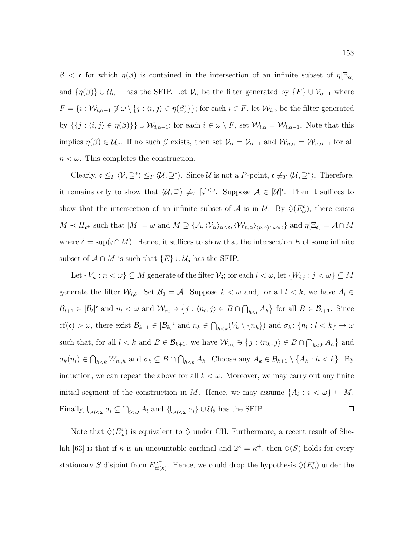β < c for which  $η(β)$  is contained in the intersection of an infinite subset of  $η[Xi<sub>α</sub>]$ and  $\{\eta(\beta)\}\cup\mathcal{U}_{\alpha-1}$  has the SFIP. Let  $\mathcal{V}_{\alpha}$  be the filter generated by  $\{F\}\cup\mathcal{V}_{\alpha-1}$  where  $F = \{i : \mathcal{W}_{i, \alpha-1} \not\ni \omega \setminus \{j : \langle i, j \rangle \in \eta(\beta)\}\};$  for each  $i \in F$ , let  $\mathcal{W}_{i, \alpha}$  be the filter generated by  $\{\{j : \langle i, j \rangle \in \eta(\beta)\}\}\cup \mathcal{W}_{i,\alpha-1}$ ; for each  $i \in \omega \setminus F$ , set  $\mathcal{W}_{i,\alpha} = \mathcal{W}_{i,\alpha-1}$ . Note that this implies  $\eta(\beta) \in \mathcal{U}_{\alpha}$ . If no such  $\beta$  exists, then set  $\mathcal{V}_{\alpha} = \mathcal{V}_{\alpha-1}$  and  $\mathcal{W}_{n,\alpha} = \mathcal{W}_{n,\alpha-1}$  for all  $n < \omega$ . This completes the construction.

Clearly,  $\mathfrak{c} \leq_T \langle \mathcal{V}, \supseteq^* \rangle \leq_T \langle \mathcal{U}, \supseteq^* \rangle$ . Since  $\mathcal{U}$  is not a P-point,  $\mathfrak{c} \not\equiv_T \langle \mathcal{U}, \supseteq^* \rangle$ . Therefore, it remains only to show that  $\langle \mathcal{U}, \supseteq \rangle \neq_T [\mathfrak{c}]^{<\omega}$ . Suppose  $\mathcal{A} \in [\mathcal{U}]^{\mathfrak{c}}$ . Then it suffices to show that the intersection of an infinite subset of  $\mathcal A$  is in  $\mathcal U$ . By  $\Diamond(E_{\omega}^{\mathfrak c})$ , there exists  $M \prec H_{\mathfrak{c}^+}$  such that  $|M| = \omega$  and  $M \supseteq {\{\mathcal{A}, \langle \mathcal{V}_\alpha \rangle_{\alpha < \mathfrak{c}}, \langle \mathcal{W}_{n,\alpha} \rangle_{\langle n,\alpha \rangle \in \omega \times \mathfrak{c}}\}}$  and  $\eta[\Xi_\delta] = \mathcal{A} \cap M$ where  $\delta = \sup(\mathfrak{c} \cap M)$ . Hence, it suffices to show that the intersection E of some infinite subset of  $\mathcal{A} \cap M$  is such that  $\{E\} \cup \mathcal{U}_{\delta}$  has the SFIP.

Let  $\{V_n : n < \omega\} \subseteq M$  generate of the filter  $\mathcal{V}_\delta$ ; for each  $i < \omega$ , let  $\{W_{i,j} : j < \omega\} \subseteq M$ generate the filter  $\mathcal{W}_{i,\delta}$ . Set  $\mathcal{B}_0 = \mathcal{A}$ . Suppose  $k < \omega$  and, for all  $l < k$ , we have  $A_l \in$  $\mathcal{B}_{l+1} \in [\mathcal{B}_l]^c$  and  $n_l < \omega$  and  $\mathcal{W}_{n_l} \ni \{j : \langle n_l, j \rangle \in B \cap \bigcap_{h < l} A_h\}$  for all  $B \in \mathcal{B}_{l+1}$ . Since cf(c) >  $\omega$ , there exist  $\mathcal{B}_{k+1} \in [\mathcal{B}_k]^c$  and  $n_k \in \bigcap_{h < k} (V_h \setminus \{n_h\})$  and  $\sigma_k \colon \{n_l : l < k\} \to \omega$ such that, for all  $l < k$  and  $B \in \mathcal{B}_{k+1}$ , we have  $\mathcal{W}_{n_k} \ni \{j : \langle n_k, j \rangle \in B \cap \bigcap_{h \leq k} A_h\}$  and  $\sigma_k(n_l) \in \bigcap_{h \leq k} W_{n_l,h}$  and  $\sigma_k \subseteq B \cap \bigcap_{h \leq k} A_h$ . Choose any  $A_k \in \mathcal{B}_{k+1} \setminus \{A_h : h \leq k\}$ . By induction, we can repeat the above for all  $k < \omega$ . Moreover, we may carry out any finite initial segment of the construction in M. Hence, we may assume  $\{A_i : i < \omega\} \subseteq M$ . Finally,  $\bigcup_{i<\omega} \sigma_i \subseteq \bigcap_{i<\omega} A_i$  and  $\{\bigcup_{i<\omega} \sigma_i\} \cup \mathcal{U}_{\delta}$  has the SFIP.  $\Box$ 

Note that  $\Diamond(E_{\omega}^{\mathfrak{c}})$  is equivalent to  $\Diamond$  under CH. Furthermore, a recent result of Shelah [63] is that if  $\kappa$  is an uncountable cardinal and  $2^{\kappa} = \kappa^+$ , then  $\Diamond(S)$  holds for every stationary S disjoint from  $E_{\rm cf}^{\kappa^+}$  $c_{\text{cf}(\kappa)}^{k, \dagger}$ . Hence, we could drop the hypothesis  $\Diamond(E_{\omega}^{\mathfrak{c}})$  under the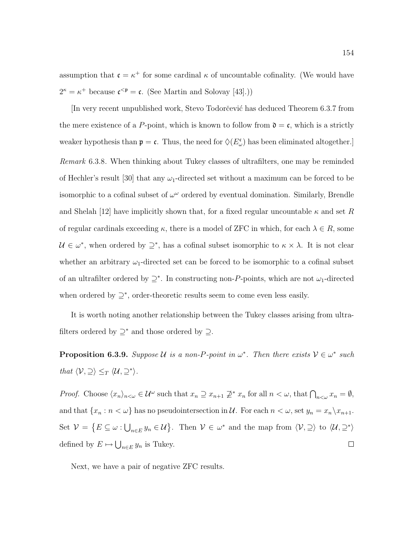assumption that  $\mathfrak{c} = \kappa^+$  for some cardinal  $\kappa$  of uncountable cofinality. (We would have  $2^{\kappa} = \kappa^+$  because  $\mathfrak{c}^{\langle \mathfrak{p} \rangle} = \mathfrak{c}$ . (See Martin and Solovay [43].))

[In very recent unpublished work, Stevo Todorˇcevi´c has deduced Theorem 6.3.7 from the mere existence of a P-point, which is known to follow from  $\mathfrak{d} = \mathfrak{c}$ , which is a strictly weaker hypothesis than  $\mathfrak{p} = \mathfrak{c}$ . Thus, the need for  $\Diamond(E_{\omega}^{\mathfrak{c}})$  has been eliminated altogether. Remark 6.3.8. When thinking about Tukey classes of ultrafilters, one may be reminded of Hechler's result [30] that any  $\omega_1$ -directed set without a maximum can be forced to be isomorphic to a cofinal subset of  $\omega^{\omega}$  ordered by eventual domination. Similarly, Brendle and Shelah [12] have implicitly shown that, for a fixed regular uncountable  $\kappa$  and set R of regular cardinals exceeding  $\kappa$ , there is a model of ZFC in which, for each  $\lambda \in R$ , some  $\mathcal{U} \in \omega^*$ , when ordered by  $\supseteq^*$ , has a cofinal subset isomorphic to  $\kappa \times \lambda$ . It is not clear whether an arbitrary  $\omega_1$ -directed set can be forced to be isomorphic to a cofinal subset of an ultrafilter ordered by  $\supseteq^*$ . In constructing non-P-points, which are not  $\omega_1$ -directed when ordered by  $\supseteq^*$ , order-theoretic results seem to come even less easily.

It is worth noting another relationship between the Tukey classes arising from ultrafilters ordered by  $\supseteq^*$  and those ordered by  $\supseteq$ .

**Proposition 6.3.9.** Suppose U is a non-P-point in  $\omega^*$ . Then there exists  $V \in \omega^*$  such that  $\langle V, \supseteq \rangle \leq_T \langle U, \supseteq^* \rangle$ .

*Proof.* Choose  $\langle x_n \rangle_{n \leq \omega} \in \mathcal{U}^{\omega}$  such that  $x_n \supseteq x_{n+1} \not\supseteq^* x_n$  for all  $n < \omega$ , that  $\bigcap_{n \leq \omega} x_n = \emptyset$ , and that  $\{x_n : n < \omega\}$  has no pseudointersection in  $\mathcal U$ . For each  $n < \omega$ , set  $y_n = x_n \setminus x_{n+1}$ . Set  $\mathcal{V} = \{ E \subseteq \omega : \bigcup_{n \in E} y_n \in \mathcal{U} \}.$  Then  $\mathcal{V} \in \omega^*$  and the map from  $\langle \mathcal{V}, \supseteq \rangle$  to  $\langle \mathcal{U}, \supseteq^* \rangle$ defined by  $E \mapsto \bigcup_{n \in E} y_n$  is Tukey.  $\Box$ 

Next, we have a pair of negative ZFC results.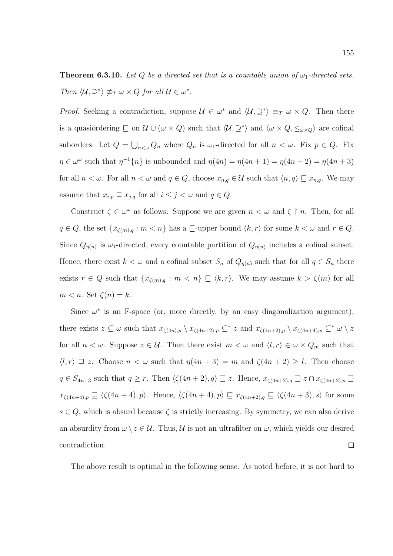**Theorem 6.3.10.** Let Q be a directed set that is a countable union of  $\omega_1$ -directed sets. Then  $\langle \mathcal{U}, \supseteq^* \rangle \not\equiv_T \omega \times Q$  for all  $\mathcal{U} \in \omega^*$ .

*Proof.* Seeking a contradiction, suppose  $\mathcal{U} \in \omega^*$  and  $\langle \mathcal{U}, \supseteq^* \rangle \equiv_T \omega \times Q$ . Then there is a quasiondering  $\subseteq$  on  $\mathcal{U} \cup (\omega \times Q)$  such that  $\langle \mathcal{U}, \supseteq^* \rangle$  and  $\langle \omega \times Q, \leq_{\omega \times Q} \rangle$  are cofinal suborders. Let  $Q = \bigcup_{n<\omega} Q_n$  where  $Q_n$  is  $\omega_1$ -directed for all  $n < \omega$ . Fix  $p \in Q$ . Fix  $\eta \in \omega^{\omega}$  such that  $\eta^{-1}\{n\}$  is unbounded and  $\eta(4n) = \eta(4n+1) = \eta(4n+2) = \eta(4n+3)$ for all  $n < \omega$ . For all  $n < \omega$  and  $q \in Q$ , choose  $x_{n,q} \in U$  such that  $\langle n, q \rangle \sqsubseteq x_{n,q}$ . We may assume that  $x_{i,p} \sqsubseteq x_{j,q}$  for all  $i \leq j < \omega$  and  $q \in Q$ .

Construct  $\zeta \in \omega^{\omega}$  as follows. Suppose we are given  $n < \omega$  and  $\zeta \restriction n$ . Then, for all  $q \in Q$ , the set  $\{x_{\zeta(m),q} : m < n\}$  has a  $\sqsubseteq$ -upper bound  $\langle k, r \rangle$  for some  $k < \omega$  and  $r \in Q$ . Since  $Q_{\eta(n)}$  is  $\omega_1$ -directed, every countable partition of  $Q_{\eta(n)}$  includes a cofinal subset. Hence, there exist  $k < \omega$  and a cofinal subset  $S_n$  of  $Q_{\eta(n)}$  such that for all  $q \in S_n$  there exists  $r \in Q$  such that  $\{x_{\zeta(m),q} : m < n\} \sqsubseteq \langle k, r \rangle$ . We may assume  $k > \zeta(m)$  for all  $m < n$ . Set  $\zeta(n) = k$ .

Since  $\omega^*$  is an F-space (or, more directly, by an easy diagonalization argument), there exists  $z \subseteq \omega$  such that  $x_{\zeta(4n),p} \setminus x_{\zeta(4n+2),p} \subseteq^* z$  and  $x_{\zeta(4n+2),p} \setminus x_{\zeta(4n+4),p} \subseteq^* \omega \setminus z$ for all  $n < \omega$ . Suppose  $z \in \mathcal{U}$ . Then there exist  $m < \omega$  and  $\langle l, r \rangle \in \omega \times Q_m$  such that  $\langle l, r \rangle \supseteq z$ . Choose  $n < \omega$  such that  $\eta(4n+3) = m$  and  $\zeta(4n+2) \geq l$ . Then choose  $q \in S_{4n+3}$  such that  $q \geq r$ . Then  $\langle \zeta(4n+2), q \rangle \supseteq z$ . Hence,  $x_{\zeta(4n+2),q} \supseteq z \cap x_{\zeta(4n+2),p} \supseteq z$  $x_{\zeta(4n+4),p} \supseteq \langle \zeta(4n+4), p \rangle$ . Hence,  $\langle \zeta(4n+4), p \rangle \sqsubseteq x_{\zeta(4n+2),q} \sqsubseteq \langle \zeta(4n+3), s \rangle$  for some  $s \in Q$ , which is absurd because  $\zeta$  is strictly increasing. By symmetry, we can also derive an absurdity from  $\omega \setminus z \in \mathcal{U}$ . Thus,  $\mathcal{U}$  is not an ultrafilter on  $\omega$ , which yields our desired  $\Box$ contradiction.

The above result is optimal in the following sense. As noted before, it is not hard to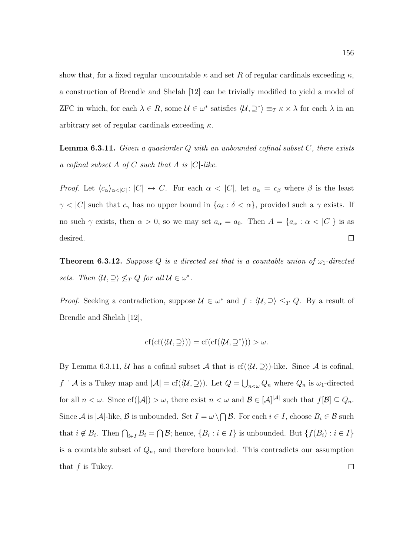show that, for a fixed regular uncountable  $\kappa$  and set R of regular cardinals exceeding  $\kappa$ , a construction of Brendle and Shelah [12] can be trivially modified to yield a model of ZFC in which, for each  $\lambda \in R$ , some  $\mathcal{U} \in \omega^*$  satisfies  $\langle \mathcal{U}, \supseteq^* \rangle \equiv_T \kappa \times \lambda$  for each  $\lambda$  in an arbitrary set of regular cardinals exceeding  $\kappa$ .

**Lemma 6.3.11.** Given a quasiorder  $Q$  with an unbounded cofinal subset  $C$ , there exists a cofinal subset A of C such that A is  $|C|$ -like.

*Proof.* Let  $\langle c_{\alpha}\rangle_{\alpha<|C|}$ :  $|C| \leftrightarrow C$ . For each  $\alpha < |C|$ , let  $a_{\alpha} = c_{\beta}$  where  $\beta$  is the least  $\gamma < |C|$  such that  $c_{\gamma}$  has no upper bound in  $\{a_{\delta} : \delta < \alpha\}$ , provided such a  $\gamma$  exists. If no such  $\gamma$  exists, then  $\alpha > 0$ , so we may set  $a_{\alpha} = a_0$ . Then  $A = \{a_{\alpha} : \alpha < |C|\}$  is as desired.  $\Box$ 

**Theorem 6.3.12.** Suppose Q is a directed set that is a countable union of  $\omega_1$ -directed sets. Then  $\langle \mathcal{U}, \supseteq \rangle \nleq_T Q$  for all  $\mathcal{U} \in \omega^*$ .

*Proof.* Seeking a contradiction, suppose  $\mathcal{U} \in \omega^*$  and  $f : \langle \mathcal{U}, \supseteq \rangle \leq_T Q$ . By a result of Brendle and Shelah [12],

$$
\mathrm{cf}(\mathrm{cf}(\langle\mathcal{U},\supseteq\rangle))=\mathrm{cf}(\mathrm{cf}(\langle\mathcal{U},\supseteq^*\rangle))>\omega.
$$

By Lemma 6.3.11, U has a cofinal subset A that is  $cf(\langle U, \supseteq \rangle)$ -like. Since A is cofinal, f | A is a Tukey map and  $|\mathcal{A}| = \text{cf}(\langle \mathcal{U}, \supseteq \rangle)$ . Let  $Q = \bigcup_{n<\omega} Q_n$  where  $Q_n$  is  $\omega_1$ -directed for all  $n < \omega$ . Since  $cf(|A|) > \omega$ , there exist  $n < \omega$  and  $\mathcal{B} \in [A^{|\mathcal{A}|}]$  such that  $f[\mathcal{B}] \subseteq Q_n$ . Since A is |A|-like, B is unbounded. Set  $I = \omega \setminus \bigcap \mathcal{B}$ . For each  $i \in I$ , choose  $B_i \in \mathcal{B}$  such that  $i \notin B_i$ . Then  $\bigcap_{i \in I} B_i = \bigcap \mathcal{B}$ ; hence,  $\{B_i : i \in I\}$  is unbounded. But  $\{f(B_i) : i \in I\}$ is a countable subset of  $Q_n$ , and therefore bounded. This contradicts our assumption that  $f$  is Tukey.  $\Box$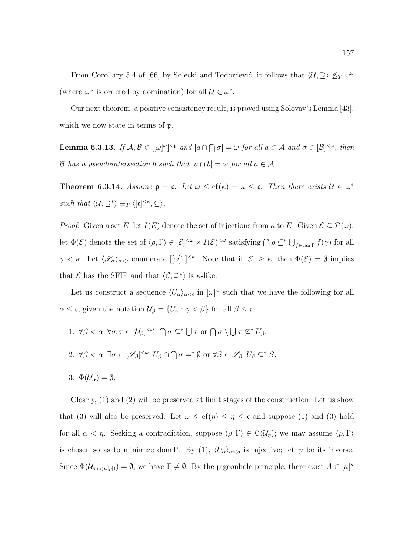From Corollary 5.4 of [66] by Solecki and Todorčević, it follows that  $\langle \mathcal{U}, \supseteq \rangle \nleq_T \omega^\omega$ (where  $\omega^{\omega}$  is ordered by domination) for all  $\mathcal{U} \in \omega^*$ .

Our next theorem, a positive consistency result, is proved using Solovay's Lemma [43], which we now state in terms of  $\mathfrak{p}$ .

**Lemma 6.3.13.** If  $A, B \in [[\omega]^\omega]^{<\mathfrak{p}}$  and  $|a \cap \bigcap \sigma| = \omega$  for all  $a \in A$  and  $\sigma \in [B]^{<\omega}$ , then B has a pseudointersection b such that  $|a \cap b| = \omega$  for all  $a \in \mathcal{A}$ .

**Theorem 6.3.14.** Assume  $\mathfrak{p} = \mathfrak{c}$ . Let  $\omega \leq cf(\kappa) = \kappa \leq \mathfrak{c}$ . Then there exists  $\mathcal{U} \in \omega^*$ such that  $\langle \mathcal{U}, \supseteq^* \rangle \equiv_T \langle [\mathfrak{c}]^{<\kappa}, \subseteq \rangle$ .

*Proof.* Given a set E, let  $I(E)$  denote the set of injections from  $\kappa$  to E. Given  $\mathcal{E} \subseteq \mathcal{P}(\omega)$ , let  $\Phi(\mathcal{E})$  denote the set of  $\langle \rho, \Gamma \rangle \in [\mathcal{E}]^{<\omega} \times I(\mathcal{E})^{<\omega}$  satisfying  $\bigcap \rho \subseteq^* \bigcup_{f \in \text{ran } \Gamma} f(\gamma)$  for all  $\gamma < \kappa$ . Let  $\langle \mathscr{S}_{\alpha} \rangle_{\alpha < \mathfrak{c}}$  enumerate  $[[\omega]^{\omega}]^{<\kappa}$ . Note that if  $|\mathcal{E}| \geq \kappa$ , then  $\Phi(\mathcal{E}) = \emptyset$  implies that  $\mathcal E$  has the SFIP and that  $\langle \mathcal E, \supseteq^* \rangle$  is  $\kappa$ -like.

Let us construct a sequence  $\langle U_{\alpha}\rangle_{\alpha<\mathfrak{c}}$  in  $[\omega]^{\omega}$  such that we have the following for all  $\alpha \leq \mathfrak{c}$ , given the notation  $\mathcal{U}_{\beta} = \{U_{\gamma} : \gamma < \beta\}$  for all  $\beta \leq \mathfrak{c}$ .

1.  $\forall \beta < \alpha \ \forall \sigma, \tau \in [\mathcal{U}_{\beta}]^{<\omega} \bigcap \sigma \subseteq^* \bigcup \tau \text{ or } \bigcap \sigma \setminus \bigcup \tau \not\subseteq^* U_{\beta}.$ 2.  $\forall \beta < \alpha \ \exists \sigma \in [\mathscr{S}_{\beta}]^{<\omega}$   $U_{\beta} \cap \bigcap \sigma =^* \emptyset$  or  $\forall S \in \mathscr{S}_{\beta}$   $U_{\beta} \subseteq^* S$ . 3.  $\Phi(\mathcal{U}_{\alpha}) = \emptyset$ .

Clearly, (1) and (2) will be preserved at limit stages of the construction. Let us show that (3) will also be preserved. Let  $\omega \leq cf(\eta) \leq \eta \leq \mathfrak{c}$  and suppose (1) and (3) hold for all  $\alpha < \eta$ . Seeking a contradiction, suppose  $\langle \rho, \Gamma \rangle \in \Phi(\mathcal{U}_{\eta})$ ; we may assume  $\langle \rho, \Gamma \rangle$ is chosen so as to minimize dom Γ. By (1),  $\langle U_{\alpha}\rangle_{\alpha<\eta}$  is injective; let  $\psi$  be its inverse. Since  $\Phi(\mathcal{U}_{\text{sup}(\psi[\rho]))} = \emptyset$ , we have  $\Gamma \neq \emptyset$ . By the pigeonhole principle, there exist  $A \in [\kappa]^{\kappa}$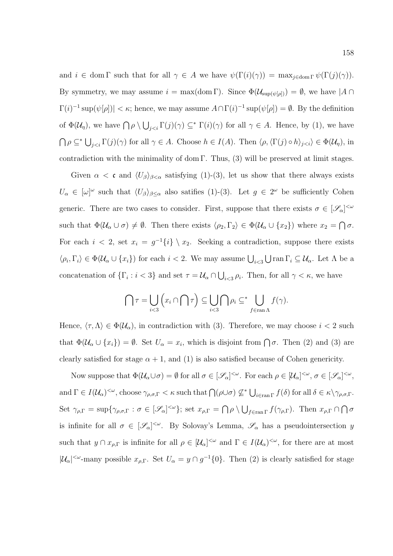and  $i \in \text{dom }\Gamma$  such that for all  $\gamma \in A$  we have  $\psi(\Gamma(i)(\gamma)) = \max_{j \in \text{dom }\Gamma} \psi(\Gamma(j)(\gamma)).$ By symmetry, we may assume  $i = \max(\text{dom }\Gamma)$ . Since  $\Phi(\mathcal{U}_{\text{sup}(\psi[\rho]))} = \emptyset$ , we have  $|A \cap \Gamma|$  $\Gamma(i)^{-1} \sup(\psi[\rho]) < \kappa$ ; hence, we may assume  $A \cap \Gamma(i)^{-1} \sup(\psi[\rho]) = \emptyset$ . By the definition of  $\Phi(\mathcal{U}_\eta)$ , we have  $\bigcap \rho \setminus \bigcup_{j < i} \Gamma(j)(\gamma) \subseteq^* \Gamma(i)(\gamma)$  for all  $\gamma \in A$ . Hence, by (1), we have  $\bigcap \rho \subseteq^* \bigcup_{j < i} \Gamma(j)(\gamma)$  for all  $\gamma \in A$ . Choose  $h \in I(A)$ . Then  $\langle \rho, \langle \Gamma(j) \circ h \rangle_{j < i} \rangle \in \Phi(\mathcal{U}_{\eta})$ , in contradiction with the minimality of dom Γ. Thus,  $(3)$  will be preserved at limit stages.

Given  $\alpha < \mathfrak{c}$  and  $\langle U_{\beta} \rangle_{\beta < \alpha}$  satisfying (1)-(3), let us show that there always exists  $U_{\alpha} \in [\omega]^{\omega}$  such that  $\langle U_{\beta} \rangle_{\beta \leq \alpha}$  also satifies (1)-(3). Let  $g \in 2^{\omega}$  be sufficiently Cohen generic. There are two cases to consider. First, suppose that there exists  $\sigma \in [\mathscr{S}_{\alpha}]^{<\omega}$ such that  $\Phi(\mathcal{U}_{\alpha} \cup \sigma) \neq \emptyset$ . Then there exists  $\langle \rho_2, \Gamma_2 \rangle \in \Phi(\mathcal{U}_{\alpha} \cup \{x_2\})$  where  $x_2 = \bigcap \sigma$ . For each  $i < 2$ , set  $x_i = g^{-1}{i} \ \ x_2$ . Seeking a contradiction, suppose there exists  $\langle \rho_i, \Gamma_i \rangle \in \Phi(\mathcal{U}_\alpha \cup \{x_i\})$  for each  $i < 2$ . We may assume  $\bigcup_{i < 3} \bigcup \text{ran } \Gamma_i \subseteq \mathcal{U}_\alpha$ . Let  $\Lambda$  be a concatenation of  $\{\Gamma_i : i < 3\}$  and set  $\tau = \mathcal{U}_\alpha \cap \bigcup_{i < 3} \rho_i$ . Then, for all  $\gamma < \kappa$ , we have

$$
\bigcap \tau = \bigcup_{i < 3} \left( x_i \cap \bigcap \tau \right) \subseteq \bigcup_{i < 3} \bigcap \rho_i \subseteq^* \bigcup_{f \in \text{ran } \Lambda} f(\gamma).
$$

Hence,  $\langle \tau, \Lambda \rangle \in \Phi(\mathcal{U}_{\alpha})$ , in contradiction with (3). Therefore, we may choose  $i < 2$  such that  $\Phi(\mathcal{U}_{\alpha} \cup \{x_i\}) = \emptyset$ . Set  $U_{\alpha} = x_i$ , which is disjoint from  $\bigcap \sigma$ . Then (2) and (3) are clearly satisfied for stage  $\alpha + 1$ , and (1) is also satisfied because of Cohen genericity.

Now suppose that  $\Phi(\mathcal{U}_{\alpha}\cup\sigma)=\emptyset$  for all  $\sigma\in[\mathscr{S}_{\alpha}]^{<\omega}$ . For each  $\rho\in[\mathcal{U}_{\alpha}]^{<\omega}$ ,  $\sigma\in[\mathscr{S}_{\alpha}]^{<\omega}$ , and  $\Gamma \in I(\mathcal{U}_{\alpha})^{\lt \omega}$ , choose  $\gamma_{\rho,\sigma,\Gamma} < \kappa$  such that  $\bigcap (\rho \cup \sigma) \not\subseteq^* \bigcup_{i \in \text{ran } \Gamma} f(\delta)$  for all  $\delta \in \kappa \setminus \gamma_{\rho,\sigma,\Gamma}$ . Set  $\gamma_{\rho,\Gamma} = \sup \{ \gamma_{\rho,\sigma,\Gamma} : \sigma \in [\mathscr{S}_{\alpha}]^{<\omega} \};$  set  $x_{\rho,\Gamma} = \bigcap \rho \setminus \bigcup_{f \in \text{ran } \Gamma} f(\gamma_{\rho,\Gamma})$ . Then  $x_{\rho,\Gamma} \cap \bigcap \sigma$ is infinite for all  $\sigma \in [\mathscr{S}_{\alpha}]^{<\omega}$ . By Solovay's Lemma,  $\mathscr{S}_{\alpha}$  has a pseudointersection y such that  $y \cap x_{\rho,\Gamma}$  is infinite for all  $\rho \in [\mathcal{U}_{\alpha}]^{\langle \omega \rangle}$  and  $\Gamma \in I(\mathcal{U}_{\alpha})^{\langle \omega \rangle}$ , for there are at most  $|U_\alpha|^{<\omega}$ -many possible  $x_{\rho,\Gamma}$ . Set  $U_\alpha = y \cap g^{-1}\{0\}$ . Then (2) is clearly satisfied for stage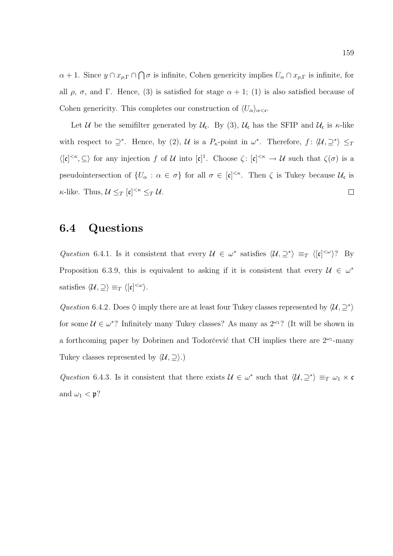$\alpha+1$ . Since  $y\cap x_{\rho,\Gamma}\cap\bigcap\sigma$  is infinite, Cohen genericity implies  $U_{\alpha}\cap x_{\rho,\Gamma}$  is infinite, for all  $\rho$ ,  $\sigma$ , and Γ. Hence, (3) is satisfied for stage  $\alpha + 1$ ; (1) is also satisfied because of Cohen genericity. This completes our construction of  $\langle U_{\alpha}\rangle_{\alpha<\epsilon}$ .

Let U be the semifilter generated by  $\mathcal{U}_{c}$ . By (3),  $\mathcal{U}_{c}$  has the SFIP and  $\mathcal{U}_{c}$  is  $\kappa$ -like with respect to  $\supseteq^*$ . Hence, by (2), U is a  $P_{\kappa}$ -point in  $\omega^*$ . Therefore,  $f: \langle \mathcal{U}, \supseteq^* \rangle \leq_T$  $\langle [\mathfrak{c}]^{<\kappa}, \subseteq \rangle$  for any injection f of U into  $[\mathfrak{c}]^1$ . Choose  $\zeta : [\mathfrak{c}]^{<\kappa} \to U$  such that  $\zeta(\sigma)$  is a pseudointersection of  $\{U_\alpha : \alpha \in \sigma\}$  for all  $\sigma \in [\mathfrak{c}]^{<\kappa}$ . Then  $\zeta$  is Tukey because  $\mathcal{U}_\mathfrak{c}$  is  $\kappa$ -like. Thus,  $\mathcal{U} \leq_T [\mathfrak{c}]^{<\kappa} \leq_T \mathcal{U}$ .  $\Box$ 

#### 6.4 Questions

Question 6.4.1. Is it consistent that every  $\mathcal{U} \in \omega^*$  satisfies  $\langle \mathcal{U}, \supseteq^* \rangle \equiv_T \langle [\mathfrak{c}]^{<\omega} \rangle$ ? By Proposition 6.3.9, this is equivalent to asking if it is consistent that every  $\mathcal{U} \in \omega^*$ satisfies  $\langle \mathcal{U}, \supseteq \rangle \equiv_T \langle [\mathfrak{c}]^{<\omega} \rangle$ .

Question 6.4.2. Does  $\Diamond$  imply there are at least four Tukey classes represented by  $\langle U, \supseteq^* \rangle$ for some  $\mathcal{U} \in \omega^*$ ? Infinitely many Tukey classes? As many as  $2^{\omega_1}$ ? (It will be shown in a forthcoming paper by Dobrinen and Todorčević that CH implies there are  $2^{\omega_1}$ -many Tukey classes represented by  $\langle \mathcal{U}, \supseteq \rangle$ .)

Question 6.4.3. Is it consistent that there exists  $\mathcal{U} \in \omega^*$  such that  $\langle \mathcal{U}, \supseteq^* \rangle \equiv_T \omega_1 \times \mathfrak{c}$ and  $\omega_1 < \mathfrak{p}$ ?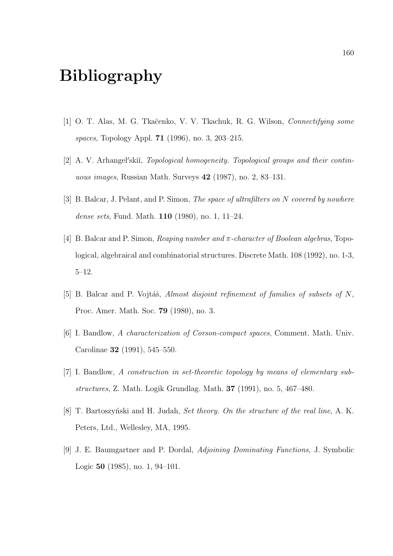# Bibliography

- [1] O. T. Alas, M. G. Tkačenko, V. V. Tkachuk, R. G. Wilson, Connectifying some spaces, Topology Appl. 71 (1996), no. 3, 203–215.
- [2] A. V. Arhangel'skiı̆, Topological homogeneity. Topological groups and their continuous images, Russian Math. Surveys 42 (1987), no. 2, 83–131.
- [3] B. Balcar, J. Pelant, and P. Simon, *The space of ultrafilters on N covered by nowhere* dense sets, Fund. Math. 110 (1980), no. 1, 11–24.
- [4] B. Balcar and P. Simon, *Reaping number and*  $\pi$ -*character of Boolean algebras*, Topological, algebraical and combinatorial structures. Discrete Math. 108 (1992), no. 1-3, 5–12.
- [5] B. Balcar and P. Vojtáš, Almost disjoint refinement of families of subsets of  $N$ , Proc. Amer. Math. Soc. 79 (1980), no. 3.
- [6] I. Bandlow, A characterization of Corson-compact spaces, Comment. Math. Univ. Carolinae 32 (1991), 545–550.
- [7] I. Bandlow, A construction in set-theoretic topology by means of elementary substructures, Z. Math. Logik Grundlag. Math. 37 (1991), no. 5, 467–480.
- [8] T. Bartoszyński and H. Judah, *Set theory. On the structure of the real line*, A. K. Peters, Ltd., Wellesley, MA, 1995.
- [9] J. E. Baumgartner and P. Dordal, Adjoining Dominating Functions, J. Symbolic Logic 50 (1985), no. 1, 94–101.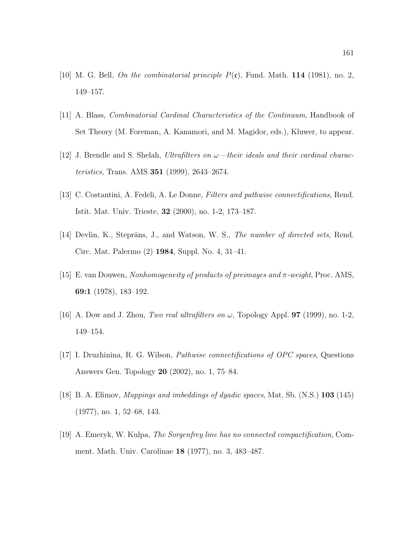- [10] M. G. Bell, *On the combinatorial principle P(c)*, Fund. Math. **114** (1981), no. 2, 149–157.
- [11] A. Blass, Combinatorial Cardinal Characteristics of the Continuum, Handbook of Set Theory (M. Foreman, A. Kanamori, and M. Magidor, eds.), Kluwer, to appear.
- [12] J. Brendle and S. Shelah, Ultrafilters on  $\omega$ —their ideals and their cardinal characteristics, Trans. AMS 351 (1999), 2643–2674.
- [13] C. Costantini, A. Fedeli, A. Le Donne, Filters and pathwise connectifications, Rend. Istit. Mat. Univ. Trieste, 32 (2000), no. 1-2, 173–187.
- [14] Devlin, K., Steprāns, J., and Watson, W. S., *The number of directed sets*, Rend. Circ. Mat. Palermo (2) 1984, Suppl. No. 4, 31–41.
- [15] E. van Douwen, Nonhomogeneity of products of preimages and  $\pi$ -weight, Proc. AMS, 69:1 (1978), 183–192.
- [16] A. Dow and J. Zhou, Two real ultrafilters on  $\omega$ , Topology Appl. **97** (1999), no. 1-2, 149–154.
- [17] I. Druzhinina, R. G. Wilson, Pathwise connectifications of OPC spaces, Questions Answers Gen. Topology 20 (2002), no. 1, 75–84.
- [18] B. A. Efimov, *Mappings and imbeddings of dyadic spaces*, Mat. Sb. (N.S.) **103** (145) (1977), no. 1, 52–68, 143.
- [19] A. Emeryk, W. Kulpa, The Sorgenfrey line has no connected compactification, Comment. Math. Univ. Carolinae 18 (1977), no. 3, 483–487.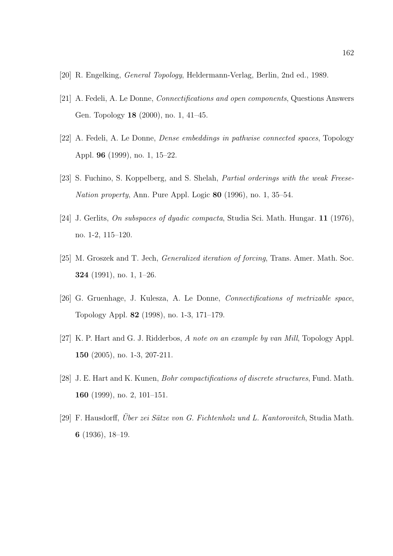- [20] R. Engelking, General Topology, Heldermann-Verlag, Berlin, 2nd ed., 1989.
- [21] A. Fedeli, A. Le Donne, Connectifications and open components, Questions Answers Gen. Topology 18 (2000), no. 1, 41–45.
- [22] A. Fedeli, A. Le Donne, Dense embeddings in pathwise connected spaces, Topology Appl. 96 (1999), no. 1, 15–22.
- [23] S. Fuchino, S. Koppelberg, and S. Shelah, *Partial orderings with the weak Freese-*Nation property, Ann. Pure Appl. Logic 80 (1996), no. 1, 35–54.
- [24] J. Gerlits, On subspaces of dyadic compacta, Studia Sci. Math. Hungar. 11 (1976), no. 1-2, 115–120.
- [25] M. Groszek and T. Jech, *Generalized iteration of forcing*, Trans. Amer. Math. Soc. 324 (1991), no. 1, 1–26.
- [26] G. Gruenhage, J. Kulesza, A. Le Donne, Connectifications of metrizable space, Topology Appl. 82 (1998), no. 1-3, 171–179.
- [27] K. P. Hart and G. J. Ridderbos, A note on an example by van Mill, Topology Appl. 150 (2005), no. 1-3, 207-211.
- [28] J. E. Hart and K. Kunen, Bohr compactifications of discrete structures, Fund. Math. 160 (1999), no. 2, 101–151.
- [29] F. Hausdorff, Über zei Sätze von G. Fichtenholz und L. Kantorovitch, Studia Math. 6 (1936), 18–19.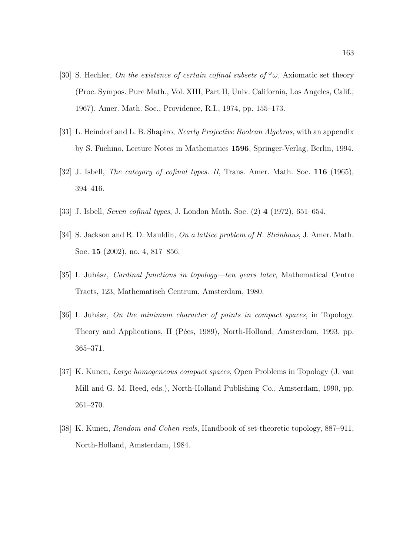- [30] S. Hechler, On the existence of certain cofinal subsets of  $\omega_{\omega}$ , Axiomatic set theory (Proc. Sympos. Pure Math., Vol. XIII, Part II, Univ. California, Los Angeles, Calif., 1967), Amer. Math. Soc., Providence, R.I., 1974, pp. 155–173.
- [31] L. Heindorf and L. B. Shapiro, Nearly Projective Boolean Algebras, with an appendix by S. Fuchino, Lecture Notes in Mathematics 1596, Springer-Verlag, Berlin, 1994.
- [32] J. Isbell, *The category of cofinal types. II*, Trans. Amer. Math. Soc. **116** (1965), 394–416.
- [33] J. Isbell, Seven cofinal types, J. London Math. Soc. (2) 4 (1972), 651–654.
- [34] S. Jackson and R. D. Mauldin, On a lattice problem of H. Steinhaus, J. Amer. Math. Soc. 15 (2002), no. 4, 817–856.
- [35] I. Juhász, *Cardinal functions in topology—ten years later*, Mathematical Centre Tracts, 123, Mathematisch Centrum, Amsterdam, 1980.
- [36] I. Juhász, On the minimum character of points in compact spaces, in Topology. Theory and Applications, II (Pécs, 1989), North-Holland, Amsterdam, 1993, pp. 365–371.
- [37] K. Kunen, Large homogeneous compact spaces, Open Problems in Topology (J. van Mill and G. M. Reed, eds.), North-Holland Publishing Co., Amsterdam, 1990, pp. 261–270.
- [38] K. Kunen, Random and Cohen reals, Handbook of set-theoretic topology, 887–911, North-Holland, Amsterdam, 1984.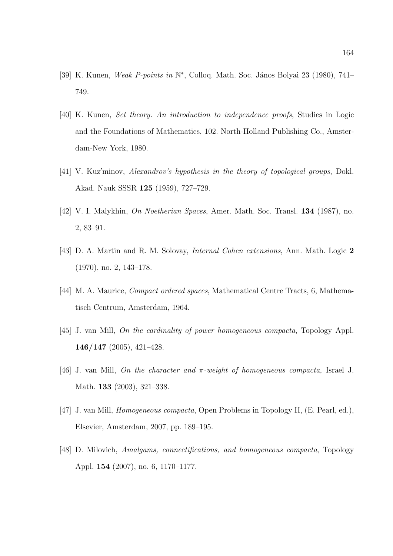- [39] K. Kunen, Weak P-points in N<sup>\*</sup>, Colloq. Math. Soc. János Bolyai 23 (1980), 741− 749.
- [40] K. Kunen, Set theory. An introduction to independence proofs, Studies in Logic and the Foundations of Mathematics, 102. North-Holland Publishing Co., Amsterdam-New York, 1980.
- $[41]$  V. Kuz'minov, Alexandrov's hypothesis in the theory of topological groups, Dokl. Akad. Nauk SSSR 125 (1959), 727–729.
- [42] V. I. Malykhin, On Noetherian Spaces, Amer. Math. Soc. Transl. 134 (1987), no. 2, 83–91.
- [43] D. A. Martin and R. M. Solovay, Internal Cohen extensions, Ann. Math. Logic 2 (1970), no. 2, 143–178.
- [44] M. A. Maurice, Compact ordered spaces, Mathematical Centre Tracts, 6, Mathematisch Centrum, Amsterdam, 1964.
- [45] J. van Mill, On the cardinality of power homogeneous compacta, Topology Appl. 146/147 (2005), 421–428.
- [46] J. van Mill, On the character and  $\pi$ -weight of homogeneous compacta, Israel J. Math. 133 (2003), 321–338.
- [47] J. van Mill, Homogeneous compacta, Open Problems in Topology II, (E. Pearl, ed.), Elsevier, Amsterdam, 2007, pp. 189–195.
- [48] D. Milovich, Amalgams, connectifications, and homogeneous compacta, Topology Appl. 154 (2007), no. 6, 1170–1177.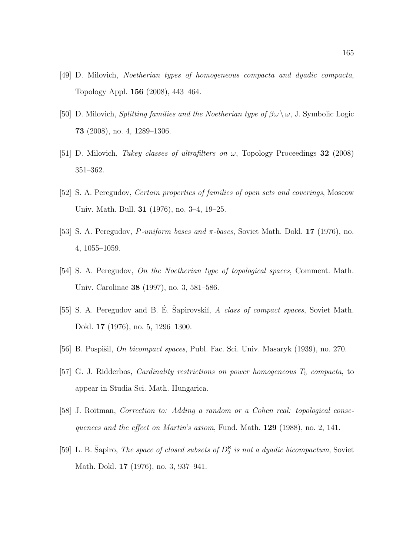- [49] D. Milovich, Noetherian types of homogeneous compacta and dyadic compacta, Topology Appl. 156 (2008), 443–464.
- [50] D. Milovich, *Splitting families and the Noetherian type of*  $\beta\omega \setminus \omega$ , J. Symbolic Logic 73 (2008), no. 4, 1289–1306.
- [51] D. Milovich, Tukey classes of ultrafilters on  $\omega$ , Topology Proceedings 32 (2008) 351–362.
- [52] S. A. Peregudov, Certain properties of families of open sets and coverings, Moscow Univ. Math. Bull. 31 (1976), no. 3–4, 19–25.
- [53] S. A. Peregudov,  $P\text{-uniform bases}$  and  $\pi\text{-}bases$ , Soviet Math. Dokl. 17 (1976), no. 4, 1055–1059.
- [54] S. A. Peregudov, On the Noetherian type of topological spaces, Comment. Math. Univ. Carolinae 38 (1997), no. 3, 581–586.
- [55] S. A. Peregudov and B. E. Sapirovskii, A class of compact spaces, Soviet Math. Dokl. 17 (1976), no. 5, 1296–1300.
- [56] B. Pospišil, On bicompact spaces, Publ. Fac. Sci. Univ. Masaryk (1939), no. 270.
- [57] G. J. Ridderbos, *Cardinality restrictions on power homogeneous*  $T_5$  *compacta*, to appear in Studia Sci. Math. Hungarica.
- [58] J. Roitman, Correction to: Adding a random or a Cohen real: topological consequences and the effect on Martin's axiom, Fund. Math. 129 (1988), no. 2, 141.
- [59] L. B. Šapiro, *The space of closed subsets of*  $D_2^{\aleph}$  *is not a dyadic bicompactum*, Soviet Math. Dokl. 17 (1976), no. 3, 937–941.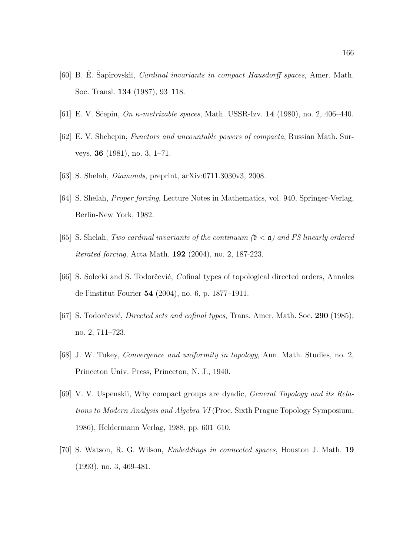- [60] B. E. Sapirovskiı̆, *Cardinal invariants in compact Hausdorff spaces*, Amer. Math. Soc. Transl. 134 (1987), 93–118.
- [61] E. V. Ščepin, On  $\kappa$ -metrizable spaces, Math. USSR-Izv. 14 (1980), no. 2, 406–440.
- [62] E. V. Shchepin, Functors and uncountable powers of compacta, Russian Math. Surveys, 36 (1981), no. 3, 1–71.
- [63] S. Shelah, Diamonds, preprint, arXiv:0711.3030v3, 2008.
- [64] S. Shelah, Proper forcing, Lecture Notes in Mathematics, vol. 940, Springer-Verlag, Berlin-New York, 1982.
- [65] S. Shelah, Two cardinal invariants of the continuum  $(0 < \alpha)$  and FS linearly ordered iterated forcing, Acta Math. 192 (2004), no. 2, 187-223.
- [66] S. Solecki and S. Todorčević, Cofinal types of topological directed orders, Annales de l'institut Fourier 54 (2004), no. 6, p. 1877–1911.
- [67] S. Todorčević, *Directed sets and cofinal types*, Trans. Amer. Math. Soc. **290** (1985), no. 2, 711–723.
- [68] J. W. Tukey, Convergence and uniformity in topology, Ann. Math. Studies, no. 2, Princeton Univ. Press, Princeton, N. J., 1940.
- [69] V. V. Uspenskii, Why compact groups are dyadic, General Topology and its Relations to Modern Analysis and Algebra VI (Proc. Sixth Prague Topology Symposium, 1986), Heldermann Verlag, 1988, pp. 601–610.
- [70] S. Watson, R. G. Wilson, Embeddings in connected spaces, Houston J. Math. 19 (1993), no. 3, 469-481.